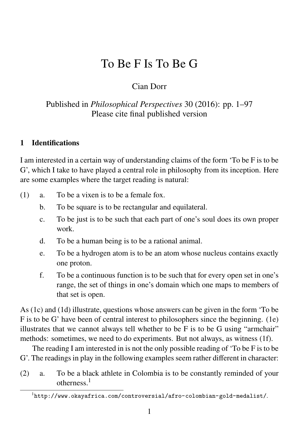# To Be F Is To Be G

# Cian Dorr

# <span id="page-0-5"></span><span id="page-0-4"></span><span id="page-0-2"></span><span id="page-0-1"></span><span id="page-0-0"></span>Published in *Philosophical Perspectives* 30 (2016): pp. 1–97 Please cite final published version

# **1 Identifications**

I am interested in a certain way of understanding claims of the form 'To be F is to be G', [whi](#page-0-0)ch I [take](#page-0-1) to have played a central role in philosophy from its inception. [Here](#page-0-2) are some examples where the target reading is natural:

- (1) a. To be a vixen is to be a female fox.
	- b. To be square is to be rectangular and equilateral.
	- c. To be just is to be such that each part of one's soul does its own proper work.
	- d. To be a h[um](#page-0-3)an being is to be a rational animal.
	- [e. To be a hydrogen atom is to be an atom whose nucleus contains exa](http://www.okayafrica.com/controversial/afro-colombian-gold-medalist/)ctly one proton.
	- f. To be a continuous function is to be such that for every open set in one's range, the set of things in one's domain which one maps to members of that set is open.

<span id="page-0-3"></span>As (1c) and (1d) illustrate, questions whose answers can be given in the form 'To be F is to be G' have been of central interest to philosophers since the beginning. (1e) illustrates that we cannot always tell whether to be F is to be G using "armchair" methods: sometimes, we need to do experiments. But not always, as witness (1f).

The reading I am interested in is not the only possible reading of 'To be F is to be G'. The readings in play in the following examples seem rather different in character:

(2) a. To be a black athlete in Colombia is to be constantly reminded of your otherness.<sup>1</sup>

<sup>1</sup> http://www.okayafrica.com/controversial/afro-colombian-gold-medalist/.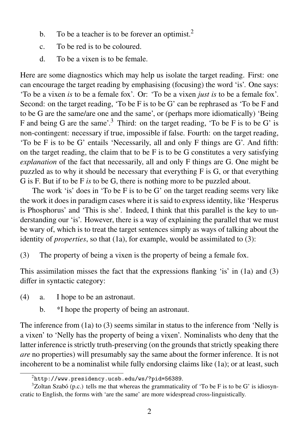- b. To be a teacher is to be forever an optimist.<sup>2</sup>
- c. To be red is to be coloured.
- d. To be a vixen is to be female.

<span id="page-1-0"></span>Here are some diagnostics which may help us isolate the target reading. First: one can encourage the target reading by emphasising (focusing) the word 'is'. One says: 'To be a vixen *is* to be a fem[ale fo](#page-0-4)x'. Or: 'To be a vixen *just is* to be af[ema](#page-1-0)le fox'. Second: on the target reading, 'To be F is to be G' can be rephrased as 'To be F and to be G are the same/are one and the same', or (perhaps more idiomatically) 'Being F and being G are the same'.<sup>3</sup> Third: on the target reading, 'To be F is to be G' is non-contingent: necessary if true, impossible if false. Fourth: on the ta[rget](#page-0-4) readi[ng,](#page-1-0) 'To be F is to be G' entails 'Necessarily, all and only F things are G'. And fifth: on the target reading, the claim that to be F is to be G constitutes a very satisfying *explanation* of the fact that necessarily, all and only F things are G. One might be puzzled as to why it should be necessary that everything F is G, or that everything G is F. But if to be F *is* to [be G](#page-1-0), there is nothing more to be puzzled about.

The work 'is' d[oes i](#page-0-4)n 'To be F is to be G' on the target reading seems very like the work it does in paradigm cases where it is said to express identity, like 'Hesperus is Phosphorus' and 'This is she'. Indeed, I think that this parallel is the key to understanding our 'is'. However, there is a way of explaining the [para](#page-0-4)llel that we must be wary of, which is to treat the target sentences simply as ways of talking about the identity of *properties*, so that [\(1a\), for example, wou](http://www.presidency.ucsb.edu/ws/?pid=56389)ld be assimilated to (3):

(3) The property of being a vixen is the property of being a female fox.

This assimilation misses the fact that the expressions flanking 'is' in (1a) and (3) differ in syntactic category:

- (4) a. I hope to be an astronaut.
	- b. \*I hope the property of being an astronaut.

The inference from (1a) to (3) seems similar in status to the inference from 'Nelly is a vixen' to 'Nelly has the property of being a vixen'. Nominalists who deny that the latter inference is strictly truth-preserving (on the grounds that strictly speaking there *are* no properties) will presumably say the same about the former inference. It is not incoherent to be a nominalist while fully endorsing claims like (1a); or at least, such

 $^2$ http://www.presidency.ucsb.edu/ws/?pid=56389.

 $3$ Zoltan Szabó (p.c.) tells me that whereas the grammaticality of 'To be F is to be G' is idiosyncratic to English, the forms with 'are the same' are more widespread cross-linguistically.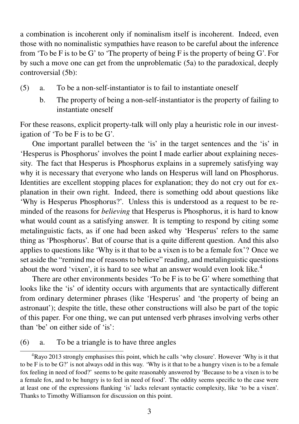<span id="page-2-1"></span>a combination is incoherent only if nominalism itself is incoherent. Indeed, even those with no nominalistic sympathies have reason to be careful about the inference from 'To be F is to be G' to 'The property of being F is the property of being G'. For by such a move one can get from the unproblematic (5a) to the paradoxical, deeply controversial (5b):

- (5) a. To be a non-self-instantiator is to fail to instantiate oneself
	- b. The property of being a non-self-instantiator is the property of failing to instantiate oneself

For these reasons, explicit property-talk will only play a heuristic role in our [in](#page-2-0)vestigation of 'To be F is to be G'.

One important parallel between the 'is' in the target sentences and the 'is' in 'Hesperus is Phosphorus' involves the point I made earlier about explaining necessity. The fact that Hesperus is Phosphorus explains in a supremely satisfying way why it is necessary that everyone who lands on Hesperus will land on Phosphorus. Identities are excellent stopping places for explanation; they do not cry out for explanation in their own right. Indeed, there is something odd about questions like 'Why is Hesperus Phosphorus?'. Unless this is understood as a request to be reminded of the reasons for *believing* that Hesperus is Phosphorus, it is hard to know what wo[uld c](#page-100-0)ount as a satisfying answer. It is tempting to respond by citing some metalinguistic facts, as if one had been asked why 'Hesperus' refers to the same thing as 'Phosphorus'. But of course that is a quite different question. And this also applies to questions like 'Why is it that to be a vixen is to be a female fox'? Once we set aside the "remind me of reasons to believe" reading, and metalinguistic questions about the word 'vixen', it is hard to see what an answer would even look like.<sup>4</sup>

<span id="page-2-0"></span>There are other environments besides 'To be F is to be G' where something that looks like the 'is' of identity occurs with arguments that are syntactically different from ordinary determiner phrases (like 'Hesperus' and 'the property of being an astronaut'); despite the title, these other constructions will also be part of the topic of this paper. For one thing, we can put untensed verb phrases involving verbs other than 'be' on either side of 'is':

(6) a. To be a triangle is to have three angles

<sup>&</sup>lt;sup>4</sup>Rayo 2013 strongly emphasises this point, which he calls 'why closure'. However 'Why is it that to be F is to be G?' is not always odd in this way. 'Why is it that to be a hungry vixen is to be a female fox feeling in need of food?' seems to be quite reasonably answered by 'Because to be a vixen is to be a female fox, and to be hungry is to feel in need of food'. The oddity seems specific to the case were at least one of the expressions flanking 'is' lacks relevant syntactic complexity, like 'to be a vixen'. Thanks to Timothy Williamson for discussion on this point.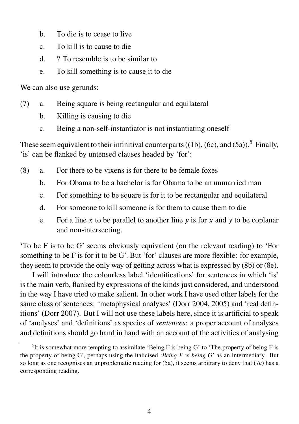- <span id="page-3-0"></span>b. To die is to cease to live
- c. To kill is to cause to die
- d. ? To resemble is to be similar to
- e. To kill something is to cause it to die

We can also use gerunds:

- (7) a. Being square is being rectangular and equilateral
	- b. Killing is causing to die
	- c. Being a non-self-instantiator is not instantiating oneself

These seem equivalent to their infinitival counterparts  $((1b), (6c),$  and  $(5a)$ ).<sup>5</sup> Finally, 'is' can be flanked by untensed clauses headed by 'for':

- (8) a. F[or the](#page-98-2)re to be vixens is for there to be fem[ale fox](#page-98-0)[es](#page-98-1)
	- b. For Obama to be a bachelor is for Obama to be an unmarried man
	- c. For something to be square is for it to be rectangular and equilateral
	- d. For someone to kill someone is for them to cause them to die
	- e. For a line  $x$  to be parallel to anot[her l](#page-2-1)ine  $y$  is for  $x$  and  $y$  to be [copl](#page-3-0)anar and non-intersecting.

'To be F is to be G' seems obviously equivalent (on the relevant reading) to 'For something to be F is for it to be G'. But 'for' clauses are more flexible: for example, they seem to provide the only way of getting across what is expressed by (8b) or (8e).

I will introduce the colourless label 'identifications' for sentences in which 'is' is the main verb, flanked by expressions of the kinds just considered, and understood in the way I have tried to make salient. In other work I have used other labels for the same class of sentences: 'metaphysical analyses' (Dorr 2004, 2005) and 'real definitions' (Dorr 2007). But I will not use these labels here, since it is artificial to speak of 'analyses' and 'definitions' as species of *sentences*: a proper account of analyses and definitions should go hand in hand with an account of the activities of analysing

<sup>&</sup>lt;sup>5</sup>It is somewhat more tempting to assimilate 'Being F is being G' to 'The property of being F is the property of being G', perhaps using the italicised '*Being F* is *being G*' as an intermediary. But so long as one recognises an unproblematic reading for (5a), it seems arbitrary to deny that (7c) has a corresponding reading.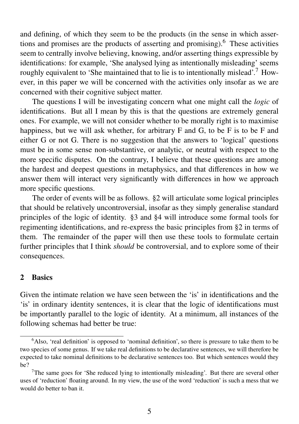and defining, of which they seem to be the products (in the sense in which assertions and promises are the products of asserting and promising). <sup>6</sup> These activities seem to centrally involve believing, knowin[g,](#page-4-0) and/or asserting things expressible by identifications: for example, 'She analysed lying as intentionally misleading' seems roughly equivalent to 'She maintain[ed](#page-9-0) that t[o](#page-14-0) lie is to intentionally mislead'.<sup>7</sup> However, in this paper we will be concerned with the activities only inso[fa](#page-4-0)r as we are concerned with their cognitive subject matter.

<span id="page-4-0"></span>The questions I will be investigating concern what one might call the *logic* of identifications. But all I mean by this is that the questions are extremely general ones. For example, we will not consider whether to be morally right is to maximise happiness, but we will ask whether, for arbitrary F and G, to be F is to be F and either G or not G. There is no suggestion that the answers to 'logical' questions must be in some sense non-substantive, or analytic, or neutral with respect to the more specific disputes. On the contrary, I believe that these questions are among the hardest and deepest questions in metaphysics, and that differences in how we answer them will interact very significantly with differences in how we approach more specific questions.

The order of events will be as follows. §2 will articulate some logical principles that should be relatively uncontroversial, insofar as they simply generalise standard principles of the logic of identity. §3 and §4 will introduce some formal tools for regimenting identifications, and re-express the basic principles from §2 in terms of them. The remainder of the paper will then use these tools to formulate certain further principles that I think *should* be controversial, and to explore some of their consequences.

### **2 Basics**

Given the intimate relation we have seen between the 'is' in identifications and the 'is' in ordinary identity sentences, it is clear that the logic of identifications must be importantly parallel to the logic of identity. At a minimum, all instances of the following schemas had better be true:

 $6$ Also, 'real definition' is opposed to 'nominal definition', so there is pressure to take them to be two species of some genus. If we take real definitions to be declarative sentences, we will therefore be expected to take nominal definitions to be declarative sentences too. But which sentences would they be?

<sup>&</sup>lt;sup>7</sup>The same goes for 'She reduced lying to intentionally misleading'. But there are several other uses of 'reduction' floating around. In my view, the use of the word 'reduction' is such a mess that we would do better to ban it.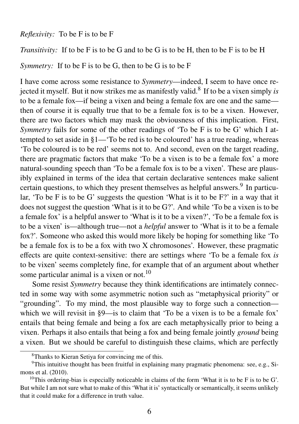### <span id="page-5-2"></span>*Reflexivity:* To be F is to be F

*Transitivity:* If to be F is to be G and to be G is to be H, then to be F i[s t](#page-5-0)o be H

*Symmetry:* If to be F is to be G, then to be G is to be F

I have come across some resistance to *Symmetry*—indeed, I seem to have once rejected it myself. But it now strikes me as manifestly valid.<sup>8</sup> If to be a vixen simply *is* to be a female fox—if being a vixen and being a female fox are one and the same then of course it is equally true that to be a female fox is to be a vixen. However, there are two factors which may mask the obviousness of this implication. First, *Symmetry* fails for some of the other re[ad](#page-5-1)ings of 'To be F is to be G' which I attempted to set aside in §1—'To be red is to be coloured' has a true reading, whereas 'To be coloured [is to be re](#page-5-2)d' seems not to. And second, even on the target reading, there are pragmatic factors that make 'To be a vixen is to be a female fox' a more natural-sounding speech [tha](#page-53-0)n 'To be a female fox is to be a vixen'. These are plausibly explained in terms of the idea that certain declarative sentences make salient certain questions, to which they present themselves as helpful answers.<sup>9</sup> In particular, 'To be F is to be G' suggests the question 'What is it to be F?' in a way that it does not suggest the question 'What is it to be G?'. And while 'To be a vixen is to be a female fox' is a helpful answer to 'What is it to be a vixen?', 'To be a female fox is to be a vixen' is—although true—not a *helpful* answer to 'What is it to be a female fox?'. So[meon](#page-101-0)e who asked this would more likely be hoping for something like 'To be a female fox is to be a fox with two X chromosones'. However, these pragmatic effects are quite context-sensitive: there are settings where 'To be a female fox *is* to be vixen' seems completely fine, for example that of an argument about whether some particular animal is a vixen or not.<sup>10</sup>

<span id="page-5-1"></span><span id="page-5-0"></span>Some resist *Symmetry* because they think identifications are intimately connected in some way with some asymmetric notion such as "metaphysical priority" or "grounding". To my mind, the most plausible way to forge such a connection which we will revisit in §9—is to claim that 'To be a vixen is to be a female fox' entails that being female and being a fox are each metaphysically prior to being a vixen. Perhaps it also entails that being a fox and being female jointly *ground* being a vixen. But we should be careful to distinguish these claims, which are perfectly

<sup>&</sup>lt;sup>8</sup>Thanks to Kieran Setiya for convincing me of this.

<sup>&</sup>lt;sup>9</sup>This intuitive thought has been fruitful in explaining many pragmatic phenomena: see, e.g., Simons et al. (2010).

 $10$ This ordering-bias is especially noticeable in claims of the form 'What it is to be F is to be G'. But while I am not sure what to make of this 'What it is' syntactically or semantically, it seems unlikely that it could make for a difference in truth value.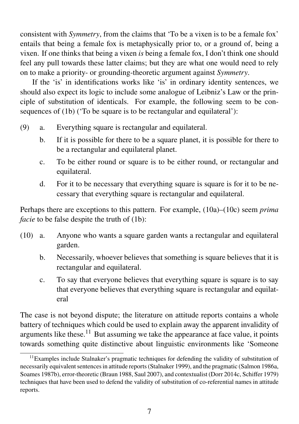consistent with *Symmetry*, from the claims that 'To be a vixen is to be a female fox' entails that being a female fox is metaphysically prior to, or a ground of, being a vixen. If one thinks that being a vixen *is* being a female fox, I don't think one should feel any pull towards these latter claims; but they are what one would need to rely on to make a priority- or grounding-theoretic argument ag[ainst](#page-6-0) *S[ymmet](#page-6-1)ry*.

<span id="page-6-0"></span>If the 'is' in identifications wo[rks l](#page-0-5)ike 'is' in ordinary identity sentences, we should also expect its logic to include some analogue of Leibniz's Law or the principle of substitution of identicals. For example, the following seem to be consequences of (1b) ('To be square is to be rectangular and equilateral'):

- <span id="page-6-1"></span>(9) a. Everything square is rectangular and equilateral.
	- b. If it is possible for there to be a square planet, it is possible for there to be a rectangular and equilateral planet.
	- c. To be either round or square is to be either round, or rectangular and equilateral.
	- d. For it to be necessary that everything square is square is for it to be necessaryt[ha](#page-6-2)t everything square is rectangular and equilateral.

<span id="page-6-2"></span>Perhaps there are exceptions to this pattern. For example, (10a)–(10c) seem *prima facie* to be false despite the truth of (1b):

- (10) [a. A](#page-101-1)nyone who wants [a squ](#page-98-3)are [gard](#page-100-1)en wants a rectangu[lar and](#page-99-0) equil[atera](#page-100-2)l garden.
	- b. Necessarily, whoever believes that something is square believes that it is rectangular and equilateral.
	- c. To say that everyone believes that everything square is square is to say that everyone believes that everything square is rectangular and equilateral

The case is not beyond dispute; the literature on attitude reports contains a whole battery of techniques which could be used to explain away the apparent invalidity of arguments like these.<sup>11</sup> But assuming we take the appearance at face value, it points towards something quite distinctive about linguistic environments like 'Someone

<sup>&</sup>lt;sup>11</sup>Examples include Stalnaker's pragmatic techniques for defending the validity of substitution of necessarily equivalent sentences in attitude reports (Stalnaker 1999), and the pragmatic (Salmon 1986a, Soames 1987b), error-theoretic (Braun 1988, Saul 2007), and contextualist (Dorr 2014c, Schiffer 1979) techniques that have been used to defend the validity of substitution of co-referential names in attitude reports.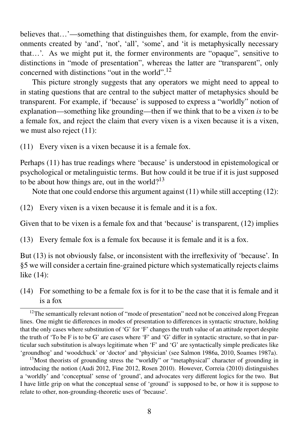<span id="page-7-1"></span>believes that…'—something that distinguishes them, for example, from the environments created by 'and', 'not', 'all', 'som[e',](#page-7-0) and 'it is metaphysically necessary that…'. As we might put it, the former environme[nts a](#page-7-1)re "opaque", sensiti[ve to](#page-7-2) distinctions in "mode of presentation", whereas the latter are "transparent", only concerned with distinctions "out in the world".<sup>12</sup>

<span id="page-7-3"></span><span id="page-7-2"></span>This picture strongly suggests that any operators we might need [to ap](#page-7-2)peal to in stating questions that are central to the subject matter of metaphysics should be transparent. For example, if 'because' is supposed to express a "worldly" notion of expl[anat](#page-7-3)ion—something like grounding—then if we think that to be a vixen *is* to be [a f](#page-17-0)emale fox, and reject the claim that every vixen is a vixen because it is a vixen, we [must](#page-7-4) also reject  $(11)$ :

<span id="page-7-4"></span>(11) Every vixen is a vixen because it is a female fox.

Perhaps (11) has true readings where 'because' is understood in epistemological or psychological or metalinguistic terms. But how could it be true if it is just supposed to be about how things are, out in the world?<sup>13</sup>

Note that one could endorse this argument against (11) while still accepting (12):

(12) Every vixen is a vixen because it is female and it is [a fox.](#page-100-3)

<span id="page-7-0"></span>Given that to be vixen is [a fem](#page-98-4)ale [fox a](#page-99-1)nd th[at 'be](#page-100-4)cause' is transpar[ent,](#page-98-5) (12) implies

(13) Every female fox is a female fox because it is female and it is a fox.

But (13) is not obviously false, or inconsistent with the irreflexivity of 'because'. In §5 we will consider a certain fine-grained picture which systematically rejects claims like (14):

(14) For something to be a female fox is for it to be the case that it is female and it is a fox

 $12$ The semantically relevant notion of "mode of presentation" need not be conceived along Fregean lines. One might tie differences in modes of presentation to differences in syntactic structure, holding that the only cases where substitution of 'G' for 'F' changes the truth value of an attitude report despite the truth of 'To be F is to be G' are cases where 'F' and 'G' differ in syntactic structure, so that in particular such substitution is always legitimate when 'F' and 'G' are syntactically simple predicates like 'groundhog' and 'woodchuck' or 'doctor' and 'physician' (see Salmon 1986a, 2010, Soames 1987a).

<sup>&</sup>lt;sup>13</sup>Most theorists of grounding stress the "worldly" or "metaphysical" character of grounding in introducing the notion (Audi 2012, Fine 2012, Rosen 2010). However, Correia (2010) distinguishes a 'worldly' and 'conceptual' sense of 'ground', and advocates very different logics for the two. But I have little grip on what the conceptual sense of 'ground' is supposed to be, or how it is suppose to relate to other, non-grounding-theoretic uses of 'because'.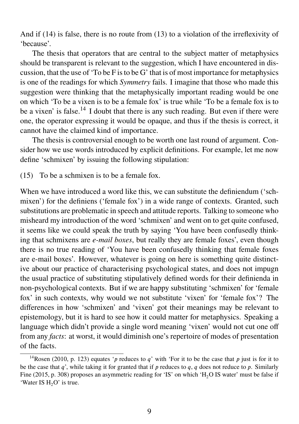And if (14) is false, there is no route from (13) to a violation of the irreflexivity of 'because'.

The thesis that operators that are central to the subject matter of metaphysics should be transparent is relevant to the suggestion, which I have encountered in discussion, that the use of 'To be F is to be G' that is of most importance for metaphysics is one of the readings for which *Symmetry* fails. I imagine that those who made this suggestion were thinking that the metaphysically important reading would be one on which 'To be a vixen is to be a female fox' is true while 'To be a female fox is to be a vixen' is false.<sup>14</sup> I doubt that there is any such reading. But even if there were one, the operator expressing it would be opaque, and thus if the thesis is correct, it cannot have the claimed kind of importance.

The thesis is controversial enough to be worth one last round of argument. Consider how we use words introduced by explicit definitions. For example, let me now define 'schmixen' by issuing the following stipulation:

(15) To be a schmixen is to be a female fox.

When we have introduced a word like this, we can substitute the definiendum ('schmixen') for the definiens ('female fox') in a wide range of contexts. Granted, such substitutions are problematic in speech and attitude reports. Talking to someone who misheard [my in](#page-100-4)troduction of the word 'schmixen' and went on to get quite confused, it se[ems](#page-99-2) like we could speak the truth by saying 'You have been confusedly thinking that schmixens are *e-mail boxes*, but really they are female foxes', even though there is no true reading of 'You have been confusedly thinking that female foxes are e-mail boxes'. However, whatever is going on here is something quite distinctive about our practice of characterising psychological states, and does not impugn the usual practice of substituting stipulatively defined words for their definienda in non-psychological contexts. But if we are happy substituting 'schmixen' for 'female fox' in such contexts, why would we not substitute 'vixen' for 'female fox'? The differences in how 'schmixen' and 'vixen' got their meanings may be relevant to epistemology, but it is hard to see how it could matter for metaphysics. Speaking a language which didn't provide a single word meaning 'vixen' would not cut one off from any *facts*: at worst, it would diminish one's repertoire of modes of presentation of the facts.

<sup>&</sup>lt;sup>14</sup>Rosen (2010, p. 123) equates 'p reduces to q' with 'For it to be the case that p just is for it to be the case that  $q'$ , while taking it for granted that if p reduces to q, q does not reduce to p. Similarly Fine (2015, p. 308) proposes an asymmetric reading for 'IS' on which 'H<sub>2</sub>O IS water' must be false if 'Water IS  $H_2O'$  is true.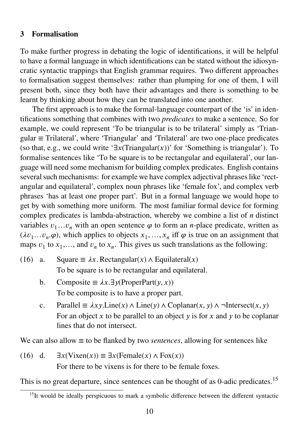### <span id="page-9-0"></span>**3 Formalisation**

To make further progress in debating the logic of identifications, it will be helpful to have a formal language in which identifications can be stated without the idiosyncratic syntactic trappings that English grammar requires. Two different approaches to formalisation suggest themselves: rather than plumping for one of them, I will present both, since they both have their advantages and there is something to be learnt by thinking about how they can be translated into one another.

<span id="page-9-4"></span><span id="page-9-3"></span><span id="page-9-1"></span>The first approach is to make the formal-language counterpart of the 'is' in identifications something that combines with two *predicates* to make a sentence. So for example, we could represent 'To be triangular is to be trilateral' simply as 'Triangular ≡ Trilateral', where 'Triangular' and 'Trilateral' are two one-place predicates (so that, e.g., we could write ' $\exists x(Triangular(x))'$  for 'Something is triangular'). To formalise sentences like 'To be square is to be rectangular and equilateral', our language will need some mechanism for building complex predicates. English contains several such mechanisms: for example we have complex adjectival phrases like 'rectangular and equilateral', complex noun phrases like 'female fox', and complex verb phrases 'has at least one proper part'. But in a formal language we would hope to get by with something more uniform. The most familiar formal device for forming [com](#page-9-1)plex predicates is lambda-abstraction, whereby we combine a list of  $n$  distinct variables  $v_1... v_n$  with an open sentence  $\varphi$  to form an *n*-place predicate, written as  $(\lambda v_1...v_n \varphi)$ , which applies to objects  $x_1,...,x_n$  iff  $\varphi$  is true on an assignment t[hat](#page-9-2) maps  $v_1$  to  $x_1, \ldots$ , and  $v_n$  to  $x_n$ . This gives us such translations as the following:

- <span id="page-9-2"></span>(16) a. Square  $\equiv \lambda x$ . Rectangular(x)  $\wedge$  Equilateral(x) To be square is to be rectangular and equilateral.
	- b. Composite  $\equiv \lambda x. \exists y (ProperPart(y, x))$ 
		- To be composite is to have a proper part.
	- c. Parallel  $\equiv \lambda xy$ .Line(x) ∧ Line(y) ∧ Coplanar(x, y) ∧ ¬Intersect(x, y) For an object  $x$  to be parallel to an object  $y$  is for  $x$  and  $y$  to be coplanar lines that do not intersect.

We can also allow ≡ to be flanked by two *sentences*, allowing for sentences like

(16) d.  $\exists x(Vixen(x)) \equiv \exists x(Female(x) \land Fox(x))$ 

For there to be vixens is for there to be female foxes.

This is no great departure, since sentences can be thought of as 0-adic predicates.<sup>15</sup>

 $15$ It would be ideally perspicuous to mark a symbolic difference between the different syntactic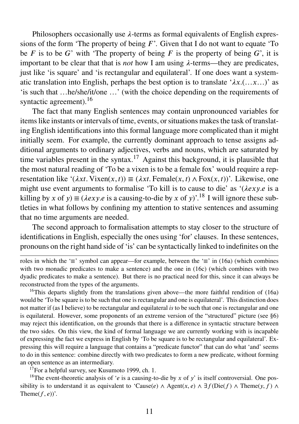Philosophers occasionally use  $\lambda$ -terms as formal equivalents of English expressions of the form 'The property of being  $F'$ . Given that I do not want to equate 'To be  $F$  is to be  $G'$  with 'The [pro](#page-10-0)perty of being  $F$  is the property of being  $G'$ , it is important to be clear that that is *not* how I am using  $\lambda$ -terms—they are predicates, just like 'is square' and 'is rectangular and equilateral'. If one does want a systematic translation into English, perhaps the best option is to translate ' $\lambda x$ .(... $x$ ...)' as 'is such that …he/she/it/one …' (with the choice depending on the requirements of syntactic agreement).  $16$ 

The fact that many English sentences may contain unpronounced variables for items like instants or intervals of time, events, or situations makes [the t](#page-9-3)ask of translating English identifications into this formal language mo[re co](#page-9-4)mplicated than it might initially seem. For example, the currently dominant approach to tense assigns additional arguments to ordinary adjectives, verbs and nouns, which are saturate[d by](#page-9-3) time variables present in the syntax.<sup>17</sup> Against this background, it is plausible that the most natural reading of 'To be a vixen is to be a female fox' would require a representation like ' $(\lambda x t. \text{Vixen}(x, t)) \equiv (\lambda x t. \text{Female}(x, t) \land \text{Fox}(x, t))'$ . Likewise, [one](#page-25-0) might use event arguments to formalise 'To kill is to cause to die' as ' $(\lambda e x y.e$  is a killing by x of y)  $\equiv (\lambda e x y.e$  is a causing-to-die by x of y)'.<sup>18</sup> I will ignore these subtleties in what follows by confining my attention to stative sentences and assuming that no time arguments are needed.

<span id="page-10-0"></span>The second approach to form[alisat](#page-99-3)ion attempts to stay closer to the structure of identifications in English, especially the ones using 'for' clauses. In these sentences, pronouns on the right hand side of 'is' can be syntactically linked to indefinites on the

 $17$ For a helpful survey, see Kusumoto 1999, ch. 1.

<sup>18</sup>The event-theoretic analysis of '*e* is a causing-to-die by x of y' is itself controversial. One possibility is to understand it as equivalent to 'Cause(e)  $\wedge$  Agent(x, e)  $\wedge$   $\exists f(\text{Die}(f) \wedge \text{Then}(y, f) \wedge$ Theme( $f, e$ ))'.

roles in which the '≡' symbol can appear—for example, between the '≡' in (16a) (which combines with two monadic predicates to make a sentence) and the one in (16c) (which combines with two dyadic predicates to make a sentence). But there is no practical need for this, since it can always be reconstructed from the types of the arguments.

 $^{16}$ This departs slightly from the translations given above—the more faithful rendition of (16a) would be 'To be square is to be such that one is rectangular and one is equilateral'. This distinction does not matter if (as I believe) to be rectangular and equilateral *is* to be such that one is rectangular and one is equilateral. However, some proponents of an extreme version of the "structured" picture (see §6) may reject this identification, on the grounds that there is a difference in syntactic structure between the two sides. On this view, the kind of formal language we are currently working with is incapable of expressing the fact we express in English by 'To be square is to be rectangular and equilateral'. Expressing this will require a language that contains a "predicate functor" that can do what 'and' seems to do in this sentence: combine directly with two predicates to form a new predicate, without forming an open sentence as an intermediary.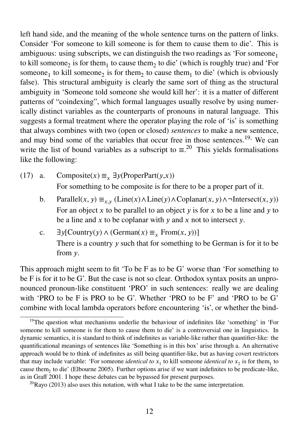left hand side, and the meaning of the whole sentence turns on the pattern of links. Consider 'For someone to kill someone is for them to cause them to die'. This is ambiguous: using subscripts, we can distinguish the two readings as 'For someone<sub>1</sub> to kill someone<sub>2</sub> is for them<sub>1</sub> to cause them<sub>2</sub> to die' (which is roughly true) and 'For someone<sub>1</sub> to kill someone<sub>2</sub> is for them<sub>2</sub> to cause them<sub>1</sub> to die' (which is obviously false). This structural ambiguity is clearly the same sort of thing as the structural ambiguity in 'Someone told someone she would kill her': it is a matter of different patterns of "coindexing", which formal languages usually resolve by using numerically distinct variables as the counterparts of pronouns in natural language. This suggests a formal treatment where the operator playing the role of 'is' is something that always combines with two (open or closed) *sentences* to make a new sentence, and may bind some of the variables that occur free in those sentences.<sup>19,</sup> We can write the list of bound variables as a subscript to  $\equiv$ .<sup>20</sup> This yields formalisations like the following:

- (17) a. Composite(x)  $\equiv_x \exists y$ (ProperPart(y,x)) For something to be composite is for there to be a proper part of it.
	- b. Parallel(x, y)  $\equiv_{x,y}$  (Line(x)∧Line(y)∧Coplanar(x, y)∧¬Intersect(x, y)) For an object  $x$  to be parallel to an object  $y$  is for  $x$  to be a line and  $y$  to be a line and  $x$  to be coplanar with  $y$  and  $x$  not to intersect  $y$ .
	- c.  $\exists y$ [Country(y)  $\land$  (German(x)  $\equiv_x$  From(x, y))] [Th](#page-100-0)ere is a country  $y$  such that for something to be German is for it to be from y.

This approach might seem to fit 'To be F as to be G' worse than 'For something to be F is for it to be G'. But the case is not so clear. Orthodox syntax posits an unpronounced pronoun-like constituent 'PRO' in such sentences: really we are dealing with 'PRO to be F is PRO to be G'. Whether 'PRO to be F' and 'PRO to be G' combine with local lambda operators before encountering 'is', or whether the bind-

 $19$ The question what mechanisms underlie the behaviour of indefinites like 'something' in 'For someone to kill someone is for them to cause them to die' is a controversial one in linguistics. In dynamic semantics, it is standard to think of indefinites as variable-like rather than quantifier-like: the quantificational meanings of sentences like 'Something is in this box' arise through a. An alternative approach would be to think of indefinites as still being quantifier-like, but as having covert restrictors that may include variable: 'For someone *identical to*  $x_1$  to kill someone *identical to*  $x_2$  is for them<sub>1</sub> to cause them<sub>2</sub> to die' (Elbourne 2005). Further options arise if we want indefinites to be predicate-like, as in Graff 2001. I hope these debates can be bypassed for present purposes.

 $^{20}$ Rayo (2013) also uses this notation, with what I take to be the same interpretation.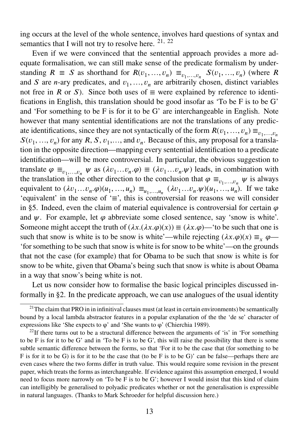ing occurs at the level of the whole sentence, involves hard questions of syntax and semantics that I will not try to resolve here.  $21, 22$ 

Even if we were convinced that the sentential approach provides a more adeq[uat](#page-17-0)e formalisation, we can still make sense of the predicate formalism by understanding  $R \equiv S$  as shorthand for  $R(v_1, ..., v_n) \equiv_{v_1, ..., v_n} S(v_1, ..., v_n)$  (where R and S are *n*-ary predicates, and  $v_1, ..., v_n$  are arbitrarily chosen, distinct variables not free in R or S). Since both uses of  $\equiv$  were explained by reference to identifications in English, this translation should be good insofar as 'To be F is to be G' and 'For something to be F is for it to be G' are interchangeable in English. Note however that many sentential identifications are not the translations of any predicate identifications, since they are not syntactically of the form  $R(v_1, ..., v_n) \equiv_{v_1, ..., v_n}$  $S(v_1, ..., v_n)$  for any R, S,  $v_1, ...,$  and  $v_n$ . Because of this, any proposal for a translation in the [opp](#page-4-0)osite direction—mapping every sentential identification to a predicate identification—will be more controversial. In particular, the obvious suggestion to translate  $\varphi \equiv_{v_1,...,v_n} \psi$  as  $(\lambda v_1...v_n.\varphi) \equiv (\lambda v_1...v_n.\psi)$  leads, in combination with the translation in the other direction to the conclusion that  $\varphi \equiv_{v_1,...,v_n} \psi$  is always equivalent to  $(\lambda v_1 \dots v_n \cdot \varphi)(u_1, \dots, u_n) \equiv_{u_1, \dots, u_n} (\lambda v_1 \dots v_n \cdot \psi)(u_1, \dots, u_n)$ . If we take 'equivalent' in the sense of '≡', this is controversial for reasons we will consider in §5. Indeed, even the claim of material equivalence is controversial for certain  $\varphi$ and  $\psi$ . For example, let  $\varphi$  abbreviate some closed sentence, say 'snow is white'. Someone might accept the truth of  $(\lambda x.(\lambda x. \varphi)(x)) \equiv (\lambda x. \varphi)$ —'to be such that one is such that snow is white is to be snow is white'—while rejecting  $(\lambda x.\varphi)(x) \equiv_{x} \varphi$ — 'for something to be such that snow is white is for snow to be white'—on the grounds that not the case (for example) that for Obama to be such that snow is white is for snow to be white, given that Obama's being such that snow is white is about Obama in a way that snow's being white is not.

Let us now consider how to formalise the basic logical principles discussed informally in §2. In the predicate approach, we can use analogues of the usual identity

 $2^{1}$ The claim that PRO in in infinitival clauses must (at least in certain environments) be semantically bound by a local lambda abstractor features in a popular explanation of the the 'de se' character of expressions like 'She expects to  $\varphi$ ' and 'She wants to  $\varphi$ ' (Chierchia 1989).

 $^{22}$ If there turns out to be a structural difference between the arguments of 'is' in 'For something to be F is for it to be G' and in 'To be F is to be G', this will raise the possibility that there is some subtle semantic difference between the forms, so that 'For it to be the case that (for something to be F is for it to be G) is for it to be the case that (to be F is to be G)' can be false—perhaps there are even cases where the two forms differ in truth value. This would require some revision in the present paper, which treats the forms as interchangeable. If evidence against this assumption emerged, I would need to focus more narrowly on 'To be F is to be G'; however I would insist that this kind of claim can intelligibly be generalised to polyadic predicates whether or not the generalisation is expressible in natural languages. (Thanks to Mark Schroeder for helpful discussion here.)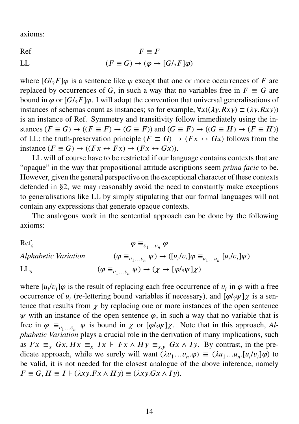<span id="page-13-2"></span><span id="page-13-1"></span>axioms:

Ref  $F \equiv F$ LL  $(F \equiv G) \rightarrow (\varphi \rightarrow [G /_{?} F] \varphi)$ 

<span id="page-13-0"></span>where  $[G/\neg F]\varphi$  is a sentence like  $\varphi$  except that one or more occurrences of F are replaced by occurrences of G, in such a way that no variables free in  $F \equiv G$  are bound in  $\varphi$  or  $[G/\neg F]\varphi$ . I will adopt the convention that universal generalisations of instances of schemas count as instances; so for example,  $\forall x((\lambda y.Rxy) \equiv (\lambda y.Rxy))$ is an instance of Ref. Symmetry and transitivity follow immediately using the instances  $(F \equiv G) \rightarrow ((F \equiv F) \rightarrow (G \equiv F))$  and  $(G \equiv F) \rightarrow ((G \equiv H) \rightarrow (F \equiv H))$ of LL; the truth-preservation principle  $(F \equiv G) \rightarrow (Fx \leftrightarrow Gx)$  follows from the instance  $(F \equiv G) \rightarrow ((Fx \leftrightarrow Fx) \rightarrow (Fx \leftrightarrow Gx)).$ 

LL will of course have to be restricted if our language contains contexts that are "opaque" in the way that propositional attitude ascriptions seem *prima facie* to be. However, given the general perspective on the exceptional character of these contexts defended in §2, we may reasonably avoid the need to constantly make excepti[ons](#page-13-0) [to generalisations l](#page-13-0)ike LL by simply stipulating that our formal languages will not contain any expressions that generate opaque contexts.

The analogous work in the sentential approach can be done by the following axioms:

 $\text{Ref}_s$   $\varphi \equiv_{v_1...v_n} \varphi$ Alphabetic Variation  $(\varphi \equiv_{v_1...v_n} \psi) \rightarrow ([u_i/v_i]\varphi \equiv_{u_1...u_n} [u_i/v_i]\psi)$ LL<sub>s</sub>  $(\varphi \equiv_{v_1...v_n} \psi) \rightarrow (\chi \rightarrow [\varphi/\gamma \psi] \chi)$ 

where  $[u_i/v_i]\varphi$  is the result of replacing each free occurrence of  $v_i$  in  $\varphi$  with a free occurrence of  $u_i$  (re-lettering bound variables if necessary), and  $[\varphi/\gamma \psi]\chi$  is a sentence that results from  $\chi$  by replacing one or more instances of the open sentence  $\psi$  with an instance of the open sentence  $\varphi$ , in such a way that no variable that is free in  $\varphi \equiv_{v_1...v_n} \psi$  is bound in  $\chi$  or  $[\varphi/\gamma \psi] \chi$ . Note that in this approach, Al*phabetic Variation* plays a crucial role in the derivation of many implications, such as  $Fx \equiv_x Gx, Hx \equiv_x Ix \vdash Fx \wedge Hy \equiv_{x,y} Gx \wedge Iy$ . By contrast, in the predicate approach, while we surely will want  $(\lambda v_1...v_n.\varphi) \equiv (\lambda u_1...u_n.[u_i/v_i]\varphi)$  to be valid, it is not needed for the closest analogue of the above inference, namely  $F \equiv G, H \equiv I \vdash (\lambda xy.Fx \wedge Hy) \equiv (\lambda xy.Gx \wedge Iy).$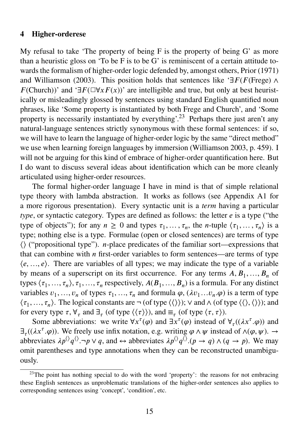#### <span id="page-14-0"></span>**4 Higher-orderese**

My refusal to take 'The property of being F is the property of being G' as more than a heuristic gloss on 'To be F is to be G' is reminiscent of a certain attit[ude](#page-62-0) towards the formalism of higher-order logic defended by, amongst others, Prior (1971) and Williamson (2003). This position holds that sentences like ' $\exists F(F(\text{Free}) \wedge$  $F(\text{Church}))'$  and ' $\exists F(\Box \forall x F(x))'$  are intelligible and true, but only at best heuristically or misleadingly glossed by sentences using standard English quantified noun phrases, like 'Some property is instantiated by both Frege and Church', and 'Some property is necessarily instantiated by everything'.<sup>23</sup> Perhaps there just aren't any natural-language sentences strictly synonymous with these formal sentences: if so, we will have to learn the language of higher-order logic by the same "direct method" we use when learning foreign languages by immersion (Williamson 2003, p. 459). I will not be arguing for this kind of embrace of higher-order quantification here. But I do want to discuss several ideas about identification which can be more cleanly articulated using higher-order resources.

The formal higher-order language I have in mind is that of simple relational type theory with lambda abstraction. It works as follows (see Appendix A1 for a more rigorous presentation). Every syntactic unit is a *term* having a particular *type*, or syntactic category. Types are defined as follows: the letter *e* is a type ("the type of objects"); for any  $n \ge 0$  and types  $\tau_1, \ldots, \tau_n$ , the *n*-tuple  $\langle \tau_1, \ldots, \tau_n \rangle$  is a type; nothing else is a type. Formulae (open or closed sentences) are terms of type  $\langle \rangle$  ("propositional type"). *n*-place predicates of the familiar sort—expressions that that can combine with  $n$  first-order variables to form sentences—are terms of type  $\langle e, ..., e \rangle$ . There are variables of all types; we may indicate the type of a variable by means of a superscript on its first occurrence. For any terms  $A, B_1, ..., B_n$  of types  $\langle \tau_1, ..., \tau_n \rangle, \tau_1, ..., \tau_n$  respectively,  $A(B_1, ..., B_n)$  is a formula. For any distinct variables  $v_1, ..., v_n$  of types  $\tau_1, ..., \tau_n$  and formula  $\varphi, (\lambda v_1...v_n.\varphi)$  is a term of type  $\langle \tau_1, ..., \tau_n \rangle$ . The logical constants are  $\neg$  (of type  $\langle \langle \rangle$ );  $\vee$  and  $\wedge$  (of type  $\langle \langle \rangle$ ,  $\langle \rangle$ ); and for every type  $\tau$ ,  $\forall_{\tau}$  and  $\exists_{\tau}$  (of type  $\langle \langle \tau \rangle \rangle$ ), and  $\equiv_{\tau}$  (of type  $\langle \tau, \tau \rangle$ ).

Some abbreviations: we write  $\forall x^{\tau}(\varphi)$  and  $\exists x^{\tau}(\varphi)$  instead of  $\forall_{\tau}((\lambda x^{\tau} \cdot \varphi))$  and  $\exists_{\tau}((\lambda x^{\tau}, \varphi))$ . We freely use infix notation, e.g. writing  $\varphi \wedge \psi$  instead of  $\wedge(\varphi, \psi)$ .  $\rightarrow$ abbreviates  $\lambda p^{(n)} q^{(n)} \neg p \lor q$ , and  $\leftrightarrow$  abbreviates  $\lambda p^{(n)} q^{(n)} (p \rightarrow q) \land (q \rightarrow p)$ . We may omit parentheses and type annotations when they can be reconstructed unambiguously.

<sup>&</sup>lt;sup>23</sup>The point has nothing special to do with the word 'property': the reasons for not embracing these English sentences as unproblematic translations of the higher-order sentences also applies to corresponding sentences using 'concept', 'condition', etc.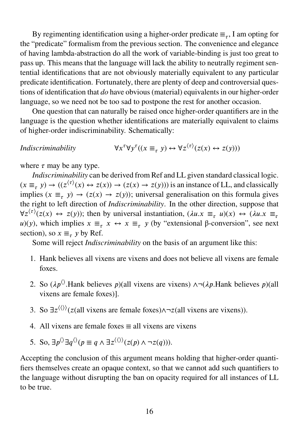<span id="page-15-0"></span>[By regimenting id](#page-15-0)entification using a [high](#page-13-1)er-o[rder](#page-13-2) predicate  $\equiv_{\tau}$ , I am opting for the "predicate" formalism from the previous section. The conven[ienc](#page-13-2)e and elegance of having lambda-abstraction do all the work of variable-binding is just too great to pass up. This means that the [language will lack](#page-15-0) the ability to neutrally regiment sentential identifications that are not obviously materially equivalent to any particular predicate identification. Fortunately, there are plenty of deep and controversial questions of identificationt[hat](#page-13-1) *do* have obvious (material) equivalents in our higher-order language, so we nee[d not be too sad to](#page-15-0) postpone the rest for another occasion.

One question that can naturally be raised once higher-order quantifiers are in the language is the question whether identifications are materially equivalent to claims of higher-order indiscriminability. Schematically:

*Indiscriminability*  $((x \equiv_{\tau} y) \leftrightarrow \forall z^{\langle \tau \rangle}(z(x) \leftrightarrow z(y)))$ 

where  $\tau$  may be any type.

*Indiscriminability* can be derived from Ref and LL given standard classical logic.  $(x \equiv_{\tau} y) \rightarrow ((z^{(\tau)}(x) \leftrightarrow z(x)) \rightarrow (z(x) \rightarrow z(y)))$  is an instance of LL, and classically implies  $(x \equiv_\tau y) \rightarrow (z(x) \rightarrow z(y))$ ; universal generalisation on this formula gives the right to left direction of *Indiscriminability*. In the other direction, suppose that  $\forall z^{(\tau)}(z(x)) \leftrightarrow z(y)$ ; then by universal instantiation,  $(\lambda u.x \equiv_\tau u)(x) \leftrightarrow (\lambda u.x \equiv_\tau \tau u)(x)$  $u$ )(y), which implies  $x \equiv_{\tau} x \leftrightarrow x \equiv_{\tau} y$  (by "extensional β-conversion", see next section), so  $x \equiv_{\tau} y$  by Ref.

Some will reject *Indiscriminability* on the basis of an argument like this:

- 1. Hank believes all vixens are vixens and does not believe all vixens are female foxes.
- 2. So ( $\lambda p^{\langle \rangle}$ . Hank believes p)(all vixens are vixens)  $\wedge \neg (\lambda p$ . Hank believes p)(all vixens are female foxes)].
- 3. So  $\exists z^{(langle)}(z$ (all vixens are female foxes)∧¬ $z$ (all vixens are vixens)).
- 4. All vixens are female foxes  $\equiv$  all vixens are vixens

5. So, 
$$
\exists p^{\langle \rangle} \exists q^{\langle \rangle} (p \equiv q \land \exists z^{\langle \langle \rangle \rangle} (z(p) \land \neg z(q))).
$$

Accepting the conclusion of this argument means holding that higher-order quantifiers themselves create an opaque context, so that we cannot add such quantifiers to the language without disrupting the ban on opacity required for all instances of LL to be true.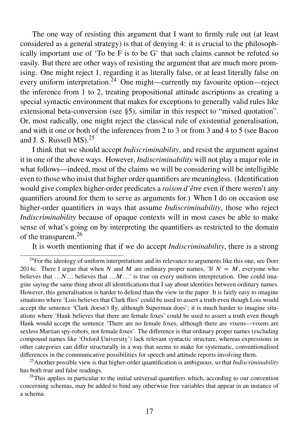The one way of resisting this argument that I want to firmly rule out (at least considered as a general strategy) is that of denying 4: it is crucial to the philosophically important use of 'To be F is to be G' that such claims cannot be refuted so easily. But there are other ways of resisting the [argument that are](#page-15-0) much more prom[ising. One might r](#page-15-0)eject 1, regarding it as literally false, or at least literally false on every uniform interpretation.<sup>24</sup> One might—currently my favourite option—reject the inference fro[m](#page-16-0) 1 to 2, treating propositional attitude ascriptions as creating a special syntactic environment that makes for exceptions to generally valid rules like extensional beta-conversion (see §5), similar i[n this respect to "m](#page-15-0)ixed quotation". Or, most radically, one might reject the classical rule of existential generalisation, [and w](#page-99-0)ith it one or both of the inferences from 2 to 3 or from 3 and 4 to 5 (see Bacon and J. S. Russell  $MS<sup>25</sup>$ 

I think that we should accept *Indiscriminability*, and resist the argument against it in one of the above ways. However, *Indiscriminability* will not play a major role in what follows—indeed, most of the claims we will be considering will be intelligible even to those who insist that higher order quantifiers are meaningless. (Identification would give complex higher-order predicates a *raison d'être* even if there weren't any quantifiers around for them to serve as arguments for.) When I do on occasion use higher-order quantifiers in ways that assume *Indiscriminability*, those who reject *Indiscriminability* because of opaque contexts will in most cases be able to make sense of what's going on by interpreting the quantifiers as restricte[d to the domain](#page-15-0) of the transparent.<sup>26</sup>

<span id="page-16-0"></span>It is worth mentioning that if we do accept *Indiscriminability*, there is a strong

<sup>25</sup>Another possible view is that higher-order quantification is ambiguous, so that *Indiscriminability* has both true and false readings.

<sup>26</sup>This applies in particular to the initial universal quantifiers which, according to our convention concerning schemas, may be added to bind any otherwise free variables that appear in an instance of a schema.

 $24$ For the ideology of uniform interpretations and its relevance to arguments like this one, see Dorr 2014c. There I argue that when N and M are ordinary proper names, 'If  $N = M$ , everyone who believes that  $\dots N \dots$  believes that  $\dots M \dots$  is true on every uniform interpretation. One could imagine saying the same thing about all identifications that I say about identities between ordinary names. However, this generalisation is harder to defend than the view in the paper. It is fairly easy to imagine situations where 'Lois believes that Clark flies' could be used to assert a truth even though Lois would accept the sentence 'Clark doesn't fly, although Superman does'; it is much harder to imagine situations where 'Hank believes that there are female foxes' could be used to assert a truth even though Hank would accept the sentence 'There are no female foxes, although there are vixens—vixens are sexless Martian spy-robots, not female foxes'. The difference is that ordinary proper names (excluding compound names like 'Oxford University') lack relevant syntactic structure, whereas expressions in other categories can differ structurally in a way that seems to make for systematic, conventionalised differences in the communicative possibilities for speech and attitude reports involving them.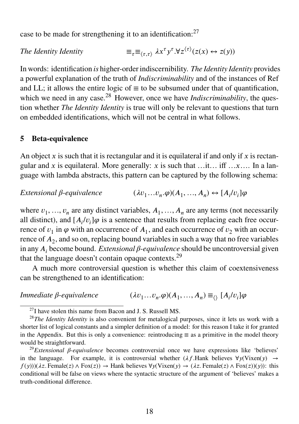<span id="page-17-3"></span><span id="page-17-0"></span>case to be made for strengthening it to an identification: $27$ 

#### <span id="page-17-1"></span>*The Identity Identity*  $y^{\tau}.\forall z^{\langle \tau \rangle}(z(x) \leftrightarrow z(y))$

In words: identification *is* higher-order indiscernibility. *The Identity Identity* provides a powerful explanation of the truth of *Indiscriminability* and of the instances of Ref and LL; it allows the entire logic of  $\equiv$  to be subsumed under that of quantification, which we need in any case.<sup>28</sup> However, once we have *Indiscriminability*, the question whether *The Identity Identity* [is true will only b](#page-17-1)e relevant to questions that turn on embedded identifications, which will not be ce[ntr](#page-17-2)al in what follows.

### **5 Beta-equivalence**

<span id="page-17-4"></span>An object x is such that it is rectangular and it is equilateral if and only if x is rectangular and x is equilateral. More generally: x is such that ...it... iff ... x.... In a langua[ge with lambda ab](#page-17-3)stracts, this pattern can be [cap](#page-98-7)tured by the following schema:

#### *Extensional β-equivalence*  $\cdot \varphi$  $(A_1, ..., A_n) \leftrightarrow [A_i/v_i] \varphi$

<span id="page-17-2"></span>where  $v_1, ..., v_n$  [are any dis](#page-17-1)tinct variables,  $A_1, ..., A_n$  are any terms (not necessarily all distinct), and  $[A_i/v_i]\varphi$  is a sentence that results from replacing each free occurrence of  $v_1$  in  $\varphi$  with an occurrence of  $A_1$ , and each occurrence of  $v_2$  with an occurrence of  $A_2$ , and so on, replacing bound variables in such a way that no free variables in any  $A_i$  become bound. *Extensional*  $\beta$ *-equivalence* should be uncontroversial given that the language doesn't contain opaque contexts.<sup>29</sup>

A much more controversial question is whether this claim of coextensiveness can be strengthened to an identification:

#### *Immediate β-equivalence*  $(\varphi)(A_1, ..., A_n) \equiv_{\langle} [A_i/v_i] \varphi$

 $^{27}$ I have stolen this name from Bacon and J. S. Russell MS.

<sup>&</sup>lt;sup>28</sup>The Identity Identity is also convenient for metalogical purposes, since it lets us work with a shorter list of logical constants and a simpler definition of a model: for this reason I take it for granted in the Appendix. But this is only a convenience: reintroducing ≡ as a primitive in the model theory would be straightforward.

<sup>29</sup>*Extensional β-equivalence* becomes controversial once we have expressions like 'believes' in the language. For example, it is controversial whether  $(\lambda f$ . Hank believes  $\forall y$ (Vixen(y)  $\rightarrow$  $f(y)$ )( $\lambda z$ . Female(z)  $\wedge$  Fox(z))  $\rightarrow$  Hank believes  $\forall y$ (Vixen(y)  $\rightarrow (\lambda z$ . Female(z)  $\wedge$  Fox(z))(y)): this conditional will be false on views where the syntactic structure of the argument of 'believes' makes a truth-conditional difference.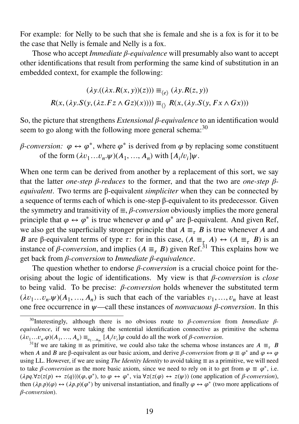<span id="page-18-0"></span>For example: for Nelly to be such that she is female and she is a fox is for it to be the case that Nelly is female and Nelly is a fox.

Those who accept *Immediate β-equivalence* will presumably also want to accept other identifications that result from performing the same kind of substitution in an embedded context, for example th[e following:](#page-18-0)

$$
(\lambda y.((\lambda x.R(x, y))(z))) \equiv_{\langle e \rangle} (\lambda y.R(z, y))
$$

$$
R(x, (\lambda y.S(y, (\lambda z.Fz \land Gz)(x)))) \equiv_{\langle \rangle} R(x, (\lambda y.S(y, Fx \land Gx)))
$$

<span id="page-18-2"></span>So, the picture [that strengthe](#page-18-0)ns *[Extensional β-equivalenc](#page-17-4)e* to an identification would seem to go along with the following [more general s](#page-18-0)chema: $30$ 

*β-conversion:*  $\varphi \leftrightarrow \varphi^*$ , where  $\varphi^*$  [is derived](#page-18-0) from  $\varphi$  by repla[cing some co](#page-18-0)nstituent of the form  $(\lambda v_1 \dots v_n \psi)(A_1, \dots, A_n)$  with  $[A_i/v_i]\psi$ .

<span id="page-18-1"></span>When one term can be derived from another by a replacemen[t of this sort,](#page-18-0) we say that the latter *one-step β-reduces* to the former, and [that the tw](#page-18-0)o are *[one-step β](#page-17-4)[equivalent](#page-17-4)*. Two terms are β-equivalent *simpliciter* when they can be connected by a sequence of terms each of which is one-step β-equiv[alent to its p](#page-18-0)redecessor. Given the symmetry and transitivity of ≡, *β-conversion* ob[viously imp](#page-18-0)lies the more general prin[cipl](#page-13-2)e that  $\varphi \leftrightarrow \varphi^*$  is true [whenever](#page-17-3)  $\varphi$  and  $\varphi^*$  are  $\beta$ -equivalent. And given Ref, we als[o get the su](#page-18-0)perficially stronger principle that  $A \equiv_{\tau} B$  is true whenever A and B are β-equivalent terms of type  $\tau$ : for in this case,  $(A \equiv_{\tau} A) \leftrightarrow (A \equiv_{\tau} B)$  [is an](#page-18-0) [instance of](#page-18-0) *β-conversion*, and implies  $(A \equiv_{\tau} B)$  given Ref.<sup>31</sup> This explains how we get back from *β-conversion* to *Immediate β-equivalence*.

The question whether to endorse *β-conversion* is a crucial choice point for theorising about the logic of identifications. My view is that *β-conversion* is *close* to being valid. To be precise: *β-conversion* holds whenever the substituted term  $(\lambda v_1...v_n.\psi)(A_1,...,A_n)$  is such that each of the variables  $v_1,...,v_n$  have at least one free occurrence in —call these instances of *nonvacuous β-conversion*. In this

<sup>30</sup>Interestingly, although there is no obvious route to *β-conversion* from *Immediate βequivalence*, if we were taking the sentential identification connective as primitive the schema  $(\lambda v_1... v_n.\varphi)(A_1,..., A_n) \equiv_{u_1...u_m} [A_i/v_i] \varphi$  could do all the work of *β-conversion*.

<sup>&</sup>lt;sup>31</sup>If we are taking  $\equiv$  as primitive, we could also take the schema whose instances are  $A \equiv_{\tau} B$ when A and B are β-equivalent as our basic axiom, and derive *β-conversion* from  $\varphi \equiv \varphi^*$  and  $\varphi \leftrightarrow \varphi$ using LL. However, if we are using *The Identity Identity* to avoid taking ≡ as a primitive, we will need to take *β-conversion* as the more basic axiom, since we need to rely on it to get from  $\varphi \equiv \varphi^*$ , i.e.  $(\lambda pq.\forall z(z(p) \leftrightarrow z(q)))(\varphi, \varphi^*)$ , to  $\varphi \leftrightarrow \varphi^*$ , via  $\forall z(z(\varphi) \leftrightarrow z(\psi))$  (one application of  $\beta$ -conversion), then  $(\lambda p.p)(\varphi) \leftrightarrow (\lambda p.p)(\varphi^*)$  by universal instantiation, and finally  $\varphi \leftrightarrow \varphi^*$  (two more applications of *β-conversion*).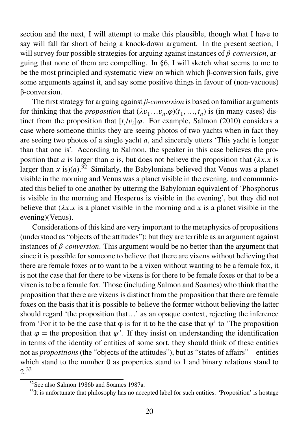section and the ne[xt,](#page-19-0) I will attempt to make this plausible, though what I have to say will fall far short of being a knock-down argument. In the present section, I will survey four possible strategies for arguing against instances of *β-conversion*, arguing that none of them are compelling. In §6, I will sketch what seems to me to be the most principled and systematic view on which which β-conversion fails, give some arguments against it, and say some positive things in favour of (non-vacuous) β-conversion.

The first [strategy for ar](#page-18-0)guing against *β-conversion* is based on familiar arguments for thinking that the *proposition* that  $(\lambda v_1 \dots v_n \cdot \varphi)(t_1, \dots, t_n)$  is (in many cases) distinct from the proposition that  $[t_i/v_i]\varphi$ . For example, Salmon (2010) considers a case where someone thinks they are seeing photos of two yachts when in fact they are seeing two photos of a single yacht  $a$ , and sincerely utters 'This yacht is longer than that one is'. According to Salmon, the speaker in this case believes the proposition that *a* is larger than *a* is, but does not believe the proposition that  $(\lambda x.x)$  is larger than x is)(a).<sup>32</sup> Similarly, the Babylonians believed that Venus was a planet visible in the morning and Venus was a planet visible in the evening, and communicated this belief to one another by uttering the Babylonian equivalent of 'Phosphorus is visible in the morning and Hesperus is visible in the evening', but they did not believe that  $(\lambda x.x)$  is a planet visible in the morning and x is a planet visible in the evening)(Venus).

<span id="page-19-1"></span><span id="page-19-0"></span>Considerations of this kind are very important to the metaphysics of propositions ([und](#page-19-1)erstood as "objects of the attitudes"); but they are terrible as an argument against instances of *β-con[versio](#page-100-5)n*. This ar[gumen](#page-101-2)t would be no better than the argument that since it is possible for someone to believe that there are vixens without believing that there are female foxes or to want to be a vixen without wanting to be a female fox, it is not the case that for there to be vixens is for there to be female foxes or that to be a vixen is to be a female fox. Those (including Salmon and Soames) who think that the proposition that there are vixens is distinct from the proposition that there are female foxes on the basis that it is possible to believe the former without believing the latter should regard 'the proposition that…' as an opaque context, rejecting the inference from 'For it to be the case that  $\varphi$  is for it to be the case that  $\psi$ ' to 'The proposition that  $\varphi$  = the proposition that  $\psi'$ . If they insist on understanding the identification in terms of the identity of entities of some sort, they should think of these entities not as *propositions* (the "objects of the attitudes"), but as "states of affairs"—entities which stand to the number 0 as properties stand to 1 and binary relations stand to 2.<sup>33</sup>

<sup>32</sup>See also Salmon 1986b and Soames 1987a.

<sup>&</sup>lt;sup>33</sup>It is unfortunate that philosophy has no accepted label for such entities. 'Proposition' is hostage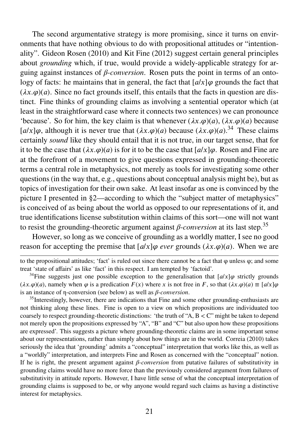The second argumentative strategy is more promising, since it turns on environments that have nothing obvious to do with propositional attitudes or "intentionality". Gideon Rosen [\(20](#page-4-0)10) and Kit Fine (2012) suggest certain general principles about *grounding* which, if true, would provide a widely-applicable strategy for arguing against instances of *β-conversion*. Rosen puts the point in terms of an ontology of facts: he maintains that in general, the fac[t t](#page-20-0)hat  $[a/x]\varphi$  grounds the fact that  $(\lambda x.\varphi)(a)$ . Since no fact grounds itself, this entails [that the facts](#page-18-0) in question are distinct. Fine thinks of grounding claims as involving a sentential operator which (at least in the straightforward case where it connects two sentences) we can pronounce 'because'. So for him, the key claim is that whenever  $(\lambda x.\varphi)(a)$ ,  $(\lambda x.\varphi)(a)$  because [a/x] $\varphi$ , although it is never true that  $(\lambda x.\varphi)(a)$  because  $(\lambda x.\varphi)(a)$ .<sup>34</sup> These claims certainly *sound* like they should entail that it is not true, in our target sense, that for it to be the ca[se that](#page-35-0)  $(\lambda x.\varphi)(a)$  is for it to be [the case tha](#page-18-0)t  $[a/x]\varphi$ . Rosen and Fine are at the forefront of a movement to give questions expressed in grounding-theoretic terms a central role in metaphysics, not merely as tools for investigating some other questions (in the way that, e.g., questions about conceptual analysis might be), but as topics of investigation for their own sake. At least insofar as one is convinced by the picture I presented in §2—according to which the "subject matter of met[aphy](#page-98-5)sics" is conceived of as being about the world as opposed to our representations of it, and true identifications license substitution within claims of this sort—one will not want to resist the grounding-theoretic argu[ment again](#page-18-0)st  $\beta$ -conversion at its last step.<sup>35</sup>

<span id="page-20-0"></span>However, so long as we conceive of grounding as a worldly matter, I see no good reason for accepting the premise that  $[a/x] \varphi$  *ever* grounds  $(\lambda x.\varphi)(a)$ . When we are

to the propositional attitudes; 'fact' is ruled out since there cannot be a fact that  $φ$  unless  $φ$ ; and some treat 'state of affairs' as like 'fact' in this respect. I am tempted by 'factoid'.

<sup>&</sup>lt;sup>34</sup>Fine suggests just one possible exception to the generalisation that  $[a/x]\varphi$  strictly grounds  $(\lambda x.\varphi)(a)$ , namely when  $\varphi$  is a predication  $F(x)$  where x is not free in F, so that  $(\lambda x.\varphi)(a) \equiv [a/x]\varphi$ is an instance of η-conversion (see below) as well as *β-conversion*.

 $35$ Interestingly, however, there are indications that Fine and some other grounding-enthusiasts are not thinking along these lines. Fine is open to a view on which propositions are individuated too coarsely to respect grounding-theoretic distinctions: 'the truth of "A,  $B < C$ " might be taken to depend not merely upon the propositions expressed by "A", "B" and "C" but also upon how these propositions are expressed'. This suggests a picture where grounding-theoretic claims are in some important sense about our representations, rather than simply about how things are in the world. Correia (2010) takes seriously the idea that 'grounding' admits a "conceptual" interpretation that works like this, as well as a "worldly" interpretation, and interprets Fine and Rosen as concerned with the "conceptual" notion. If he is right, the present argument against *β-conversion* from putative failures of substitutivity in grounding claims would have no more force than the previously considered argument from failures of substitutivity in attitude reports. However, I have little sense of what the conceptual interpretation of grounding claims is supposed to be, or why anyone would regard such claims as having a distinctive interest for metaphysics.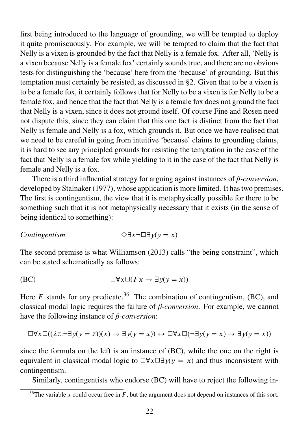first being introduced to the language of grounding, we will be tem[pted to deploy](#page-18-0) it quite promiscuously. [For e](#page-101-3)xample, we will be tempted to claim that the fact that Nelly is a vixen is grounded by the fact that Nelly is a female fox. After all, 'Nelly is a vixen because Nelly is a female fox' certainly sounds true, and there are no obvious tests for distinguishing the 'because' here from the 'because' of grounding. But this temptation must certainly be resisted, as discussed in §2. Given that to be a vixen is to be a female fox, it certainly follows that for Nelly to be a vixen is for Nelly to be a female fox, and hence that the fact that Nelly is a female fox does not ground the fact that Nelly is a vixen, since it does not gro[und it](#page-101-4)self. Of course Fine and Rosen need not dispute this, since they can claim that this one fact is distinct from the fact that Nelly is female and Nelly is a fox, which grounds it. But once we have realised that we need to be careful in going from intuitive 'because' claims to grounding claims, it is hard to see any principled gr[oun](#page-21-0)ds for resisting the temptation in the case of the fact that Nelly is a female fox while yielding [to it in the ca](#page-18-0)se of the fact th[at Ne](#page-21-1)lly is female and Nelly is a fox.

<span id="page-21-1"></span>There is a third influential [strategy for arg](#page-18-0)uing against instances of *β-conversion*, developed by Stalnaker (1977), whose application is more limited. It has two premises. The first is contingentism, the view that it is metaphysically possible for there to be something such that it is not metaphysically ne[cessar](#page-21-1)y that it exists (in the sense of being identical to something):

# *Contingentism*  $\Diamond \exists x \neg \Box \exists y (y = x)$

<span id="page-21-0"></span>The second premise is what Williamson (2013) calls "the being constraint", which can be stated schematically as follows:

$$
(BC) \qquad \qquad \Box \forall x \Box (Fx \rightarrow \exists y(y=x))
$$

Here  $F$  stands for any predicate.<sup>36</sup> The combination of contingentism, (BC), and classical modal logic requires the failure of *β-conversion*. For example, we cannot have the following instance of *β-conversion*:

$$
\Box \forall x \Box ((\lambda z. \neg \exists y (y = z))(x) \rightarrow \exists y (y = x)) \leftrightarrow \Box \forall x \Box (\neg \exists y (y = x) \rightarrow \exists y (y = x))
$$

since the formula on the left is an instance of (BC), while the one on the right is equivalent in classical modal logic to  $\Box \forall x \Box \exists y (y = x)$  and thus inconsistent with contingentism.

Similarly, contingentists who endorse (BC) will have to reject the following in-

<sup>&</sup>lt;sup>36</sup>The variable x could occur free in F, but the argument does not depend on instances of this sort.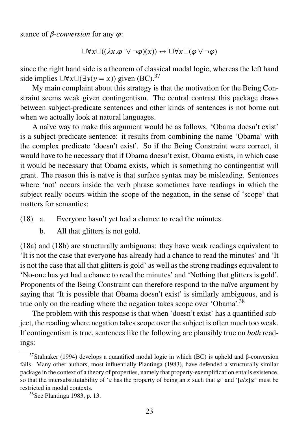stance of  $\beta$ -conversion for any  $\varphi$ :

$$
\Box \forall x \Box ((\lambda x. \varphi \lor \neg \varphi)(x)) \leftrightarrow \Box \forall x \Box (\varphi \lor \neg \varphi)
$$

<span id="page-22-0"></span>since the right hand side is a theorem of classical modal logic, whereas the left hand side implies  $□∀x□(∃y(y = x))$  given (BC).<sup>37</sup>

<span id="page-22-1"></span>My main complaint about this strategy is that the motivation for the Being Constraint seems weak given contingentism. The central contrast this package draws [betwe](#page-22-0)ens[ubject](#page-22-1)-predicate sentences and other kinds of sentences is not borne out when we actually look at natural languages.

A naïve way to make this argument would be as follows. 'Obama doesn't exist' is a subject-predicate sentence: it results from combining the name 'Obama' with the complex predicate 'doesn't exist'. So if the Being Constraint were correct, it would have to be necessary that if Obama doesn't exist, Obama exists, in which case it would be necessary that Obama exists, which is something no cont[ing](#page-22-2)entist will grant. The reason this is naïve is that surface syntax may be misleading. Sentences where 'not' occurs inside the verb phrase sometimes have readings in which the subject really occurs within the scope of the negation, in the sense of 'scope' that matters for semantics:

- (18) a. E[veryo](#page-101-5)ne hasn't yet had a chance t[o read](#page-100-6) th[e min](#page-21-1)utes.
	- b. All that glitters is not gold.

<span id="page-22-2"></span>(18a) and (18b) are structurally ambiguous: they have weak readings equivalent to 'It is not the cas[e tha](#page-100-6)t everyone has already had a chance to read the minutes' and 'It is not the case that all that glitters is gold' as well as the strong readings equivalent to 'No-one has yet had a chance to read the minutes' and 'Nothing that glitters is gold'. Proponents of the Being Constraint can therefore respond to the naïve argument by saying that 'It is possible that Obama doesn't exist' is similarly ambiguous, and is true only on the reading where the negation takes scope over 'Obama'.<sup>38</sup>

The problem with this response is that when 'doesn't exist' has a quantified subject, the reading where negation takes scope over the subject is often much too weak. If contingentism is true, sentences like the following are plausibly true on *both* readings:

<sup>&</sup>lt;sup>37</sup>Stalnaker (1994) develops a quantified modal logic in which (BC) is upheld and β-conversion fails. Many other authors, most influentially Plantinga (1983), have defended a structurally similar package in the context of a theory of properties, namely that property-exemplification entails existence, so that the intersubstitutability of '*a* has the property of being an x such that  $\varphi'$  and '[ $a/x$ ] $\varphi'$  must be restricted in modal contexts.

<sup>38</sup>See Plantinga 1983, p. 13.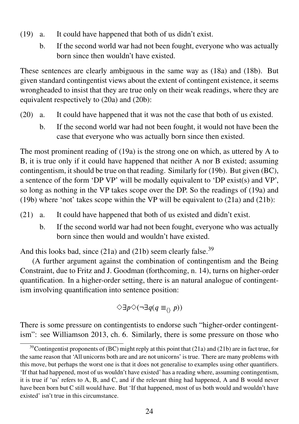- <span id="page-23-1"></span><span id="page-23-0"></span>(19) a. It could have happened that both of us didn't exi[st.](#page-23-0)
	- b. If the second world war had not been fought, everyone who w[as actu](#page-23-1)ally born since then wouldn't have existed.

<span id="page-23-3"></span><span id="page-23-2"></span>These sentences are clearly ambiguous in the same way as (18a) and (18b). But given standard contingentist views about the extent of contingent existence, it seems wrongheaded to insist that they are true only on their weak readings, where they are equivalent respectively to (20a) and (20b):

- (20) a. It could have [happe](#page-23-2)ned [that it](#page-23-3) was not the case t[hat](#page-23-4) both of us existed.
	- b. If the second world war had n[ot been foug](#page-99-6)ht, it would not have been the case that everyone who was actually born since then existed.

The most prominent reading of (19a) is the strong one on which, as uttered by A to B, it is true only if it could have happened that neither A nor B existed; assuming contingentism, it should be true on that reading. Similarly for (19b). But given (BC), a sentence of the form 'DP VP' will be modally equivalent to 'DP exist(s) and VP', so long as nothing int[he VP](#page-101-4) takes scope over the DP. So the readings of (19a) and (19b) where 'not' takes scope within the VP will be equivalent to (21a) and (21b):

- <span id="page-23-4"></span>(21) a. It could have ha[ppen](#page-21-1)ed that both of us exist[ed an](#page-23-2)d [didn't](#page-23-3) exist.
	- b. If the second world war had not been fought, everyone who was actually born since then would and wouldn't have existed.

And this looks bad, since  $(21a)$  and  $(21b)$  seem clearly false.<sup>39</sup>

(A further argument against the combination of contingentism and the Being Constraint, due to Fritz and J. Goodman (forthcoming, n. 14), turns on higher-order quantification. In a higher-order setting, there is an natural analogue of contingentism involving quantification into sentence position:

$$
\Diamond \exists p \Diamond (\neg \exists q (q \equiv_{\langle \rangle} p))
$$

There is some pressure on contingentists to endorse such "higher-order contingentism": see Williamson 2013, ch. 6. Similarly, there is some pressure on those who

<sup>&</sup>lt;sup>39</sup>Contingentist proponents of (BC) might reply at this point that (21a) and (21b) are in fact true, for the same reason that 'All unicorns both are and are not unicorns' is true. There are many problems with this move, but perhaps the worst one is that it does not generalise to examples using other quantifiers. 'If that had happened, most of us wouldn't have existed' has a reading where, assuming contingentism, it is true if 'us' refers to A, B, and C, and if the relevant thing had happened, A and B would never have been born but C still would have. But 'If that happened, most of us both would and wouldn't have existed' isn't true in this circumstance.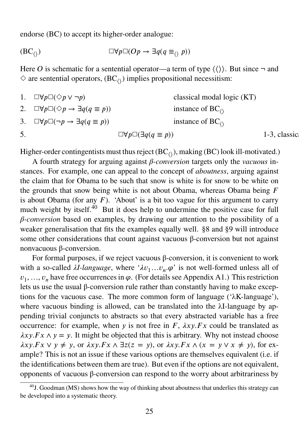endorse (BC) to accept its higher-order analogue:

$$
(\mathrm{BC}_{\langle\rangle}) \qquad \qquad \Box \forall p \Box (Op \to \exists q (q \equiv_{\langle\rangle} p))
$$

Here O is schematic f[or a](#page-24-0) sentential operator—a term of type  $\langle \langle \rangle \rangle$ . But since  $\neg$  and  $\diamond$  [are sentent](#page-18-0)ial operators,  $(BC_{\langle \rangle})$  implies propositional necessitism:

1.  $\Box \forall p \Box (\Diamond p \lor \neg p)$  $\Box \forall p \Box (\Diamond p \lor \neg p)$  $\Box \forall p \Box (\Diamond p \lor \neg p)$  $\Box \forall p \Box (\Diamond p \lor \neg p)$  $\Box \forall p \Box (\Diamond p \lor \neg p)$  classical modal logic (KT) 2.  $\Box \forall p \Box (\Diamond p \rightarrow \exists q (q \equiv p))$  instance of BC<sub>*()</sub>*</sub> 3.  $\Box \forall p \Box (\neg p \rightarrow \exists q (q \equiv p))$  instance of BC<sub>()</sub> 5.  $\Box \forall p \Box (\exists q (q \equiv p))$  1-3, classical modal logic

Higher-order contingentists must thus reject  $(BC<sub>(</sub>)$ , making  $(BC)$  look ill-motivated.)

A fourth strategy for arguing against *β-conversion* targets only the *vacuous* instances. For example, one can appeal to the concept of *aboutness*, arguing against the claim that for Obama to be such that snow is white is for snow to be white on the grounds that snow being white is not about Obama, whereas Obama being  $F$ is about Obama (for any  $F$ ). 'About' is a bit too vague for this argument to carry much weight by itself. $^{40}$  But it does help to undermine the positive case for full *β-conversion* based on examples, by drawing our attention to the possibility of a weaker generalisation that fits the examples equally well. §8 and §9 will introduce some other considerations that count against vacuous  $\beta$ -conversion but not against nonvacuous β-[conv](#page-99-7)ersion.

<span id="page-24-0"></span>For formal purposes, if we reject vacuous β-conversion, it is convenient to work with a so-called  $\lambda I$ -language, where ' $\lambda v_1...v_n \phi$ ' is not well-formed unless all of  $v_1, \ldots, v_n$  have free occurrences in  $\varphi$ . (For details see Appendix A1.) This restriction lets us use the usual β-conversion rule rather than constantly having to make exceptions for the vacuous case. The more common form of language ('λK-language'), where vacuous binding is allowed, can be translated into the λI-language by appending trivial conjuncts to abstracts so that every abstracted variable has a free occurrence: for example, when y is not free in F,  $\lambda xy.Fx$  could be translated as  $\lambda xy.Fx \wedge y = y$ . It might be objected that this is arbitrary. Why not instead choose  $\lambda xy.Fx \vee y \neq y$ , or  $\lambda xy.Fx \wedge \exists z(z = y)$ , or  $\lambda xy.Fx \wedge (x = y \vee x \neq y)$ , for example? This is not an issue if these various options are themselves equivalent (i.e. if the identifications between them are true). But even if the options are not equivalent, opponents of vacuous β-conversion can respond to the worry about arbitrariness by

 $^{40}$ J. Goodman (MS) shows how the way of thinking about aboutness that underlies this strategy can be developed into a systematic theory.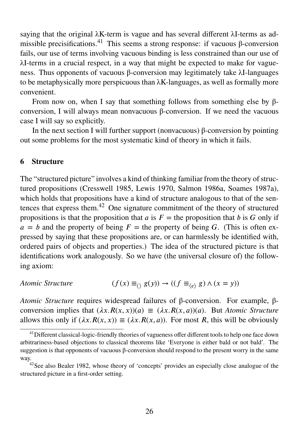<span id="page-25-0"></span>saying that the original λK-term is vague and has several different λI-terms as admissible precisifications.<sup>41</sup> T[his see](#page-98-8)ms a st[rong r](#page-100-7)esponse: [if vacu](#page-100-3)ous β-co[nversio](#page-101-2)n fails, our use of terms involving vacuous binding is less constrained than our use of λI-terms in a crucial res[pec](#page-25-1)t, in a way that might be expected to make for vagueness. Thus opponents of vacuous β-conversion may legitimately take λI-languages to be metaphysically more perspicuous than  $\lambda$ K-languages, as well as formally more convenient.

From now on, when I say that something follows from something else by βconversion, I will always mean nonvacuous β-conversion. If we need the vacuous case I will say so explicitly.

<span id="page-25-2"></span>In the next section I will further support (nonvacuous) β-conversion by pointing out some problems for the most systematic kind of theory in which it fails.

# **[6 Structure](#page-25-2)**

<span id="page-25-1"></span>[The "struct](#page-18-2)ured picture" involves a kind of thinking familiar from t[he theory of struc](#page-25-2)tured propositions (Cresswell 1985, Lewis 1970, Salmon 1986a, Soames 1987a), which holds that propositions have a kind of structure analogous to that of the sentences that express them.<sup>42</sup> One signature commitment of the theory of structured propositions is that the proposition that a is  $F =$  the proposition that b is G only if  $a = b$  and the pr[opert](#page-98-9)y of being  $F =$  the property of being G. (This is often expressed by saying that these propositions are, or can harmlessly be identified with, ordered pairs of objects and properties.) The idea of the structured picture is that identifications work analogously. So we have (the universal closure of) the following axiom:

*Atomic Structure*  $(f(x) \equiv_{\langle y \rangle} g(y)) \rightarrow ((f \equiv_{\langle e \rangle} g) \land (x = y))$ 

*Atomic Structure* requires widespread failures of β-conversion. For example, βconversion implies that  $(\lambda x.R(x, x))(a) \equiv (\lambda x.R(x, a))(a)$ . But *Atomic Structure* allows this only if  $(\lambda x. R(x, x)) \equiv (\lambda x. R(x, a))$ . For most R, this will be obviously

<sup>&</sup>lt;sup>41</sup>Different classical-logic-friendly theories of vagueness offer different tools to help one face down arbitrariness-based objections to classical theorems like 'Everyone is either bald or not bald'. The suggestion is that opponents of vacuous β-conversion should respond to the present worry in the same way.

 $42$ See also Bealer 1982, whose theory of 'concepts' provides an especially close analogue of the structured picture in a first-order setting.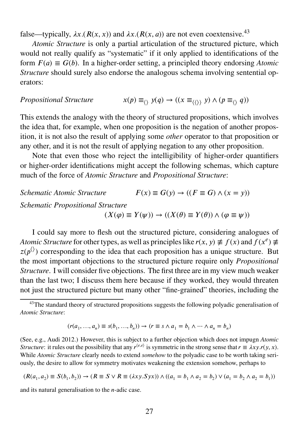<span id="page-26-0"></span>false—typically,  $\lambda x.(R(x, x))$  and  $\lambda x.(R(x, a))$  [are not even coexten](#page-26-0)sive.<sup>43</sup>

<span id="page-26-1"></span>*Atomic Structure* is only a partial articulation of the structured picture, which would not really qualify as "systematic" if it only applied to identifications of the form  $F(a) \equiv G(b)$ . In a higher-order setting, a principled theory endorsing *Atomic Structure* should surely also endorse the analogous schema involving sentential operators:

*[Propositional Str](#page-25-2)ucture*  $x(p) \equiv_{\langle y \rangle} y(q) \rightarrow ((x \equiv_{\langle y \rangle} y) \land (p \equiv_{\langle y \rangle} q))$ 

This extends the analogy with the theory of structured propositions, [which involves](#page-26-0) [the idea th](#page-26-0)at, for example, when one proposition is the negation of another proposition, it is not also the result of applying some *other* operator to that proposition or any other, and it is not the result of applying negation to any other proposition.

Note that even those who reject the intelligibility of higher-order quantifiers or higher-order identifications might accept the following schemas, which capture [much of the fo](#page-25-2)rce of *Atomic Structure* and *Propositional Structure*:

*Schematic Atomic Structure*  $F(x) \equiv G(y) \rightarrow ((F \equiv G) \land (x = y))$ 

*[Schema](#page-25-2)tic Pr[opos](#page-98-4)itional Structure*

 $(X(\varphi) \equiv Y(\psi)) \rightarrow ((X(\theta) \equiv Y(\theta)) \wedge (\varphi \equiv \psi))$ 

I could say more to flesh out the structured picture, considering analogues of *Atomic Structure* for other types, as well as principles like  $r(x, y) \neq f(x)$  and  $f(x^e) \neq f(x)$  $z(p<sup>{\langle}</sup>$ ) corresponding to the idea that each proposition has a unique structure. But the most important objections to the structured picture require only *Propositional Structure*. I will consider five objections. The first three are in my view much weaker than the last two; I discuss them here because if they worked, they would threaten not just the structured picture but many other "fine-grained" theories, including the

$$
(r(a_1, ..., a_n) \equiv s(b_1, ..., b_n)) \rightarrow (r \equiv s \land a_1 = b_1 \land \cdots \land a_n = b_n)
$$

$$
(R(a_1, a_2) \equiv S(b_1, b_2)) \rightarrow (R \equiv S \lor R \equiv (\lambda xy. Syx)) \land ((a_1 = b_1 \land a_2 = b_2) \lor (a_1 = b_2 \land a_2 = b_1))
$$

and its natural generalisation to the  $n$ -adic case.

<sup>&</sup>lt;sup>43</sup>The standard theory of structured propositions suggests the following polyadic generalisation of *Atomic Structure*:

<sup>(</sup>See, e.g., Audi 2012.) However, this is subject to a further objection which does not impugn *Atomic Structure*: it rules out the possibility that any  $r^{(e,e)}$  is symmetric in the strong sense that  $r \equiv \lambda xy.r(y, x)$ . While *Atomic Structure* clearly needs to extend *somehow* to the polyadic case to be worth taking seriously, the desire to allow for symmetry motivates weakening the extension somehow, perhaps to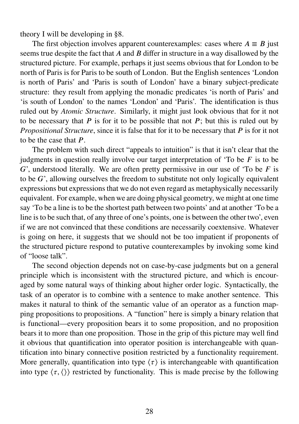theory I will be developing in §8.

The first objection involves apparent counterexamples: cases where  $A \equiv B$  just seems true despite the fact that  $A$  and  $B$  differ in structure in a way disallowed by the structured picture. For example, perhaps it just seems obvious that for London to be north of Paris is for Paris to be south of London. But the English sentences 'London is north of Paris' and 'Paris is south of London' have a binary subject-predicate structure: they result from applying the monadic predicates 'is north of Paris' and 'is south of London' to the names 'London' and 'Paris'. The identification is thus ruled out by *Atomic Structure*. Similarly, it might just look obvious that for it not to be necessary that  $P$  is for it to be possible that not  $P$ ; but this is ruled out by *Propositional Structure*, since it is false that for it to be necessary that  $P$  is for it not to be the case that  $P$ .

The problem with such direct "appeals to intuition" is that it isn't clear that the judgments in question really involve our target interpretation of 'To be  $F$  is to be  $G'$ , understood literally. We are often pretty permissive in our use of 'To be  $F$  is to be  $G'$ , allowing ourselves the freedom to substitute not only logically equivalent expressions but expressions that we do not even regard as metaphysically necessarily equivalent. For example, when we are doing physical geometry, we might at one time say 'To be a line is to be the shortest path between two points' and at another 'To be a line is to be such that, of any three of one's points, one is between the other two', even if we are not convinced that these conditions are necessarily coextensive. Whatever is going on here, it suggests that we should not be too impatient if proponents of the structured picture respond to putative counterexamples by invoking some kind of "loose talk".

The second objection depends not on case-by-case judgments but on a general principle which is inconsistent with the structured picture, and which is encouraged by some natural ways of thinking about higher order logic. Syntactically, the task of an operator is to combine with a sentence to make another sentence. This makes it natural to think of the semantic value of an operator as a function mapping propositions to propositions. A "function" here is simply a binary relation that is functional—every proposition bears it to some proposition, and no proposition bears it to more than one proposition. Those in the grip of this picture may well find it obvious that quantification into operator position is interchangeable with quantification into binary connective position restricted by a functionality requirement. More generally, quantification into type  $\langle \tau \rangle$  is interchangeable with quantification into type  $\langle \tau, \langle \rangle$  restricted by functionality. This is made precise by the following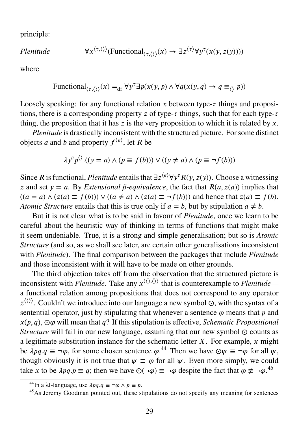<span id="page-28-0"></span>principle:

*Plenitude* 
$$
\forall x^{\langle \tau, \langle \rangle \rangle} (\text{Functional}_{\langle \tau, \langle \rangle \rangle}(x) \rightarrow \exists z^{\langle \tau \rangle} \forall y^{\tau}(x(y, z(y))))
$$

[where](#page-25-2)

$$
\text{Functional}_{\langle \tau, \langle \rangle \rangle}(x) =_{\text{df}} \forall y^{\tau} \exists p(x(y, p) \land \forall q(x(y, q) \rightarrow q \equiv_{\langle \rangle} p))
$$

[Loosely s](#page-25-2)peaking: for any functional relation x between type- $\tau$  things and [proposi-](#page-25-2)tions[, there is a](#page-28-0) corresponding property z of type- $\tau$  things, such that for e[ach type-](#page-28-0) $\tau$ thing, the proposition that it has z is the very proposition to which it is related by  $x$ .

*Plenitude* is drastically inconsistent with the structured picture. For some distinct objects *a* and *b* a[nd property](#page-28-0)  $f^{(e)}$ , let *R* be

$$
\lambda y^e p^{(x)} \cdot ((y = a) \land (p \equiv f(b))) \lor ((y \neq a) \land (p \equiv \neg f(b)))
$$

Since R is functional, *Plenitude* entails that  $\exists z^{(e)} \forall y^e R(y, z(y))$ [. Choose a witnessing](#page-26-1) z and set  $y = a$ . By *Extensional β-equivalence*, the fact that  $R(a, z(a))$  implies that  $((a = a) \land (z(a) \equiv f(b))) \lor ((a \neq a) \land (z(a) \equiv \neg f(b)))$  and hence that  $z(a) \equiv f(b)$ . *Atomic Structure* entails that this is true only [if](#page-28-1)  $a = b$ , but by stipulation  $a \neq b$ .

<span id="page-28-1"></span>But it is not clear what is to be said in favour of *Plenitude*, once we learn to be careful about the heuristic way of thinking in terms of functions that might [mak](#page-28-2)e it seem undeniable. True, it is a strong and simple generalisation; but so is *Atomic Structure* (and so, as we shall see later, are certain other generalisations inconsistent with *Plenitude*). The final comparison between the packages that include *Plenitude* and those inconsistent with it will have to be made on other grounds.

<span id="page-28-2"></span>The third objection takes off from the observation that the structured picture is inconsistent with *Plenitude*. Take any  $x^{\langle\langle\rangle,\langle\rangle\rangle}$  that is counterexample to *Plenitude* a functional relation among propositions that does not correspond to any operator  $z^{\langle\langle\rangle\rangle}$ . Couldn't we introduce into our language a new symbol  $\odot$ , with the syntax of a sentential operator, just by stipulating that whenever a sentence  $\varphi$  means that  $p$  and  $x(p, q)$ ,  $\odot \varphi$  will mean that  $q$ ? If this stipulation is effective, *Schematic Propositional Structure* will fail in our new language, assuming that our new symbol ⊙ counts as a legitimate substitution instance for the schematic letter  $X$ . For example,  $x$  might be  $\lambda pq.q \equiv \neg \varphi$ , for some chosen sentence  $\varphi$ .<sup>44</sup> Then we have  $\bigcirc \psi \equiv \neg \varphi$  for all  $\psi$ , though obviously it is not true that  $\psi \equiv \varphi$  for all  $\psi$ . Even more simply, we could take x to be  $\lambda pq \cdot p \equiv q$ ; then we have  $\Theta(\neg \varphi) \equiv \neg \varphi$  despite the fact that  $\varphi \not\equiv \neg \varphi$ .<sup>45</sup>

<sup>&</sup>lt;sup>44</sup>In a  $\lambda$ I-language, use  $\lambda pq. q \equiv \neg \varphi \wedge p \equiv p$ .

<sup>&</sup>lt;sup>45</sup>As Jeremy Goodman pointed out, these stipulations do not specify any meaning for sentences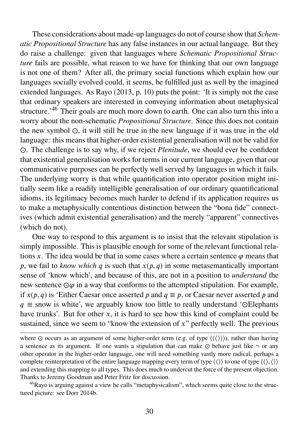These considerations about made-up languages do not of course show that *Schematic Propositional Structure* has any false instances in our actual language. But they do raise a challenge: given that languages where *Schematic Propositional Structure* fails are possible, what reason to we have for thinking that our own language is not one of them? After all, the primary social functions which explain how our languages socially evolved could, it seems, be fulfilled just as well by the imagined extended languages. As Rayo (2013, p. 10) puts the point: 'It is simply not the case that ordinary speakers are interested in conveying information about metaphysical structure.<sup>46</sup> Their goals are much more down to earth. One can also turn this into a worry about the non-schematic *Propositional Structure*. Since this does not contain the new symbol ⊙, it will still be true in the new language if it was true in the old language: this means that higher-order existential generalisation will not be valid for ⊙. The challenge is to say why, if we reject *Plenitude*, we should ever be confident that existential generalisation works for terms in our current language, given that our communicative purposes can be perfectly well served by languages in which it fails. The underlying worry is that while quantification into operator position might initially seem like a readily intelligible generalisation of our ordinary quantificational idioms, its legitimacy becomes much harder to defend if its application requires us to make a metaphysically contentious distinction between the "bona fide" connectives (which admit existential generalisation) and the merely "apparent" connectives (which do not).

One way to respond to this argument is to insist that the relevant stipulation is simply impossible. This is plausible enough for some of the relevant functional relations x. The idea w[ould b](#page-99-8)e that in some cases where a certain sentence  $\varphi$  means that p, we fail to *know which* q is such that  $x(p, q)$  in some metasemantically important sense of 'know which', and because of this, are not in a position to *understand* the new sentence  $\odot \varphi$  in a way that conforms to the attempted stipulation. For example, if  $x(p, q)$  is 'Either Caesar once asserted p and  $q \equiv p$ , or Caesar never asserted p and  $q \equiv$  snow is white', we arguably know too little to really understand '⊙Elephants have trunks'. But for other  $x$ , it is hard to see how this kind of complaint could be sustained, since we seem to "know the extension of  $x$ " perfectly well. The previous

where ⊙ occurs as an argument of some higher-order term (e.g. of type ⟨⟨⟨⟩⟩⟩), rather than having a sentence as its argument. If one wants a stipulation that can make ⊙ behave just like ¬ or any other operator in the higher-order language, one will need something vastly more radical, perhaps a complete reinterpretation of the entire language mapping every term of type  $\langle \langle \rangle \rangle$  to one of type  $\langle \langle \rangle, \langle \rangle \rangle$ and extending this mapping to all types. This does much to undercut the force of the present objection. Thanks to Jeremy Goodman and Peter Fritz for discussion.

<sup>&</sup>lt;sup>46</sup>Rayo is arguing against a view he calls "metaphysicalism", which seems quite close to the structured picture: see Dorr 2014b.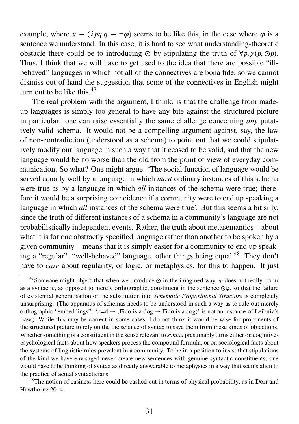example, where  $x \equiv (\lambda pq. q \equiv \neg \varphi)$  seems to be like this, in the case where  $\varphi$  is a sentence we understand. In this case, it is hard to see what understanding-theoretic obstacle there could be to introducing  $\odot$  by stipulating the truth of  $\forall p. \gamma(p, \odot p)$ . Thus, I think that we will have to get used to the idea that there are possible "illbehaved" languages in which not all of the connectives are bona fide, so we cannot dismiss out of hand the suggestion that some of the connectives in English might turn out to be like this. $47$ 

The real problem with the argument, I think, is that the challenge from madeup languages is simply too general to have any bite against the str[uct](#page-30-0)ured picture in particular: one can raise essentially the same challenge concerning *any* putatively valid schema. It would not be a compelling argument against, say, the law of non-contradiction (understood as a schema) to point out that we could stipulatively modify our language in such a way that it ceased to be valid, and that the new language would be no worse than the oldf[rom the point of view of eve](#page-26-1)ryday communication. So what? One might argue: 'The social function of language would be served equally well by a language in which *most* ordinary instances of this schema were true as by a language in which *all* instances of the schema were true; therefore it would be a surprising coincidence if a community were to end up speaking a language in which *all* instances of the schema were true'. But this seems a bit silly, since the truth of different instances of a schema in a community's language are not probabilistically independent events. Rather, the truth about metasemantics—about what it is for one abstractly specified language rather than another to be spoken by a given co[mmun](#page-99-9)ity—means that it is simply easier for a community to end up speaking a "regular", "well-behaved" language, other things being equal.<sup>48</sup> They don't have to *care* about regularity, or logic, or metaphysics, for this to happen. It just

<sup>48</sup>The notion of easiness here could be cashed out in terms of physical probability, as in Dorr and Hawthorne 2014.

<span id="page-30-0"></span><sup>&</sup>lt;sup>47</sup>Someone might object that when we introduce  $\odot$  in the imagined way,  $\varphi$  does not really occur as a syntactic, as opposed to merely orthographic, constituent in the sentence  $\odot \varphi$ , so that the failure of existential generalisation or the substitution into *Schematic Propositional Structure* is completely unsurprising. (The apparatus of schemas needs to be understood in such a way as to rule out merely orthographic "embeddings": 'c=d  $\rightarrow$  (Fido is a dog  $\rightarrow$  Fido is a cog)' is not an instance of Leibniz's Law.) While this may be correct in some cases, I do not think it would be wise for proponents of the structured picture to rely on the the science of syntax to save them from these kinds of objections. Whether something is a constituent in the sense relevant to *syntax* presumably turns either on cognitivepsychological facts about how speakers process the compound formula, or on sociological facts about the systems of linguistic rules prevalent in a community. To be in a position to insist that stipulations of the kind we have envisaged never create new sentences with genuine syntactic constituents, one would have to be thinking of syntax as directly answerable to metaphysics in a way that seems alien to the practice of actual syntacticians.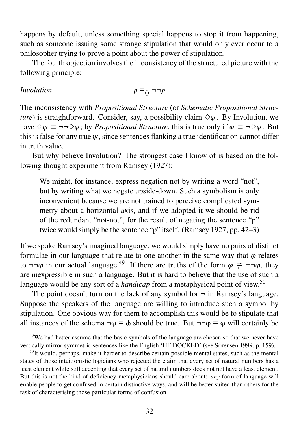happens by default, unless something sp[ecial h](#page-100-8)appens to stop it from happening, such as someone issuing some strange stipulation that would only ever occur to a philosopher trying to prove a point about the power of stipulation.

The fourth objection involves the inconsistency of the structured picture with the following principle:

$$
Involution \t\t p \equiv_{\langle}\ \neg \neg p
$$

The inconsistency with *Propositional Structure* (or *Schematic Propositional Structure*) is straightforward. Consider, say, a possibility claim  $\Diamond \psi$ . By Involution, we have  $\Diamond \psi \equiv \neg \Diamond \psi$ ; by *Proposi[tio](#page-31-0)nal Structure*, this is true only if  $\psi \equiv \neg \Diamond \psi$ . But this is false for any true  $\psi$ , since sentences flanking a true identification canno[t d](#page-31-1)iffer in truth value.

But why believe Involution? The strongest case I know of is based on the following thought experiment from Ramsey (1927):

<span id="page-31-1"></span><span id="page-31-0"></span>We might, for instance, express negation not by writing a word "not", but by writing what we negate upside-down. Such a symbolism is only inconvenient because we are not trained to perceive complicate[d sym](#page-101-6)metry about a horizontal axis, and if we adopted it we should be rid of the redundant "not-not", for the result of negating the sentence "p" twice would simply be the sentence "p" itself. (Ramsey 1927, pp. 42–3)

If we spoke Ramsey's imagined language, we would simply have no pairs of distinct formulae in our language that relate to one another in the same way that  $\varphi$  relates to  $\neg\neg\varphi$  in our actual language.<sup>49</sup> If there are truths of the form  $\varphi \neq \neg\neg\varphi$ , they are inexpressible in such a language. But it is hard to believe that the use of such a language would be any sort of a *handicap* from a metaphysical point of view.<sup>50</sup>

The point doesn't turn on the lack of any symbol for  $\neg$  in Ramsey's language. Suppose the speakers of the language are willing to introduce such a symbol by stipulation. One obvious way for them to accomplish this would be to stipulate that all instances of the schema  $\neg \varphi \equiv \varphi$  should be true. But  $\neg \neg \varphi \equiv \varphi$  will certainly be

<sup>&</sup>lt;sup>49</sup>We had better assume that the basic symbols of the language are chosen so that we never have vertically mirror-symmetric sentences like the English 'HE DOCKED' (see Sorensen 1999, p. 159).

 $50$ It would, perhaps, make it harder to describe certain possible mental states, such as the mental states of those intuitionistic logicians who rejected the claim that every set of natural numbers has a least element while still accepting that every set of natural numbers does not not have a least element. But this is not the kind of deficiency metaphysicians should care about: *any* form of language will enable people to get confused in certain distinctive ways, and will be better suited than others for the task of characterising those particular forms of confusion.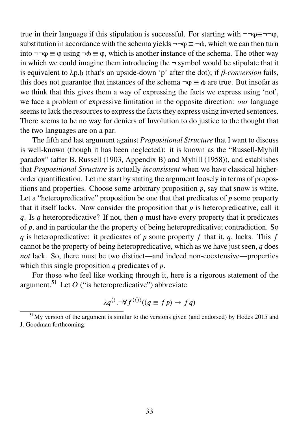true [in their language if this](#page-26-0) stipulation is successful. For starting with  $\neg \varphi \equiv \neg \varphi$ , substitution in accordance with the schema yields  $\neg \varphi \equiv \neg \varphi$ , which we can then turn into ¬¬φ ≡ φ using ¬φ ≡ φ, which is another instance of the schema. The other way in which we could imagine them introducing the  $\neg$  symbol would be stipulate that it is equivalent to  $\lambda p.b$  (that's an upside-down 'p' after the dot); if  $\beta$ -conversion fails, this does not guarantee that instances of the schema  $\neg \varphi \equiv \varphi$  are true. But insofar as we think that this gives them a way of expressing the facts we express using 'not', we face a problem of expressive limitation in the opposite direction: *our* language seems to lack the resources to express the facts they express using inverted sentences. There seems to be no way for deniers of Involution to do justice to the thought that the two languages are on a par.

<span id="page-32-0"></span>The fi[fth](#page-32-0) and last argument against *Propositional Structure* that I want to discuss is well-known (though it has been neglected): it is known as the "Russell-Myhill paradox" (after B. Russell (1903, Appendix B) and Myhill (1958)), and establishes that *Propositional Structure* is actually *inconsistent* when we have classical higherorder quantification. Let me start by stating the argument loosely in terms of [prop](#page-99-10)ositions and [properties](#page-99-11). Choose some arbitrary proposition  $p$ , say that snow is white. Let a "heteropredicative" proposition be one that that predicates of  $p$  some property that it itself lacks. Now consider the proposition that  $p$  is heteropredicative, call it q. Is q heteropredicative? If not, then  $q$  must have every property that it predicates of  $p$ , and in particular the the property of being heteropredicative; contradiction. So q is heteropredicative: it predicates of  $p$  some property  $f$  that it,  $q$ , lacks. This  $f$ cannot be the property of being heteropredicative, which as we have just seen,  $q$  does *not* lack. So, there must be two distinct—and indeed non-coextensive—properties which this single proposition  $q$  predicates of  $p$ .

For those who feel like working through it, here is a rigorous statement of the argument.<sup>51</sup> Let  $O$  ("is heteropredicative") abbreviate

$$
\lambda q^{\langle\rangle}.\neg \forall f^{\langle\langle\rangle\rangle}((q \equiv fp) \rightarrow fq)
$$

 $<sup>51</sup>My$  version of the argument is similar to the versions given (and endorsed) by Hodes 2015 and</sup> J. Goodman forthcoming.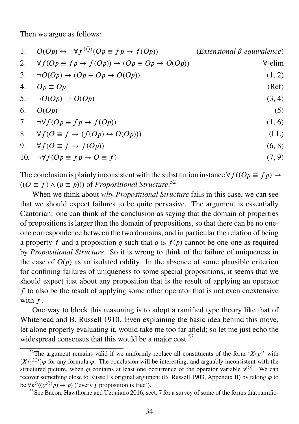Then we argue as follows:

| 1. | $O(Op) \leftrightarrow \neg \forall f^{\langle \langle \rangle \rangle} (Op \equiv fp \rightarrow f(Op))$ | ( <i>Extensional</i> $\beta$ -equivalence) |
|----|-----------------------------------------------------------------------------------------------------------|--------------------------------------------|
| 2. | $\forall f(Op \equiv fp \rightarrow f(Op)) \rightarrow (Op \equiv Op \rightarrow O(Op))$                  | $\forall$ -elim                            |
|    | 3. $\neg O(Op) \rightarrow (Op \equiv Op \rightarrow O(Op))$                                              | (1, 2)                                     |
| 4. | $Op \equiv Op$                                                                                            | (Ref)                                      |
| 5. | $\neg O(Op) \rightarrow O(Op)$                                                                            | (3, 4)                                     |
| 6. | O(Op)                                                                                                     | (5)                                        |
|    | 7. $\neg \forall f (Op \equiv fp \rightarrow f (Op))$                                                     | (1, 6)                                     |
|    | 8. $\forall f(O \equiv f \rightarrow (f(Op) \leftrightarrow O(Op)))$                                      | (LL)                                       |
| 9. | $\forall f(O \equiv f \rightarrow f(Op))$                                                                 | (6, 8)                                     |
|    | 10. $\neg \forall f (Op \equiv fp \rightarrow O \equiv f)$                                                | (7, 9)                                     |

The conclusion is plainly inconsistent with the substitution instance  $\forall f((Op \equiv fp) \rightarrow$  $((O \equiv f) \land (p \equiv p)))$  of *Pr[oposit](#page-101-7)ional Structure*.<sup>52</sup>

<span id="page-33-0"></span>When we think about *why Propositional Structure* [fa](#page-33-0)ils in this case, we can see that we should expect failures to be quite pervasive. The argument is essentially Cantorian: one can think of the conclusion as saying that the domain of properties of propositions is larger than the domain of propositions, so that there can be no oneone correspondence between the two domains, and in p[articu](#page-100-9)lar the relation of being a property f and a proposition q such that q is  $f(p)$  cannot be one-one as required by *Propositional Structure*. So iti[s wro](#page-98-10)ng to think of the failure of uniqueness in the case of  $O(p)$  as an isolated oddity. In the absence of some plausible criterion for confining failures of uniqueness to some special propositions, it seems that we should expect just about any proposition that is the result of applying an operator  $f$  to also be the result of applying some other operator that is not even coextensive with  $f$ .

One way to block this reasoning is to adopt a ramified type theory like that of Whitehead and B. Russell 1910. Even explaining the basic idea behind this move, let alone properly evaluating it, would take me too far afield; so let me just echo the widespread consensus that this would be a major cost.<sup>53</sup>

<sup>&</sup>lt;sup>52</sup>The argument remains valid if we uniformly replace all constituents of the form ' $X(p)$ ' with  $[X/y^{(\langle)}] \varphi$  for any formula  $\varphi$ . The conclusion will be interesting, and arguably inconsistent with the structured picture, when  $\varphi$  contains at least one occurrence of the operator variable  $y^{\langle\langle\rangle}$ . We can recover something close to Russell's original argument (B. Russell 1903, Appendix B) by taking  $\varphi$  to be  $\forall p^{(\cdot)}((y^{(\cdot)})^p) \rightarrow p)$  ('every y proposition is true').

 $53$  See Bacon, Hawthorne and Uzquiano 2016, sect. 7 for a survey of some of the forms that ramific-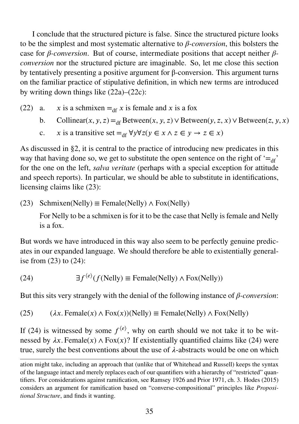<span id="page-34-0"></span>I conclude that the structured picture is false. Since the structured picture looks to be the simplest an[d mo](#page-34-0)st systematic alternative to *β-conversion*, this bolsters the case for *β-conversion*. But of course, intermediate positions that accept neither *βconversion* nor the structured picture are imaginable. So, let me close this section by tentatively presenting a positive argument for β-conversion. This argument turns on the familiar practice of stipulative definition, in which new terms are introduced by writing down things like (22a)–(22c):

- (22) a.  $x$  is a schmixen  $=_{df} x$  is female and x is a fox
	- b. [C](#page-34-0)oll[inear](#page-34-1)(x, y, z) = df Between(x, y, z)  $\vee$  Between(y, z, x)  $\vee$  Between(z, y, x)
	- c.  $x$  is a transitive set  $=_{df} \forall y \forall z (y \in x \land z \in y \rightarrow z \in x)$

<span id="page-34-1"></span>As discussed in §2, it is central to the practice of introducing new predicates in this way that having done so, we get to substitute the open sentence on the right of  $\dot{=}$ <sub>df</sub>' for the one on the left, *salva veritate* (perhaps with a special exception for attitude and speech reports). In particular, we should be able to substitute in identifications, li[censin](#page-34-1)g claims like (23):

(23) Schmixen(Nelly)  $\equiv$  Female(Nelly)  $\land$  Fox(Nelly)

For Nelly to be a schmixen is for it to be the case that Nelly is female and Nelly is a fox.

But words we have introduced in this way also s[eem t](#page-100-10)o be per[fectl](#page-100-11)y genuine pr[edic](#page-99-10)[ates in our ex](#page-26-0)panded language. We should therefore be able to existentially [general](#page-26-0)ise from (23) to (24):

(24) 
$$
\exists f^{(e)}(f(\text{Nelly}) \equiv \text{Female(Nelly)} \land \text{Fox(Nelly)})
$$

But this sits very strangely with the denial of the following instance of *β-conversion*:

(25)  $(\lambda x. Female(x) \wedge Fox(x))(Nelly) \equiv Female(Nelly) \wedge Fox(Nelly)$ 

If (24) is witnessed by some  $f^{(e)}$ , why on earth should we not take it to be witnessed by  $\lambda x$ . Female(x)  $\wedge$  Fox(x)? If existentially quantified claims like (24) were true, surely the best conventions about the use of  $\lambda$ -abstracts would be one on which

ation might take, including an approach that (unlike that of Whitehead and Russell) keeps the syntax of the language intact and merely replaces each of our quantifiers with a hierarchy of "restricted" quantifiers. For considerations against ramification, see Ramsey 1926 and Prior 1971, ch. 3. Hodes (2015) considers an argument for ramification based on "converse-compositional" principles like *Propositional Structure*, and finds it wanting.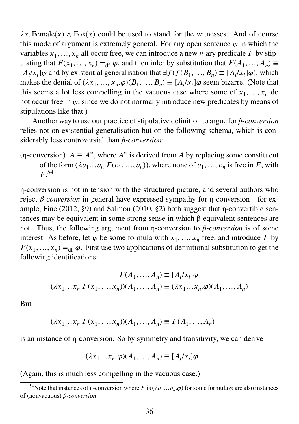<span id="page-35-0"></span> $\lambda x$ . Fem[ale](#page-35-1)(x)  $\wedge$  Fox(x) could be used to stand for the witnesses. And of course this mode of argument is extremely general. For any open sentence  $\varphi$  in which the [variables](#page-35-0)  $x_1, ..., x_n$  all occur free, we can introduce a new *n*-a[ry predicate](#page-35-0) F by stipulatin[g that](#page-18-0)  $F(x_1, ..., x_n) =_{df} \varphi$ , and then infer by substitution that  $F(A_1, ..., A_n) \equiv$  $[A_i/x_i]\varphi$  and [by ex](#page-99-1)istential generalis[ation t](#page-100-12)hat  $\exists f(f(B_1, ..., B_n) \equiv [A_i/x_i]\varphi)$ , which makes the denial of  $(\lambda x_1, ..., x_n, \varphi)(B_1, ..., B_n) \equiv [A_i/x_i] \varphi$  seem bizarre. (Note that this seems a lot less compelling in the v[acuous case w](#page-35-0)he[re some of](#page-18-0)  $x_1, ..., x_n$  do not occur free in  $\varphi$ , since we do not normally introduce new predicates by means of stipulations like that.)

Another way to use our practice of stipulative definition to argue for *β-conversion* relies not on existential generalisation but on the following schema, which is considerably less controversial than *β-conversion*:

(η-conversion)  $A \equiv A^*$ , where  $A^*$  is derived from A by replacing some constituent of the form  $(\lambda v_1...v_n.F(v_1,...,v_n))$ , where none of  $v_1,...,v_n$  is free in F, with  $F.^{54}$ 

η-conversion is not in tension with the structured picture, and several authors who reject *β-conversion* [in general](#page-35-0) have expressed sympathy for η-conversion—for example, Fine (2012, §9) and Salmon (2010, §2) both suggest that η-convertible sentences may be equivalent in some strong sense in which β-equivalent sentences are not. Thus, the following argument from η-conversion to *β-conversion* is of some interest. As before, let  $\varphi$  be some formula with  $x_1, ..., x_n$  free, and introduce F by  $F(x_1, ..., x_n) =_{df} \varphi$ . F[irst use two](#page-35-0) applications of definitional substitution to get the following ide[ntifications:](#page-18-0)

<span id="page-35-1"></span>
$$
F(A_1, ..., A_n) \equiv [A_i/x_i]\varphi
$$
  

$$
(\lambda x_1...x_n.F(x_1, ..., x_n))(A_1, ..., A_n) \equiv (\lambda x_1...x_n.\varphi)(A_1, ..., A_n)
$$

But

$$
(\lambda x_1...x_n.F(x_1,...,x_n))(A_1,...,A_n) \equiv F(A_1,...,A_n)
$$

is an instance of η-conversion. So by symmetry and transitivity, we can derive

$$
(\lambda x_1 \dots x_n \varphi)(A_1, \dots, A_n) \equiv [A_i/x_i]\varphi
$$

(Again, this is much less compelling in the vacuous case.)

<sup>&</sup>lt;sup>54</sup>Note that instances of  $\eta$ -conversion where F is ( $\lambda v_1...v_n$ , $\varphi$ ) for some formula  $\varphi$  are also instances of (nonvacuous) *β-conversion*.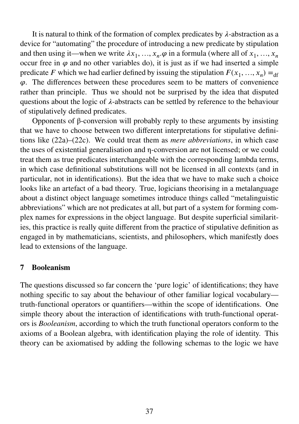It is natural to think of the formation of complex predicates by  $\lambda$ -abstraction as a device for "automating" the procedure of introducing a new predicate by stipulation and then using it—when we write  $\lambda x_1, ..., x_n$   $\varphi$  in a formula (where all of  $x_1, ..., x_n$ occur free in  $\varphi$  and no other variables do), it is just as if we had inserted a simple predicate F which we had earlier defined by issuing the stipulation  $F(x_1, ..., x_n) =_{df}$  $\varphi$ . The differences between these procedures seem to be matters of convenience rather than principle. Thus we should not be surprised by the idea that disputed questions about the logic of  $\lambda$ -abstracts can be settled by reference to the behaviour of stipulatively defined predicates.

Opponents of β-conversion will probably reply to these arguments by insisting that we have to choose between two different interpretations for stipulative definitions like (22a)–(22c). We could treat them as *mere abbreviations*, in which case the uses of existential generalisation and η-conversion are not licensed; or we could treat them as true predicates interchangeable with the corresponding lambda terms, in which case definitional substitutions will not be licensed in all contexts (and in particular, not in identifications). But the idea that we have to make such a choice looks like an artefact of a bad theory. True, logicians theorising in a metalanguage about a distinct object language sometimes introduce things called "metalinguistic abbreviations" which are not predicates at all, but part of a system for forming complex names for expressions in the object language. But despite superficial similarities, this practice is really quite different from the practice of stipulative definition as engaged in by mathematicians, scientists, and philosophers, which manifestly does lead to extensions of the language.

# **7 Booleanism**

The questions discussed so far concern the 'pure logic' of identifications; they have nothing specific to say about the behaviour of other familiar logical vocabulary truth-functional operators or quantifiers—within the scope of identifications. One simple theory about the interaction of identifications with truth-functional operators is *Booleanism*, according to which the truth functional operators conform to the axioms of a Boolean algebra, with identification playing the role of identity. This theory can be axiomatised by adding the following schemas to the logic we have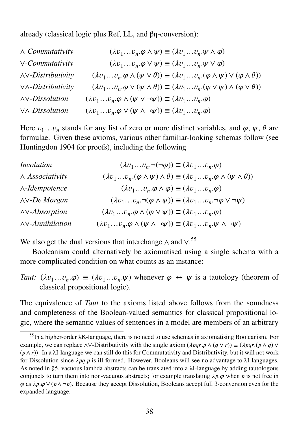<span id="page-37-2"></span>already (classical logic plus Ref, LL, and βη-conversion):

| $\wedge$ - <i>Commutativity</i>          | $(\lambda v_1v_n.\varphi \wedge \psi) \equiv (\lambda v_1v_n.\psi \wedge \varphi)$                                              |
|------------------------------------------|---------------------------------------------------------------------------------------------------------------------------------|
| V-Commutativity                          | $(\lambda v_1v_n.\varphi \vee \psi) \equiv (\lambda v_1v_n.\psi \vee \varphi)$                                                  |
| $\wedge \vee$ -Distributivity            | $(\lambda v_1v_n.\varphi \wedge (\psi \vee \theta)) \equiv (\lambda v_1v_n.(\varphi \wedge \psi) \vee (\varphi \wedge \theta))$ |
| $\vee \wedge \neg \text{Distributivity}$ | $(\lambda v_1v_n.\varphi \vee (\psi \wedge \theta)) \equiv (\lambda v_1v_n.(\varphi \vee \psi) \wedge (\varphi \vee \theta))$   |
| $\wedge$ V-Dissolution                   | $(\lambda v_1 \dots v_n \varphi \wedge (\psi \vee \neg \psi)) \equiv (\lambda v_1 \dots v_n \varphi)$                           |
| $\vee \wedge \text{-} Dissolution$       | $(\lambda v_1 \dots v_n \varphi \vee (\psi \wedge \neg \psi)) \equiv (\lambda v_1 \dots v_n \varphi)$                           |

<span id="page-37-1"></span>Here  $v_1...v_n$  stands for any list of zero or more distinct variables, and  $\varphi$ ,  $\psi$ ,  $\theta$  are formulae. Given these axioms, various other familiar-looking schemas follow (see Huntingdon 1904 for proofs), including the following

<span id="page-37-0"></span>

| <i>Involution</i>       | $(\lambda v_1 \dots v_n \cdot \neg(\neg \varphi)) \equiv (\lambda v_1 \dots v_n \cdot \varphi)$                                              |
|-------------------------|----------------------------------------------------------------------------------------------------------------------------------------------|
| $\wedge$ -Associativity | $(\lambda v_1 \dots v_n \cdot (\varphi \wedge \psi) \wedge \theta) \equiv (\lambda v_1 \dots v_n \cdot \varphi \wedge (\psi \wedge \theta))$ |
| $\wedge$ -Idempotence   | $(\lambda v_1v_n.\varphi \wedge \varphi) \equiv (\lambda v_1v_n.\varphi)$                                                                    |
| <b>NV-De Morgan</b>     | $(\lambda v_1v_n.\neg(\varphi \wedge \psi)) \equiv (\lambda v_1v_n.\neg \varphi \vee \neg \psi)$                                             |
| <b>AV-Absorption</b>    | $(\lambda v_1 \dots v_n \varphi \wedge (\varphi \vee \psi)) \equiv (\lambda v_1 \dots v_n \varphi)$                                          |
| <b>AV-Annihilation</b>  | $(\lambda v_1 \dots v_n.\varphi \wedge (\psi \wedge \neg \psi)) \equiv (\lambda v_1 \dots v_n.\psi \wedge \neg \psi)$                        |

We also get the dual versions that interchange  $\wedge$  and  $\vee$ .<sup>55</sup>

Booleanism could alternatively be axiomatised using a single schema with a more complicated condition on what counts as an instance:

*Taut:*  $(\lambda v_1...v_n.\varphi) \equiv (\lambda v_1...v_n.\psi)$  whenever  $\varphi \leftrightarrow \psi$  is a tautology (theorem of classical propositional logic).

The equivalence of *Taut* to the axioms listed above follows from the soundness and completeness of the Boolean-valued semantics for classical propositional logic, where the semantic values of sentences in a model are members of an arbitrary

<sup>&</sup>lt;sup>55</sup>In a higher-order  $\lambda$ K-language, there is no need to use schemas in axiomatising Booleanism. For example, we can replace ∧∨-Distributivity with the single axiom  $(\lambda pqr.p \land (q \lor r)) \equiv (\lambda pqr.(p \land q) \lor$  $(p \wedge r)$ ). In a  $\lambda$ I-language we can still do this for Commutativity and Distributivity, but it will not work for Dissolution since  $\lambda pq$  *p* is ill-formed. However, Booleans will see no advantage to  $\lambda$ I-languages. As noted in §5, vacuous lambda abstracts can be translated into a λI-language by adding tautologous conjuncts to turn them into non-vacuous abstracts; for example translating  $\lambda p.\varphi$  when p is not free in  $\varphi$  as  $\lambda p.\varphi \vee (p \wedge \neg p)$ . Because they accept Dissolution, Booleans accept full  $\beta$ -conversion even for the expanded language.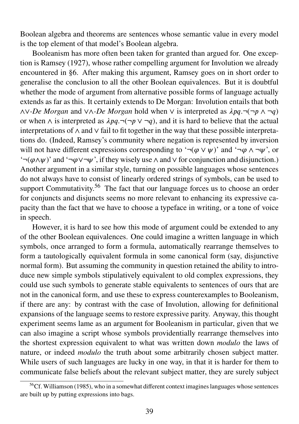Boolean algebra and theorems are sentences whose semantic value in every model is the top element of th[at m](#page-38-0)odel's Boolean algebra.

Booleanism has more often been taken for granted than argued for. One exception is Ramsey (1927), whose rather compelling argument for Involution we already encountered in §6. After making this argument, Ramsey goes on in short order to generalise the conclusion to all the other Boolean equivalences. But it is doubtful whether the mode of argument from alternative possible forms of language actually extends as far as this. It certainly extends to De Morgan: Involution entails that both  $\wedge$ ∨*-De Morgan* and ∨ $\wedge$ -*De Morgan* hold when  $\vee$  is interpreted as  $\lambda pq$ ,  $\neg(\neg p \wedge \neg q)$ or when  $\wedge$  is interpreted as  $\lambda pq$ ,  $\neg(\neg p \vee \neg q)$ , and it is hard to believe that the actual interpretations of ∧ and ∨ fail to fit together in the way that these possible interpretations do. (Indeed, Ramsey's community where negation is represented by inversion will not have different expressions corresponding to '¬( $\varphi \lor \psi$ )' and '¬ $\varphi \land \neg \psi'$ , or  $\forall$ ¬( $\varphi \land \psi$ )' and  $\forall$ ¬ $\psi$ ', if they wisely use  $\land$  and  $\lor$  for conjunction and disjunction.) Another argument in a similar style, turning on possible languages whose sentences do not always have to consist of linearly ordered strings of symbols, can be used to support Commutativity.<sup>56</sup> The fact that our language forces us to choose an order for conjuncts and disjuncts seems no more relevant to enhancing its expressive capacity than the fact that we have to choose a typeface in writing, or a tone of voice in speech.

<span id="page-38-0"></span>However, it is hard to see how this mode of argument could be extended to any of the other Boolean equivalences. One could imagine a written language in which symbols, once ar[range](#page-101-0)d to form a formula, automatically rearrange themselves to form a tautologically equivalent formula in some canonical form (say, disjunctive normal form). But assuming the community in question retained the ability to introduce new simple symbols stipulatively equivalent to old complex expressions, they could use such symbols to generate stable equivalents to sentences of ours that are not in the canonical form, and use these to express counterexamples to Booleanism, if there are any: by contrast with the case of Involution, allowing for definitional expansions of the language seems to restore expressive parity. Anyway, this thought experiment seems lame as an argument for Booleanism in particular, given that we can also imagine a script whose symbols providentially rearrange themselves into the shortest expression equivalent to what was written down *modulo* the laws of nature, or indeed *modulo* the truth about some arbitrarily chosen subject matter. While users of such languages are lucky in one way, in that it is harder for them to communicate false beliefs about the relevant subject matter, they are surely subject

<sup>&</sup>lt;sup>56</sup>Cf. Williamson (1985), who in a somewhat different context imagines languages whose sentences are built up by putting expressions into bags.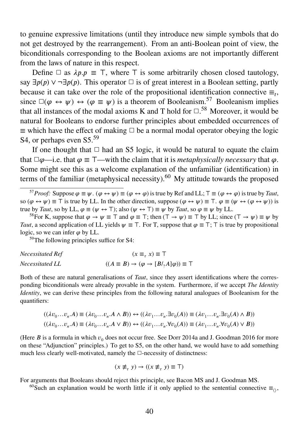to genuine expressive limitations (until they i[ntro](#page-39-0)duce new simple symbols that do not get destroyed by the rearrangement). From an anti-Boolean point of view, the biconditionals corresponding to the Boolean axi[oms](#page-13-0) ar[e n](#page-13-1)ot importantly diff[erent](#page-37-1) from the laws of natur[e in](#page-13-1) this respect.

D[efine](#page-37-1)  $\Box$  as  $\lambda p.p \equiv \top$ , where  $\top$  is some ar[bitra](#page-37-1)rily ch[ose](#page-13-1)n [clo](#page-13-1)sed tautology, [say](#page-37-1)  $\exists p(p) \vee \neg \exists p(p)$ . Thi[s o](#page-13-1)perator  $\Box$  is of great interest in a Boolean setting, partly because it can take o[ver](#page-13-1) the role of the propositional identification connective  $\equiv_t$ , since  $\square(\varphi \leftrightarrow \psi) \leftrightarrow (\varphi \equiv \psi)$  is a theorem of Booleanism.<sup>57</sup> Booleanism implies that all ins[tan](#page-13-0)ces of the modal axioms K and T hold for  $\square$ .<sup>58</sup> Moreover, it would be natural for [Bo](#page-13-1)oleans to endorse further principles about embedded occurrences of  $\equiv$  which have the effect of making  $\Box$  [be a](#page-37-1) normal modal operator obeying the logic S4, or perhaps even  $S_5$ <sup>59</sup>

[If o](#page-17-1)ne thought that  $\Box$  had an S5 logic, it would be natural to equate [the claim](#page-17-1) that  $\Box \varphi$ —i.e. that  $\varphi \equiv \top$ —with the claim that it is *metaphysically necessary* that  $\varphi$ . Some might see this as a welcome explanation of the unfamiliar (identification) in terms of the familiar (metaphysical necessity). $60$  My attitude towards the proposed

<span id="page-39-0"></span><sup>59</sup>The following principles suffice for S4:

| Necessitated Ref | $(x \equiv x) \equiv T$                                                            |
|------------------|------------------------------------------------------------------------------------|
| Necessitated LL  | $((A \equiv B) \rightarrow (\varphi \rightarrow [B\prime, A]\varphi)) \equiv \top$ |

Both of these are natural generalisations of *Taut*, since they assert identifications where the corresponding biconditionals were already provable in the system. Furthermore, if we accept *The Identity Identity*, we can derive these principles from the following natural analogues of Booleanism for the quantifiers:

$$
((\lambda v_0...v_n.A) \equiv (\lambda v_0...v_n.A \land B)) \leftrightarrow ((\lambda v_1...v_n.\exists v_0(A)) \equiv (\lambda v_1...v_n.\exists v_0(A) \land B))
$$
  

$$
((\lambda v_0...v_n.A) \equiv (\lambda v_0...v_n.A \lor B)) \leftrightarrow ((\lambda v_1...v_n.\forall v_0(A)) \equiv (\lambda v_1...v_n.\forall v_0(A) \lor B))
$$

(Here  $B$  is a formula in which  $v_0$  does not occur free. See Dorr 2014a and J. Goodman 2016 for more on these "Adjunction" principles.) To get to S5, on the other hand, we would have to add something much less clearly well-motivated, namely the □-necessity of distinctness:

$$
(x \not\equiv_{\tau} y) \to ((x \not\equiv_{\tau} y) \equiv \top)
$$

For arguments that Booleans should reject this principle, see Bacon MS and J. Goodman MS.

<sup>60</sup>Such an explanation would be worth little if it only applied to the sentential connective  $\equiv_{\Diamond}$ ,

<sup>&</sup>lt;sup>57</sup>*Proof:* Suppose  $\varphi \equiv \psi$ .  $(\varphi \leftrightarrow \psi) \equiv (\varphi \leftrightarrow \varphi)$  is true by Ref and LL;  $\top \equiv (\varphi \leftrightarrow \varphi)$  is true by *Taut*, so  $(\varphi \leftrightarrow \psi) \equiv \top$  is true by LL. In the other direction, suppose  $(\varphi \leftrightarrow \psi) \equiv \top$ .  $\varphi \equiv (\psi \leftrightarrow (\varphi \leftrightarrow \psi))$  is true by *Taut*, so by LL,  $\varphi \equiv (\psi \leftrightarrow \top)$ ; also  $(\psi \leftrightarrow \top) \equiv \psi$  by *Taut*, so  $\varphi \equiv \psi$  by LL.

<sup>&</sup>lt;sup>58</sup>For K, suppose that  $\varphi \to \psi \equiv \top$  and  $\varphi \equiv \top$ ; then  $(T \to \psi) \equiv \top$  by LL; since  $(T \to \psi) \equiv \psi$  by *Taut*, a second application of LL yields  $\psi \equiv T$ . For T, suppose that  $\varphi \equiv T$ ; T is true by propositional logic, so we can infer  $\varphi$  by LL.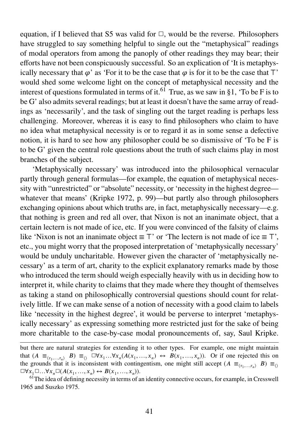equation, if I believed that S5 was valid for  $\Box$ , would be the reverse. Philosophers have struggled to say something helpful to single out the "metaphysical" readings of modal operators from amon[g the](#page-99-2) panoply of other readings they may bear; their efforts have not been conspicuously successful. So an explication of 'It is metaphysically necessary that  $\varphi'$  as 'For it to be the case that  $\varphi$  is for it to be the case that ⊤' would shed some welcome light on the concept of metaphysical necessity and the interest of questions formulated in terms of it.<sup>61</sup> True, as we saw in §1, 'To be F is to be G' also admits several readings; but at least it doesn't have the same array of readings as 'necessarily', and the task of singling out the target reading is perhaps less challenging. Moreover, whereas it is easy to find philosophers who claim to have no idea what metaphysical necessity is or to regard it as in some sense a defective notion, it is hard to see how any philosopher could be so dismissive of 'To be F is to be G' given the central role questions about the truth of such claims play in most branches of the subject.

'Metaphysically necessary' was introduced into the philosophical vernacular partly through general formulas—for example, the equation of metaphysical necessity with "unrestricted" or "absolute" necessity, or 'necessity in the highest degree whatever that means' (Kripke 1972, p. 99)—but partly also through philosophers exchanging opinions about which truths are, in fact, metaphysically necessary—e.g. that nothing is green and red all over, that Nixon is not an inanimate object, that a certain lectern is not made of ice, etc. If you were convinced of the falsity of claims like 'Nixon is not an inanimate object  $\equiv$  ⊤' or 'The lectern is not made of ice  $\equiv$  ⊤', [etc.,](#page-98-0) you migh[t wor](#page-101-1)ry that the proposed interpretation of 'metaphysically necessary' would be unduly uncharitable. However given the character of 'metaphysically necessary' as a term of art, charity to the explicit explanatory remarks made by those who introduced the term should weigh especially heavily with us in deciding how to interpret it, while charity to claims that they made where they thought of themselves as taking a stand on philosophically controversial questions should count for relatively little. If we can make sense of a notion of necessity with a good claim to labels like 'necessity in the highest degree', it would be perverse to interpret 'metaphysically necessary' as expressing something more restricted just for the sake of being more charitable to the case-by-case modal pronouncements of, say, Saul Kripke.

but there are natural strategies for extending it to other types. For example, one might maintain that  $(A \equiv_{\langle r_1,...,r_n \rangle} B) \equiv_{\langle} \Box \forall x_1...\forall x_n (A(x_1,...,x_n) \leftrightarrow B(x_1,...,x_n))$ . Or if one rejected this on the grounds that it is inconsistent with contingentism, one might still accept  $(A \equiv_{\langle \tau_1,...,\tau_n \rangle} B) \equiv_{\langle \rangle} B$  $□∀x_1□...∀x_n□(A(x_1, ..., x_n) ↔ B(x_1, ..., x_n)).$ 

 $<sup>61</sup>$ The idea of defining necessity in terms of an identity connective occurs, for example, in Cresswell</sup> 1965 and Suszko 1975.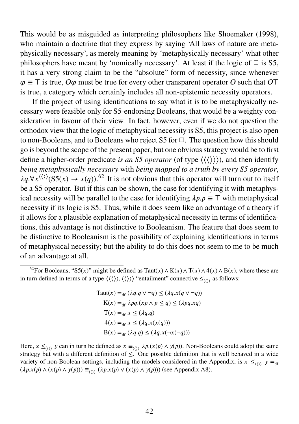This would be as misgu[ide](#page-41-0)d as interpreting philosophers like Shoemaker (1998), who maintain a doctrine that they express by saying 'All laws of nature are metaphysically necessary', as merely meaning by 'metaphysically necessary' what other philosophers have meant by 'nomically necessary'. At least if the logic of  $\Box$  is S5, it has a very strong claim to be the "absolute" form of necessity, since whenever  $\varphi$  ≡ ⊤ is true,  $O\varphi$  must be true for every other transparent operator O such that O⊤ is true, a category which certainly includes all non-epistemic necessity operators.

<span id="page-41-0"></span>If the project of using identifications to say what it is to be metaphysically necessary were feasible only for S5-endorsing Booleans, that would be a weighty consideration in favour of their view. In fact, however, even if we do not question the orthodox view that the logic of metaphysical necessity is S5, this project is also open to non-Booleans, and to Booleans who reject  $S5$  for  $\Box$ . The question how this should go is beyond the scope of the present paper, but one obvious strategy would be to first define a higher-order predicate *is an S5 operator* (of type ⟨⟨⟨⟩⟩⟩), and then identify *being metaphysically necessary* with *being mapped to a truth by every S5 operator*,  $\lambda q.\forall x^{\langle\langle\rangle\rangle}(S5(x) \rightarrow x(q)).$ <sup>62</sup> It is not obvious that this operator will turn out to itself be a S5 operator. But if this can be shown, the case for identifying it with metaphysical necessity will be parallel to the case for identifying  $\lambda p.p \equiv \top$  with metaphysical necessity if its logic is S5. Thus, while it does seem like an advantage of a theory if it allows for a plausible explanation of metaphysical necessity in terms of identifications, this advantage is not distinctive to Booleanism. The [fea](#page-93-0)ture that does seem to be distinctive to Booleanism is the possibility of explaining identifications in terms of metaphysical necessity; but the ability to do this does not seem to me to be much of an advantage at all.

Taut(x) =<sub>df</sub> 
$$
(\lambda q. q \lor \neg q) \le (\lambda q. x(q \lor \neg q))
$$
  
\nK(x) =<sub>df</sub>  $\lambda pq.(xp \land p \le q) \le (\lambda pq.xq)$   
\nT(x) =<sub>df</sub>  $x \le (\lambda q. q)$   
\n4(x) =<sub>df</sub>  $x \le (\lambda q. x(x(q)))$   
\nB(x) =<sub>df</sub>  $(\lambda q. q) \le (\lambda q. x(\neg x(\neg q)))$ 

Here,  $x \leq_{\langle \langle \rangle \rangle} y$  can in turn be defined as  $x \equiv_{\langle \langle \rangle \rangle} \lambda p.(x(p) \wedge y(p))$ . Non-Booleans could adopt the same strategy but with a different definition of ≤. One possible definition that is well behaved in a wide variety of non-Boolean settings, including the models considered in the Appendix, is  $x \leq_{\langle \langle \rangle} y =_{df}$  $(\lambda p.x(p) \land (x(p) \land y(p))) \equiv_{\langle \langle \rangle \rangle} (\lambda p.x(p) \lor (x(p) \land y(p)))$  (see Appendix A8).

<sup>&</sup>lt;sup>62</sup>For Booleans, "S5(x)" might be defined as Taut(x) ∧ K(x) ∧ T(x) ∧ 4(x) ∧ B(x), where these are in turn defined in terms of a type- $\langle\langle\langle\rangle\rangle,\langle\langle\rangle\rangle\rangle$  "entailment" connective  $\leq_{\langle\langle\rangle\rangle}$  as follows: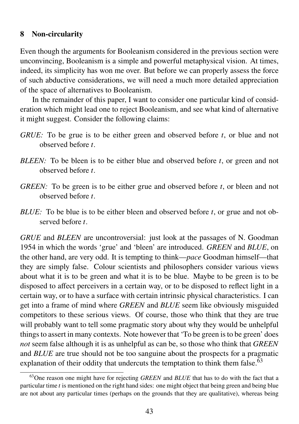# <span id="page-42-4"></span><span id="page-42-2"></span><span id="page-42-1"></span><span id="page-42-0"></span>**8 Non-circularity**

<span id="page-42-3"></span>Even though the arguments for Booleanism considered in the previous section were unconvincing, Booleanism is a simple and powerful metaphysical vision. At times, indeed, its simplicity has won me over. But before we can properly assess the force of such abductive considerations, we will need a much more detailed appreciation of the space of alternatives to Booleanism.

[In](#page-42-0) the r[emainde](#page-42-1)r of this paper, I want to consider one particular kind of consid[eratio](#page-99-3)n which might lead one to reject Booleanism, and see [what kin](#page-42-2)d of [alterna](#page-42-3)tive it might suggest. Consider the following claims:

- *GRUE:* To be grue is to be either green and observed before t, or blue and not observed before t.
- *BLEEN:* To be bleen is to be [either blu](#page-42-2)e an[d obse](#page-42-3)rved before *t*, or green and not observed before t.
- *GREEN:* To be green is to be either grue and observed before t, or bleen and not observed before t.
- *BL[UE:](#page-42-3)* To be blue is to be either bleen and observed before *t*, or grue an[d not ob](#page-42-2)served before t.

*GRUE* and *BLEEN* are uncontroversi[al: just](#page-42-2) loo[k at th](#page-42-3)e passages of N. Goodman 1954 in which the words 'grue' and 'bleen' are introduced. *GREEN* and *BLUE*, on the other hand, are very odd. It is tempting to think—*pace* Goodman himself—that they are simply false. Colour scientists and philosophers consider various views about what it is to be green and what it is to be blue. Maybe to be green is to be disposed to affect perceivers in a certain way, or to be disposed to reflect light in a certain way, or to have a surface with certain intrinsic physical characteristics. I can get into a frame of mind where *GREEN* and *BLUE* seem like obviously misguided competitors to these serious views. Of course, those who think that they are true will probably want to tell some pragmatic story about why they would be unhelpful things to assert in many contexts. Note however that 'To be green is to be green' does *not* seem false although it is as unhelpful as can be, so those who think that *GREEN* and *BLUE* are true should not be too sanguine about the prospects for a pragmatic explanation of their oddity that undercuts the temptation to think them false. $63$ 

<sup>63</sup>One reason one might have for rejecting *GREEN* and *BLUE* that has to do with the fact that a particular time  $t$  is mentioned on the right hand sides: one might object that being green and being blue are not about any particular times (perhaps on the grounds that they are qualitative), whereas being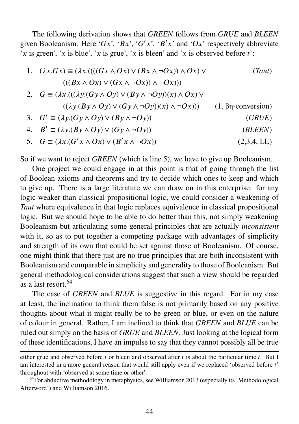The following derivation shows that *GREEN* follows from *GRUE* and *BLEEN* given Booleanism. Here ' $Gx'$ , ' $Bx'$ , ' $G'x'$ , ' $B'x'$  and ' $Ox'$  respectively abbreviate 'x is green', 'x is blue', 'x is grue', 'x is bleen' and 'x is observed before  $t$ ':

1. 
$$
(\lambda x.Gx) \equiv (\lambda x.(((Gx \wedge Ox) \vee (Bx \wedge \neg Ox)) \wedge Ox) \vee (Taut)
$$
  
\n $((Bx \wedge Ox) \vee (Gx \wedge \neg Ox)) \wedge \neg Ox)))$   
\n2.  $G \equiv (\lambda x.(((\lambda y.(Gy \wedge Oy) \vee (By \wedge \neg Oy))(x) \wedge Ox) \vee$   
\n $((\lambda y.(By \wedge Oy) \vee (Gy \wedge \neg Oy))(x) \wedge \neg Ox)))$  (1,  $\beta \eta$ -conversion)  
\n3.  $G' \equiv (\lambda y.(Gy \wedge Oy) \vee (By \wedge \neg Oy))$  (GRUE)  
\n4.  $B' \equiv (\lambda y.(By \wedge Oy) \vee (Gy \wedge \neg Oy))$  (BLEEN)  
\n5.  $G \equiv (\lambda x.(G'x \wedge Ox) \vee (B'x \wedge \neg Ox))$  (2,3,4, LL)

So if we want to [reject](#page-42-2) *GREEN* [\(whic](#page-42-3)h is line 5), we have to give up Booleanism.

One project we could engage in at this point is that of going through the list of Boolean axioms and theorems and try to decide which ones to keep and which to give up. There is a large lit[erature](#page-42-0) we [can draw](#page-42-1) on [in this e](#page-42-2)nter[prise:](#page-42-3) for any logic weaker than classical propositional logic, we could consider a weakening of *Taut* where equivalence in that logic replaces equivalence in classical propositional logic. But we should hope to be able to do better than this, not simply weakening Booleanism but articulating some general principles that are actually *inconsistent* with it, so as to put together a competing package [with](#page-101-2) advantages of simplicity and strength of its own [that](#page-101-3) could be set against those of Booleanism. Of course, one might think that there just are no true principles that are both inconsistent with Booleanism and comparable in simplicity and generality to those of Booleanism. But general methodological considerations suggest that such a view should be regarded as a last resort.<sup>64</sup>

<span id="page-43-0"></span>The case of *GREEN* and *BLUE* is suggestive in this regard. For in my case at least, the inclination to think them false is not primarily based on any positive thoughts about what it might really be to be green or blue, or even on the nature of colour in general. Rather, I am inclined to think that *GREEN* and *BLUE* can be ruled out simply on the basis of *GRUE* and *BLEEN*. Just looking at the logical form of these identifications, I have an impulse to say that they cannot possibly all be true

either grue and observed before  $t$  or bleen and observed after  $t$  is about the particular time  $t$ . But I am interested in a more general reason that would still apply even if we replaced 'observed before ' throughout with 'observed at some time or other'.

<sup>&</sup>lt;sup>64</sup>For abductive methodology in metaphysics, see Williamson 2013 (especially its 'Methodological Afterword') and Williamson 2016.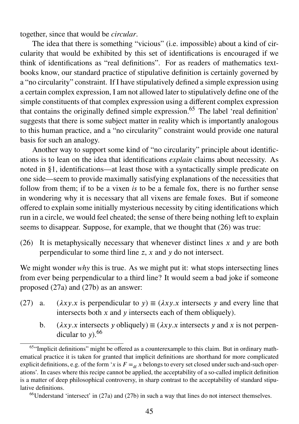together, [sin](#page-0-0)ce that would be *circular*.

The idea that there is something "vicious" (i.e. impossible) about a kind of circularity that would be exhibited by this set of identifications is encouraged if we think of identifications as "real definitions". For as readers of mathematics textbooks know, our standard practice of stipulative definition is certainly governed by a "no circularity" constraint. If I have stipulatively defined a sim[ple ex](#page-44-0)pression using a certain complex expression, I am not allowed later to stipulatively define one of the simple constituents of that complex expression using a different complex expression that contains the originally defined simple expression.<sup>65</sup> The label 'real definition' suggests that there is some subject matter in reality which is importantly analogous to this human practice, and a "no circularity" constraint would provide one natural basis for such an analogy.

<span id="page-44-2"></span><span id="page-44-1"></span><span id="page-44-0"></span>Anot[her wa](#page-44-1)y to [suppo](#page-44-2)rt some kind of "no circularity" principle about identifications is to lean on the idea that identifications *explain* claims about necessity. As noted in §1, identifications—at least those with a syntactically simple predicate on one side—seem to provide maximally satisfying explanations of the necessities that follow from them; if to [be](#page-44-3) a vixen *is* to be a female fox, there is no further sense in wondering why it is necessary that all vixens are female foxes. But if someone offered to explain some initially mysterious necessity by citing identifications which run in a circle, we would feel cheated; the sense of there being nothing left to explain seems to disappear. Suppose, for example, that we thought that (26) was true:

<span id="page-44-3"></span>(26) It is metaphysically necessary that whenever distinct lines  $x$  and  $y$  are both perpendicular to s[ome t](#page-44-1)hir[d line](#page-44-2) z,  $x$  and  $y$  do not intersect.

We might wonder *why* this is true. As we might put it: what stops intersecting lines from ever being perpendicular to a third line? It would seem a bad joke if someone proposed (27a) and (27b) as an answer:

- (27) a. ( $\lambda xy.x$  is perpendicular to  $y \equiv (\lambda xy.x$  intersects y and every line that intersects both  $x$  and  $y$  intersects each of them obliquely).
	- b. ( $\lambda xy.x$  intersects y obliquely)  $\equiv (\lambda xy.x$  intersects y and x is not perpendicular to  $v$ ).<sup>66</sup>

 $65$ "Implicit definitions" might be offered as a counterexample to this claim. But in ordinary mathematical practice it is taken for granted that implicit definitions are shorthand for more complicated explicit definitions, e.g. of the form 'x is  $F =_{df} x$  belongs to every set closed under such-and-such operations'. In cases where this recipe cannot be applied, the acceptability of a so-called implicit definition is a matter of deep philosophical controversy, in sharp contrast to the acceptability of standard stipulative definitions.

 $66$ Understand 'intersect' in  $(27a)$  and  $(27b)$  in such a way that lines do not intersect themselves.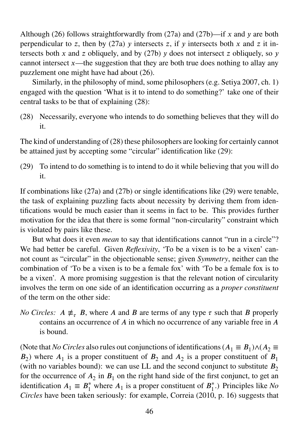<span id="page-45-0"></span>Although (26) follows straightforwardly from (27a) and (27b)—if x and y are both perpendicular to z, then by (27a) y intersects z, if y intersects both x and z it intersects both  $x$  and  $z$  [obliq](#page-44-1)uel[y, and](#page-44-2) by (27b)  $y$  does not intersect  $z$  obliquely, so  $y$ cannot intersect  $x$ —the suggestion that they are both true does nothing to allay any puzzlement one might have had about (26).

Similarly, in the philosophy of mind, some philosophers (e.g. Setiya 2007, ch. 1) engaged with the question 'What is it to intend to do something?' take one of their central tasks to be that of explaining (28):

(28) Necessarily, everyone who [intends to d](#page-4-0)o somethin[g believes](#page-5-0) that they will do it.

The kind of understanding of (28) these philosophers are looking for certainly cannot be attained just by accepting some "circular" identification like (29):

<span id="page-45-1"></span>(29) To intend to do something is to intend to do it while believing that you will do it.

If combinations like (27a) and (27b) or single identifications like (29) were tenable, the task of explaining puzzling facts about necessity by deriving them from identifications [would be m](#page-45-1)uch easier than it seems in fact to be. This provides further motivation for the idea that there is so[me f](#page-13-1)ormal "non-circularity" constraint which is violated by pairs like these.

But what does it even *mean* to say that identifications cannot "run in a circle"? We had better be careful. Given *Reflexivity*, 'To be a vixen is to be a vixen' c[an](#page-45-1)[not cou](#page-45-1)nt as "circular" in the objectionable sense; given *[Symm](#page-98-1)etry*, neither can the combination of 'To be a vixen is to be a female fox' with 'To be a female fox is to be a vixen'. A more promising suggestion is that the relevant notion of circularity involves the term on one side of an identification occurring as a *proper constituent* of the term on the other side:

*No Circles:*  $A \neq_{\tau} B$ , where A and B are terms of any type  $\tau$  such that B properly contains an occurrence of  $A$  in which no occurrence of any variable free in  $A$ is bound.

(Note that *No Circles* also rules out conjunctions of identifications ( $A_1 \equiv B_1$ ) $\wedge$ ( $A_2 \equiv$  $B_2$ ) where  $A_1$  is a proper constituent of  $B_2$  and  $A_2$  is a proper constituent of  $B_1$ (with no variables bound): we can use LL and the second conjunct to substitute  $B_2$ for the occurrence of  $A_2$  in  $B_1$  on the right hand side of the first conjunct, to get an identification  $A_1 \equiv B_1^*$  where  $A_1$  is a proper constituent of  $B_1^*$ 1 .) Principles like *No Circles* have been taken seriously: for example, Correia (2010, p. 16) suggests that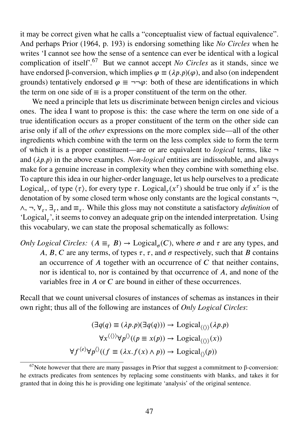it may be correct given what he calls a "conceptualist view of factual equivalence". And perhaps Prior (1964, p. 193) is endorsing something like *No Circles* when he writes 'I cannot see how the sense of a sentence can ever be identical with a logical complication of itself'.<sup>67</sup> But we cannot accept *No Circles* as it stands, since we have endorsed β-conversion, which implies  $\varphi \equiv (\lambda p.p)(\varphi)$ , and also (on independent grounds) tentatively endorsed  $\varphi \equiv \neg \neg \varphi$ : both of these are identifications in which the term on one side of  $\equiv$  is a proper constituent of the term on the other.

<span id="page-46-0"></span>We need a principle that lets us discriminate between benign circles and vicious ones. The idea I want to propose is this: the case where the term on one side of a true identification occurs as a proper constituent of the term on the other side can arise only if all of the *other* expressions on the more complex side—all of the other ingredients which combine with the term on the less complex side to form the term of which it is a proper constituent—are or are equivalent to *logical* terms, like and  $(\lambda p.p)$  in the above examples. *Non-logical* entities are indissoluble, and always make for a genuine increase in complexity when the[y combine with some](#page-46-0)thing else. To capture this idea in our higher-order language, let us help ourselves to a predicate Logical<sub>τ</sub>, of type  $\langle \tau \rangle$ , for every type  $\tau$ . Logical<sub>τ</sub> $(x^{\tau})$  should be true only if  $x^{\tau}$  is the denotation of by some closed term whose only constants are the logical constants ¬, ∧, ¬, ∀ , ∃ , and ≡ . While this gloss may not constitute a satisfactory *definition* of 'Logical<sub> $\tau$ </sub>', it seems to convey an adequate grip on the intended interpretation. Using this vocabulary, we can state the proposal schematically as follows:

*Only Logical Circles:*  $(A \equiv_{\tau} B) \rightarrow \text{Logical}_{\sigma}(C)$ , where  $\sigma$  and  $\tau$  are any types, and A, B, C are any terms, of types  $\tau$ ,  $\tau$ , and  $\sigma$  respectively, such that B contains an occurrence of  $A$  together with an occurrence of  $C$  that neither contains, nor is identical to, nor is contained by that occurrence of  $A$ , and none of the variables free in  $A$  or  $C$  are bound in either of these occurrences.

Recall that we count universal closures of instances of schemas as instances in their own right; thus all of the following are instances of *Only Logical Circles*:

$$
(\exists q(q) \equiv (\lambda p.p)(\exists q(q))) \rightarrow \text{Logical}_{\langle \langle \rangle \rangle}(\lambda p.p)
$$

$$
\forall x^{\langle \langle \rangle \rangle} \forall p^{\langle \rangle}((p \equiv x(p)) \rightarrow \text{Logical}_{\langle \langle \rangle \rangle}(x))
$$

$$
\forall f^{\langle e \rangle} \forall p^{\langle \rangle}((f \equiv (\lambda x.f(x) \land p)) \rightarrow \text{Logical}_{\langle \rangle}(p))
$$

<sup>&</sup>lt;sup>67</sup>Note however that there are many passages in Prior that suggest a commitment to β-conversion: he extracts predicates from sentences by replacing some constituents with blanks, and takes it for granted that in doing this he is providing one legitimate 'analysis' of the original sentence.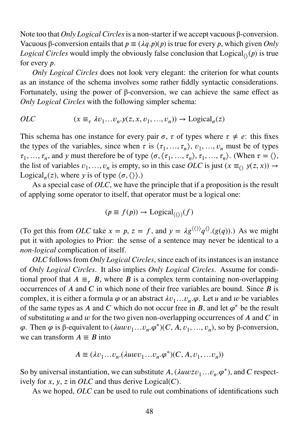<span id="page-47-0"></span>Note too that *Only Logical Circles*is a non-starter if w[e acce](#page-47-0)pt vacuous β-conversion. Vacuous β-conversion e[ntails](#page-47-0) that  $p \equiv (\lambda q.p)(p)$  is true for every p, which given *Only Logical Circles* would imply the obviously false conclusion that  $Logical_{\wedge}(p)$  is true for every  $p$ .

*Only Logical Circles* does not look very elegant: the criterion for what counts as an instance of the schema involves some rather fiddly syntactic considerations. Fortunately, usin[g the](#page-47-0) power of β-conversion, we can achieve the same effect as *Only Logical Circles* with the following simpler schema:

$$
OLC \qquad (x \equiv_{\tau} \lambda v_1...v_n.y(z, x, v_1, ..., v_n)) \to \text{Logical}_{\sigma}(z)
$$

Th[is schema has one ins](#page-46-0)tance for every pair  $\sigma$ ,  $\tau$  [of types whe](#page-46-0)re  $\tau \neq e$ : this fixes the types of the variables, since when  $\tau$  is  $\langle \tau_1, ..., \tau_n \rangle$ ,  $v_1, ..., v_n$  must be of types  $\tau_1, \ldots, \tau_n$ , and y must therefore be of type  $\langle \sigma, \langle \tau_1, \ldots, \tau_n \rangle, \tau_1, \ldots, \tau_n \rangle$ . (When  $\tau = \langle \rangle$ , the list of variables  $v_1, ..., v_n$  is empty, so in this case *OLC* is just  $(x \equiv_{\langle} y(z, x)) \rightarrow$ Logical<sub> $\sigma$ </sub> $(z)$ , where  $y$  is of type  $\langle \sigma, \langle \rangle$ ).

As a special case of *OLC*, we have the principle that if a propositi[on is the resul](#page-18-0)t of applying some operator to itself, that operator must be a logical one:

$$
(p \equiv f(p)) \to \text{Logical}_{\langle \langle \rangle \rangle}(f)
$$

(To get this from *OLC* take  $x = p$ ,  $z = f$ , and  $y = \lambda g^{(\langle \rangle)} q^{(\rangle} (g(q))$ .) As we might put it with apolog[ies to](#page-47-0) Prior: the sense of a sentence may never be identical to a *non-logical* comp[licatio](#page-47-0)n of itself.

*OLC* follows from *Only Logical Circles*, since each of its instances is an instance of *Only Logical Circles*. It also implies *Only Logical Circles*. Assume for conditional proof that  $A \equiv_{\tau} B$ , where B is a complex term containing non-overlapping occurrences of  $A$  and  $C$  in which none of their free variables are bound. Since  $B$  is complex, it is either a formula  $\varphi$  or an abstract  $\lambda v_1...v_n.\varphi$ . Let u and w be variables of the same types as A and C which do not occur free in B, and let  $\varphi^*$  be the result of substituting  $u$  and  $w$  for the two given non-overlapping occurrences of  $A$  and  $C$  in  $\varphi$ . Then  $\varphi$  is β-equivalent to  $(\lambda u w v_1... v_n \varphi^*)(C, A, v_1, ..., v_n)$ , so by β-conversion, we can transform  $A \equiv B$  into

$$
A \equiv (\lambda v_1 \dots v_n.(\lambda u w v_1 \dots v_n.\varphi^*)(C, A, v_1, \dots v_n))
$$

So by universal instantiation, we can substitute A,  $(\lambda u w z v_1 ... v_n \varphi^*)$ , and C respectively for x, y, z in  $OLC$  and thus derive Logical $(C)$ .

As we hoped, *OLC* can be used to rule out combinations of identifications such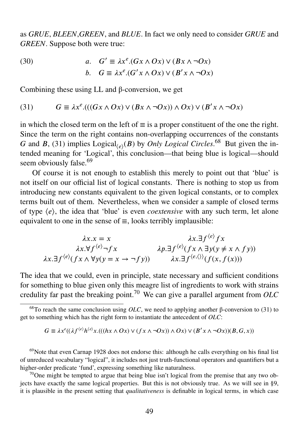<span id="page-48-1"></span>as *GRUE*, *BLEEN*,*GREEN*, and *BLUE*. In fact we only need to consider *GRUE* and *GREEN*. Suppose both were true:

(30)   
\n
$$
a. \quad G' \equiv \lambda x^e . (Gx \wedge Ox) \vee (Bx \wedge \neg Ox)
$$
\n
$$
b. \quad G \equiv \lambda x^e . (G'x \wedge Ox) \vee (B'x \wedge \neg Ox)
$$

Combining these using LL and  $β$ -conversion, we get

(31) 
$$
G \equiv \lambda x^e \cdot (((Gx \wedge Ox) \vee (Bx \wedge \neg Ox)) \wedge Ox) \vee (B'x \wedge \neg Ox)
$$

in which the closed term on the left of  $\equiv$  is a proper constituent of the one the right. Since the term on the right contains non-overlapping occurrences of the constants G and B, (31) implies  $\text{Logical}_{(e)}(B)$  by *Only Logical Circles*.<sup>68</sup> But given the intended meaning for 'Logical', thisc[on](#page-48-0)clusion—that being blue is logical—s[hould](#page-47-0) seem obviously false. $69$ 

Of course it is not enough to [estab](#page-47-0)lish this merely to [point](#page-47-0) out that 'bl[ue'](#page-48-1) is not itself on our official list of logical constants. There is nothing to stop us from introducing new constants equivalent to the given logical constants, or to complex terms built out of them. Nevertheless, when we consider a sample of closed terms of type ⟨⟩, the idea t[hat 'b](#page-98-2)lue' is even *coextensive* with any such term, let alone equivalent to one in the sense of  $\equiv$ , looks terribly implausible:

<span id="page-48-0"></span>
$$
\lambda x.x = x \qquad \lambda x.\exists f^{(e)} f x
$$
  

$$
\lambda x.\forall f^{(e)} \neg f x \qquad \lambda p.\exists f^{(e)} (f x \land \exists y (y \neq x \land f y))
$$
  

$$
\lambda x.\exists f^{(e)} (f x \land \forall y (y = x \rightarrow \neg f y)) \qquad \lambda x.\exists f^{(e, \langle \rangle)} (f(x, f(x)))
$$

The idea that we could, even in principle, state necessary and sufficient conditions for something to blue given only this meagre list of ingredients to work with strains credulity far past the breaking point.<sup>70</sup> We can give a parallel argument from *OLC*

 $G \equiv \lambda x^e((\lambda f^{(e)}h^{(e)}x.(((hx \wedge Ox) \vee (fx \wedge \neg Ox)) \wedge Ox) \vee (B'x \wedge \neg Ox))(B, G, x))$ 

<sup>69</sup>Note that even Carnap 1928 does not endorse this: although he calls everything on his final list of unreduced vocabulary "logical", it includes not just truth-functional operators and quantifiers but a higher-order predicate 'fund', expressing something like naturalness.

 $70$ One might be tempted to argue that being blue isn't logical from the premise that any two objects have exactly the same logical properties. But this is not obviously true. As we will see in §9, it is plausible in the present setting that *qualitativeness* is definable in logical terms, in which case

<sup>&</sup>lt;sup>68</sup>To reach the same conclusion using *OLC*, we need to applying another β-conversion to (31) to get to something which has the right form to instantiate the antecedent of *OLC*: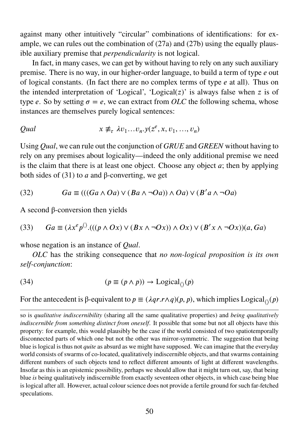<span id="page-49-0"></span>against man[y oth](#page-48-1)er intuitively "circular" combinations of identifications: for example, we can rules out the combination of (27a) and (27b) using the equally plausible auxiliary premise that *perpendicularity* is not logical.

In fact, in many cases, we can get by without having to rely on any such auxiliary premise. There is no way, in our higher-order language, to build a term of type  $e$  out of logical constants. (In fact there are no complex terms of type  $e$  at all). Thus on the intended interpretation of 'Logical', 'Logical( $z$ )' is always false when  $z$  is of type *e*. So by setting  $\sigma = e$ , we c[an ex](#page-49-0)tract from *OLC* the following schema, whose inst[ances](#page-47-0) are themselves purely logical sentences:

<span id="page-49-1"></span>*Qual* 
$$
x \neq_t \lambda v_1...v_n y(z^e, x, v_1, ..., v_n)
$$

Using *Qual*, we can rule out the conjunction of *GRUE* and *GREEN* without having to rely on any premises about logicality—indeed the only additional premise we need is the claim that there is at least one object. Choose any object  $a$ ; then by applying both sides of (31) to *a* and β-converting, we get

(32) 
$$
Ga \equiv (((Ga \wedge Da) \vee (Ba \wedge \neg Da)) \wedge Oa) \vee (B'a \wedge \neg Oa)
$$

A second β-conversion then yields

(33) 
$$
Ga \equiv (\lambda x^e p^{\langle \rangle} . ((p \wedge Ox) \vee (Bx \wedge \neg Ox)) \wedge Ox) \vee (B'x \wedge \neg Ox))(a, Ga)
$$

whose negation is an instance of *Qual*.

*OLC* has the striking consequence that *no non-logical proposition is its own self-conjunction*:

(34) 
$$
(p \equiv (p \land p)) \to \text{Logical}_{\langle \rangle}(p)
$$

For the antecedent is β-equivalent to  $p \equiv (\lambda qr.r \land q)(p, p)$ , which implies Logical<sub>()</sub>(p)

so is *qualitative indiscernibility* (sharing all the same qualitative properties) and *being qualitatively indiscernible from something distinct from oneself*. It possible that some but not all objects have this property: for example, this would plausibly be the case if the world consisted of two spatiotemporally disconnected parts of which one but not the other was mirror-symmetric. The suggestion that being blue is logical is thus not *quite* as absurd as we might have supposed. We can imagine that the everyday world consists of swarms of co-located, qualitatively indiscernible objects, and that swarms containing different numbers of such objects tend to reflect different amounts of light at different wavelengths. Insofar as this is an epistemic possibility, perhaps we should allow that it might turn out, say, that being blue *is* being qualitatively indiscernible from exactly seventeen other objects, in which case being blue is logical after all. However, actual colour science does not provide a fertile ground for such far-fetched speculations.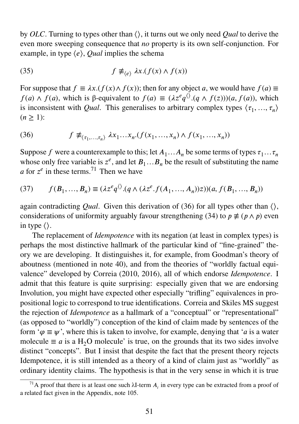<span id="page-50-1"></span>by *OLC*. Turning to ty[pes](#page-50-0) other than ⟨⟩, it turns out we only need *Qual* to derive the even more sweeping consequence that *no* property is its own self-conjunction. For example, in type  $\langle e \rangle$ , *Qual* implies the schema

(35) 
$$
f \not\equiv_{\langle e \rangle} \lambda x. (f(x) \wedge f(x))
$$

For suppose that  $f \equiv \lambda x.(f(x) \wedge f(x))$ ; then for any object a, we would have  $f(a) \equiv$  $f(a) \wedge f(a)$ , which is  $\beta$ -equivalent to  $f(a) \equiv (\lambda z^e q^{\langle \rangle} \cdot (q \wedge f(z)))(a, f(a))$ , which is inconsistent with *Qual*. This generalises to arbitrary complex types  $\langle \tau_1, ..., \tau_n \rangle$  $(n \geq 1)$ :

(36) 
$$
f \neq_{(r_1,...,r_n)} \lambda x_1...x_n \cdot (f(x_1,...,x_n) \wedge f(x_1,...,x_n))
$$

Suppose f were a counterexample to this; let  $A_1...A_n$  be some terms of types  $\tau_1...\tau_n$ whose only free variable is  $z^e$ , and let  $B_1...B_n$  be the result of substituti[ng th](#page-98-3)e name *a* for  $z^e$  in these terms.<sup>71</sup> Then we have

$$
(37) \t f(B_1, ..., B_n) \equiv (\lambda z^e q^{i}) \cdot (q \wedge (\lambda z^e \cdot f(A_1, ..., A_n)) z)) (a, f(B_1, ..., B_n))
$$

again contradicting *Qual*. Given this derivation of (36) for all types other than ⟨⟩, considerations of uniformity arguably favour strengthening (34) to  $p \not\equiv (p \land p)$  even in type ⟨⟩.

<span id="page-50-0"></span>The replacement of *Idempotence* with its negation (at least in complex types) is perhaps the most distinctive hallmark of the particular kind of "fine-grained" theory we are developing. It distingu[ishe](#page-79-0)s it, for example, from Goodman's theory of aboutness (mentioned in note 40), and from the theories of "worldly factual equivalence" developed by Correia (2010, 2016), all of which endorse *Idempotence*. I admit that this feature is quite surprising: especially given that we are endorsing Involution, you might have expected other especially "trifling" equivalences in propositional logic to correspond to true identifications. Correia and Skiles MS suggest the rejection of *Idempotence* as a hallmark of a "conceptual" or "representational" (as opposed to "worldly") conception of the kind of claim made by sentences of the form ' $\varphi \equiv \psi'$ , where this is taken to involve, for example, denying that '*a* is a water molecule  $\equiv a$  is a H<sub>2</sub>O molecule' is true, on the grounds that its two sides involve distinct "concepts". But I insist that despite the fact that the present theory rejects Idempotence, it is still intended as a theory of a kind of claim just as "worldly" as ordinary identity claims. The hypothesis is that in the very sense in which it is true

<sup>&</sup>lt;sup>71</sup>A proof that there is at least one such  $\lambda$ I-term  $A_i$  in every type can be extracted from a proof of a related fact given in the Appendix, note 105.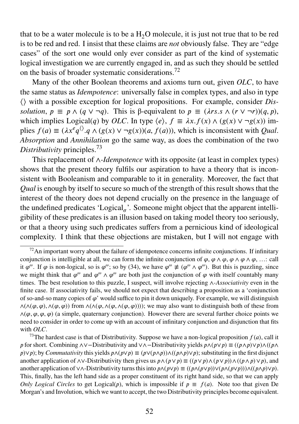that to be a water molecule is to be a  $H<sub>2</sub>O$  molecule, it is just not true that to be red [is to b](#page-49-0)e red and red. I insist that these claims are *not* obviously false. They are "edge cases" of the sort one would only ever consider as part of the kind of systematic logical investigation we are currently engaged in, and as such they should be settled on the basis of broader systematic considerations.<sup>72</sup>

Many of the other Boolean theorems and axioms turn out, given *OLC*, to have the same status as *Idempotence*: universally false in complex types, and also in type ⟨⟩ with a possible exception for logical propositions. For example, consider *Dissolution*,  $p \equiv p \wedge (q \vee \neg q)$ . This is β-equivalent to  $p \equiv (\lambda rs. s \wedge (r \vee \neg r))(q, p)$ , which implies Logical(q) by *OLC*. In type  $\langle e \rangle$ ,  $f \equiv \lambda x.f(x) \wedge (g(x) \vee \neg g(x))$  implies  $f(a) \equiv (\lambda x^e q^{\langle \cdot \rangle}.q \wedge (g(x) \vee \neg g(x))(a, f(a)))$ , which is inconsistent with *Qual*. *Absorption* and *Annihilation* go the same way, as does the c[ombination o](#page-37-2)f the two *Distributivity* principles.<sup>73</sup>

This replacement of ∧*-Idempotence* with its opposite (at least in complex types) shows that the present theory fulfils our aspiration to have a theory that is inconsistent with Booleanism and comparable to it in generality. Moreover, the fact that *Qual* [is e](#page-47-0)nough by itself to secure so much of the strength of this result shows that the interest of the theory does not depend crucially on the presence in the language of the undefined predicates ' $Logical_{\sigma}$ '. Someone might object that the apparent intelligibility of these predicates is an illusion based on taking model theory too seriously, or that a theory using such predicates suffers from a pernicious kind of ideological [complexity. I thin](#page-46-0)k that these objections are mistaken, but I will not engage with

 $72$ An important worry about the failure of idempotence concerns infinite conjunctions. If infinitary conjunction is intelligible at all, we can form the infinite conjunction of  $\varphi$ ,  $\varphi \wedge \varphi$ ,  $\varphi \wedge \varphi \wedge \varphi$ , ...: call it  $\varphi^{\omega}$ . If  $\varphi$  is non-logical, so is  $\varphi^{\omega}$ ; so by (34), we have  $\varphi^{\omega} \not\equiv (\varphi^{\omega} \wedge \varphi^{\omega})$ . But this is puzzling, since we might think that  $\varphi^{\omega}$  and  $\varphi^{\omega} \wedge \varphi^{\omega}$  are both just the conjunction of  $\varphi$  with itself countably many times. The best resolution to this puzzle, I suspect, will involve rejecting ∧*-Associativity* even in the finite case. If associativity fails, we should not expect that describing a proposition as a 'conjunction of so-and-so many copies of  $\varphi'$  would suffice to pin it down uniquely. For example, we will distinguish  $\wedge(\wedge(\varphi, \varphi), \wedge(\varphi, \varphi))$  from  $\wedge(\wedge(\varphi, \wedge(\varphi, \varphi))))$ ; we may also want to distinguish both of these from  $\wedge$ ( $\varphi$ ,  $\varphi$ ,  $\varphi$ ) (a simple, quaternary conjunction). However there are several further choice points we need to consider in order to come up with an account of infinitary conjunction and disjunction that fits with *OLC*.

<sup>&</sup>lt;sup>73</sup>The hardest case is that of Distributivity. Suppose we have a non-logical proposition  $f(a)$ , call it p for short. Combining ∧∨−Distributivity and ∨∧−Distributivity yields  $p \land (p \lor p) \equiv ((p \land p) \lor p) \land ((p \land p) \lor p) \land ((p \land p) \lor p) \land ((p \land p) \lor p) \land ((p \land p) \lor p) \land ((p \land p) \lor p) \land ((p \land p) \lor p) \land ((p \land p) \lor p) \land ((p \land p) \lor p) \land ((p \land p) \lor p) \land ((p \land p) \lor p) \land ((p \land p) \$  $p$ ) $\lor$ *p*); by *Commutativity* this yields  $p \land (p \lor p) \equiv (p \lor (p \land p)) \land ((p \land p) \lor p)$ ; substituting in the first disjunct another application of ∧∨-Distributivity then gives us  $p \land (p \lor p) \equiv ((p \lor p) \land (p \lor p)) \land ((p \land p) \lor p)$ , and another application of ∨∧-Distributivity turns this into  $p \land (p \lor p) \equiv ((p \land (p \lor p)) \lor (p \land (p \lor p)) \land ((p \land p) \lor p)$ . This, finally, has the left hand side as a proper constituent of its right hand side, so that we can apply *Only Logical Circles* to get Logical(p), which is impossible if  $p \equiv f(a)$ . Note too that given De Morgan's and Involution, which we want to accept, the two Distributivity principles become equivalent.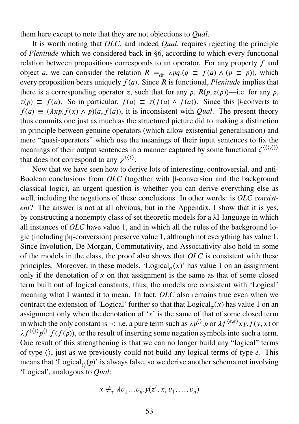them here except to note th[at they](#page-47-0) are not objections to *Qual*.

It is worth noting that *OLC*, and indeed *Qual*[, requires re](#page-18-0)jecting the principle of *Plenitude* which we considered back in §6, according to which ev[ery fu](#page-47-0)nctional relation between propositions corresponds to an operator. For any property  $f$  and object a, we can consider the relation  $R =_{df} \lambda pq.(q \equiv f(a) \wedge (p \equiv p))$ , which every propositi[on bea](#page-47-0)rs uniquely  $f(a)$ . Since  $R$  is functional, *Plenitude* implies that there is a corresponding operator z, such that for any p,  $R(p, z(p))$ —i.e. for any p,  $z(p) \equiv f(a)$ . So in particular,  $f(a) \equiv z(f(a) \wedge f(a))$ . Since this β-converts to  $f(a) \equiv (\lambda x p. f(x) \wedge p)(a, f(a))$ , it is inconsistent with *Qual*. The present theory thus commits one just as much as the structured pictu[re did](#page-47-0) to making a distinction in principle between genuine operators (which allow existential generalisation) and mere "quasi-operators" which use the meanings of their input sentences to fix the meanings of their output sentences in a man[ner ca](#page-47-0)ptured by some functional  $\zeta^{\langle\langle\rangle,\langle\rangle\rangle}$ that does not correspond to any  $\chi^{\langle\langle\rangle\rangle}$ .

Now that we have seen how to derive lots of interesting, controversial, and anti-Boolean conclusions from *OLC* (together with β-conversion and the background classical logic), an urgent question is whether you can derive everything else as well, including the negations of these conclusions. In other words: is *OLC consistent*? The answer is not at all obvious, but in the Appendix, I show that it is yes, by constructing a nonempty class of set theoretic models for a λI-language in which all instances of *OLC* ha[ve va](#page-49-0)lue 1, and in which all the rules of the background logic (including βη-conversion) preserve value 1, although not everything has value 1. Since Involution, De Morgan, Commutativity, and Associativity also hold in some of the models in the class, the proof also shows that *OLC* is consistent with these principles. Moreover, in these models, 'Logical<sub> $\sigma$ </sub> $(x)$ ' has value 1 on an assignment only if the denotation of  $x$  on that assignment is the same as that of some closed term built out of logical constants; thus, the models are consistent with 'Logical' meaning what I wanted it to mean. In fact, *OLC* also remains true even when we contract the extension of 'Logical' further so that that  $\text{Logical}_{\sigma}(x)$  has value 1 on an assignment only when the denotation of ' $x$ ' is the same of that of some closed term in which the only constant is  $\neg$ : i.e. a pure term such as  $\lambda p^{(i)}$ , p or  $\lambda f^{(e,e)}xy.f(y, x)$  or  $\lambda f \langle \langle \rangle_p \rangle_f(f(p))$ , or the result of inserting some negation symbols into such a term. One result of this strengthening is that we can no longer build any "logical" terms of type  $\langle \rangle$ , just as we previously could not build any logical terms of type  $e$ . This means that 'Logical<sub> $\langle \rangle(p)$ </sub>' is always false, so we derive another schema not involving 'Logical', analogous to *Qual*:

$$
x \not\equiv_{\tau} \lambda v_1 \dots v_n \cdot y(z^t, x, v_1, \dots, v_n)
$$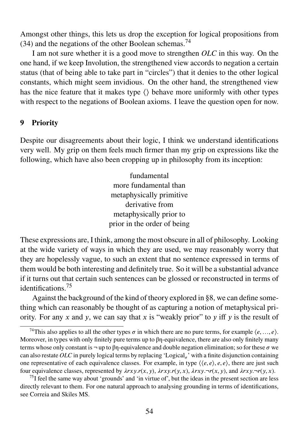Amongst other things, this lets us drop the exception for logical propositions from  $(34)$  and the negations of the other Boolean schemas.<sup>74</sup>

I am not sure whether it is a good move to strengthen *OLC* in this way. On the one hand, if we keep Involution, the strengthened view accords to negation a certain status (that of being able to take part in "circles") that it denies to the other logical constants, which might seem invidious. On the other hand, the strengthened view has the nice feature that it makes type  $\langle \rangle$  behave more uniformly with other types with respect to the negations of Boolean axioms. I leave the question open for now.

# **9 Priority**

Despite our disagreements about their logic, I think we understand identifications very well. My [gr](#page-53-0)ip on them feels much firmer than my grip on expressions like the following, which have also been cropping up in philosophy [fro](#page-42-4)m its inception:

> fundamental more fundamental than metaphysically primitive derivative from metaphysically prior to prior in the order of being

<span id="page-53-0"></span>These expressions are, I think, among the most obscure in all of philosophy. Looking at the wide variety [of](#page-98-3) ways in which they are used, we may reasonably worry that they are hopelessly vague, to such an extent that no sentence expressed in terms of them would be both interesting and definitely true. So it will be a substantial advance if it turns out that certain such sentences can be glossed or reconstructed in terms of identifications.<sup>75</sup>

Against the background of the kind of theory explored in §8, we can define something which can reasonably be thought of as capturing a notion of metaphysical priority. For any x and y, we can say that x is "weakly prior" to y iff y is the result of

<sup>&</sup>lt;sup>74</sup>This also applies to all the other types  $\sigma$  in which there are no pure terms, for example  $\langle e, ..., e \rangle$ . Moreover, in types with only finitely pure terms up to βη-equivalence, there are also only finitely many terms whose only constant is  $\neg$  up to βη-equivalence and double negation elimination; so for these  $\sigma$  we can also restate OLC in purely logical terms by replacing 'Logical<sub>o</sub>' with a finite disjunction containing one representative of each equivalence classes. For example, in type  $\langle \langle e, e \rangle, e, e \rangle$ , there are just such four equivalence classes, represented by  $\lambda rxy.r(x, y)$ ,  $\lambda rxy.r(y, x)$ ,  $\lambda rxy.\neg r(x, y)$ , and  $\lambda rxy.\neg r(y, x)$ .

 $^{75}$ I feel the same way about 'grounds' and 'in virtue of', but the ideas in the present section are less directly relevant to them. For one natural approach to analysing grounding in terms of identifications, see Correia and Skiles MS.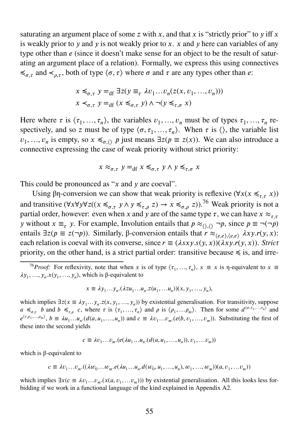saturating an argument place of some z with x, and that x is "strictly prior" to y iff x is weakly prior to  $y$  and  $y$  is not weakly prior to  $x$ .  $x$  and  $y$  here can variables of any type other than  $e$  (since it doesn't make sense for an object to be the result of saturating an argument place of a relation). Formally, we expre[ss](#page-54-0) this using connectives  $\preccurlyeq_{\sigma,\tau}$  and  $\preccurlyeq_{\rho,\tau}$ , both of type  $\langle \sigma, \tau \rangle$  where  $\sigma$  and  $\tau$  are any types other than *e*:

$$
x \leq_{\sigma,\tau} y =_{df} \exists z (y \equiv_{\tau} \lambda v_1 \dots v_n (z(x, v_1, \dots, v_n)))
$$
  

$$
x \prec_{\sigma,\tau} y =_{df} (x \leq_{\sigma,\tau} y) \land \neg (y \leq_{\tau,\sigma} x)
$$

<span id="page-54-0"></span>Here where  $\tau$  is  $\langle \tau_1, ..., \tau_n \rangle$ , the variables  $v_1, ..., v_n$  must be of types  $\tau_1, ..., \tau_n$  respectively, and so z must be of type  $\langle \sigma, \tau_1, ..., \tau_n \rangle$ . When  $\tau$  is  $\langle \rangle$ , the variable list  $v_1, ..., v_n$  is empty, so  $x \leq_{\sigma,\langle} y \rangle$  p just means  $\exists z (p \equiv z(x))$ . We can also introduce a connective expressing the case of weak priority without strict priority:

$$
x \approx_{\sigma,\tau} y =_{\text{df}} x \leq_{\sigma,\tau} y \land y \leq_{\tau,\sigma} x
$$

This could be pronounced as " $x$  and  $y$  are coeval".

Using  $\beta$ η-conversion we can show that weak priority is reflexive ( $\forall x(x \leq \tau, \tau)$ ) and transitive  $(\forall x \forall y \forall z ((x \leq_{\sigma,\tau} y \land y \leq_{\tau,\rho} z) \rightarrow x \leq_{\sigma,\rho} z))$ .<sup>76</sup> Weak priority is not a partial order, however: even when x and y are of the same type  $\tau$ , we can have  $x \approx_{\tau \tau}$ y without  $x \equiv_{\tau} y$ . For example, Involution entails that  $p \approx_{\langle \rangle, \langle} \neg p$ , since  $p \equiv \neg(\neg p)$ entails  $\exists z(p \equiv z(\neg p))$ . Similarly,  $\beta$ -conversion entails that  $\Gamma \approx_{\langle e,e \rangle, \langle e,e \rangle} \lambda xy.r(y, x)$ : each relation is coeval with its converse, since  $r \equiv (\lambda sxy.s(y, x))(\lambda xy.r(y, x))$ . *Strict* priority, on the other hand, is a strict partial order: transitive bec[aus](#page-64-0)e  $\leq$  is, and irre-

$$
x \equiv \lambda y_1 \dots y_n.(\lambda z u_1 \dots u_n. z(u_1, \dots u_n))(x, y_1, \dots, y_n),
$$

which implies  $\exists z(x \equiv \lambda y_1 \dots y_n z(x, y_1, \dots, y_n))$  by existential generalisation. For transitivity, suppose  $a \preceq_{\sigma,\tau} b$  and  $b \preceq_{\tau,\rho} c$ , where  $\tau$  is  $\langle \tau_1,...,\tau_n \rangle$  and  $\rho$  is  $\langle \rho_1,...\rho_m \rangle$ . Then for some  $d^{\langle \sigma,\tau_1,...,\tau_n \rangle}$  and  $e^{(\tau,\rho_1,\ldots,\rho_m)}, b \equiv \lambda u_1 \ldots u_n (d(a,u_1,\ldots,u_n))$  and  $c \equiv \lambda v_1 \ldots v_m (e(b,v_1,\ldots,v_m))$ . Substituting the first of these into the second yields

$$
c \equiv \lambda v_1...v_m.(e(\lambda u_1...u_n.(d(a, u_1, ..., u_n)), v_1, ... v_m))
$$

which is β-equivalent to

$$
c \equiv \lambda v_1 \dots v_m \cdot ((\lambda w_0 \dots w_m \cdot e(\lambda u_1 \dots u_n \cdot d(w_0, u_1, \dots, u_n), w_1, \dots, w_m)) (a, v_1, \dots, v_m))
$$

which implies  $\exists x (c \equiv \lambda v_1 ... v_m.(x(a, v_1, ... v_m)))$  by existential generalisation. All this looks less forbidding if we work in a functional language of the kind explained in Appendix A2.

<sup>&</sup>lt;sup>76</sup>*Proof:* For reflexivity, note that when x is of type  $\langle \tau_1, ..., \tau_n \rangle$ ,  $x \equiv x$  is n-equivalent to  $x \equiv x$  $\lambda y_1, \ldots, y_n. x(y_1, \ldots, y_n)$ , which is  $\beta$ -equivalent to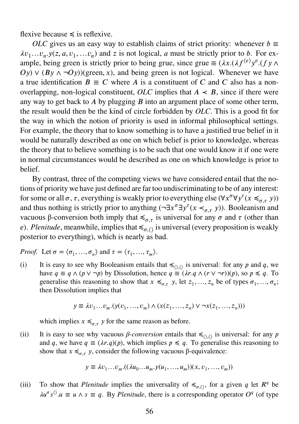flexive because  $\leq$  is reflexive.

*OLC* gives us an easy way to establish claims of strict priority: whenever  $b \equiv$  $\lambda v_1 \dots v_n$ ,  $y(z, a, v_1, \dots v_n)$  and z is not logical, a must be strictly prior to b. For example, being green is strictly prior to being grue, since grue  $\equiv (\lambda x.(\lambda f^{(e)})^e.(f y \wedge$  $O(y)$   $\vee$  (By  $\wedge \neg O(y)$ )(green, x), and being green is not logical. Whenever we have a t[rue identifi](#page-28-0)cation  $B \equiv C$  where A is a constituent of C and C also has a nonoverlapping, non-logical constituent, *OLC* implies that  $A \prec B$ , since if there were any way to get back to  $\vec{A}$  by plugging  $\vec{B}$  into an argument place of some other term, the result would then be the kind of circle forbidden by *OLC*. This is a good fit for the way in which the notion of priority is used in informal philosophical settings. For example, the theory that to know something is to have a justified true belief in it would be naturally described as one on which belief is prior to knowledge, whereas the theory that to believe something is to be such that one would know it if one were in normal circumstances would be described as one on which knowledge is prior to belief.

By contrast, three of the competing views we have considered entail that the notions of priority we have just defined are far too undiscriminating to be of any interest: for some or all  $\sigma$ ,  $\tau$ , everything is [weakly prior](#page-18-1) to everything else ( $\forall x^{\sigma} \forall y^{\tau} (x \leq_{\sigma,\tau} y)$ ) and thus nothing is strictly prior to anything  $(\neg \exists x^\sigma \exists y^\tau (x \prec_{\sigma, \tau} y))$ . Booleanism and vacuous β-conversion both imply that  $\leq_{\sigma,\tau}$  is universal for any  $\sigma$  and  $\tau$  (other than e). *Plenitude*, meanwhile, implies that  $\leq_{\sigma,\langle}$  is universal (every proposition is weakly posterior to everyth[ing\), whi](#page-28-0)ch is nearly as bad.

*Proof.* Let  $\sigma = \langle \sigma_1, ..., \sigma_n \rangle$  and  $\tau = \langle \tau_1, ..., \tau_m \rangle$ .

(i) It is easy to see why Booleanism entails that  $\leq_{\langle \rangle,\langle}$  is universal: for any p and q, we have  $q \equiv q \wedge (p \vee \neg p)$  by Dissolution, hence  $q \equiv (\lambda r.q \wedge (r \vee \neg r))(p)$ , so  $p \leq q$ . To generalise this reasoning to show that  $x \leq_{\sigma,\tau} y$ , let  $z_1, ..., z_n$  be of types  $\sigma_1, ..., \sigma_n$ ; then Dissolution implies that

$$
y \equiv \lambda v_1...v_m.(y(v_1,...,v_m) \land (x(z_1,...,z_n) \lor \neg x(z_1,...,z_n)))
$$

which implies  $x \leq_{\sigma,\tau} y$  for the same reason as before.

(ii) It is easy to see why vacuous  $\beta$ -conversion entails that  $\leq_{\Diamond$ ,  $\Diamond}$  is universal: for any p and q, we have  $q \equiv (\lambda r.q)(p)$ , which implies  $p \leq q$ . To generalise this reasoning to show that  $x \leq_{\sigma,\tau} y$ , consider the following vacuous β-equivalence:

$$
y \equiv \lambda v_1...v_m.((\lambda u_0...u_m.y(u_1,...,u_m))(x, v_1,...,v_m))
$$

(iii) To show that *Plenitude* implies the universality of  $\leq_{\sigma,\langle}$ , for a given q let  $R^q$  be  $\lambda u^{\sigma} s^{\langle \rangle}. u \equiv u \wedge s \equiv q.$  By *Plenitude*, there is a corresponding operator  $O^{q}$  (of type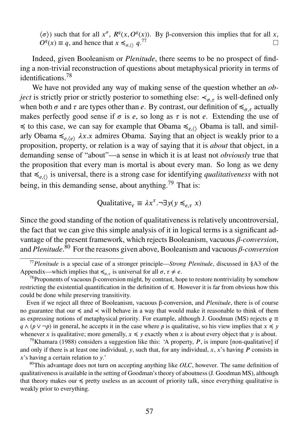$\langle \sigma \rangle$ ) such that for all  $x^{\sigma}$ ,  $R^q(x, O^q(x))$ . By  $\beta$ -conversion this implies that for all x,  $O^q(x) \equiv q$ , and hence that  $x \leq_{\sigma, \langle} q$ ,<sup>77</sup>  $\Box$ 

Indeed, given Booleanism or *Plenitude*, there seems to be no prospect of finding a non-trivial reconstruction of questions about metaphysical priority in terms of identifications.<sup>78</sup>

We have not provided any way of making sense of the question whether an *object* is strictly prior or strictly posterior to something else:  $\prec_{\sigma,\tau}$  is wel[l-defined only](#page-18-1) wh[en both](#page-28-0)  $\sigma$  a[nd](#page-56-0)  $\tau$  are types other than e. By contrast, our definition of  $\leq_{\sigma,\tau}$  [actually](#page-18-1) makes perfectly good sense if  $\sigma$  is e, so long as  $\tau$  is not e. Extending the use of  $\leq$  to [this cas](#page-28-0)e, we can say for example that [Oba](#page-78-0)ma  $\leq_{e,\langle}$  Obama is tall, [and s](#page-71-0)imilarly Obama  $\leq_{e,(e)} \lambda x.x$  admires Obama. Saying that an object is weakly prior to a proposition, property, or relation is a way of saying that it is *about* that object, in a demanding sense of "about"—a sense in which it is at least not *obviously* true that the proposition that every man is mortal is about every m[an. So lo](#page-28-0)ng as we deny that  $≤$ <sub>*e*, $\langle$ </sub> is universal, there is a strong case for identifying *qualitativ[enes](#page-99-4)s* with not being, in this demanding sense, about anything.<sup>79</sup> That is:

Qualitative<sub>$$
\tau
$$</sub>  $\equiv \lambda x^{\tau} . \neg \exists y (y \leq_{e,\tau} x)$ 

<span id="page-56-0"></span>Since the good standing of the notion of qualitativeness is relatively uncontroversial, the fact that we can give this simple analysis of it in [logi](#page-47-0)cal terms is a si[gnifi](#page-99-4)cant advantage of the present framework, which rejects Booleanism, vacuous *β-conversion*, and *Plenitude*. <sup>80</sup> For the reasons given above, Booleanism and vacuous *β-conversion*

<sup>77</sup>*Plenitude* is a special case of a stronger principle—*Strong Plenitude*, discussed in §A3 of the Appendix—which implies that  $\leq_{\sigma,\tau}$  is universal for all  $\sigma, \tau \neq e$ .

<sup>&</sup>lt;sup>78</sup>Proponents of vacuous β-conversion might, by contrast, hope to restore nontriviality by somehow restricting the existential quantification in the definition of ≼. However it is far from obvious how this could be done while preserving transitivity.

Even if we reject all three of Booleanism, vacuous β-conversion, and *Plenitude*, there is of course no guarantee that our ≼ and ≺ will behave in a way that would make it reasonable to think of them as expressing notions of metaphysical priority. For example, although J. Goodman (MS) rejects  $q \equiv$  $q \wedge (p \vee \neg p)$  in general, he accepts it in the case where p is qualitative, so his view implies that  $x \le y$ whenever x is qualitative; more generally,  $x \leq y$  exactly when x is about every object that y is about.

<sup>&</sup>lt;sup>79</sup>Khamara (1988) considers a suggestion like this: 'A property,  $P$ , is impure [non-qualitative] if and only if there is at least one individual,  $y$ , such that, for any individual,  $x$ ,  $x$ 's having  $P$  consists in  $x$ 's having a certain relation to  $y$ .'

<sup>80</sup>This advantage does not turn on accepting anything like *OLC*, however. The same definition of qualitativeness is available in the setting of Goodman's theory of aboutness (J. Goodman MS), although that theory makes our ≼ pretty useless as an account of priority talk, since everything qualitative is weakly prior to everything.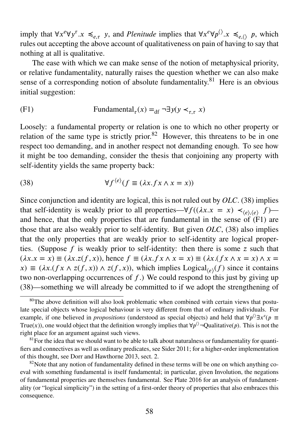<span id="page-57-1"></span><span id="page-57-0"></span>imply that  $\forall x^e \forall y^{\tau}.x \preceq_{e,\tau} y$ , and *Plenitude* implies that  $\forall x^e \forall p^{\langle \rangle}.x \preceq_{e,\langle \rangle} p$ , which rules out accepting the above account of qualitativeness on pain of having to say that nothing at all is qualitative.

The ease with which we can make sense of the notion of me[taphy](#page-47-0)s[ical p](#page-57-0)riority, or relative fundamentality, naturally raises the question whether we can also make sense of a corresponding notion of absolute fundamentalit[y.](#page-47-0) $81$  H[ere i](#page-57-0)s an [obvi](#page-57-1)ous initial suggestion:

(F1) Fundamental<sub>$$
\tau
$$</sub>(x) =<sub>df</sub>  $\neg \exists y (y \prec_{\tau, \tau} x)$ 

Loosely: a fundamental property or relation is one to which no other property or relation of the same type is strictly prior. $82$  However, this threatens to be in one [respe](#page-57-0)ct too demanding, and in another respect not demanding enough. To see how it might be too demanding, consider the thesis that conjoining any property with self-identity yields the same property back:

(38) 
$$
\forall f^{(e)}(f \equiv (\lambda x.f x \land x = x))
$$

Since conjunction and identity are logical, this is not ruled out by *OLC*. (38) implies that self-identity is weakly prior to all properties[—](#page-101-4) $\forall f((\lambda x.x = x) \prec_{\langle e \rangle,\langle e \rangle} f)$  and hence, that the only properti[es th](#page-99-5)at are fundamental in the sense of (F1) are those that are also weakly prior to self-identity. But given *OLC*, (38) also implies that the only properties that are weakly prior to sel[f-ide](#page-100-0)ntity are logical properties. (Suppose f is weakly prior to self-identity: then there is some z such that  $(\lambda x.x = x) \equiv (\lambda x.z(f, x))$ , hence  $f \equiv (\lambda x.fx \land x = x) \equiv (\lambda x.(fx \land x = x) \land x = x)$  $(x) \equiv (\lambda x. (fx \wedge z(f, x)) \wedge z(f, x))$ , which implies Logical<sub>(e)</sub>(f) since it contains two non-overlapping occurrences of  $f$ .) We could respond to this just by giving up (38)—something we will already be committed to if we adopt the strengthening of

 $80$ The above definition will also look problematic when combined with certain views that postulate special objects whose logical behaviour is very different from that of ordinary individuals. For example, if one believed in *propositions* (understood as special objects) and held that  $\forall p^{\Diamond} \exists x^e (p \equiv$ True(x)), one would object that the definition wrongly implies that  $\forall p^{\Diamond} \neg$ Qualitative(p). This is not the right place for an argument against such views.

 $81$  For the idea that we should want to be able to talk about naturalness or fundamentality for quantifiers and connectives as well as ordinary predicates, see Sider 2011; for a higher-order implementation of this thought, see Dorr and Hawthorne 2013, sect. 2.

 $82$ Note that any notion of fundamentality defined in these terms will be one on which anything coeval with something fundamental is itself fundamental; in particular, given Involution, the negations of fundamental properties are themselves fundamental. See Plate 2016 for an analysis of fundamentality (or "logical simplicity") in the setting of a first-order theory of properties that also embraces this consequence.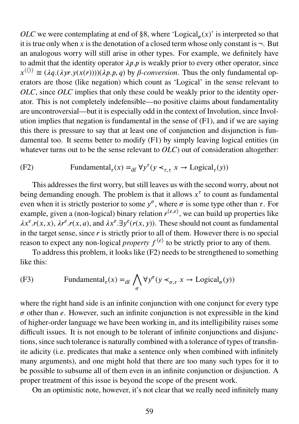<span id="page-58-0"></span>*OLC* we were contemplating at end of §8, where 'Logical<sub> $\sigma$ </sub> $(x)$ ' is interpreted so that it is true only when x is the denotation of a closed term whose only constant is  $\neg$ . But an analogous worry will still arise in other types. For example, we definitely have to admit that the identity operator  $\lambda p.p$  is weakly prior to every other operator, since  $x^{\langle\langle\rangle\rangle} \equiv (\lambda q.(\lambda yr.y(x(r))))(\lambda p.p,q)$  by *β-conversion*. Thus the only fundamental operators are those (like negation) which count as 'Logical' in the sense relevant to *OLC*, since *OLC* implies that only these could be weakly prior to the identity operator. This is not completely indefensible—no positive claims about fundamentality are uncontroversial—but it is especially [odd in](#page-58-0) the context of Involution, since Involution implies that negation is fundamental in the sense of  $(F1)$ , and if we are saying this there is pressure to say that at least one of conjunction and disjunction is fundamental too. It seems better to modify (F1) by simply leaving logical entities (in whatever turns out to be the sense relevant to *OLC*) out of consideration altogether:

<span id="page-58-1"></span>(F2) Fundamental<sub>$$
\tau
$$</sub>(x) =<sub>df</sub>  $\forall y^{\tau}$ (y <  $\prec_{\tau,\tau}$  x  $\rightarrow$  Logical <sub>$\tau$</sub> (y))

This addresses the first worry, but still leaves us with the second worry, about not being demanding enough. The problem is that it allows  $x^{\tau}$  to count as fundamental even when it is strictly posterior to some  $y^{\sigma}$ , where  $\sigma$  is some type other than  $\tau$ . For example, given a (non-logical) binary relation  $r^{\langle e,e \rangle}$ , we can build up properties like  $\lambda x^e.r(x, x)$ ,  $\lambda r^e.r(x, a)$ , and  $\lambda x^e.\exists y^e(r(x, y))$ . These should not count as fundamental in the target sense, since  $r$  is strictly prior to all of them. However there is no special reason to expect any non-logical *property*  $f^{(e)}$  to be strictly prior to any of them.

To address this problem, it looks like (F2) needs to be strengthened to something like this:

(F3) Fundamental<sub>$$
\tau
$$</sub>(x) =<sub>df</sub>  $\bigwedge_{\sigma} \forall y^{\sigma} (y \prec_{\sigma,\tau} x \to \text{Logical}_{\sigma}(y))$ 

where the right hand side is an infinite conjunction with one conjunct for every type  $\sigma$  other than e. However, such an infinite conjunction is not expressible in the kind of higher-order language we have been working in, and its intelligibility raises some difficult issues. It is not enough to be tolerant of infinite conjunctions and disjunctions, since such tolerance is naturally combined with a tolerance of types of transfinite adicity (i.e. predicates that make a sentence only when combined with infinitely many arguments), and one might hold that there are too many such types for it to be possible to subsume all of them even in an infinite conjunction or disjunction. A proper treatment of this issue is beyond the scope of the present work.

On an optimistic note, however, it's not clear that we really need infinitely many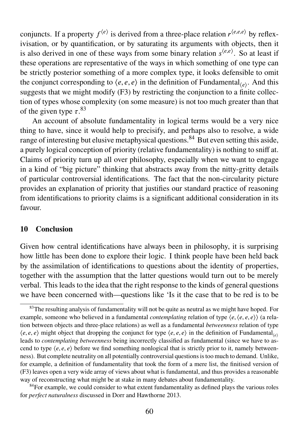conjuncts. If a property  $f^{(e)}$  is derived from a three-place relation  $r^{(e,e,e)}$  by reflexivisation, or by quantification, or by saturating its arguments with objects, then it is also derived in one of these ways from some binary relation  $s^{\langle e,e \rangle}$ . So at least if these operations are representative of the ways in which something of one type can be strictly posterior something of a more complex type, it looks defensible to omit the conjunct corresponding to  $\langle e, e, e \rangle$  in the definition of Fundamental $\langle e \rangle$ . And this suggests that we might modify (F3) by restricting the conjunction to a finite collection of types whose complexity (on some measure) is not too much greater than that of the given type  $\tau$ .<sup>83</sup>

An account of absolute fundamentality in logical terms would be a very nice thing to have, since it would help to precisify, and perhaps also to resolve, a wide range of interesting but elusive metaphysical questions.  $84\overline{B}$ ut even setting this aside, a purely logical conception of priority (relative fundamentality) is nothing to sniff at. Claims of priority turn up all over philosophy, especially when we want to engage in a kind of "big picture" thinking that abstracts away from the nitty-gritty details of particular controversial identifications. The fact that the non-circularity picture provides an explanation of priority that justifies our standard practice of reasoning from identifications to priority claims is a significant additional consideration in its favour.

### **[10](#page-58-1) Conclusion**

Given how central identifications have always been in philosophy, it is surprising how little has been done to explore their logic. [I th](#page-99-5)ink people have been held back by the assimilation of identifications to questions about the identity of properties, together with the assumption that the latter questions would turn out to be merely verbal. This leads to the idea that the right response to the kinds of general questions we have been concerned with—questions like 'Is it the case that to be red is to be

 $83$ The resulting analysis of fundamentality will not be quite as neutral as we might have hoped. For example, someone who believed in a fundamental *contemplating* relation of type  $\langle e, \langle e, e, e \rangle \rangle$  (a relation between objects and three-place relations) as well as a fundamental *betweenness* relation of type  $\langle e, e, e \rangle$  might object that dropping the conjunct for type  $\langle e, e, e \rangle$  in the definition of Fundamental<sub> $\langle e, e, e \rangle$ </sub> leads to *contemplating betweenness* being incorrectly classified as fundamental (since we have to ascend to type  $\langle e, e, e \rangle$  before we find something nonlogical that is strictly prior to it, namely betweenness). But complete neutrality on all potentially controversial questions is too much to demand. Unlike, for example, a definition of fundamentality that took the form of a mere list, the finitised version of (F3) leaves open a very wide array of views about what is fundamental, and thus provides a reasonable way of reconstructing what might be at stake in many debates about fundamentality.

 $84$  For example, we could consider to what extent fundamentality as defined plays the various roles for *perfect naturalness* discussed in Dorr and Hawthorne 2013.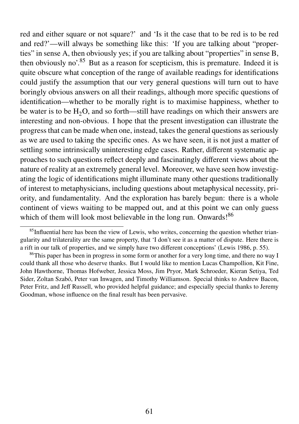<span id="page-60-0"></span>red and either square or not square?' and 'Is it the case that to be red is to be red and red?'—will always be something like this: 'If you are talking about "properties" in sense A, then obviously yes; if you are talking about "properties" in sense B, then obviously no'.<sup>85</sup> But as a reason for scepticism, this is premature. Indeed it is quite obscure what conception of the range of available readings f[or](#page-60-0) identifications could justify the assumption that our very general questions will turn out to have boringly obvious answers on all their readings, although more specific questions of identification—whether to be morally right is to maximise happiness, whether to be water is to be  $H_2O$ , and so forth—still have readings on which the[ir ans](#page-100-1)wers are interesting and non-obvious. I hope that the present investigation can illustrate the progress that can be made when one, instead, takes the general questions as seriously as we are used to taking the specific ones. As we have seen, it is not just a matter of settling some intrinsically uninteresting edge cases. Rather, different systematic approaches to such questions reflect deeply and fascinatingly different views about the nature of reality at an extremely general level. Moreover, we have seen how investigating the logic of identifications might illuminate many other questions traditionally of interest to metaphysicians, including questions about metaphysical necessity, priority, and fundamentality. And the exploration has barely begun: there is a whole continent of views waiting to be mapped out, and at this point we can only guess which of them will look most believable in the long run. Onwards!<sup>86</sup>

 $85$ Influential here has been the view of Lewis, who writes, concerning the question whether triangularity and trilaterality are the same property, that 'I don't see it as a matter of dispute. Here there is a rift in our talk of properties, and we simply have two different conceptions' (Lewis 1986, p. 55).

<sup>&</sup>lt;sup>86</sup>This paper has been in progress in some form or another for a very long time, and there no way I could thank all those who deserve thanks. But I would like to mention Lucas Champollion, Kit Fine, John Hawthorne, Thomas Hofweber, Jessica Moss, Jim Pryor, Mark Schroeder, Kieran Setiya, Ted Sider, Zoltan Szabó, Peter van Inwagen, and Timothy Williamson. Special thinks to Andrew Bacon, Peter Fritz, and Jeff Russell, who provided helpful guidance; and especially special thanks to Jeremy Goodman, whose influence on the final result has been pervasive.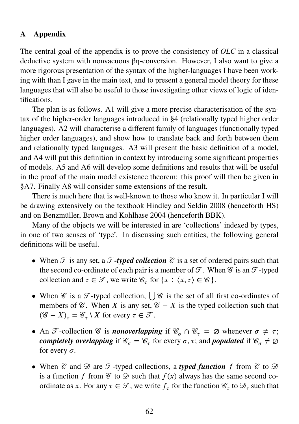#### **A Appen[dix](#page-81-0)**

[The](#page-88-0) central [goal](#page-93-0) of the appendix is to prove the consistency of *OLC* in a classical deductive system with nonvacuous βη-conversion. However, I also want to give a more rigorous presentation of the syntax of the higher-languages I have been w[ork](#page-99-6)ing with than I gave in the main text, and to present a gener[al mod](#page-98-4)el theory for these languages that will also be useful to those investigating other views of logic of identifications.

The plan is as follows. A1 will give a more precise characterisation of the syntax of the higher-order languages introduced in §4 (relationally typed higher order languages). A2 will characterise a different family of languages (functionally typed higher order languages), and show how to translate back and forth between them and relationally typed languages. A3 will present the basic definition of a model, and A4 will put this definition in context by introducing some significant properties of models. A5 and A6 will develop some definitions and results that will be useful in the proof of the main model existence theorem: this proof will then be given in §A7. Finally A8 will consider some extensions of the result.

There is much here that is well-known to those who know it. In particular I will be drawing extensively on the textbook Hindley and Seldin 2008 (henceforth HS) and on Benzmüller, Brown and Kohlhase 2004 (henceforth BBK).

Many of the objects we will be interested in are 'collections' indexed by types, in one of two senses of 'type'. In discussing such entities, the following general definitions will be useful.

- When  $\mathcal T$  is any set, a  $\mathcal T$ -typed collection  $\mathcal C$  is a set of ordered pairs such that the second co-ordinate of each pair is a member of  $\mathcal T$ . When  $\mathcal C$  is an  $\mathcal T$ -typed collection and  $\tau \in \mathcal{T}$ , we write  $\mathcal{C}_{\tau}$  for  $\{x : \langle x, \tau \rangle \in \mathcal{C}\}\.$
- When  $\mathscr C$  is a  $\mathscr T$ -typed collection,  $\bigcup \mathscr C$  is the set of all first co-ordinates of members of  $\mathcal C$ . When X is any set,  $\mathcal C - X$  is the typed collection such that  $(\mathscr{C} - X)_{\tau} = \mathscr{C}_{\tau} \setminus X$  for every  $\tau \in \mathscr{T}$ .
- An  $\mathcal T$ -collection  $\mathcal C$  is *nonoverlapping* if  $\mathcal C_{\sigma} \cap \mathcal C_{\tau} = \emptyset$  whenever  $\sigma \neq \tau$ ; *completely overlapping* if  $\mathscr{C}_{\sigma} = \mathscr{C}_{\tau}$  for every  $\sigma$ ,  $\tau$ ; and *populated* if  $\mathscr{C}_{\sigma} \neq \emptyset$ for every  $\sigma$ .
- When  $\mathscr C$  and  $\mathscr D$  are  $\mathscr T$ -typed collections, a *typed function* f from  $\mathscr C$  to  $\mathscr D$ is a function f from  $\mathscr C$  to  $\mathscr D$  such that  $f(x)$  always has the same second coordinate as x. For any  $\tau \in \mathcal{T}$ , we write  $f_{\tau}$  for the function  $\mathcal{C}_{\tau}$  to  $\mathcal{D}_{\tau}$  such that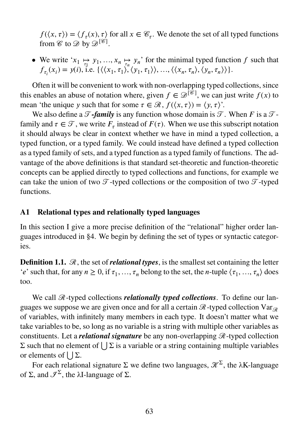$f(\langle x, \tau \rangle) = \langle f_\tau(x), \tau \rangle$  for all  $x \in \mathcal{C}_{\tau}$ . We denote the set of all typed functions from  $\mathscr{C}$  to  $\mathscr{D}$  by  $\mathscr{D}^{[\mathscr{C}]}$ .

• We write ' $x_1 \mapsto y_1, ..., x_n \mapsto y_n$ ' for the minimal typed function f such that  $f_{\tau_i}(x_i) = y(i)$ , i.e.  $\{ \langle \langle x_1, \tau_1 \rangle, \langle y_1, \tau_1 \rangle \rangle, ..., \langle \langle x_n, \tau_n \rangle, \langle y_n, \tau_n \rangle \rangle \}.$ 

Often it will be convenient to work with non-overlapping typed collections, since this enables an abuse [of](#page-14-0) notation where, given  $f \in \mathcal{D}^{[\hat{\mathcal{C}}]}$ , we can just write  $f(x)$  to mean 'the unique y such that for some  $\tau \in \mathcal{R}$ ,  $f(\langle x, \tau \rangle) = \langle y, \tau \rangle$ '.

We also define a  $\mathcal T$ -family is any function whose domain is  $\mathcal T$ . When F is a  $\mathcal T$ family and  $\tau \in \mathcal{T}$ , we write  $F_{\tau}$  instead of  $F(\tau)$ . When we use this subscript notation it should always be clear in context whether we have in mind a typed collection, a typed function, or a typed family. We could instead have defined a typed collection as a typed family of sets, and a typed function as a typed family of functions. The advantage of the above definitions is that standard set-theoretic and function-theoretic concepts can be applied directly to typed collections and functions, for example we can take the union of two  $\mathcal T$ -typed collections or the composition of two  $\mathcal T$ -typed functions.

## **A1 Relational types and relationally typed languages**

In this section I give a more precise definition of the "relational" higher order languages introduced in §4. We begin by defining the set of types or syntactic categories.

**Definition 1.1.** ℛ, the set of *relational types*, is the smallest set containing the letter 'e' such that, for any  $n \ge 0$ , if  $\tau_1, ..., \tau_n$  belong to the set, the *n*-tuple  $\langle \tau_1, ..., \tau_n \rangle$  does too.

We call ℛ-typed collections *relationally typed collections*. To define our languages we suppose we are given once and for all a certain  $\mathcal{R}$ -typed collection  $\text{Var}_{\mathcal{R}}$ of variables, with infinitely many members in each type. It doesn't matter what we take variables to be, so long as no variable is a string with multiple other variables as constituents. Let a *relational signature* be any non-overlapping ℛ-typed collection  $\Sigma$  such that no element of  $\bigcup \Sigma$  is a variable or a string containing multiple variables or elements of  $\vert \int \Sigma$ .

For each relational signature  $\Sigma$  we define two languages,  $\mathcal{K}^{\Sigma}$ , the  $\lambda$ K-language of  $\Sigma$ , and  $\mathcal{I}^{\Sigma}$ , the  $\lambda$ I-language of  $\Sigma$ .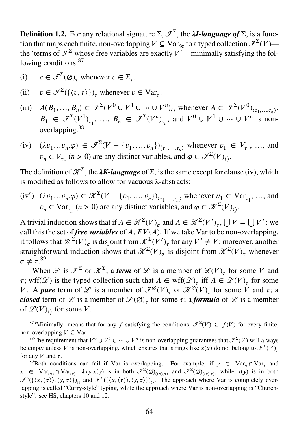<span id="page-63-0"></span>**Definition 1.2.** For any relational signature  $\Sigma$ ,  $\mathcal{F}^{\Sigma}$ , the *λI-language of*  $\Sigma$ [, is](#page-63-0) a function that maps each finite, non-overlapping  $V \subseteq \text{Var}_{\mathcal{R}}$  to a typed collection  $\mathcal{F}^{\Sigma}(V)$  the 'terms of  $\mathcal{I}^{\Sigma}$  whose free variables are exactly  $V$ '—minimally satisfying the following conditions:<sup>87</sup>

- (i)  $c \in \mathcal{F}^{\Sigma}(\emptyset)_{\tau}$  whenever  $c \in \Sigma_{\tau}$ .
- (ii)  $v \in \mathcal{F}^{\Sigma}(\{\langle v, \tau \rangle\})_{\tau}$  whenever  $v \in \text{Var}_{\tau}$ .
- (iii)  $A(B_1, ..., B_n) \in \mathcal{F}^{\Sigma}(V^0 \cup V^1 \cup ... \cup V^n)_{\langle\rangle}$  whenever  $A \in \mathcal{F}^{\Sigma}(V^0)_{\langle\tau_1,...,\tau_n\rangle}$ ,  $B_1 \in \mathcal{F}^{\Sigma}(V^1)_{\tau_1}, \dots, B_n \in \mathcal{F}^{\Sigma}(V^n)_{\tau_n}$ , and  $V^0 \cup V^1 \cup \dots \cup V^n$  is nonoverlapping.<sup>88</sup>
- (iv)  $(\lambda v_1...v_n.\varphi) \in \mathcal{F}^{\Sigma}(V \{v_1,...,v_n\})_{\langle \tau_1,...,\tau_n \rangle}$  whenever  $v_1 \in V_{\tau_1}, ...,$  and  $v_n \in V_{\tau_n}$   $(n > 0)$  are any distinct variables, and  $\varphi \in \mathcal{F}^{\Sigma}(V)_{\langle\rangle}$ .

The definition of  $\mathcal{K}^{\Sigma}$ , the  $\lambda K$ -*language* of  $\Sigma$ , is the same except for clause (iv), which is modified as follows to allow for vacuous λ-abstracts:

(iv')  $(\lambda v_1 \dots v_n \varphi) \in \mathcal{K}^{\Sigma}(V - \{v_1, \dots, v_n\})_{\langle \tau_1, \dots, \tau_n \rangle}$  whenever  $v_1 \in \text{Var}_{\tau_1}, \dots$ , and  $v_n \in \text{Var}_{\tau_n}$   $(n > 0)$  are any distinct variables, and  $\varphi \in \mathcal{K}^{\Sigma}(V)_{\langle\rangle}$ .

<span id="page-63-1"></span>A trivial induction shows that if  $A \in \mathcal{K}^{\Sigma}(V)_{\sigma}$  and  $A \in \mathcal{K}^{\Sigma}(V')_{\tau}$ ,  $\bigcup V = \bigcup V'$ : we call this the set of *free variables* of  $A$ ,  $FV(A)$ . If we take Var to be non-overlapping, it follows that  $\mathcal{K}^{\Sigma}(V)_{\sigma}$  is disjoint from  $\mathcal{K}^{\Sigma}(V')_{\tau}$  for any  $V' \neq V$ ; moreover, another straightf[orw](#page-99-6)ard induction shows that  $\mathcal{K}^{\Sigma}(V)_{\sigma}$  is disjoint from  $\mathcal{K}^{\Sigma}(V)_{\tau}$  whenever  $\sigma \neq \tau.^{89}$ 

When  $\mathscr{L}$  is  $\mathscr{I}^{\Sigma}$  or  $\mathscr{K}^{\Sigma}$ , a *term* of  $\mathscr{L}$  is a member of  $\mathscr{L}(V)_{\tau}$  for some V and  $\tau$ ; wff( $\mathscr{L}$ ) is the typed collection such that  $A \in \text{wf}(\mathscr{L})_{\tau}$  iff  $A \in \mathscr{L}(V)_{\tau}$  for some V. A *pure* term of  $\mathscr L$  is a member of  $\mathscr I^{\emptyset}(V)_\tau$  or  $\mathscr K^{\emptyset}(V)_\tau$  for some V and  $\tau$ ; a *closed* term of  $\mathscr L$  is a member of  $\mathscr L(\varnothing)_\tau$  for some  $\tau;$  a *formula* of  $\mathscr L$  is a member of  $\mathscr{L}(V)_{\langle\rangle}$  for some V.

<sup>&</sup>lt;sup>87</sup>'Minimally' means that for any f satisfying the conditions,  $\mathcal{I}^{\Sigma}(V) \subseteq f(V)$  for every finite, non-overlapping  $V \subseteq \text{Var}$ .

<sup>&</sup>lt;sup>88</sup>The requirement that  $V^0 \cup V^1 \cup \cdots \cup V^n$  is non-overlapping guarantees that  $\mathcal{F}^{\Sigma}(V)$  will always be empty unless V is non-overlapping, which ensures that strings like  $x(x)$  do not belong to  $\mathcal{F}^{\Sigma}(V)$ <sub>r</sub> for any  $V$  and  $\tau$ .

<sup>89</sup>Both conditions can fail if Var is overlapping. For example, if  $y \in \text{Var}_{\sigma} \cap \text{Var}_{\tau}$  and  $x \in \text{Var}_{\langle \sigma \rangle} \cap \text{Var}_{\langle \tau \rangle}$ ,  $\lambda xy.x(y)$  is in both  $\mathcal{F}^{\Sigma}(\emptyset)_{\langle \langle \sigma \rangle, \sigma \rangle}$  and  $\mathcal{F}^{\Sigma}(\emptyset)_{\langle \langle \tau \rangle, \tau \rangle}$ , while  $x(y)$  is in both  $\mathcal{F}^{\Sigma}(\{\langle x,\langle\sigma\rangle\rangle,\langle y,\sigma\rangle\})_{\langle\rangle}$  and  $\mathcal{F}^{\Sigma}(\{\langle x,\langle\tau\rangle\rangle,\langle y,\tau\rangle\})_{\langle\rangle}$ . The approach where Var is completely overlapping is called "Curry-style" typing, while the approach where Var is non-overlapping is "Churchstyle": see HS, chapters 10 and 12.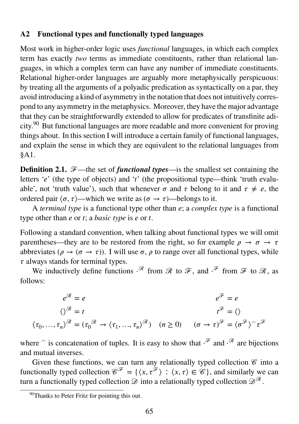# <span id="page-64-0"></span>**A2 Functional types and functionally typed languages**

Most work in higher-order logic uses *functional* languages, in which each complex term has exactly *two* terms as immediate constituents, rather than relational languages, in which a complex term can have any number of immediate constituents. Relational higher-order languages are arguably more metaphysically perspicuous: by treating all the arguments of a polyadic predication as syntactically on a par, they avoid introducing a kind of asymmetry in the notation that does not intuitively correspond to any asymmetry in the metaphysics. Moreover, they have the major advantage that they can be straightforwardly extended to allow for predicates of transfinite adicity.<sup>90</sup> But functional languages are more readable and more convenient for proving things about. In this section I will introduce a certain family of functional languages, and explain the sense in which they are equivalent to the relational languages from §A1.

**Definition 2.1.** *ℱ*—the set of *functional types*—is the smallest set containing the letters 'e' (the type of objects) and 't' (the propositional type—think 'truth evaluable', not 'truth value'), such that whenever  $\sigma$  and  $\tau$  belong to it and  $\tau \neq e$ , the ordered pair  $\langle \sigma, \tau \rangle$ —which we write as  $(\sigma \to \tau)$ —belongs to it.

A *terminal type* is a functional type other than *e*; a *complex type* is a functional type other than *e* or *t*; a *basic type* is *e* or *t*.

Following a standard convention, when talking about functional types we will omit parentheses—they are to be restored from the right, so for example  $\rho \to \sigma \to \tau$ abbreviates ( $\rho \rightarrow (\sigma \rightarrow \tau)$ ). I will use  $\sigma$ ,  $\rho$  to range over all functional types, while  $\tau$  always stands for terminal types.

We inductively define functions  $\cdot^{\mathcal{R}}$  from  $\mathcal{R}$  to  $\mathcal{F}$ , and  $\cdot^{\mathcal{F}}$  from  $\mathcal{F}$  to  $\mathcal{R}$ , as follows:

$$
e^{\mathcal{R}} = e
$$
  
\n
$$
\langle \rangle^{\mathcal{R}} = t
$$
  
\n
$$
\langle \tau_0, ..., \tau_n \rangle^{\mathcal{R}} = (\tau_0^{\mathcal{R}} \to \langle \tau_1, ..., \tau_n \rangle^{\mathcal{R}}) \quad (n \ge 0) \quad (\sigma \to \tau)^{\mathcal{F}} = \langle \sigma^{\mathcal{F}} \rangle^{\sim} \tau^{\mathcal{F}}
$$

where  $\hat{ }$  is concatenation of tuples. It is easy to show that  $\hat{ }$  and  $\hat{ }$  are bijections and mutual inverses.

Given these functions, we can turn any relationally typed collection  $\mathscr C$  into a functionally typed collection  $\mathscr{C}^{\mathscr{F}} = \{ \langle x, \tau^{\mathscr{F}} \rangle : \langle x, \tau \rangle \in \mathscr{C} \}$ , and similarly we can turn a functionally typed collection  $\mathcal D$  into a relationally typed collection  $\mathcal D^{\mathcal R}$ .

<sup>&</sup>lt;sup>90</sup>Thanks to Peter Fritz for pointing this out.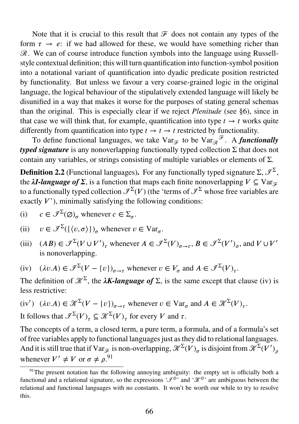Note that it is crucial to this result that  $\mathcal F$  does not contain any types of the form  $\tau \rightarrow e$ : if we had allowed for these, we would have something richer than  $\mathcal{R}$ . We can of course introduce function symbols into the language using Russellstyle contextual definition; this will turn quantification into function-symbol position into a notational variant of quantification into dyadic predicate position restricted by functionality. But unless we favour a very coarse-grained logic in the original language, the logical behaviour of the stipulatively extended language will likely be disunified in a way that makes it worse for the purposes of stating general schemas than the original. This is especially clear if we reject *Plenitude* (see §6), since in that case we will think that, for example, quantification into type  $t \to t$  works quite differently from quantification into type  $t \to t \to t$  restricted by functionality.

<span id="page-65-0"></span>To define functi[onal](#page-65-0) languages, we take  $\text{Var}_{\mathcal{F}}$  to be  $\text{Var}_{\mathcal{R}}^{\mathcal{F}}$ . A *functionally typed signature* is any nonoverlapping functionally typed collection Σ that does not contain any variables, or strings consisting of multiple variables or elements of  $\Sigma$ .

**Definition 2.2** (Functional languages). For any functionally typed signature  $\Sigma$ ,  $\mathcal{I}^{\Sigma}$ , the *λI-language of*  $\Sigma$ , is a function that maps each finite nonoverlapping  $V \subseteq Var_{\mathcal{F}}$ to a functionally typed collection  $\mathcal{I}^{\Sigma}(V)$  (the 'terms of  $\mathcal{I}^{\Sigma}$  whose free variables are exactly  $V'$ ), minimally satisfying the following conditions:

- (i)  $c \in \mathcal{I}^{\Sigma}(\emptyset)_{\sigma}$  whenev[er](#page-65-1)  $c \in \Sigma_{\sigma}$ .
- <span id="page-65-1"></span>(ii)  $v \in \mathcal{F}^{\Sigma}(\{\langle v, \sigma \rangle\})_{\sigma}$  whenever  $v \in \text{Var}_{\sigma}$ .
- (iii)  $(AB) \in \mathcal{F}^{\Sigma}(V \cup V')_{\tau}$  whenever  $A \in \mathcal{F}^{\Sigma}(V)_{\sigma \to \tau}$ ,  $B \in \mathcal{F}^{\Sigma}(V')_{\sigma}$ , and  $V \cup V'$ is nonoverlapping.
- (iv)  $(\lambda v.A) \in \mathcal{F}^{\Sigma}(V \{v\})_{\sigma \to \tau}$  whenever  $v \in V_{\sigma}$  and  $A \in \mathcal{F}^{\Sigma}(V)_{\tau}$ .

The definition of  $\mathcal{K}^{\Sigma}$ , the *λK-language of*  $\Sigma$ , is the same except that clause (iv) is less restrictive:

 $(iv') \ (\lambda v.A) \in \mathcal{K}^{\Sigma}(V - \{v\})_{\sigma \to \tau}$  whenever  $v \in \text{Var}_{\sigma}$  and  $A \in \mathcal{K}^{\Sigma}(V)_{\tau}$ . It follows that  $\mathcal{F}^{\Sigma}(V)_\tau \subseteq \mathcal{K}^{\Sigma}(V)_\tau$  for every V and  $\tau$ .

The concepts of a term, a closed term, a pure term, a formula, and of a formula's set of free variables apply to functional languages just as they did to relational languages. And it is still true that if  $\text{Var}_{\mathscr{F}}$  is non-overlapping,  $\mathscr{K}^{\Sigma}(V)_{\sigma}$  is disjoint from  $\mathscr{K}^{\Sigma}(V')_{\rho}$ whenever  $V' \neq V$  or  $\sigma \neq \rho$ .<sup>91</sup>

<sup>&</sup>lt;sup>91</sup>The present notation has the following annoying ambiguity: the empty set is officially both a functional and a relational signature, so the expressions ' $\mathcal{I}^{\emptyset}$ ' and ' $\mathcal{K}^{\emptyset}$ ' are ambiguous between the relational and functional languages with no constants. It won't be worth our while to try to resolve this.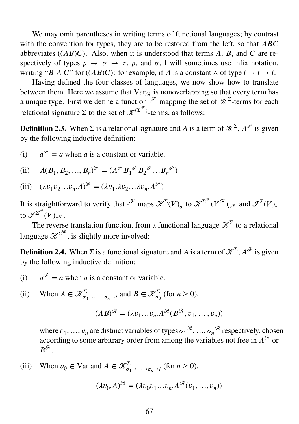We may omit parentheses in writing terms of functional languages; by contrast with the convention for types, they are to be restored from the left, so that  $ABC$ abbreviates  $((AB)C)$ . Also, when it is understood that terms A, B, and C are respectively of types  $\rho \to \sigma \to \tau$ ,  $\rho$ , and  $\sigma$ , I will sometimes use infix notation, writing "*B A C*" for  $((AB)C)$ : for example, if *A* is a constant  $\wedge$  of type  $t \to t \to t$ .

Having defined the four classes of languages, we now show how to translate between them. Here we assume that  $Var_{\mathcal{R}}$  is nonoverlapping so that every term has a unique type. First we define a function  $\mathscr{F}$  mapping the set of  $\mathscr{K}^{\Sigma}$ -terms for each relational signature  $\Sigma$  to the set of  $\mathscr{K}^{(\Sigma^{\mathscr{F}})}$ -terms, as follows:

**Definition 2.3.** When  $\Sigma$  is a relational signature and A is a term of  $\mathcal{K}^{\Sigma}$ ,  $A^{\mathcal{F}}$  is given by the following inductive definition:

(i)  $a^{\mathcal{F}} = a$  when a is a constant or variable.

(ii) 
$$
A(B_1, B_2, ..., B_n)^{\mathcal{F}} = (A^{\mathcal{F}} B_1^{\mathcal{F}} B_2^{\mathcal{F}} ... B_n^{\mathcal{F}})
$$

(iii) 
$$
(\lambda v_1 v_2 ... v_n A)^{\mathcal{F}} = (\lambda v_1 \lambda v_2 ... \lambda v_n A^{\mathcal{F}})
$$

It is straightforward to verify that  $\cdot^{\mathscr{F}}$  maps  $\mathscr{K}^{\Sigma}(V)_{\sigma}$  to  $\mathscr{K}^{\Sigma^{\mathscr{F}}}(V^{\mathscr{F}})_{\sigma}$  and  $\mathscr{F}^{\Sigma}(V)_{\tau}$ to  $\mathcal{F}^{\Sigma^{\mathscr{F}}}(V)_{\tau^{\mathscr{F}}}$ .

The reverse translation function, from a functional language  $\mathcal{K}^{\Sigma}$  to a relational language  $\mathcal{K}^{\Sigma^{\mathcal{R}}}$ , is slightly more involved:

**Definition 2.4.** When  $\Sigma$  is a functional signature and A is a term of  $\mathcal{K}^{\Sigma}$ ,  $A^{\mathcal{R}}$  is given by the following inductive definition:

- (i)  $a^{R} = a$  when a is a constant or variable.
- (ii) When  $A \in \mathcal{K}_{\sigma_0 \to \cdots \to \sigma_n \to t}^{\Sigma}$  and  $B \in \mathcal{K}_{\sigma_0}^{\Sigma}$  (for  $n \ge 0$ ),

$$
(AB)^{\mathcal{R}} = (\lambda v_1 \dots v_n A^{\mathcal{R}} (B^{\mathcal{R}}, v_1, \dots, v_n))
$$

where  $v_1, ..., v_n$  are distinct variables of types  $\sigma_1^{\mathcal{R}}, ..., \sigma_n^{\mathcal{R}}$  respectively, chosen according to some arbitrary order from among the variables not free in  $A^{\mathscr{R}}$  or  $B^{\mathscr{R}}.$ 

(iii) When  $v_0 \in \text{Var}$  and  $A \in \mathcal{K}_{\sigma_1 \to \cdots \to \sigma_n \to t}^{\Sigma}$  (for  $n \ge 0$ ),

$$
(\lambda v_0.A)^{\mathcal{R}} = (\lambda v_0 v_1 \dots v_n.A^{\mathcal{R}}(v_1, \dots, v_n))
$$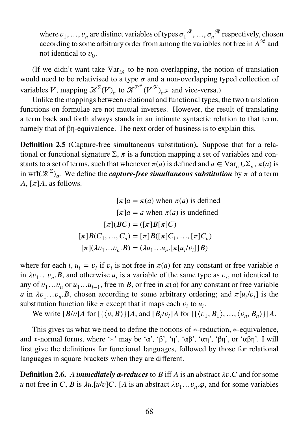where  $v_1, ..., v_n$  are distinct variables of types  $\sigma_1^{\mathcal{R}}, ..., \sigma_n^{\mathcal{R}}$  respectively, chosen according to some arbitrary order from among the variables not free in  $A^{\mathscr{R}}$  and not identical to  $v_0$ .

(If we didn't want take  $\text{Var}_{\mathscr{R}}$  to be non-overlapping, the notion of translation would need to be relativised to a type  $\sigma$  and a non-overlapping typed collection of variables V, mapping  $\mathcal{K}^{\Sigma}(V)_{\sigma}$  to  $\mathcal{K}^{\Sigma^{\mathcal{F}}}(V^{\mathcal{F}})_{\sigma^{\mathcal{F}}}$  and vice-versa.)

Unlike the mappings between relational and functional types, the two translation functions on formulae are not mutual inverses. However, the result of translating a term back and forth always stands in an intimate syntactic relation to that term, namely that of βη-equivalence. The next order of business is to explain this.

**Definition 2.5** (Capture-free simultaneous substitution)**.** Suppose that for a relational or functional signature  $\Sigma$ ,  $\pi$  is a function mapping a set of variables and constants to a set of terms, such that whenever  $\pi(a)$  is defined and  $a \in \text{Var}_{\sigma} \cup \Sigma_{\sigma}$ ,  $\pi(a)$  is in wff $(\mathcal{K}^{\Sigma})_{\sigma}$ . We define the *capture-free simultaneous substitution* by  $\pi$  of a term  $A, [\pi]A$ , as follows.

$$
[\pi]a = \pi(a) \text{ when } \pi(a) \text{ is defined}
$$

$$
[\pi]a = a \text{ when } \pi(a) \text{ is undefined}
$$

$$
[\pi](BC) = ([\pi]B[\pi]C)
$$

$$
[\pi]B(C_1, ..., C_n) = [\pi]B([\pi]C_1, ..., [\pi]C_n)
$$

$$
[\pi](\lambda v_1...v_n.B) = (\lambda u_1...u_n.[\pi[u_i/v_i]]B)
$$

where for each *i*,  $u_i = v_i$  if  $v_i$  is not free in  $\pi(a)$  for any constant or free variable *a* in  $\lambda v_1...v_n$ . B, and otherwise  $u_i$  is a variable of the same type as  $v_i$ , not identical to any of  $v_1...v_n$  or  $u_1...u_{i-1}$ , free in B, or free in  $\pi(a)$  for any constant or free variable *a* in  $\lambda v_1...v_n$ . *B*, chosen according to some arbitrary ordering; and  $\pi[u_i/v_i]$  is the substitution function like  $\pi$  except that it maps each  $v_i$  to  $u_i$ .

We write  $[B/v]A$  for  $[\{\langle v, B \rangle\}]A$ , and  $[B_i/v_i]A$  for  $[\{\langle v_1, B_1 \rangle, ..., \langle v_n, B_n \rangle\}]A$ .

This gives us what we need to define the notions of ∗-reduction, ∗-equivalence, and  $*$ -normal forms, where ' $*$ ' may be 'α', 'β', 'η', 'αβ', 'αη', 'βη', or 'αβη'. I will first give the definitions for functional languages, followed by those for relational languages in square brackets when they are different.

**Definition 2.6.** *A immediately*  $\alpha$ *-reduces* to *B* iff *A* is an abstract  $\lambda v$ . *C* and for some *u* not free in C, *B* is  $\lambda u$ .[*ulv*]C. [*A* is an abstract  $\lambda v_1...v_n \varphi$ , and for some variables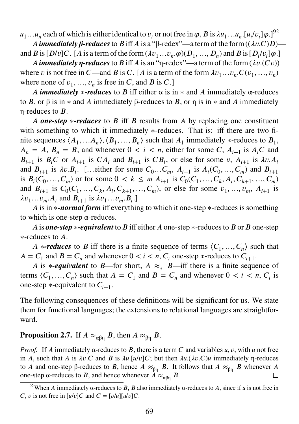$u_1...u_n$  each of which is either identical to  $v_i$  or not free in  $\varphi$ , B is  $\lambda u_1...u_n$ .  $[u_i/v_i]\varphi$ .  $]^{92}$ *A* immediately *β*-reduces to *B* iff *A* is a "β-redex"—a term of the form  $((\lambda v.C)D)$ —

and B is [D/v]C. [A is a term of the form  $(\lambda v_1...v_n.\varphi)(D_1,...,D_n)$  and B is [D<sub>i</sub>/v<sub>i</sub>] $\varphi$ .]

*A* immediately *η-reduces* to *B* iff *A* is an "η-redex"—a term of the form  $(\lambda v.(Cv))$ where v is not free in C—and B is C. [A is a term of the form  $\lambda v_1...v_n.C(v_1,...,v_n)$ where none of  $v_1, ..., v_n$  is free in C, and B is C.]

*A immediately* \**-reduces* to *B* iff either  $\alpha$  is in \* and *A* immediately  $\alpha$ -reduces to B, or  $\beta$  is in \* and A immediately  $\beta$ -reduces to B, or  $\eta$  is in \* and A immediately  $\eta$ -reduces to  $B$ .

*A* one-step *\**-reduces to *B* iff *B* results from *A* by replacing one constituent with something to which it immediately \*-reduces. That is: iff there are two finite sequences  $\langle A_1, ..., A_n \rangle$ ,  $\langle B_1, ..., B_n \rangle$  such that  $A_1$  immediately \*-reduces to  $B_1$ ,  $A_n = A$ ,  $B_n = B$ , and whenever  $0 < i < n$ , either for some C,  $A_{i+1}$  is  $A_iC$  and  $B_{i+1}$  is  $B_i C$  or  $A_{i+1}$  is  $CA_i$  and  $B_{i+1}$  is  $CB_i$ , or else for some v,  $A_{i+1}$  is  $\lambda v.A_i$ and  $B_{i+1}$  is  $\lambda v.B_i$ . [... either for some  $C_0...C_m$ ,  $A_{i+1}$  is  $A_i(C_0,...,C_m)$  and  $B_{i+1}$ is  $B_i(C_0, ..., C_m)$  or for some  $0 < k \le m$   $A_{i+1}$  is  $C_0(C_1, ..., C_k, A_i, C_{k+1}, ..., C_m)$ and  $B_{i+1}$  is  $C_0(C_1, ..., C_k, A_i, C_{k+1}, ..., C_m)$ , or else for some  $v_1, ..., v_m, A_{i+1}$  is  $\lambda v_1 \dots v_m$ .  $A_i$  and  $B_{i+1}$  is  $\lambda v_1 \dots v_m$ .  $B_i$ .

A is in *∗-normal form* iff everything to which it one-step *∗*-reduces is something to which is one-step  $\alpha$ -reduces.

*A* is *one-step* ∗*-equivalent* to *B* iff either *A* one-step ∗-reduces to *B* or *B* one-step  $*$ -reduces to  $A$ .

A \*-*reduces* to B iff there is a finite sequence of terms  $\langle C_1, ..., C_n \rangle$  such that  $A = C_1$  and  $B = C_n$  and whenever  $0 < i < n$ ,  $C_i$  one-step  $*$ -reduces to  $C_{i+1}$ .

A is \**-equivalent* to B—for short,  $A \approx_{\ast} B$ —iff there is a finite sequence of terms  $\langle C_1, ..., C_n \rangle$  such that  $A = C_1$  and  $B = C_n$  and whenever  $0 \langle i \rangle$  and  $C_i$  is one-step  $*$ -equivalent to  $C_{i+1}$ .

The following consequences of these definitions will be significant for us. We state them for functional languages; the extensions to relational languages are straightforward.

**Proposition 2.7.** If  $A \approx_{\alpha\beta\eta} B$ , then  $A \approx_{\beta\eta} B$ .

*Proof.* If A immediately  $\alpha$ -reduces to B, there is a term C and variables  $u, v$ , with  $u$  not free in A, such that A is  $\lambda v$ . C and B is  $\lambda u$ . [ $u/v$ ]C; but then  $\lambda u$ . ( $\lambda v$ . C)u immediately *n*-reduces to A and one-step β-reduces to B, hence  $A \approx_{\beta\eta} B$ . It follows that  $A \approx_{\beta\eta} B$  whenever A one-step α-reduces to *B*, and hence whenever  $A \approx_{\alpha \beta n} B$ .  $\Box$ 

<sup>&</sup>lt;sup>92</sup>When *A* immediately α-reduces to *B*, *B* also immediately α-reduces to *A*, since if *u* is not free in C, v is not free in  $[u/v]C$  and  $C = [v/u][u/v]C$ .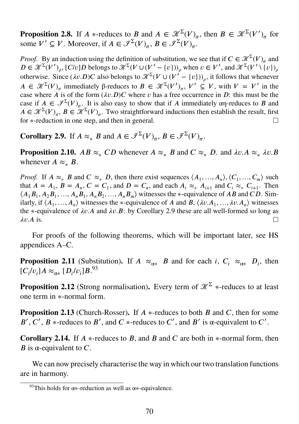<span id="page-69-0"></span>**Proposition 2.8.** If  $A$  \*-reduces to  $B$  and  $A \in \mathcal{K}^{\Sigma}(V)_{\sigma}$ , then  $B \in \mathcal{K}^{\Sigma}(V')_{\sigma}$  for some  $V' \subseteq V$ . Moreover, if  $A \in \mathcal{F}^{\Sigma}(V)_{\sigma}$ ,  $B \in \mathcal{F}^{\Sigma}(V)_{\sigma}$ .

*Proof.* By an induction using the definition of substitution, we see that if  $C \in \mathcal{K}^{\Sigma}(V)_{\sigma}$  and  $D \in \mathcal{K}^{\Sigma}(V')_{\rho}$ , [C/v]D belongs to  $\mathcal{K}^{\Sigma}(V \cup (V' - \{v\}))_{\rho}$  when  $v \in V'$ , and  $\mathcal{K}^{\Sigma}(V' \setminus \{v\})_{\rho}$ otherwise. Since  $(\lambda v.D)C$  also belongs to  $\mathcal{K}^{\Sigma}(V \cup (V' - \{v\}))_{\rho}$ , it follows that whenever  $A \in \mathcal{K}^{\Sigma}(V)_{\sigma}$  immediately  $\beta$ -reduces to  $B \in \mathcal{K}^{\Sigma}(V')_{\sigma}$ ,  $V' \subseteq V$ , with  $V = V'$  in the case where A is of [the](#page-99-6) form  $(\lambda v.D)C$  where v has a free occurrence in D: this must be the case if  $A \in \mathcal{F}^{\Sigma}(V)_{\sigma}$ . It is also easy to show that if A immediately  $\alpha \eta$ -reduces to B and  $A \in \mathcal{K}^{\Sigma}(V)_{\sigma}, B \in \mathcal{K}^{\Sigma}(V)_{\sigma}$ . Two straightforward inductions then establish the result, first for ∗-reduction in one ste[p,](#page-69-1) and then in general.  $\Box$ 

**Corollary 2.9.** If  $A \approx_{*} B$  and  $A \in \mathcal{F}^{\Sigma}(V)_{\sigma}, B \in \mathcal{F}^{\Sigma}(V)_{\sigma}$ .

**Proposition 2.10.**  $AB \approx_{*} CD$  whenever  $A \approx_{*} B$  and  $C \approx_{*} D$ . and  $\lambda v.A \approx_{*} \lambda v.B$ whenever  $A \approx_{*} B$ .

*Proof.* If  $A \approx_{*} B$  and  $C \approx_{*} D$ , then there exist sequences  $\langle A_1, ..., A_n \rangle$ ,  $\langle C_1, ..., C_m \rangle$  such that  $A = A_1$ ,  $B = A_n$ ,  $C = C_1$ , and  $D = C_n$ , and each  $A_i \approx_{\ast} A_{i+1}$  and  $C_i \approx_{\ast} C_{i+1}$ . Then  $\langle A_1B_1, A_2B_1, ..., A_nB_1, A_nB_2, ..., A_nB_m \rangle$  witnesses the \*-equivalence of AB and CD. Similarly, if  $\langle A_1, ..., A_n \rangle$  witnesses the \*-equivalence of A and B,  $\langle \lambda v.A_1, ..., \lambda v.A_n \rangle$  witnesses the ∗-equivalence of  $\lambda v.A$  and  $\lambda v.B$ : by Corollary 2.9 these are all well-formed so long as  $\lambda v.A$  is.  $\Box$ 

<span id="page-69-1"></span>For proofs of the following theorems, which will be important later, see HS appendices A–C.

**Proposition 2.11** (Substitution). If  $A \approx_{\alpha*} B$  and for each *i*,  $C_i \approx_{\alpha*} D_i$ , then  $[C_i/v_i]A \approx_{\alpha*} [D_i/v_i]B.^{93}$ 

**Proposition 2.12** (Strong normalisation). Every term of  $\mathcal{K}^{\Sigma}$  \*-reduces to at least one term in ∗-normal form.

**Proposition 2.13** (Church-Rosser). If  $A$   $*$ -reduces to both  $B$  and  $C$ , then for some B', C', B \*-reduces to B', and C \*-reduces to C', and B' is  $\alpha$ -equivalent to C'.

**Corollary 2.14.** If  $A$   $*$ -reduces to  $B$ , and  $B$  and  $C$  are both in  $*$ -normal form, then B is  $\alpha$ -equivalent to C.

We can now precisely characterise the way in which our two translation functions are in harmony.

<sup>&</sup>lt;sup>93</sup>This holds for α∗-reduction as well as α∗-equivalence.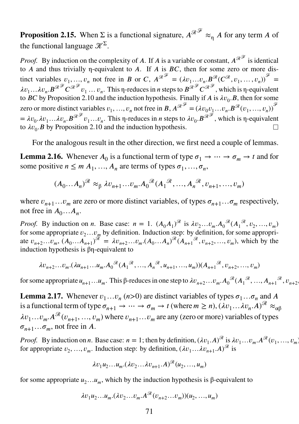**Proposition 2.15.** When  $\Sigma$  is a functional signature,  $A^{\mathcal{R}^{\mathcal{F}}} \approx_{\eta} A$  for any term A of the functional language  $\mathscr{K}^{\Sigma}$ .

*Proof.* By induction on the complexity of A. If A is a variable or constant,  $A^{\mathcal{R}^{\mathcal{F}}}$  is identical to  $A$  and thus trivially  $\eta$ -equivalent to  $A$ . If  $A$  is  $BC$ , then for some zero or more distinct variables  $v_1, ..., v_n$  not free in B or C,  $A^{\mathcal{R}^{\mathcal{F}}} = (\lambda v_1...v_n B^{\mathcal{R}}(C^{\mathcal{R}}, v_1, ..., v_n))^{\mathcal{F}} =$  $\lambda v_1...\lambda v_n$ .  $B^{\mathcal{R}^{\mathcal{F}}}C^{\mathcal{R}^{\mathcal{F}}}v_1...v_n$ . This  $\eta$ -reduces in *n* steps to  $B^{\mathcal{R}^{\mathcal{F}}}C^{\mathcal{R}^{\mathcal{F}}}$ , which is  $\eta$ -equivalent to BC by Proposition 2.10 and the induction hypothesis. Finally if A is  $\lambda v_0$ . B, then for some zero or more distinct variables  $v_1, ..., v_n$  not free in  $B$ ,  $A^{\mathscr{R}^{\mathscr{F}}} = (\lambda v_0 v_1, ..., v_n B^{\mathscr{R}}(v_1, ..., v_n))^{\mathscr{F}}$  $= \lambda v_0 \cdot \lambda v_1 \dots \lambda v_n$ .  $B^{\mathcal{R}^{\mathcal{F}}} v_1 \dots v_n$ . This  $\eta$ -reduces in *n* steps to  $\lambda v_0$ .  $B^{\mathcal{R}^{\mathcal{F}}}$ , which is  $\eta$ -equivalent to  $\lambda v_0$ . B by Proposition 2.10 and the induction hypothesis.

For the analogous result in the other direction, we first need a couple of lemmas.

**Lemma 2.16.** Whenever  $A_0$  is a functional term of type  $\sigma_1 \to \cdots \to \sigma_m \to t$  and for some positive  $n \leq m A_1, ..., A_n$  are terms of types  $\sigma_1, ..., \sigma_n$ ,

$$
(A_0...A_n)^{\mathcal{R}} \approx_{\beta} \lambda v_{n+1}...v_m A_0^{\mathcal{R}}(A_1^{\mathcal{R}},...,A_n^{\mathcal{R}},v_{n+1},...,v_m)
$$

where  $v_{n+1}... v_m$  are zero or more distinct variables, of types  $\sigma_{n+1}... \sigma_m$  respectively, not free in  $A_0...A_n$ .

*Proof.* By induction on *n*. Base case:  $n = 1$ .  $(A_0A_1)^{\mathcal{R}}$  is  $\lambda v_2...v_m.A_0^{\mathcal{R}}(A_1^{\mathcal{R}}, v_2,...,v_m)$ for some appropriate  $v_2...v_m$  by definition. Induction step: by definition, for some appropriate  $v_{n+2}...v_m$ ,  $(A_0...A_{n+1})^{\hat{\mathcal{R}}} = \lambda v_{n+2}...v_m (A_0...A_n)^{\hat{\mathcal{R}}}(A_{n+1}^{\hat{\mathcal{R}}}, v_{n+2}, ..., v_m)$ , which by the induction hypothesis is βη-equivalent to

$$
\lambda v_{n+2}...v_m.(\lambda u_{n+1}...u_m.\mathcal{A}_0^{\mathcal{R}}(A_1^{\mathcal{R}},...,A_n^{\mathcal{R}},u_{n+1},...,u_m))(A_{n+1}^{\mathcal{R}},v_{n+2},...,v_m)
$$

for some appropriate  $u_{n+1}...u_m$ . This β-reduces in one step to  $\lambda v_{n+2}...v_m$ .  $A_0^{\mathcal{R}}(A_1^{\mathcal{R}},...,A_{n+1}^{\mathcal{R}},v_{n+2},...,v_m)$ 

**Lemma 2.17.** Whenever  $v_1...v_n$  ( $n>0$ ) are distinct variables of types  $\sigma_1...\sigma_n$  and A is a functional term of type  $\sigma_{n+1} \to \cdots \to \sigma_m \to t$  (where  $m \ge n$ ),  $(\lambda v_1 \dots \lambda v_n A)^{\mathcal{R}} \approx_{\alpha \beta}$  $\lambda v_1... v_m. A^{\mathcal{R}}(v_{n+1},..., v_m)$  where  $v_{n+1}... v_m$  are any (zero or more) variables of types  $\sigma_{n+1} \dots \sigma_m$ , not free in A.

*Proof.* By induction on *n*. Base case:  $n = 1$ ; then by definition,  $(\lambda v_1.A)^{\mathcal{R}}$  is  $\lambda v_1 \dots v_m.A^{\mathcal{R}}(v_1, \dots, v_m)$ for appropriate  $v_2, ..., v_m$ . Induction step: by definition,  $(\lambda v_1... \lambda v_{n+1}.A)^{\mathcal{R}}$  is

$$
\lambda v_1 u_2 \dots u_m.(\lambda v_2 \dots \lambda v_{n+1}.A)^{\mathcal{R}}(u_2, \dots, u_m)
$$

for some appropriate  $u_2...u_m$ , which by the induction hypothesis is β-equivalent to

$$
\lambda v_1 u_2 \ldots u_m.(\lambda v_2 \ldots v_m \cdot A^{\mathcal{R}}(v_{n+2} \ldots v_m))(u_2, \ldots, u_m)
$$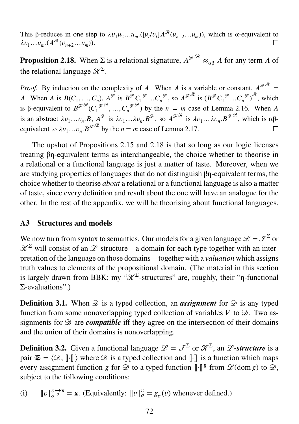This β-reduces in one step to  $\lambda v_1 u_2 \ldots u_m$ .  $([u_i/v_i] A^{\mathcal{R}}(u_{n+2} \ldots u_m))$ , which is α-equivalent to  $\lambda v_1 \ldots v_m \cdot (A^{\mathcal{R}}(v_{n+2} \ldots v_m)).$  $\Box$ 

**Proposition 2.18.** When  $\Sigma$  is a relational signature,  $A^{\mathscr{F}^{\mathscr{R}}} \approx_{\alpha\beta} A$  for any term A of the relational language  $\mathscr{K}^{\Sigma}$ .

<span id="page-71-0"></span>*Proof.* By induction on the complexity of A. When A is a variable or constant,  $A^{\mathscr{F}^{\mathscr{R}}}$ A. When A is  $B(C_1, ..., C_n)$ ,  $A^{\mathscr{F}}$  is  $B^{\mathscr{F}}C_1^{\mathscr{F}}...C_n^{\mathscr{F}}$ , so  $A^{\mathscr{F}^{\mathscr{R}}}$  is  $(B^{\mathscr{F}}C_1^{\mathscr{F}}...C_n^{\mathscr{F}})^{\mathscr{R}}$ , which is β-equivalent to  $B^{\mathscr{F}R}(C_1^{\mathscr{F}R},...,C_n^{\mathscr{F}R})$  by the  $n = m$  case of Lemma 2.16. When A is an abstract  $\lambda v_1 \dots v_n$ . B,  $A^{\mathscr{F}}$  is  $\lambda v_1 \dots \lambda v_n$ .  $B^{\mathscr{F}}$ , so  $A^{\mathscr{F}^{\mathscr{R}}}$  is  $\lambda v_1 \dots \lambda v_n$ .  $B^{\mathscr{F}^{\mathscr{R}}}$ , which is  $\alpha\beta$ equivalent to  $\lambda v_1 \dots v_n B^{\mathcal{F}\mathcal{R}}$  by the  $n = m$  case of Lemma 2.17.  $\Box$ 

The upshot of Pro[positi](#page-98-4)ons 2.15 and 2.18 is that so long as our logic licenses treating βη-equivalent terms as interchangeable, the choice whether to theorise in a relational or a functional language is just a matter of taste. Moreover, when we are studying properties of languages that do not distinguish βη-equivalent terms, the choice whether to theorise *about* a relational or a functional language is also a matter of taste, since every definition and result about the one will have an analogue for the other. In the rest of the appendix, we will be theorising about functional languages.

# **A3 Structures and models**

We now turn from syntax to semantics. Our models for a given language  $\mathscr{L} = \mathscr{I}^{\Sigma}$  or  $\mathcal{K}^{\Sigma}$  will consist of an  $\mathcal{L}$ -structure—a domain for each type together with an interpretation of the language on those domains—together with a *valuation* which assigns truth values to elements of the propositional domain. (The material in this section is largely drawn from BBK: my " $\mathscr{K}^{\Sigma}$ -structures" are, roughly, their "η-functional Σ-evaluations".)

**Definition 3.1.** When  $\mathcal{D}$  is a typed collection, an *assignment* for  $\mathcal{D}$  is any typed function from some nonoverlapping typed collection of variables  $V$  to  $\mathscr{D}$ . Two assignments for  $\mathcal D$  are *compatible* iff they agree on the intersection of their domains and the union of their domains is nonoverlapping.

**Definition 3.2.** Given a functional language  $\mathscr{L} = \mathscr{I}^{\Sigma}$  or  $\mathscr{K}^{\Sigma}$ , an  $\mathscr{L}$ -structure is a pair  $\mathfrak{S} = \langle \mathcal{D}, \Vert \cdot \Vert$  where  $\mathcal{D}$  is a typed collection and  $\Vert \cdot \Vert$  is a function which maps every assignment function g for  $\mathscr D$  to a typed function  $\llbracket \cdot \rrbracket^g$  from  $\mathscr L(\text{dom } g)$  to  $\mathscr D$ , subject to the following conditions:

(i)  $[[v]]_{\sigma}^{\nu \mapsto x} = \mathbf{x}$ . (Equivalently:  $[[v]]_{\sigma}^{g} = g_{\sigma}(v)$  whenever defined.)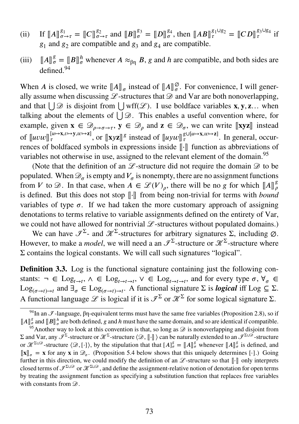- <span id="page-72-1"></span><span id="page-72-0"></span>(ii) If  $[[A]]_{\sigma \to \tau}^{g_1} = [[C]]_{\sigma \to \tau}^{g_2}$  and  $[[B]]_{\sigma}^{g_3} = [[D]]_{\sigma}^{g_4}$ , then  $[[AB]]_{\tau}^{g_1 \cup g_2} = [[CD]]_{\tau}^{g_3 \cup g_4}$  if  $g_1$  and  $g_2$  are compatible and  $g_3$  and  $g_4$  are compatible.
- (iii)  $[[A]]_{\sigma}^{g} = [[B]]_{\sigma}^{h}$  whenever  $A \approx_{\beta\eta} B$ , g and h are compatible, and both sides are defined.<sup>94</sup>

When A is closed, we write  $[[A]]_{\sigma}$  instead of  $[[A]]_{\sigma}^{\emptyset}$ . For convenience, I will generally assume when discussing  $\mathcal{L}$ -structures that  $\mathcal{D}$  and Var are both nonoverlapping, and that  $\bigcup \mathcal{D}$  is disjoint from  $\bigcup$  wff( $\mathcal{L}$ ). I use boldface variables **x**, **y**, **z**... when talking about the elements of  $\bigcup \mathcal{D}$ . This enables a useful convention where, for example, given  $\mathbf{x} \in \mathcal{D}_{\rho \to \sigma \to \tau}$ ,  $\mathbf{y} \in \mathcal{D}_{\rho}$  and  $\mathbf{z} \in \mathcal{D}_{\sigma}$ , we can write  $[\![\mathbf{x}\mathbf{y}\mathbf{z}]\!]$  instead of  $[\![uvw]\!]_{\tau}^{[\![u \mapsto x, v \mapsto y, w \mapsto z]}$ , or  $[\![xyz]\!]_{\xi}^{g}$  instead of  $[\![uyw]\!]_{\tau}^{g \cup [\![u \mapsto x, w \mapsto z]}$ . In general, occurrences of boldfaced symbols in expressions inside 〖·〗 function as abbreviations of variables not otherwise in use, assigned to the relevant element of the domain.<sup>95</sup>

(Note that the definition of an  $\mathscr L$ -structure did not require the domain  $\mathscr D$  to be populated. When  $\mathcal{D}_{\sigma}$  is empty and  $V_{\sigma}$  is nonempty, there are no ass[ignment func](#page-69-0)tions from V to  $\mathscr{D}$ . In that case, when  $A \in \mathscr{L}(V)_{\rho}$ , there will be no g for which  $[[A]]_{\rho}^g$ is defined. But this does not stop <sup>[1,</sup>] from being non-trivial for terms with *bound* variables of type  $\sigma$ . If we had taken the more customary approach of assigning denotations to terms rel[ative to variab](#page-83-0)le assignments defined on the entirety of Var, we could not have allowed for nontrivial  $\mathcal{L}$ -structures without populated domains.)

We can have  $\mathscr{I}^{\Sigma}$ - and  $\mathscr{K}^{\Sigma}$ -structures for arbitrary signatures  $\Sigma$ , including  $\emptyset$ . However, to make a *model*, we will need a an  $\mathcal{I}^{\Sigma}$ -structure or  $\mathcal{K}^{\Sigma}$ -structure where  $\Sigma$  contains the logical constants. We will call such signatures "logical".

**Definition 3.3.** Log is the functional signature containing just the following constants:  $\neg \in \text{Log}_{t \to t}$ ,  $\land \in \text{Log}_{t \to t \to t}$ ,  $\lor \in \text{Log}_{t \to t \to t}$ , and for every type  $\sigma$ ,  $\forall_{\sigma} \in$ Log<sub>( $\sigma \to t$ )→t</sub> and  $\exists_{\sigma} \in \text{Log}_{(\sigma \to t) \to t}$ . A functional signature  $\Sigma$  is *logical* iff Log  $\subseteq \Sigma$ . A functional language  $\mathscr L$  is logical if it is  $\mathscr F^{\Sigma}$  or  $\mathscr K^{\Sigma}$  for some logical signature  $\Sigma$ .

<sup>&</sup>lt;sup>94</sup>In an *J*-language, βη-equivalent terms must have the same free variables (Proposition 2.8), so if  $[[A]]_{\sigma}^{g}$  and  $[[B]]_{\sigma}^{h}$  are both defined, g and h must have the same domain, and so are identical if compatible.

<sup>&</sup>lt;sup>95</sup> Another way to look at this convention is that, so long as  $\mathscr D$  is nonoverlapping and disjoint from Σ and Var, any  $\mathcal{F}^\Sigma$ -structure or  $\mathcal{K}^\Sigma$ -structure ⟨ $\mathcal{D}$ , [[⋅]] ⟩ can be naturally extended to an  $\mathcal{F}^{\Sigma\cup\mathcal{D}}$ -structure or  $\mathscr{K}^{\Sigma \cup \mathscr{D}}$ -structure  $\langle \mathscr{D}, [\cdot] \rangle$ , by the stipulation that that  $[A]_{\sigma}^{g} = [[A]]_{\sigma}^{g}$  whenever  $[[A]]_{\sigma}^{g}$  is defined, and  $\llbracket \mathbf{x} \rrbracket_{\sigma} = \mathbf{x}$  for any  $\mathbf{x}$  in  $\mathcal{D}_{\sigma}$ . (Proposition 5.4 below shows that this uniquely determines [⋅].) Going further in this direction, we could modify the definition of an  $\mathcal{L}$ -structure so that  $\lbrack \cdot \rbrack$  only interprets closed terms of  $\mathcal{F}^{\Sigma\cup\mathcal{D}}$  or  $\mathcal{K}^{\Sigma\cup\mathcal{D}}$ , and define the assignment-relative notion of denotation for open terms by treating the assignment function as specifying a substitution function that replaces free variables with constants from  $\mathcal{D}$ .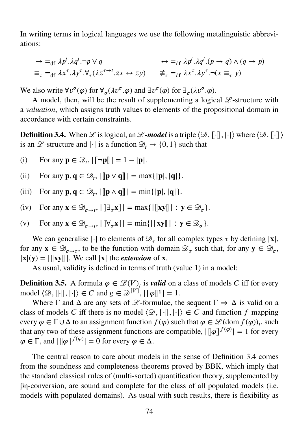<span id="page-73-4"></span><span id="page-73-3"></span><span id="page-73-0"></span>In writing terms in logical languages we use the following metalinguistic abbreviations:

<span id="page-73-1"></span>
$$
\Rightarrow =_{df} \lambda p^t . \lambda q^t . \neg p \lor q \qquad \leftrightarrow =_{df} \lambda p^t . \lambda q^t . (p \to q) \land (q \to p)
$$
  

$$
\equiv_{\tau} =_{df} \lambda x^{\tau} . \lambda y^{\tau} . \forall_{\tau} (\lambda z^{\tau \to t} . zx \leftrightarrow zy) \qquad \not\equiv_{\tau} =_{df} \lambda x^{\tau} . \lambda y^{\tau} . \neg (x \equiv_{\tau} y)
$$

<span id="page-73-2"></span>We also write  $\forall v^{\sigma}(\varphi)$  for  $\forall_{\sigma}(\lambda v^{\sigma}.\varphi)$  and  $\exists v^{\sigma}(\varphi)$  for  $\exists_{\sigma}(\lambda v^{\sigma}.\varphi)$ .

A model, then, will be the result of supplementing a logical  $\mathscr L$ -structure with a *valuation*, which assigns truth values to elements of the propositional domain in accordance with certain constraints.

**Definition 3.4.** When *L* is logical, an *L*-model is a triple  $(\mathcal{D}, \lVert \cdot \rVert, \lvert \cdot \rvert)$  where  $(\mathcal{D}, \lVert \cdot \rVert)$ is an *L*-structure and  $|\cdot|$  is a function  $\mathcal{D}_t \to \{0, 1\}$  such that

- (i) For any  $\mathbf{p} \in \mathcal{D}_t$ ,  $|\mathbf{p}|\mathbf{p}| = 1 |\mathbf{p}|$ .
- (ii) For any  $\mathbf{p}, \mathbf{q} \in \mathcal{D}_t$ ,  $\left| \left[ \mathbf{p} \vee \mathbf{q} \right] \right| = \max \{ \left| \mathbf{p} \right|, \left| \mathbf{q} \right| \}.$
- (iii) For any  $\mathbf{p}, \mathbf{q} \in \mathcal{D}_t$ ,  $\left| \left[ \mathbf{p} \wedge \mathbf{q} \right] \right| = \min\{\left| \mathbf{p} \right|, \left| \mathbf{q} \right| \}.$
- $(iv)$  For any  $\mathbf{x} \in \mathcal{D}_{\sigma \to t}$ ,  $\left[\left[\mathbb{E}_{\sigma} \mathbf{x}\right]\right] = \max\{\left[\left[\left[\mathbf{x} \mathbf{y}\right]\right] : \mathbf{y} \in \mathcal{D}_{\sigma}\}\right].$
- $(v)$  For any  $\mathbf{x} \in \mathcal{D}_{\sigma \to t}$ ,  $\left[ \left[ \mathbb{V}_{\sigma} \mathbf{x} \right] \right] = \min \{ \left[ \left[ \mathbf{x} \mathbf{y} \right] \right] : \mathbf{y} \in \mathcal{D}_{\sigma} \}.$  $\left[ \left[ \mathbb{V}_{\sigma} \mathbf{x} \right] \right] = \min \{ \left[ \left[ \mathbf{x} \mathbf{y} \right] \right] : \mathbf{y} \in \mathcal{D}_{\sigma} \}.$

We can generalise  $|\cdot|$  to elements of  $\mathcal{D}_{\tau}$  for all complex types  $\tau$  by defining  $|\mathbf{x}|$ , for any  $\mathbf{x} \in \mathcal{D}_{\sigma \to \tau}$ , to be the function with domain  $\mathcal{D}_{\sigma}$  such that, for any  $\mathbf{y} \in \mathcal{D}_{\sigma}$ ,  $|\mathbf{x}|(\mathbf{y}) = |\mathbf{x}|\|$ . We call  $|\mathbf{x}|\|$  the *extension* of **x**.

As usual, validity is defined in terms of truth (value 1) in a model:

**Definition 3.5.** A formula  $\varphi \in \mathcal{L}(V)_t$  is *valid* on a class of models C iff for every model  $\langle \mathcal{D}, [\cdot], \cdot | \rangle \in C$  and  $g \in \mathcal{D}^{[V]}$ ,  $|[\varphi]|^g = 1$ .

Where  $\Gamma$  and  $\Delta$  are any sets of  $\mathscr{L}$ -formulae, the sequent  $\Gamma \Rightarrow \Delta$  is valid on a class of models C iff there is no model  $\langle \mathcal{D}, \lbrack \lbrack \cdot \rbrack \rbrack, \lbrack \cdot \rbrack \rangle \in C$  and function f mapping every  $\varphi \in \Gamma \cup \Delta$  to an assignment function  $f(\varphi)$  such that  $\varphi \in \mathscr{L}(\text{dom } f(\varphi))_t$ , such that any two of these assignment functions are compatible,  $\|\varphi\|^{f(\varphi)} = 1$  for every  $\varphi \in \Gamma$ , and  $|\llbracket \varphi \rrbracket^{f(\varphi)}| = 0$  for every  $\varphi \in \Delta$ .

The central reason to care about models in the sense of Definition 3.4 comes from the soundness and completeness theorems proved by BBK, which imply that the standard classical rules of (multi-sorted) quantification theory, supplemented by βη-conversion, are sound and complete for the class of all populated models (i.e. models with populated domains). As usual with such results, there is flexibility as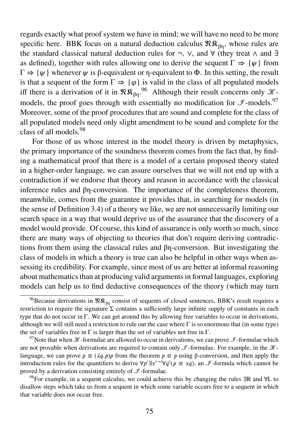regards exactly what proof system we have in mind; we will have no need to be more specific here. BBK focus on a natural deduction calculus  $\Re\mathfrak{K}_{\beta n}$ , whose rules are the standard classical natural deduction rules for ¬, ∨, and ∀ (they treat ∧ and ∃ as defined), [together with](#page-73-0) rules allowing one to derive the sequent  $\Gamma \Rightarrow {\psi}$  from  $\Gamma \Rightarrow {\psi}$  whenever  $\psi$  is β-equivalent or η-equivalent to Φ. In this setting, the result is that a sequent of the form  $\Gamma \Rightarrow {\varphi}$  is valid in the class of all populated models iff there is a derivation of it in  $\Re{\mathfrak{K}_{\beta\eta}}$ .<sup>96</sup> Although their result concerns only  $\mathcal{K}$ models, the proof goes through with essentially no modification for  $\mathcal{I}$ -models.<sup>97</sup> Moreover, some of the proof procedures that are sound and complete for the class of all populated models need only slight amendment to be sound and complete for the class of all models.<sup>98</sup>

For those of us whose interest in the model theory is driven by metaphysics, the primary importance of the soundness theorem comes from the fact that, by finding a mathematical proof that there is a model of a certain pr[opose](#page-98-0)d theory stated in a higher-order language, we can assure ourselves that we will not end up with a contradiction if we endorse that theory and reason in accordance with the classical inference rules and βη-conversion. The importance of the completeness theorem, meanwhile, comes from the guarantee it provides that, in searching for models (in the sense of Definition 3.4) of a theory we like, we are not unnecessarily limiting our search space in a way that would deprive us of the assurance that the discovery of a model would provide. Of course, this kind of assurance is only worth so much, since there are many ways of objecting to theories that don't require deriving contradictions from them using the classical rules and βη-conversion. But investigating the class of models in which a theory is true can also be helpful in other ways when assessing its credibility. For example, since most of us are better at informal reasoning about mathematics than at producing valid arguments in formal languages, exploring models can help us to find deductive consequences of the theory (which may turn

<sup>&</sup>lt;sup>96</sup>Because derivations in  $\Re{\mathfrak{K}}_{\beta n}$  consist of sequents of closed sentences, BBK's result requires a restriction to require the signature  $\Sigma$  contains a sufficiently large infinite supply of constants in each type that do not occur in Γ. We can get around this by allowing free variables to occur in derivations, although we will still need a restriction to rule out the case where  $\Gamma$  is so enormous that (in some type) the set of variables free in  $\Gamma$  is larger than the set of variables not free in  $\Gamma$ .

<sup>&</sup>lt;sup>97</sup>Note that when  $\mathcal K$ -formulae are allowed to occur in derivations, we can prove  $\mathcal F$ -formulae which are not provable when derivations are required to contain only  $\mathscr{I}$ -formulae. For example, in the  $\mathscr{K}$ language, we can prove  $p \equiv (\lambda q.p)p$  from the theorem  $p \equiv p$  using  $\beta$ -conversion, and then apply the introduction rules for the quantifiers to derive  $\forall p' \exists x' \forall q' (p \equiv xq)$ , an *J*-formula which cannot be proved by a derivation consisting entirely of  $\mathcal{I}$ -formulae.

<sup>&</sup>lt;sup>98</sup>For example, in a sequent calculus, we could achieve this by changing the rules  $\exists R$  and  $\forall L$  to disallow steps which take us from a sequent in which some variable occurs free to a sequent in which that variable does not occur free.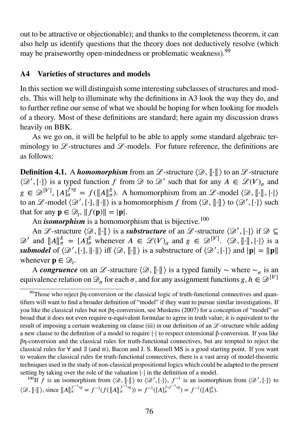out to be attractive or objectionable); and thanks to the completeness theorem, it can also help us identify questions that the theory does not deductively resolve (which may be praiseworthy open-mindedness or problematic weakness).<sup>99</sup>

#### **A4 Varieties of structures and models**

In this section we will distinguish some interesting subclasses of structures and models. This will help to illuminate why the definitions in A3 look the way they do, and to further refine our sense of what we should be hoping for when looking for models of a theory. Most of these definitions are standard; here again my discussion draws heavily on BBK.

As we go on, it will be helpful to be able to apply some standard algebraic terminology to  $\mathscr L$ -structures and  $\mathscr L$ -models. For future reference, the definitions are as follows:

**Definition 4.1.** A *homomorphism* from an  $\mathscr L$ -struct[ure](#page-100-0)  $\langle \mathscr D, \llbracket \cdot \rrbracket \rangle$  to an  $\mathscr L$ -structure  $\langle \mathcal{D}', [\cdot] \rangle$  is a typed function f from  $\mathcal{D}$  [to](#page-72-0)  $\mathcal{D}'$  such that for any  $A \in \mathcal{L}(V)_{\sigma}$  and  $g \in \mathscr{D}^{[V]}$ ,  $[A]_{\sigma}^{f \circ g} = f([A]_{\sigma}^{g})$ . A homomorphism from an  $\mathscr{L}$ -model  $\langle \mathscr{D}, [\![\cdot]\!], [\cdot] \rangle$ to an L-model  $\langle \mathcal{D}', [\cdot], \| \cdot \| \rangle$  is a homomorphism f from  $\langle \mathcal{D}, [\cdot] \rangle$  to  $\langle \mathcal{D}', [\cdot] \rangle$  such that for any  $\mathbf{p} \in \mathcal{D}_t$ ,  $|| f(\mathbf{p}) || = |\mathbf{p}|$ .

An *isomorphism* is a homomorphism that is bijective.<sup>100</sup>

An *L*-structure  $(\mathcal{D}, [\![\cdot]\!])$  is a *substructure* of an *L*-structure  $(\mathcal{D}', [\cdot])$  if  $\mathcal{D} \subseteq$  $\mathscr{D}'$  and  $[[A]]_{\sigma}^{g} = [A]_{\sigma}^{g}$  whenever  $A \in \mathscr{L}(V)_{\sigma}$  and  $g \in \mathscr{D}^{[V]}$ .  $\langle \mathscr{D}, [[\cdot], \cdot] \rangle$  is a *submodel* of  $\langle \mathcal{D}', [\cdot], \| \cdot \| \rangle$  iff  $\langle \mathcal{D}, [\cdot] \rangle$  is a substructure of  $\langle \mathcal{D}', [\cdot] \rangle$  and  $|\mathbf{p}| = ||\mathbf{p}||$ whenever  $\mathbf{p} \in \mathcal{D}_t$ .

A *congruence* on an L structure  $\langle \mathcal{D}, \llbracket \cdot \rrbracket \rangle$  is a typed family  $\sim$  where  $\sim_{\sigma}$  is an equivalence relation on  $\mathscr{D}_{\sigma}$  for each  $\sigma$ , and for any assignment functions  $g, h \in \mathscr{D}^{[V]}$ 

<sup>&</sup>lt;sup>99</sup>Those who reject βη-conversion or the classical logic of truth-functional connectives and quantifiers will want to find a broader definition of "model" if they want to pursue similar investigations. If you like the classical rules but not βη-conversion, see Muskens (2007) for a conception of "model" so broad that it does not even require α-equivalent formulae to agree in truth value; it is equivalent to the result of imposing a certain weakening on clause (iii) in our definition of an  $\mathscr L$ -structure while adding a new clause to the definition of a model to require |⋅| to respect extensional β-conversion. If you like βη-conversion and the classical rules for truth-functional connectives, but are tempted to reject the classical rules for ∀ and  $\exists$  (and  $\equiv$ ), Bacon and J. S. Russell MS is a good starting point. If you want to weaken the classical rules for truth-functional connectives, there is a vast array of model-theoretic techniques used in the study of non-classical propositional logics which could be adapted to the present setting by taking over the role of the valuation  $|·|$  in the definition of a model.

<sup>&</sup>lt;sup>100</sup>If f is an isomorphism from  $(\mathscr{D}, \llbracket \cdot \rrbracket)$  to  $(\mathscr{D}', [\cdot]$ ,  $f^{-1}$  is an isomorphism from  $(\mathscr{D}', [\cdot])$  to  $\langle \mathcal{D}, [\cdot] \rangle$ , since  $[[A]]_{\sigma}^{f^{-1} \circ g} = f^{-1}(f([A]]_{\sigma}^{f^{-1} \circ g}) = f^{-1}([A]_{\sigma}^{f \circ f^{-1} \circ g}) = f^{-1}([A]_{\sigma}^{g})$ .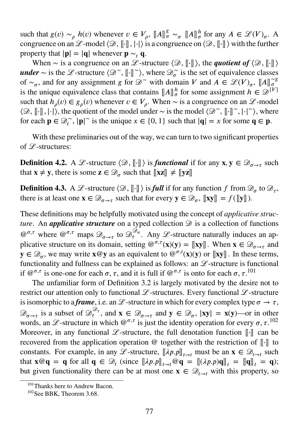such that  $g(v) \sim_{\rho} h(v)$  whenever  $v \in V_{\rho}$ ,  $[[A]]_{\sigma}^{g} \sim_{\sigma} [[A]]_{\sigma}^{h}$  for any  $A \in \mathcal{L}(V)_{\sigma}$ . A congruence on an  $\mathscr{L}$ -model  $\langle \mathscr{D}, [\![\cdot]\!], \cdot \vert \rangle$  is a congruence on  $\langle \mathscr{D}, [\![\cdot]\!] \rangle$  with the further property that  $|\mathbf{p}| = |\mathbf{q}|$  whenever  $\mathbf{p} \sim_t \mathbf{q}$ .

When  $\sim$  is a congruence on an *L*-structure  $\langle \mathcal{D}, [\![\cdot]\!] \rangle$ , the *quotient of*  $\langle \mathcal{D}, [\![\cdot]\!] \rangle$ *under* ∼ is the *L*-structure  $\langle \mathcal{D}^{\sim}, [[-]\rangle^{\sim}$ , where  $\mathcal{D}_{\sigma}^{\sim}$  is the set of equivalence classes of  $\sim_{\sigma}$ , and for any assignment g for  $\mathscr{D}^{\sim}$  with domain V and  $A \in \mathscr{L}(V)_{\sigma}$ ,  $\llbracket A \rrbracket_{\sigma}^{\approx_{\sigma}}$ is the unique equivalence class that contains  $[[A]]_{\sigma}^{h}$  for some assignment  $h \in \mathcal{D}^{[V]}$ such that  $h_{\rho}(v) \in g_{\rho}(v)$  whenever  $v \in V_{\rho}$ . When ~ is a congruence on an  $\mathscr{L}$ -model  $\langle \mathcal{D}, [[-], [\cdot] \rangle$ , the quotient of the model under ~ is the model  $\langle \mathcal{D}^*, [[-], \cdot] \rangle$ , where for each  $\mathbf{p} \in \mathcal{D}_t^{\sim}$ ,  $|\mathbf{p}|^{\sim}$  is the unique  $x \in \{0, 1\}$  such that  $|\mathbf{q}| = x$  for some  $\mathbf{q} \in \mathbf{p}$ .

With these preliminarie[s out of the way](#page-71-0), we can turn to two significant [pro](#page-76-0)perties of ℒ-structures:

**Definition 4.2.** A *L*-structure  $\langle \mathcal{D}, \Vert \cdot \Vert \rangle$  is *functional* if for any **x**,  $y \in \mathcal{D}_{\sigma \to \tau}$  such that  $\mathbf{x} \neq \mathbf{y}$ , there is some  $\mathbf{z} \in \mathcal{D}_{\sigma}$  such that  $\left[\mathbf{xz}\right] \neq \left[\mathbf{yz}\right]$ 

**Definition 4.3.** A  $\mathscr{L}$ -structure  $\langle \mathscr{D}, \llbracket \cdot \rrbracket \rangle$  is *full* if for any function  $f$  from  $\mathscr{D}_{\sigma}$  to  $\mathscr{D}_{\tau}$ , there is at least one  $\mathbf{x} \in \mathcal{D}_{\sigma \to \tau}$  such that for every  $\mathbf{y} \in \mathcal{D}_{\sigma}$ ,  $[\![\mathbf{x}\mathbf{y}]\!] = f([\![\mathbf{y}]\!])$ .

<span id="page-76-0"></span>These definitions may be helpfully motivated using the concept of *applicative structure*. An *applicative structure* on a typed collection  $\mathcal{D}$  is a collection of functions  $\mathbb{Q}^{\sigma,\tau}$  where  $\mathbb{Q}^{\sigma,\tau}$  maps  $\mathscr{D}_{\sigma\to\tau}$  to  $\mathscr{D}_{\tau}^{\mathscr{D}_{\sigma}}$ . Any  $\mathscr{L}$ -structure naturally induces an applicative structure on its domain, setting  $\mathcal{Q}^{\sigma,\tau}(\mathbf{x})(\mathbf{y}) = ||\mathbf{x}\mathbf{y}||$ . When  $\mathbf{x} \in \mathcal{D}_{\sigma \to \tau}$  and **y** ∈  $\mathcal{D}_{\sigma}$ [, we](#page-98-0) may write **x***®***y** as an equivalent to  $\mathcal{Q}^{\sigma,t}(\mathbf{x})(\mathbf{y})$  or  $\mathbf{y}$ **v**. In these terms, functionality and fullness can be explained as follows: an  $\mathscr L$ -structure is functional if  $\mathcal{Q}^{\sigma,\tau}$  is one-one for each  $\sigma, \tau$ , and it is full if  $\mathcal{Q}^{\sigma,\tau}$  is onto for each  $\sigma, \tau$ .<sup>101</sup>

<span id="page-76-1"></span>The unfamiliar form of Definition 3.2 is largely motivated by the desire not to restrict our attention only to functional  $\mathscr L$ -structures. Every functional  $\mathscr L$ -structure is isomorphic to a *frame*, i.e. an  $\mathscr L$ -structure in which for every complex type  $\sigma \to \tau$ ,  $\mathscr{D}_{\sigma \to \tau}$  is a subset of  $\mathscr{D}_{\tau}^{\mathscr{D}_{\tau}}$ , and  $\mathbf{x} \in \mathscr{D}_{\sigma \to \tau}$  and  $\mathbf{y} \in \mathscr{D}_{\sigma}$ ,  $|\mathbf{x}\mathbf{y}| = \mathbf{x}(\mathbf{y})$ —or in other words, an  $\mathscr{L}$ -structure in which  $\mathscr{Q}^{\sigma,\tau}$  is just the identity operation for every  $\sigma, \tau$ .<sup>102</sup> Moreover, in any functional  $\mathcal{L}$ -structure, the full denotation function  $\llbracket \cdot \rrbracket$  can be recovered from the application operation @ together with the restriction of  $\Vert \cdot \Vert$  to constants. For example, in any *L*-structure,  $[\![\lambda p \cdot p]\!]_{t \to t}$  must be an  $\mathbf{x} \in \mathcal{D}_{t \to t}$  such that  $\mathbf{x} \circledcirc \mathbf{q} = \mathbf{q}$  for all  $\mathbf{q} \in \mathcal{D}_t$  (since  $[\![\lambda p.p]\!]_{t \to t} \circledcirc \mathbf{q} = [\![(\lambda p.p)\mathbf{q}]\!]_t = [\![\mathbf{q}]\!]_t = \mathbf{q}$ ); but given functionality there can be at most one  $\mathbf{x} \in \mathcal{D}_{t \to t}$  with this property, so

<sup>&</sup>lt;sup>101</sup>Thanks here to Andrew Bacon.

<sup>&</sup>lt;sup>102</sup>See BBK, Theorem 3.68.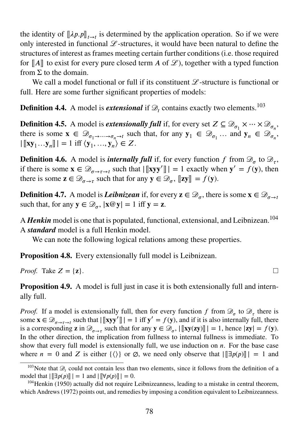the identity of  $\llbracket \lambda p.p \rrbracket_{t\to t}$  is determined by the application operation. So if we were only interested in functional  $\mathcal{L}$ -structures, it would have been natural to define the structures of interest as frames meeting certain further conditions (i.e. those required for  $\llbracket A \rrbracket$  to exist for every pure closed term A of  $\mathcal{L}$ ), together with a typed function from  $\Sigma$  to the domain.

We call a model functiona[l or](#page-77-0) full if its constituent  $\mathscr L$ -structure is functional or full. Here are some further significant properties of models:

**Definition 4.4.** A model is *extensional* if  $\mathcal{D}_t$  contains exactly two elements.<sup>103</sup>

**Definition 4.5.** A model is *extensionally full* if, for every set  $Z \subseteq \mathcal{D}_{\sigma_1} \times \cdots \times \mathcal{D}_{\sigma_n}$ , there is some  $\mathbf{x} \in \mathcal{D}_{\sigma_1 \to \dots \to \sigma_n \to t}$  such that, for any  $\mathbf{y}_1 \in \mathcal{D}_{\sigma_1} \dots$  and  $\mathbf{y}_n \in \mathcal{D}_{\sigma_n}$ ,  $\left| \left[ \left[ \mathbf{x} \mathbf{y}_1 \dots \mathbf{y}_n \right] \right] \right| = 1 \text{ iff } \langle \mathbf{y}_1, \dots, \mathbf{y}_n \rangle \in Z.$ 

**Definition 4.6.** A model is *internally full* if, for every function f from  $\mathcal{D}_{\sigma}$  to  $\mathcal{D}_{\tau}$ , if there is some  $\mathbf{x} \in \mathcal{D}_{\sigma \to \tau \to t}$  such that  $\left| [\mathbf{xyy}^\prime] \right| = 1$  exactly when  $\mathbf{y}^\prime = f(\mathbf{y})$ , then there is some  $\mathbf{z} \in \mathcal{D}_{\sigma \to \tau}$  such that for any  $\mathbf{y} \in \mathcal{D}_{\sigma}$ ,  $[\![\mathbf{z} \mathbf{y}]\!] = f(\mathbf{y})$ .

**Definition 4.7.** A model is *Leibnizean* if, for every  $z \in \mathcal{D}_{\sigma}$ , there is some  $x \in \mathcal{D}_{\sigma \to t}$ such that, for any  $y \in \mathcal{D}_{\sigma}$ ,  $|\mathbf{x} \circledcirc \mathbf{y}| = 1$  iff  $\mathbf{y} = \mathbf{z}$ .

A *Henkin* model is one that is populated, functional, extensional, and Leibnizean.<sup>104</sup> A *standard* model is a full Henkin model.

<span id="page-77-0"></span>We can [note](#page-99-0) the following logical relations among these properties.

**Proposition [4.8.](#page-98-2)** Every extensionally full model is Leibnizean.

*Proof.* Take  $Z = \{z\}.$ 

 $\Box$ 

**Proposition 4.9.** A model is full just in case it is both extensionally full and internally full.

*Proof.* If a model is extensionally full, then for every function f from  $\mathcal{D}_{\sigma}$  to  $\mathcal{D}_{\tau}$  there is some  $\mathbf{x} \in \mathcal{D}_{\sigma \to \tau \to t}$  such that  $\left| [\mathbf{xyy}'] \right| = 1$  iff  $\mathbf{y}' = f(\mathbf{y})$ , and if it is also internally full, there is a corresponding **z** in  $\mathcal{D}_{\sigma \to \tau}$  such that for any  $y \in \mathcal{D}_{\sigma}$ ,  $|\llbracket xy(zy) \rrbracket | = 1$ , hence  $|zy| = f(y)$ . In the other direction, the implication from fullness to internal fullness is immediate. To show that every full model is extensionally full, we use induction on  $n$ . For the base case where  $n = 0$  and Z is either  $\{\langle \rangle\}$  or  $\emptyset$ , we need only observe that  $\lfloor \exists p(p) \rfloor \rfloor = 1$  and

<sup>&</sup>lt;sup>103</sup>Note that  $\mathcal{D}_t$  could not contain less than two elements, since it follows from the definition of a model that  $\left|\right|\left|\left|\exists p(p)\right|\right|\right| = 1$  and  $\left|\left|\left|\forall p(p)\right|\right|\right| = 0$ .

 $104$  Henkin (1950) actually did not require Leibnizeanness, leading to a mistake in central theorem, which Andrews (1972) points out, and remedies by imposing a condition equivalent to Leibnizeanness.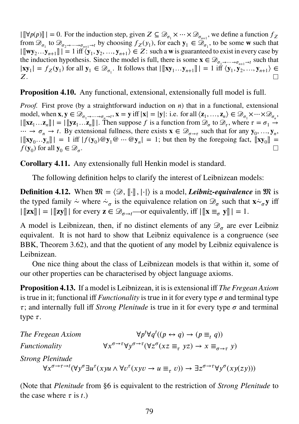<span id="page-78-3"></span> $\left| [\nabla p(p)] \right| = 0$ . For the induction step, given  $Z \subseteq \mathcal{D}_{\sigma_1} \times \cdots \times \mathcal{D}_{\sigma_{n+1}}$ , we define a function  $f_Z$ from  $\mathcal{D}_{\sigma_1}$  to  $\mathcal{D}_{\sigma_2 \to \dots \to \sigma_{n+1} \to t}$  by choosing  $f_Z(y_1)$ , for each  $\mathbf{y}_1 \in \mathcal{D}_{\sigma_1}$ , to be some **w** such that  $\left[\begin{matrix}w\mathbf{y}_2... \mathbf{y}_{n+1}\end{matrix}\right] = 1$  iff  $\langle \mathbf{y}_1, \mathbf{y}_2,... \mathbf{y}_{n+1}\rangle \in Z$ : such a **w** is guaranteed to exist in every case by the induction hypothesis. Since the model is full, there is some  $\mathbf{x} \in \mathcal{D}_{\sigma_1 \to \dots \to \sigma_{n+1} \to t}$  such that  $|\mathbf{x}\mathbf{y}_1| = f_Z(\mathbf{y}_1)$  for all  $\mathbf{y}_1 \in \mathcal{D}_{\sigma_1}$ . It follows that  $|\mathbf{x}\mathbf{y}_1 \dots \mathbf{y}_{n+1}|\| = 1$  iff  $\langle \mathbf{y}_1, \mathbf{y}_2, \dots, \mathbf{y}_{n+1} \rangle \in$  $Z_{\cdot}$ 

**Proposition 4.10.** Any functional, extensional, extensionally full model is full.

*[Proof.](#page-98-0)* First prove (by a straightforward induction on  $n$ ) that in a functional, extensional model, when  $\mathbf{x}, \mathbf{y} \in \mathcal{D}_{\sigma_1 \to \cdots \to \sigma_n \to t}$ ,  $\mathbf{x} = \mathbf{y}$  iff  $|\mathbf{x}| = |\mathbf{y}|$ : i.e. for all  $\langle \mathbf{z}_1, \dots, \mathbf{z}_n \rangle \in \mathcal{D}_{\sigma_1} \times \cdots \times \mathcal{D}_{\sigma_n}$ ,  $\left|\left[\mathbf{xz}_1 \dots \mathbf{z}_n\right]\right| = \left|\left[\mathbf{yz}_1 \dots \mathbf{z}_n\right]\right|$ . Then suppose f is a function from  $\mathcal{D}_{\sigma}$  to  $\mathcal{D}_{\tau}$ , where  $\tau = \sigma_1 \to$  $\cdots$  →  $\sigma_n$  → *t*. By extensional fullness, there exists **x** ∈  $\mathcal{D}_{\sigma \to \tau}$  such that for any **y**<sub>0</sub>, ..., **y**<sub>n</sub>,  $\left|\left[\mathbf{x}\mathbf{y}_0...\mathbf{y}_n\right]\right| = 1$  iff  $|f(\mathbf{y}_0) \otimes \mathbf{y}_1 \otimes \cdots \otimes \mathbf{y}_n| = 1$ ; but then by the for[egoing fact,](#page-78-0)  $\left[\mathbf{x}\mathbf{y}_0\right] =$  $f(\mathbf{y}_0)$  for all  $\mathbf{y}_0 \in \mathcal{D}_{\sigma}$ .  $\Box$ 

**Corollary 4.11.** Any ex[tensionally full H](#page-78-2)enkin model is standard.

The following definition helps to clarify the interest of Leibnizean models:

<span id="page-78-1"></span><span id="page-78-0"></span>**Definition 4.12.** When  $\mathfrak{M} = \langle \mathcal{D}, \|\cdot\|, \cdot\|\rangle$  is a model, *Leibniz-equivalence* in  $\mathfrak{M}$  is the typed family  $\sim$  where  $\sim_{\sigma}$  is the equivalence relation on  $\mathcal{D}_{\sigma}$  such that  $\mathbf{x} \sim_{\sigma} \mathbf{y}$  iff  $\left| \left[ \mathbf{z} \mathbf{x} \right] \right| = \left| \left[ \mathbf{z} \mathbf{y} \right] \right|$  for every  $\mathbf{z} \in \mathcal{D}_{\sigma \to t}$ —or equivalently, iff  $\left| \left[ \mathbf{x} \equiv_\sigma \mathbf{y} \right] \right| = 1$ .

<span id="page-78-2"></span>A model is Leibnizean, then, if no distinct elements of any  $\mathcal{D}_{\sigma}$  are ever Leibniz equivalent. It is not hard to show that Leibniz equivalence is a congruence (see BBK, The[orem 3.62\)](#page-28-0), and [tha](#page-25-0)t the quotient of any model by Le[ibniz equivalence](#page-78-2) is Leibnizean.

One nice thing about the class of Leibnizean models is that within it, some of our other properties can be characterised by object language axioms.

**Proposition 4.13.** If a model is Leibnizean, it is is extensional iff *The Fregean Axiom* is true in it; functional iff *Functionality* is true in it for every type  $\sigma$  and terminal type  $\tau$ ; and internally full iff *Strong Plenitude* is true in it for every type  $\sigma$  and terminal type  $\tau$ .

The Fregean Axiom  $\forall p^t \forall q^t ((p \leftrightarrow q) \rightarrow (p \equiv_t q))$ Functionality  $\forall x^{\sigma \to \tau} \forall y^{\sigma \to \tau} (\forall z^{\sigma} (xz \equiv_\tau yz) \to x \equiv_{\sigma \to \tau} y)$  $\forall x^{\sigma \to \tau \to t} (\forall y^{\sigma} \exists u^{\tau} (xyu \land \forall v^{\tau} (xyv \to u \equiv_{\tau} v)) \to \exists z^{\sigma \to \tau} \forall y^{\sigma} (xy(zy)))$ *Strong Plenitude*

(Note that *Plenitude* from §6 is equivalent to the restriction of *Strong Plenitude* to the case where  $\tau$  is t.)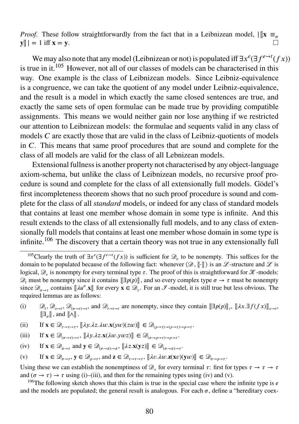*Proof.* These follow straightforwardly from the fact that in a Leibnizean model,  $\left| \right| \mathbf{x} \equiv_{\sigma}$  $\mathbf{y}$  $|| = 1$  iff  $\mathbf{x} = \mathbf{y}$ .

We may also note that any model (Leibnizean or not) is populated iff  $\exists x^e(\exists f^{e\rightarrow t}(fx))$ is true in it.<sup>105</sup> However, not all of our classes of models can be characterised in this way. One example is the class of Leibnizean models. Since Leibniz-equivalence is a congruence, we can take the quotient of any model under Leibniz-equivalence, and the [res](#page-79-0)ult is a model in which exactly the same closed sentences are true, and exactly the same sets of open formulae can be made true by providing compatible assignments. This means we would neither gain nor lose anything if we restricted our attention to Leibnizean models: the formulae and sequents valid in any class of models  $C$  are exactly those that are valid in the class of Leibniz-quotients of models in  $C$ . This means that same proof procedures that are sound and complete for the class of all models are valid for the class of all Lebnizean models.

Extensional fullness is another property not characterised by any object-language axiom-schema, but unlike the class of Leibnizean models, no recursive proof procedure is sound and complete for the class of all extensionally full models. Gödel's first incompleteness theorem shows that no such proof procedure is sound and complete for the class of all *standard* models, or indeed for any class of standard models that contains at least one member whose domain in some type is infinite. And this result extends to the class of all extensionally full models, and to any class of extensionally full models that contains at least one member whose domain in some type is infinite.<sup>106</sup> The discovery that a certain theory was not true in any extensionally full

- (ii) If  $\mathbf{x} \in \mathcal{D}_{\tau \to \tau \to \tau}$ ,  $[\![\lambda y.\lambda z.\lambda w.\mathbf{x}(yw)(zw)]\!] \in \mathcal{D}_{(\rho \to \tau) \to (\rho \to \tau) \to \rho \to \tau}$ .
- (iii) If  $\mathbf{x} \in \mathcal{D}_{(\sigma \to \tau) \to \tau}$ ,  $[\![\lambda y.\lambda z.\mathbf{x}(\lambda w.ywz)]\!] \in \mathcal{D}_{(\sigma \to \rho \to \tau) \to \rho \to \tau}$ .
- (iv) If  $\mathbf{x} \in \mathcal{D}_{\pi \to \tau}$  and  $\mathbf{y} \in \mathcal{D}_{(\sigma \to \pi) \to \pi}$ ,  $[\![\lambda z.\mathbf{x}(\mathbf{y}z)]\!] \in \mathcal{D}_{(\sigma \to \pi) \to \tau}$ .
- $(v)$  If  $\mathbf{x} \in \mathcal{D}_{\sigma \to \tau}, \mathbf{y} \in \mathcal{D}_{\sigma \to \tau}$ , and  $\mathbf{z} \in \mathcal{D}_{\tau \to \tau \to \tau}$ ,  $[\lambda v \cdot \lambda w \cdot \mathbf{z}(\mathbf{x}v)(\mathbf{y}w)] \in \mathcal{D}_{\sigma \to \sigma \to \tau}$ .

Using these we can establish the nonemptiness of  $\mathcal{D}_{\tau}$  for every terminal  $\tau$ : first for types  $\tau \to \tau \to \tau$ and  $(\sigma \to \tau) \to \tau$  using (i)–(iii), and then for the remaining types using (iv) and (v).

 $106$ The following sketch shows that this claim is true in the special case where the infinite type is  $e$ and the models are populated; the general result is analogous. For each  $\sigma$ , define a "hereditary coex-

<span id="page-79-0"></span><sup>&</sup>lt;sup>105</sup>Clearly the truth of  $\exists x^e(\exists f^{e\to t}(fx))$  is sufficient for  $\mathcal{D}_e$  to be nonempty. This suffices for the domain to be populated because of the following fact: whenever  $\langle \mathcal{D}, \llbracket \cdot \rrbracket \rangle$  is an  $\mathcal L$ -structure and  $\mathcal L$  is logical,  $\mathcal{D}_{\tau}$  is nonempty for every terminal type  $\tau$ . The proof of this is straightforward for  $\mathcal{K}$ -models:  $\mathcal{D}_t$  must be nonempty since it contains  $[\exists p(p)]$ , and so every complex type  $\sigma \to \tau$  must be nonempty since  $\mathcal{D}_{\sigma \to \tau}$  contains  $[\![\lambda u^{\sigma} \cdot \mathbf{x}]\!]$  for every  $\mathbf{x} \in \mathcal{D}_{\tau}$ . For an *J*-model, it is still true but less obvious. The required lemmas are as follows:

<sup>(</sup>i)  $\mathscr{D}_t, \mathscr{D}_{e \to t}, \mathscr{D}_{(\sigma \to t) \to t}$ , and  $\mathscr{D}_{t \to t \to t}$  are nonempty, since they contain  $[\exists p(p)]_t$ ,  $[\exists \lambda x. \exists f(fx)]_{e \to t}$ ,  $\left[\left[\exists_{\sigma}\right]\right]$ , and  $\left[\left[\wedge\right]\right]$ .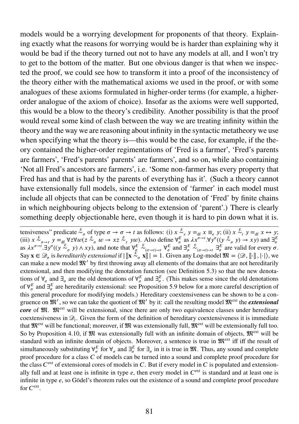models would be a worrying development for proponents of that theory. Explaining exactly what the reasons for worrying would be is harder than explaining why it would be bad if the theory turned out not to have any models at all, and I won't try to get to the bottom of the matter. But one obvious danger is that when we inspected the proof, we could see how to transform it into a proof of the inconsistency of the theory either with the mathematical axioms we used in the proof, or with some analogues of these axioms formulated in higher-order terms (for example, a higherorder analogue of the axiom of choice). Insofar as the axioms were well supported, this would be a blow to the theory's credibility. Another possibility is that the proof would reveal some kind of clash between the way we are treating infinity within the theory and the way we are reasoning about infinity i[n the syntact](#page-82-0)ic metatheory we use when specifying what the theory is—this would be the case, for example, if the theory contained the higher-order regim[entations of 'F](#page-84-0)red is a farmer', 'Fred's parents are farmers', 'Fred's parents' parents' are farmers', and so on, while also containing 'Not all Fred's ancestors are farmers', i.e. 'Some non-farmer has every property that Fred has and that is had by the parents of everything has it'. (Such a theory cannot have extensionally full models, since the extension of 'farmer' in each model must inclu[de all objects t](#page-78-3)hat can be connected to the denotation of 'Fred' by finite chains in which neighbouring objects belong to the extension of 'parent'.) There is clearly something deeply objectionable here, even though it is hard to pin down what it is.

tensiveness" predicate  $\frac{E}{\gamma}$  of type  $\sigma \to \sigma \to t$  as follows: (i)  $x \stackrel{E}{\sim} y =_{df} x \equiv_e y$ ; (ii)  $x \stackrel{E}{\sim} y =_{df} x \leftrightarrow y$ ; (iii)  $x \stackrel{E}{\sim}_{\sigma \to \tau} y =_{df} \forall z \forall w (z \stackrel{E}{\sim}_{\sigma} w \to x z \stackrel{E}{\sim}_{\tau} yw)$ . Also define  $\forall_{\sigma}^{E}$  as  $\lambda x^{\sigma \to t} \cdot \forall y^{\sigma} ((y \stackrel{E}{\sim}_{\sigma} y) \to xy)$  and  $\exists_{\sigma}^{E}$  as  $\lambda x^{\sigma \to t} \cdot \exists y^{\sigma} ((y \stackrel{E}{\sim}_{\sigma} y) \wedge xy)$ , and note that  $\forall$ Say  $\mathbf{x} \in \mathcal{D}_{\sigma}$  is *hereditarily extensional* if  $|\mathbf{x} \cdot \mathbf{x}_{\sigma} \cdot \mathbf{x}|| = 1$ . Given any Log-model  $\mathfrak{M} = \langle \mathcal{D}, \|\cdot\|, \|\cdot\|$ , we can make a new model  $\mathfrak{M}'$  by first throwing away all elements of the domains that are not hereditarily extensional, and then modifying the denotation function (see Definition 5.3) so that the new denotations of  $\forall_{\sigma}$  and  $\exists_{\sigma}$  are the old denotations of  $\forall_{\sigma}^{E}$  and  $\exists_{\sigma}^{E}$ . (This makes sense since the old denotations of  $\forall_{\sigma}^{E}$  and  $\exists_{\sigma}^{E}$  are hereditarily extensional: see Proposition 5.9 below for a more careful description of this general procedure for modifying models.) Hereditary coextensiveness can be shown to be a congruence on  $\mathfrak{M}'$ , so we can take the quotient of  $\mathfrak{M}'$  by it: call the resulting model  $\mathfrak{M}^{\text{ext}}$  the *extensional core* of  $\mathfrak{M}$ .  $\mathfrak{M}^{\text{ext}}$  will be extensional, since there are only two equivalence classes under hereditary coextensiveness in  $\mathcal{D}_t$ . Given the form of the definition of hereditary coextensiveness it is immediate that  $\mathfrak{M}^{\text{ext}}$  will be functional; moreover, if  $\mathfrak{M}$  was extensionally full,  $\mathfrak{M}^{\text{ext}}$  will be extensionally full too. So by Proposition 4.10, if  $\mathfrak{M}$  was extensionally full with an infinite domain of objects,  $\mathfrak{M}^{\text{ext}}$  will be standard with an infinite domain of objects. Moreover, a sentence is true in  $\mathfrak{M}^{\text{ext}}$  iff iff the result of simultaneously substituting  $\forall_{\sigma}^{E}$  for  $\forall_{\sigma}$  and  $\exists_{\sigma}^{E}$  for  $\exists_{\sigma}$  in it is true in  $\mathfrak{M}$ . Thus, any sound and complete proof procedure for a class  $C$  of models can be turned into a sound and complete proof procedure for the class  $C^{\text{ext}}$  of extensional cores of models in C. But if every model in C is populated and extensionally full and at least one is infinite in type  $e$ , then every model in  $C<sup>ext</sup>$  is standard and at least one is infinite in type  $e$ , so Gödel's theorem rules out the existence of a sound and complete proof procedure for  $C^{\text{ext}}$ .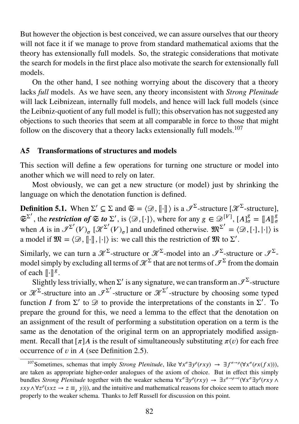But however the objection is best conceived, we can assure ourselves that our theory will not face it if we manage to prove from standard mathematical axioms that the theory has extensionally full models. So, the strategic considerations that motivate the search for models in the first place also motivate the search for extensionally full models.

On the other hand, I see nothing worrying about the discovery that a theory lacks *full* models. As we have seen, any theory inconsistent with *Strong Plenitude* will lack Leibnizean, internally full models, and hence will lack full models (since the Leibniz-quotient of any full model is full); this observation has not suggested any objections to such theories that seem at all comparable in force to those that might follow on the discovery that a theory lacks extensionally full models.<sup>107</sup>

### **A5 Transformations of structures and models**

This section will define a few operations for turning one structure or model into another which we will need to rely on later.

Most obviously, we can get a new structure (or model) just by shrinking the language on which the denotation function is defined.

**Definition 5.1.** When  $\Sigma' \subseteq \Sigma$  and  $\mathfrak{S} = \langle \mathcal{D}, \llbracket \cdot \rrbracket \rangle$  $\mathfrak{S} = \langle \mathcal{D}, \llbracket \cdot \rrbracket \rangle$  $\mathfrak{S} = \langle \mathcal{D}, \llbracket \cdot \rrbracket \rangle$  is a  $\mathcal{F}^{\Sigma}$ -structure  $[\mathcal{K}^{\Sigma}$ -structure],  $\mathfrak{S}^{\Sigma'}$ , the *restriction of*  $\mathfrak{S}$  *to*  $\Sigma'$ , is  $\langle \mathcal{D}, [\cdot] \rangle$ , where for any  $g \in \mathfrak{D}^{[V]}$ ,  $[A]_{\sigma}^{g} = [A]_{\sigma}^{g}$ when A is in  $\mathcal{F}^{\Sigma'}(V)_{\sigma}$  [ $\mathcal{K}^{\Sigma'}(V)_{\sigma}$ [\] and undefi](#page-78-2)ned otherwise.  $\mathfrak{M}^{\Sigma'} = \langle \mathcal{D}, [\cdot], [\cdot] \rangle$  is a model if  $\mathfrak{M} = \langle \mathcal{D}, [\![\cdot]\!]$ ,  $|\cdot|\rangle$  is: we call this the restriction of  $\mathfrak{M}$  to  $\Sigma'$ .

Similarly, we can turn a  $\mathscr{K}^{\Sigma}$ -structure or  $\mathscr{K}^{\Sigma}$ -model into an  $\mathscr{I}^{\Sigma}$ -structure or  $\mathscr{I}^{\Sigma}$ model simply by excluding all terms of  $\mathscr{K}^{\Sigma}$  that are not terms of  $\mathscr{I}^{\Sigma}$  from the domain of each  $\lbrack \cdot \rbrack^g$ .

Slightly less trivially, when  $\Sigma'$  is any signature, we can transform an  $\mathscr{I}^{\Sigma}$ -structure or  $\mathcal{K}^{\Sigma}$ -structure into an  $\mathcal{I}^{\Sigma'}$ -structure or  $\mathcal{K}^{\Sigma'}$ -structure by choosing some typed function I from  $\Sigma'$  to  $\mathcal D$  to provide the interpretations of the constants in  $\Sigma'$ . To prepare the ground for this, we need a lemma to the effect that the denotation on an assignment of the result of performing a substitution operation on a term is the same as the denotation of the original term on an appropriately modified assignment. Recall that  $[\pi] A$  is the result of simultaneously substituting  $\pi(v)$  for each free occurrence of  $v$  in  $A$  (see Definition 2.5).

<sup>&</sup>lt;sup>107</sup> Sometimes, schemas that imply *Strong Plenitude*, like  $\forall x^{\sigma} \exists y^{\rho}(rxy) \rightarrow \exists f^{\sigma \rightarrow \rho}(\forall x^{\sigma}(rx(fx)))$ , are taken as appropriate higher-order analogues of the axiom of choice. But in effect this simply bundles *Strong Plenitude* together with the weaker schema  $\forall x^{\sigma} \exists y^{\rho} (rxy) \rightarrow \exists s^{\sigma \rightarrow \rho \rightarrow t} (\forall x^{\sigma} \exists y^{\rho} (rxy \land rxy))$  $sxy \wedge \forall z^{\rho} (sxz \rightarrow z \equiv_{\rho} y))$ , and the intuitive and mathematical reasons for choice seem to attach more properly to the weaker schema. Thanks to Jeff Russell for discussion on this point.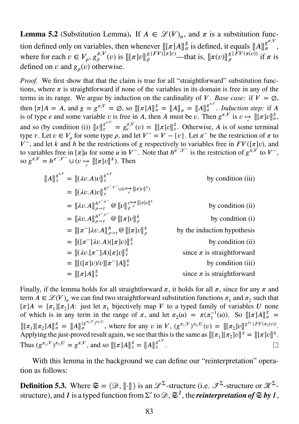<span id="page-82-1"></span>**Lemma 5.2** (Substit[utio](#page-72-0)n Lemma). If  $A \in \mathcal{L}(V)_{\sigma}$ , and  $\pi$  is a substitution function defined only on variables, then whenever  $[\![ [\pi]A]\!]_{\sigma}^{g}$  is defined, it equals  $[\![A]\!]_{\sigma}^{g^{\pi,V}}$ , where for each  $v \in V_\rho$ ,  $g_\rho^{\pi,V}(v)$  is  $[[\pi]v]]_\rho^{g\downarrow FV([\pi]v)}$ —that is,  $[\pi(v)]_\rho^{g\downarrow FV(\pi(v))}$  if  $\pi$  is defined on v and  $g_{\rho}(v)$  otherwise.

*Proof.* We first show that that the claim is true for all "straightforward" substit[utio](#page-71-1)n functions, where  $\pi$  is straightforward if none of the variables in its domain is free in any of the terms in its range. We argue by induction on the cardinality of V. Base case: if  $V = \emptyset$ , then  $[\pi]A = A$ , and  $g = g^{\pi, V} = \emptyset$ , so  $[[[\pi]A]]_{\sigma}^{g} = [[A]]_{\sigma} = [[A]]_{\sigma}^{g^{\pi, V}}$ . *Inductio[n st](#page-72-1)ep:* if A is of type *e* and some variable *v* is free in *A*, then *A* must be *v*. Then  $g^{\pi, V}$  is  $v \mapsto [[\pi]v]_{\sigma}^{g}$ , and so (by condition (i))  $[[v]]_e^{g^{\pi,V}} = g_e^{\pi,V}(v) = [[\pi]v]]_e^g$ . Otherwise, A is of so[me t](#page-72-0)erminal type  $\tau$ . Let  $v \in V_\rho$  for some type  $\rho$ , and let  $V^- = V - \{v\}$ . Let  $\pi^-$  be the restriction of  $\pi$  to  $V^-$ , and let k and h be the restrictions of g respectively to variables free in  $FV([\pi]v)$ , and to variables free in  $[\pi]u$  for some u in  $V^-$ . Note that  $h^{\pi^- , V^-}$  is the restriction of  $g^{\pi, V}$  to  $V^-$ , so  $g^{\pi,V} = h^{\pi^-,V^-} \cup (v \mapsto [[(\pi]v]]^k)$ . Then

| $\llbracket A \rrbracket_{\tau}^{g^{\pi,V}} = \llbracket (\lambda v.A) v \rrbracket_{\tau}^{g^{\pi,V}}$           | by condition (iii)             |
|-------------------------------------------------------------------------------------------------------------------|--------------------------------|
| = $[(\lambda v.A)v]]_{\tau}^{h^{\pi^-,V^-} \cup (v \mapsto [[\pi]v]]^k)}$                                         |                                |
| = $[\![\lambda v. A]\!]_{\rho \to \tau}^{h^{\pi^-, V^-}} \otimes [\![v]\!]_{\rho}^{v \mapsto [\![\![\pi]v]\!]^k}$ | by condition (ii)              |
| = $[\![\lambda v. A]\!]_{\rho \to \tau}^{h^{\pi^-}, V^-} \otimes [[\pi]v]]_{\rho}^k$                              | by condition (i)               |
| = $[[[\pi^-]\lambda v.A]]_{\rho\to\tau}^h \mathcal{Q}[[[\pi]v]]_{\rho}^k$                                         | by the induction hypothesis    |
| = $[[(\pi^{-}]\lambda v.A)([\pi]v)]_{\tau}^{g}$                                                                   | by condition (ii)              |
| = $[(\lambda v.[\pi^-]A)[\pi]v]_{\tau}^{g}$                                                                       | since $\pi$ is straightforward |
| $=$ $\left[ \left[ \frac{(\pi  v)}{v \pi^{-1} A} \right]_{\tau}^{g} \right]$                                      | by condition (iii)             |
| $=$ $\left[ \lbrack \lbrack \pi \rbrack A \rbrack \right]_{\tau}^{8}$                                             | since $\pi$ is straightforward |

<span id="page-82-0"></span>Finally, if the lemma holds for all straightforward  $\pi$ , it holds for all  $\pi$ , since for any  $\pi$  and term  $A \in \mathscr{L}(V)_{\sigma}$  we can find two straightforward substitution functions  $\pi_1$  and  $\pi_2$  such that  $[\pi]A = [\pi_1][\pi_2]A$ : just let  $\pi_1$  bijectively map V to a typed family of variables U none of which is in any term in the range of  $\pi$ , and let  $\pi_2(u) = \pi(\pi_1^{-1}(u))$ . So  $[[[\pi]A]]_{{\sigma}}^g =$ 1  $[[[\pi_1][\pi_2]A]]_{\sigma}^g = [[A]]_{\sigma}^{(g^{\pi_1,V})^{\pi_2,U}}$ , where for any  $v$  in  $V$ ,  $(g^{\pi_1,V})^{\pi_2,U}(v) = [[\pi_2]v]]_{\sigma}^{g^{\pi_1}|FV(\pi_2(v))}$ . Applying the just-proved result again, we see that this is the same as  $[[[\pi_1][\pi_2]v]]^s = [[\pi]v]]^s$ . Thus  $(g^{\pi_1, V})^{\pi_2, U} = g^{\pi, V}$ , and so  $[[[\pi]A]]_{{\tau}}^g = [[A]]_{{\tau}}^{g^{\pi, V}}$  $\Box$  $\frac{s}{\tau}$  .

With this lemma in the background we can define our "reinterpretation" operation as follows:

**Definition 5.3.** Where  $\mathfrak{S} = \langle \mathcal{D}, \llbracket \cdot \rrbracket \rangle$  is an  $\mathcal{L}^{\Sigma}$ -structure (i.e.  $\mathcal{I}^{\Sigma}$ -structure or  $\mathcal{K}^{\Sigma}$ structure), and  $I$  is a typed function from  $\Sigma'$  to  $\mathscr{D},\mathfrak{S}^I,$  the *reinterpretation of*  $\mathfrak{S}$  *by*  $I,$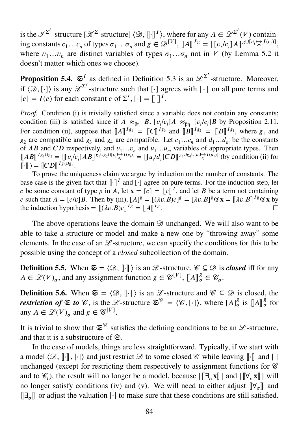<span id="page-83-0"></span>is the  $\mathcal{F}^{\Sigma'}$ -structure  $[\mathcal{K}^{\Sigma}$ -structure]  $\langle \mathcal{D}, [[\cdot]]^{\Gamma} \rangle$ , where for any  $A \in \mathcal{L}^{\Sigma'}(V)$  containing constants  $c_1...c_n$  of types  $\sigma_1...\sigma_n$  and  $g \in \mathcal{D}^{[V]}$ ,  $[[A]]^{Ig} = [[v_i/c_i]A]]^{g\cup [v_i \mapsto I(c_i)]}$ , where  $v_1...v_n$  are distinct variables of types  $\sigma_1...\sigma_n$  not in V (by Lemma 5.2 it doesn't matter which ones we [choo](#page-72-0)se).

**Proposition 5.4.**  $\mathfrak{S}^I$  as defined in Definition 5.3 is an  $\mathscr{L}^{\Sigma'}$ -structure. Moreover, if  $\langle \mathcal{D}, [\cdot] \rangle$  is any  $\mathcal{L}^{\Sigma'}$ -structure such that  $[\cdot]$  agrees with  $[\cdot]$  on all pure terms and  $[c] = I(c)$  for each constant  $c$  of  $\Sigma'$ ,  $[\cdot] = [\![\cdot]\!]^I$ .

*Proof.* Condition (i) is trivially satisfied since a variable does not contain any constants; condition (iii) is satisfied since if  $A \approx_{\beta\eta} B$ ,  $[v_i/c_i]A \approx_{\beta\eta} [v_i/c_i]B$  by Proposition 2.11. For condition (ii), suppose that  $[[A]]^{I_{g_1}} = [[C]]^{I_{g_3}}$  and  $[[B]]^{I_{g_2}} = [[D]]^{I_{g_4}}$ , where  $g_1$  and  $g_2$  are compatible and  $g_3$  and  $g_4$  are compatible. Let  $c_1...c_n$  and  $d_1...d_m$  be the constants of AB and CD respectively, and  $v_1...v_n$  and  $u_1...u_m$  variables of appropriate types. Then  $[[AB]]^{I_{g_1}\cup g_2} = [[v_i/c_i]AB]]^{g_1\cup g_2\cup [v_i \stackrel{\rightarrow}{\sigma_i} I(c_i)]} = [[u_i/d_i]C]^{m}D]^{g_3\cup g_4\cup [u_i \stackrel{\rightarrow}{\sigma_i} I(d_i)]}$  (by condition (ii) for  $[\![\cdot]\!]$ ) =  $[\![CD]\!]^{I_{g_3\cup g_4}}$ .

To prove the uniqueness claim we argue by induction on the number of constants. The base case is the given fact that  $\llbracket \cdot \rrbracket^I$  and  $\llbracket \cdot \rrbracket$  agree on pure terms. For the induction step, let c be some constant of type  $\rho$  in A, let  $\mathbf{x} = [c] = [c]^{T}$ , and let B be a term not containing c such that  $A = [c/v]B$ . Then by (iii),  $[A]^g = [(\lambda v.B)c]^g = [\lambda v.B]^g \otimes x = [\lambda v.B]^{\ell g} \otimes x$  by the induction hypothesis =  $[(\lambda v.B)c]^{Ig} = [A]^{Ig}$ .  $\Box$ 

The above operations leave the domain  $\mathcal D$  unchanged. We will also want to be able to take a structure or model and make a new one by "throwing away" some elements. In the case of an  $\mathscr L$ [-str](#page-73-1)uctu[re, w](#page-73-2)e can specify the conditions for this to be possible using the concept of a *closed* subcollection of the domain.

**Definition 5.5.** When  $\mathfrak{S} = \langle \mathcal{D}, \llbracket \cdot \rrbracket \rangle$  is an *L*-structure,  $\mathcal{C} \subseteq \mathcal{D}$  is *closed* iff for any  $A \in \mathcal{L}(V)_{\sigma}$ , and any assignment function  $g \in \mathcal{C}^{[V]}$ ,  $[[A]]_{\sigma}^{g} \in \mathcal{C}_{\sigma}$ .

**Definition 5.6.** When  $\mathfrak{S} = \langle \mathcal{D}, \Vert \cdot \Vert \rangle$  is an *L*-structure and  $\mathcal{C} \subseteq \mathcal{D}$  is closed, the *restriction of*  $\mathfrak{S}$  *to*  $\mathcal{C}$ , is the  $\mathcal{L}$ -structure  $\mathfrak{S}^{\mathcal{C}} = \langle \mathcal{C}, [\cdot] \rangle$ , where  $[A]_{\sigma}^{\mathcal{S}}$  is  $[[A]]_{\sigma}^{\mathcal{S}}$  for any  $A \in \mathscr{L}(V)_{\sigma}$  and  $g \in \mathscr{C}^{[V]}$ .

It is trivial to show that  $\mathfrak{S}^{\mathscr{C}}$  satisfies the defining conditions to be an  $\mathscr{L}$ -structure, and that it is a substructure of  $\mathfrak{S}$ .

In the case of models, things are less straightforward. Typically, if we start with a model  $\langle \mathcal{D}, \lbrack \lbrack \cdot \rbrack \rbrack$ ,  $\lbrack \cdot \rbrack$  and just restrict  $\mathcal D$  to some closed  $\mathcal C$  while leaving  $\lbrack \lbrack \cdot \rbrack \rbrack$  and  $\lbrack \cdot \rbrack$ unchanged (except for restricting them respectively to assignment functions for  $\mathscr C$ and to  $\mathscr{C}_t$ ), the result will no longer be a model, because  $\left[\left[\exists_{\sigma} \mathbf{x}\right]\right]$  and  $\left[\left[\forall_{\sigma} \mathbf{x}\right]\right]$  will no longer satisfy conditions (iv) and (v). We will need to either adjust  $\|\forall_{\sigma}\|$  and  $\|\exists_{\sigma}\|$  or adjust the valuation  $|\cdot|$  to make sure that these conditions are still satisfied.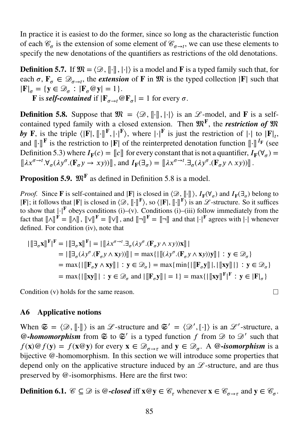<span id="page-84-1"></span><span id="page-84-0"></span>In practice it is easiest to do the for[mer, since so l](#page-84-1)ong as the characteristic function of each  $\mathcal{C}_{\sigma}$  is the extension of some element of  $\mathcal{C}_{\sigma \to t}$ , we can use these elements to specify the new denotations of the quantifiers as restrictions of the old denotations.

**Definition 5.7.** If  $\mathfrak{M} = \langle \mathcal{D}, [\cdot] \rangle$  $\mathfrak{M} = \langle \mathcal{D}, [\cdot] \rangle$  $\mathfrak{M} = \langle \mathcal{D}, [\cdot] \rangle$ ,  $|\cdot|$  [is](#page-73-2) a model and **F** [is a](#page-73-4) typed family such that, for each  $\sigma$ ,  $\mathbf{F}_{\sigma} \in \mathcal{D}_{\sigma \to t}$ , the *extension* of **F** in  $\mathfrak{M}$  is the typed collection  $|\mathbf{F}|$  such that  $|\mathbf{F}|_{\sigma} = {\mathbf{y} \in \mathcal{D}_{\sigma} : |\mathbf{F}_{\sigma} \mathcal{Q} \mathbf{y}| = 1}.$ 

**F** is *self-contained* if  $|\mathbf{F}_{\sigma \to t} \mathcal{Q} \mathbf{F}_{\sigma}| = 1$  for every  $\sigma$ .

**Definition 5.8.** Suppose that  $\mathfrak{M} = \langle \mathcal{D}, \lVert \cdot \rVert, \lvert \cdot \rvert \rangle$  is an  $\mathcal{L}$ -model, and **F** is a selfcontained typed family with a closed extension. Then  $\mathfrak{M}^{\mathbf{F}}$ , the *restriction of*  $\mathfrak{M}$ *by* **F**, is the triple  $\langle |F|, [[-]\]^F, |{\cdot}|^F \rangle$ , where  $|{\cdot}|^F$  is just the restriction of  $|{\cdot}|$  to  $|F|$ , and  $\llbracket \cdot \rrbracket^F$  is the restriction to  $\llbracket \mathbf{F} \rrbracket$  of the reinterpreted denotation function  $\llbracket \cdot \rrbracket^{I_F}$  (see Definitio[n 5.](#page-73-2)3) where  $I_F(c) = ||c||$  for every constant that is not a quantifier,  $I_F(\forall_{\sigma}) =$  $[\![\lambda x^{\sigma\to t}.\forall_\sigma (\lambda y^\sigma.({\bf F}_\sigma y\to xy))]\!]\!,\text{ and }I_{\bf F}(\exists_\sigma) =[\![\lambda x^{\sigma\to t}.\exists_\sigma (\lambda y^\sigma.({\bf F}_\sigma y\wedge xy))]\!]\,.$ 

**Proposition 5.9.**  $\mathfrak{M}^{\mathbf{F}}$  as defined in Definition 5.8 is a model.

*Proof.* Since **F** is self-contained and  $|F|$  is closed in  $\langle \mathcal{D}, \llbracket \cdot \rrbracket \rangle$ ,  $I_F(\forall_{\sigma})$  and  $I_F(\exists_{\sigma})$  belong to  $|\mathbf{F}|$ ; it follows that  $|\mathbf{F}|$  is closed in  $\langle \mathcal{D}, [[-]\]^{\mathbf{F}}\rangle$ , so  $\langle |\mathbf{F}|, [[-]\]^{\mathbf{F}}\rangle$  is an  $\mathcal{L}$ -structure. So it suffices to show that |⋅|**<sup>F</sup>** obeys conditions (i)–(v). Conditions (i)–(iii) follow immediately from the fact that  $[[\wedge]]^F = [[\wedge]]$ ,  $[[\vee]]^F = [[\vee]]$ , and  $[[\neg]]^F = [[\neg]]$  and that  $|\cdot|^F$  agrees with  $|\cdot|$  whenever defined. For condition (iv), note that

$$
\begin{aligned}\n\left\{ \left[ \left[ \exists_{\sigma} \mathbf{x} \right]^{F} \right]^{F} = \left[ \left[ \left[ \exists_{\sigma} \mathbf{x} \right]^{F} \right] = \left[ \left[ \left[ \lambda x^{\sigma - t} \cdot \exists_{\sigma} (\lambda y^{\sigma} \cdot (\mathbf{F}_{\sigma} y \wedge xy)) \mathbf{x} \right] \right] \right] \\
&= \left[ \left[ \left[ \exists_{\sigma} (\lambda y^{\sigma} \cdot (\mathbf{F}_{\sigma} y \wedge xy)) \right] \right] \right] = \max \left\{ \left[ \left[ (\lambda y^{\sigma} \cdot (\mathbf{F}_{\sigma} y \wedge xy)) \mathbf{y} \right] \right] \right\} : \mathbf{y} \in \mathcal{D}_{\sigma} \right\} \\
&= \max \left\{ \left\{ \left[ \left[ \mathbf{F}_{\sigma} \mathbf{y} \wedge \mathbf{x} \mathbf{y} \right] \right] \right\} : \mathbf{y} \in \mathcal{D}_{\sigma} \right\} = \max \left\{ \min \left\{ \left[ \left[ \left[ \mathbf{F}_{\sigma} \mathbf{y} \right] \right] \right\} \right\} : \mathbf{y} \in \mathcal{D}_{\sigma} \right\} \\
&= \max \left\{ \left\{ \left[ \left[ \mathbf{x} \mathbf{y} \right] \right] \right\} : \mathbf{y} \in \mathcal{D}_{\sigma} \text{ and } \left\{ \left[ \left[ \mathbf{F}_{\sigma} \mathbf{y} \right] \right] \right\} = 1 \right\} = \max \left\{ \left[ \left[ \left[ \mathbf{x} \mathbf{y} \right] \right]^{F} \right\} : \mathbf{y} \in \left[ \mathbf{F} \right]_{\sigma} \right\}\n\end{aligned}
$$

Condition (v) holds for the same reason.

 $\Box$ 

### **A6 Applicative notions**

When  $\mathfrak{S} = \langle \mathcal{D}, [\cdot] \rangle$  is an  $\mathcal{L}$ -structure and  $\mathfrak{S}' = \langle \mathcal{D}', [\cdot] \rangle$  is an  $\mathcal{L}'$ -structure, a **@-homomorphism** from  $\mathfrak{S}$  to  $\mathfrak{S}'$  is a typed function f from  $\mathfrak{D}$  to  $\mathfrak{D}'$  such that  $f(\mathbf{x}) \circledcirc f(\mathbf{y}) = f(\mathbf{x} \circledcirc \mathbf{y})$  for every  $\mathbf{x} \in \mathcal{D}_{\sigma \to \tau}$  and  $\mathbf{y} \in \mathcal{D}_{\sigma}$ . A  $\circledcirc$ -isomorphism is a bijective @-homomorphism. In this section we will introduce some properties that depend only on the applicative structure induced by an  $\mathscr{L}$ -structure, and are thus preserved by @-isomorphisms. Here are the first two:

**Definition 6.1.**  $\mathscr{C} \subseteq \mathscr{D}$  is  $\mathscr{Q}$ -closed iff  $\mathbf{x} \mathscr{Q} \mathbf{y} \in \mathscr{C}_{\tau}$  whenever  $\mathbf{x} \in \mathscr{C}_{\sigma \to \tau}$  and  $\mathbf{y} \in \mathscr{C}_{\sigma}$ .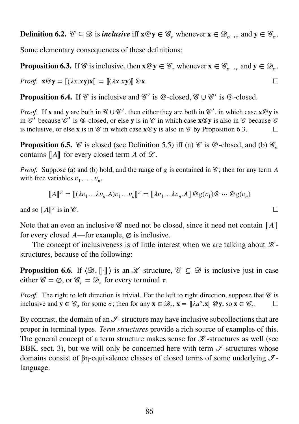**Definition 6.2.**  $\mathscr{C} \subseteq \mathscr{D}$  is *inclusive* iff  $x \mathscr{Q} y \in \mathscr{C}_{\tau}$  whenever  $x \in \mathscr{D}_{\sigma \to \tau}$  and  $y \in \mathscr{C}_{\sigma}$ .

Some elementary consequences of these definitions:

**Proposition 6.3.** If  $\mathscr{C}$  is inclusive, then  $\mathbf{x} \otimes \mathbf{y} \in \mathscr{C}_{\tau}$  whenever  $\mathbf{x} \in \mathscr{C}_{\sigma \to \tau}$  and  $\mathbf{y} \in \mathscr{D}_{\sigma}$ .

 $\Box$ 

 $\Box$ 

*Proof.*  $\mathbf{x} @ \mathbf{y} = [[(\lambda x. x \mathbf{y}) \mathbf{x}]] = [[(\lambda x. x \mathbf{y})]] @ \mathbf{x}.$ 

**Proposition 6.4.** If  $\mathcal C$  is inclusive and  $\mathcal C'$  is  $\mathcal Q$ -closed,  $\mathcal C \cup \mathcal C'$  is  $\mathcal Q$ -closed.

*Proof.* If **x** and **y** are both in  $\mathcal{C} \cup \mathcal{C}'$ , then either they are both in  $\mathcal{C}'$ , in which case **x**@**y** is in  $\mathcal{C}'$  because  $\mathcal{C}'$  is  $\mathcal{Q}$ -closed, or else **y** is in  $\mathcal{C}$  in which case **x** $\mathcal{Q}$ **y** is also in  $\mathcal{C}$  because  $\mathcal{C}$ is inclusive, or else **x** is in  $\mathcal C$  in which case **x** $\mathcal Q$ **y** is also in  $\mathcal C$  by Proposition 6.3.  $\Box$ 

**Proposition 6.5.**  $\mathcal{C}$  is closed (see Definition 5.5) iff (a)  $\mathcal{C}$  is  $\mathcal{Q}$ -closed, and (b)  $\mathcal{C}_{\sigma}$ contains  $\llbracket A \rrbracket$  for every closed term A of  $\mathcal{L}$ .

*Proof.* Suppose (a) and (b) hold, and the range of g is contained in  $\mathcal{C}$ ; then for any term A with free variables  $v_1, ..., v_n$ ,

$$
[\![A]\!]^g = [\![(\lambda v_1 ... \lambda v_n.A) v_1 ... v_n]\!]^g = [\![\lambda v_1 ... \lambda v_n.A]\!]\mathbin{@} g(v_1) \mathbin{@} \cdots \mathbin{@} g(v_n)
$$

[and so](#page-98-0)  $[[A]]^g$  is in  $\mathscr{C}$ .

Note that an even an inclusive  $\mathscr C$  need not be closed, since it need not contain  $\llbracket A \rrbracket$ for every closed  $A$ —for example,  $\varnothing$  is inclusive.

The concept of inclusiveness is of little interest when we are talking about  $\mathcal{K}$ structures, because of the following:

**Proposition 6.6.** If  $\langle \mathcal{D}, \llbracket \cdot \rrbracket \rangle$  is an  $\mathcal{K}$ -structure,  $\mathcal{C} \subseteq \mathcal{D}$  is inclusive just in case either  $\mathscr{C} = \emptyset$ , or  $\mathscr{C}_{\tau} = \mathscr{D}_{\tau}$  for every terminal  $\tau$ .

*Proof.* The right to left direction is trivial. For the left to right direction, suppose that  $\mathscr C$  is inclusive and  $y \in \mathcal{C}_{\sigma}$  for some  $\sigma$ ; then for any  $\mathbf{x} \in \mathcal{D}_{\tau}$ ,  $\mathbf{x} = [\![\lambda \mu^{\sigma} \cdot \mathbf{x}]\!]$  @  $y$ , so  $\mathbf{x} \in \mathcal{C}_{\tau}$ .

By contrast, the domain of an  $\mathcal{I}$ -structure may have inclusive subcollections that are proper in terminal types. *Term structures* provide a rich source of examples of this. The general concept of a term structure makes sense for  $K$ -structures as well (see BBK, sect. 3), but we will only be concerned here with term  $\mathcal{I}$ -structures whose domains consist of βη-equivalence classes of closed terms of some underlying  $\mathcal{I}$ language.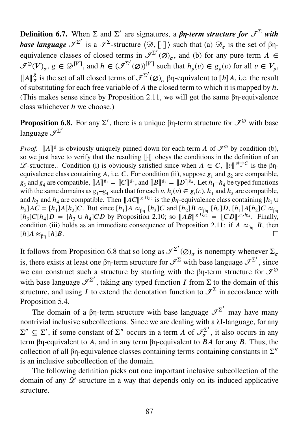<span id="page-86-0"></span>**Definition 6.7.** When  $\Sigma$  [a](#page-72-1)nd  $\Sigma'$  are signatures, a *βη-term structure for*  $\mathcal{I}^{\Sigma}$  *with base language*  $\mathcal{F}^{\Sigma'}$  is a  $\mathcal{F}^{\Sigma}$ -structure  $\langle \mathcal{D}, [\![\cdot]\!] \rangle$  such that (a)  $\mathcal{D}_{\sigma}$  is the set of  $\beta\eta$ equivalence classes of closed terms in  $\mathcal{I}^{\Sigma'}(\emptyset)_{\sigma}$ , and (b) for any pure term  $A \in$  $\mathcal{F}^{\emptyset}(V)_{\sigma}, g \in \mathcal{D}^{[V]}$ , and  $h \in (\mathcal{F}^{\Sigma'}(\emptyset))^{[V]}$  such that  $h_{\rho}(v) \in g_{\rho}(v)$  for all  $v \in V_{\rho}$ ,  $[[A]]_{\sigma}^{g}$  is the set of all closed ter[ms of](#page-69-1)  $\mathcal{I}^{\Sigma'}(\emptyset)_{\sigma}$   $\beta\eta$ -equivalent to  $[h]A$ , i.e. the result of substit[utin](#page-72-0)g for each free variable of  $A$  the close[d term to which](#page-69-2) it is mapped by  $h$ . (This makes sense since by Proposition 2.11, we will get the same βη-equivalence class whichever  $h$  [we choose.\)](#page-86-0)

**Proposition 6.8.** For any  $\Sigma'$ , there is a unique  $\beta$ η-term structure for  $\mathcal{I}^{\emptyset}$  with base language  $\mathscr{I}^{\Sigma'}$ 

*Proof.*  $[[A]]^g$  is obviously uniquely pinned down for each term A of  $\mathcal{I}^{\emptyset}$  by condition (b), so we just have to verify that the resulting  $\Vert \cdot \Vert$  obeys the conditions in the definition of an  $\mathscr{L}$ [-structure.. Co](#page-83-0)ndition (i) is obviously satisfied since when  $A \in C$ ,  $\llbracket v \rrbracket^{\nu \mapsto c}$  is the βηequivalence class containing A, i.e. C. For condition (ii), suppose  $g_1$  and  $g_2$  are compatible,  $g_3$  and  $g_4$  are compatible,  $[[A]]^{g_1} = [[C]]^{g_3}$ , and  $[[B]]^{g_2} = [[D]]^{g_4}$ . Let  $h_1-h_4$  be typed functions with the same domains as  $g_1 - g_4$  such that for each  $v, h_i(v) \in g_i(v), h_1$  and  $h_2$  are compatible, and  $h_3$  and  $h_4$  are compatible. Then  $\llbracket AC \rrbracket^{g_1 \cup g_2}$  is the  $\beta \eta$ -equivalence class containing  $\llbracket h_1 \cup$  $h_2$ ] $AC = [h_1]A[h_2]C$ . But since  $[h_1]A \approx_{\beta\eta} [h_3]C$  and  $[h_2]B \approx_{\beta\eta} [h_4]D$ ,  $[h_1]A[h_2]C \approx_{\beta\eta}$  $[h_3]C[h_4]D = [h_3 \cup h_4]CD$  by Proposition 2.10; so  $[[AB]]^{g_1 \cup g_2} = [[CD]]^{g_3 \cup g_4}$ . Finally, condition (iii) holds as an immediate consequence of Proposition 2.11: if  $A \approx_{\beta n} B$ , then  $[h]A \approx_{\beta\eta} [h]B.$ 

It follows from Proposition 6.8 that so long as  $\mathcal{I}^{\Sigma'}(\emptyset)_{\sigma}$  is nonempty whenever  $\Sigma_{\sigma}$ is, there exists at least one  $\beta$ η-term structure for  $\mathscr{I}^{\Sigma}$  with base language  $\mathscr{I}^{\Sigma'}$ , since we can construct such a structure by starting with the  $\beta$ η-term structure for  $\mathcal{I}^{\emptyset}$ with base language  $\mathcal{I}^{\Sigma'}$ , taking any typed function I from  $\Sigma$  to the domain of this structure, and using I to extend the denotation function to  $\mathcal{I}^{\Sigma}$  in accordance with Proposition 5.4.

The domain of a  $\beta$ η-term structure with base language  $\mathcal{I}^{\Sigma'}$  may have many nontrivial inclusive subcollections. Since we are dealing with a λI-language, for any  $\Sigma''$  ⊆ Σ', if some constant of Σ'' occurs in a term A of  $\mathcal{I}^{\Sigma'}_{\sigma}$  $\sigma^2$ , it also occurs in any term  $\beta$ η-equivalent to A, and in any term  $\beta$ η-equivalent to BA for any B. Thus, the collection of all  $\beta$ η-equivalence classes containing terms containing constants in  $\Sigma''$ is an inclusive subcollection of the domain.

The following definition picks out one important inclusive subcollection of the domain of any  $\mathscr L$ -structure in a way that depends only on its induced applicative structure.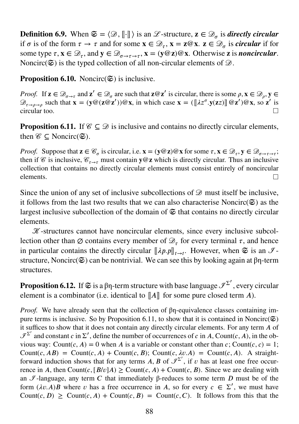<span id="page-87-0"></span>**Definition 6.9.** When  $\mathfrak{S} = \langle \mathcal{D}, \llbracket \cdot \rrbracket \rangle$  is an  $\mathcal{L}$ -structure,  $\mathbf{z} \in \mathcal{D}_{\sigma}$  is *directly circular* if  $\sigma$  is of the form  $\tau \to \tau$  and for some  $\mathbf{x} \in \mathcal{D}_{\tau}$ ,  $\mathbf{x} = \mathbf{z} \mathcal{D}_{\mathbf{x}}$ .  $\mathbf{z} \in \mathcal{D}_{\sigma}$  is *circular* if for some type  $\tau$ ,  $\mathbf{x} \in \mathcal{D}_{\tau}$ , and  $\mathbf{y} \in \mathcal{D}_{\sigma \to \tau \to \tau}$ ,  $\mathbf{x} = (\mathbf{y} \circledcirc \mathbf{z}) \circledcirc \mathbf{x}$ . Otherwise **z** is *noncircular*. Noncirc( $\mathfrak{S}$ ) is the typed collection of all non-circular elements of  $\mathfrak{D}$ .

**Proposition 6.10.** Noncirc( $\mathfrak{S}$ ) is inclusive.

*Proof.* If  $z \in \mathcal{D}_{\sigma \to \tau}$  and  $z' \in \mathcal{D}_{\sigma}$  are such that  $z \otimes z'$  is circular, there is some  $\rho, x \in \mathcal{D}_{\rho}, y \in \mathcal{D}_{\sigma}$  $\mathscr{D}_{\tau \to \rho \to \rho}$  such that  $\mathbf{x} = (\mathbf{y} \mathcal{Q}(\mathbf{z} \mathcal{Q} \mathbf{z}')) \mathcal{Q} \mathbf{x}$ , in which case  $\mathbf{x} = (\llbracket \lambda z^{\sigma} \cdot \mathbf{y}(\mathbf{z} z) \rrbracket \mathcal{Q} \mathbf{z}') \mathcal{Q} \mathbf{x}$ , so  $\mathbf{z}'$  is circular too.

**Proposition 6.11.** If  $\mathcal{C} \subseteq \mathcal{D}$  is inclusive and contains no directly circular elements, then  $\mathscr{C} \subseteq \text{Noncirc}(\mathfrak{S})$ .

<span id="page-87-1"></span>*Proof.* Suppose that  $\mathbf{z} \in \mathcal{C}_{\sigma}$  is circular, i.e.  $\mathbf{x} = (\mathbf{y} \mathcal{Q} \mathbf{z}) \mathcal{Q} \mathbf{x}$  for some  $\tau, \mathbf{x} \in \mathcal{D}_{\tau}, \mathbf{y} \in \mathcal{D}_{\sigma \to \tau \to \tau}$ ; then if  $\mathscr{C}$  is inclusive,  $\mathscr{C}_{\tau \to \tau}$  must contain **y**@**z** which is directly circular. Thus an inclusive collection that contains no directly circular elements must consist entirely of noncircular  $\Box$ elements.

Since the union of any set of inclusive subcollections of  $\mathcal{D}$  must itself be inclusive, it follows from the last two results that we can also characterise Noncirc $(\mathfrak{S})$  as the largest inclusive subcollection of the domain of  $\mathfrak S$  that contains no directly circular elements.

 $K$ -structures cannot have noncircular elements, since every inclusive subcollection other than  $\emptyset$  contains every member of  $\mathcal{D}_{\tau}$  for every terminal  $\tau$ , and hence in particular contains the directly circular  $\llbracket \lambda p.p \rrbracket_{t\to t}$ . However, when  $\mathfrak{S}$  is an  $\mathcal{I}$ structure, Noncirc( $\mathfrak{S}$ ) can be nontrivial. We can see this by looking again at βη-term structures.

**Proposition 6.12.** If  $\mathfrak{S}$  is a  $\beta$ η-term structure with base language  $\mathscr{I}^{\Sigma'}$  , every circular element is a combinator (i.e. identical to  $\llbracket A \rrbracket$  for some pure closed term A).

*Proof.* We have already seen that the collection of βη-equivalence classes containing impure terms is inclusive. So by Proposition 6.11, to show that it is contained in Noncirc $(\mathfrak{S})$ it suffices to show that it does not contain any directly circular elements. For any term  $A$  of  $\mathcal{I}^{\Sigma'}$  and constant c in  $\Sigma'$ , define the number of occurrences of c in A, Count(c, A), in the obvious way: Count(c, A) = 0 when A is a variable or constant other than c; Count(c, c) = 1; Count(c, AB) = Count(c, A) + Count(c, B); Count(c,  $\lambda v.A$ ) = Count(c, A). A straightforward induction shows that for any terms A, B of  $\mathcal{I}^{\Sigma'}$ , if v has at least one free occurrence in A, then Count(c,  $[B/v]A \geq$  Count(c, A) + Count(c, B). Since we are dealing with an  $\mathcal{I}$ -language, any term C that immediately β-reduces to some term D must be of the form  $(\lambda v.A)B$  where v has a free occurrence in A, so for every  $c \in \Sigma'$ , we must have Count $(c, D) \geq$  Count $(c, A)$  + Count $(c, B)$  = Count $(c, C)$ . It follows from this that the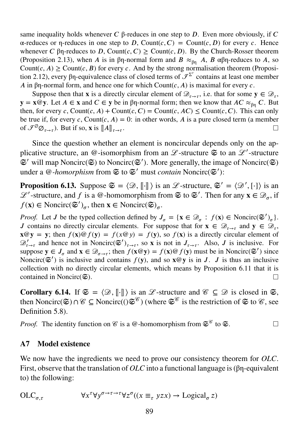<span id="page-88-1"></span>same inequality holds whenever C  $\beta$ -reduces in one step to D. Even more obviously, if C  $\alpha$ -reduces or  $\eta$ -reduces in one step to D, Count(c, C) = Count(c, D) for every c. Hence whenever C  $\beta$ η-reduces to D, Count(c, C)  $\geq$  Count(c, D). By the Church-Rosser theorem (Proposition 2.13), when A is in βη-normal form and  $B \approx_{\beta\eta} A$ ,  $B \alpha\beta\eta$ -reduces to A, so Count(c, A)  $\geq$  Count(c, B) for every c. And by the strong normalisation theorem (Proposition 2.12), every βη-equivalence class of closed terms of  $\mathcal{I}^{\Sigma'}$  contains at least one member A in βη-normal form, and hence one for which Count( $c$ , A) is maximal for every  $c$ .

Suppose then that **x** is a directly circular element of  $\mathcal{D}_{\tau \to \tau}$ , i.e. that for some  $y \in \mathcal{D}_{\tau}$ , **y** = **x***@***y**. Let  $A \in \mathbf{x}$  and  $C \in \mathbf{y}$  be in  $\beta\eta$ -normal form; then we know that  $AC \approx_{\beta\eta} C$ . But then, for every c, Count(c, A) + Count(c, C) = Count(c, AC)  $\le$  Count(c, C). This can only be true if, for every c, Count(c, A) = 0: in other words, A is a p[ure closed term \(a](#page-87-0) member of  $\mathcal{I}^{\emptyset} \emptyset_{\tau \to \tau}$ ). But if so, **x** is  $[[A]]_{\tau \to \tau}$ .  $\Box$ 

<span id="page-88-2"></span>Since the question whether an element is noncircular depends only on the applicative structure, an @-isomorphism from an  $\mathscr L$ -structure  $\mathfrak S$  to an  $\mathscr L'$ -structure  $\mathfrak{S}'$  will map Noncirc( $\mathfrak{S}$ ) to Noncirc( $\mathfrak{S}'$ ). More generally, the image of Noncirc( $\mathfrak{S}$ ) [under a](#page-84-1) @-homorphism from  $\mathfrak{S}$  to  $\mathfrak{S}'$  must *contain* Noncirc( $\mathfrak{S}'$ ):

**Proposition 6.13.** Suppose  $\mathfrak{S} = \langle \mathcal{D}, \llbracket \cdot \rrbracket \rangle$  is an  $\mathcal{L}$ -structure,  $\mathfrak{S}' = \langle \mathcal{D}', \llbracket \cdot \rrbracket \rangle$  is an  $\mathscr{L}'$ -structure, and f is a @-homomorphism from  $\mathfrak{S}$  to  $\mathfrak{S}'$ . Then for any  $\mathbf{x} \in \mathscr{D}_{\sigma}$ , if  $f(\mathbf{x}) \in \text{Noncirc}(\mathfrak{S}')_\sigma$ , then  $\mathbf{x} \in \text{Noncirc}(\mathfrak{S})_\sigma$ .

<span id="page-88-3"></span><span id="page-88-0"></span>*Proof.* Let *J* be the typed collection defined by  $J_{\sigma} = {\mathbf{x} \in \mathcal{D}_{\sigma} : f(\mathbf{x}) \in \text{Noncirc}(\mathfrak{S}')_{\sigma}}$ . *J* contains no directly circular eleme[nts. F](#page-47-0)or suppose that for  $\mathbf{x} \in \mathcal{D}_{\tau \to \tau}$  and  $\mathbf{y} \in \mathcal{D}_{\tau}$ ,  $\mathbf{x} \otimes \mathbf{y} = \mathbf{y}$ ; then  $f(\mathbf{x}) \otimes f(\mathbf{y}) = f(x \otimes y) = f(\mathbf{y})$ , so  $f(\mathbf{x})$  is a directly circular element of  $\mathscr{D}'_{\tau \to \tau}$  and hence not in Noncirc( $\mathscr{C}'$ )<sub> $\tau \to \tau$ </sub>, so **x** is not in  $J_{\tau \to \tau}$ . Also, *J* is inclusive. For suppose  $y \in J_{\sigma}$  and  $x \in \mathcal{D}_{\sigma \to \tau}$ ; then  $f(x \circledcirc y) = f(x) \circledcirc f(y)$  must be in Noncirc( $\mathfrak{S}'$ ) since Noncirc( $\mathfrak{S}'$ ) is inclusive and contains  $f(y)$ , and so  $\mathbf{x} \otimes \mathbf{y}$  is in  $J$ .  $J$  is thus an inclusive collection with no directly circular elements, which means by Proposition 6.11 that it is contained in Noncirc( $\mathfrak{S}$ ).  $\Box$ 

**Corollary 6.14.** If  $\mathfrak{S} = \langle \mathcal{D}, \Vert \cdot \Vert \rangle$  is an  $\mathcal{L}$ -structure and  $\mathcal{C} \subseteq \mathcal{D}$  is closed in  $\mathfrak{S}$ , then Noncirc( $\mathfrak{S} \cap \mathscr{C} \subseteq \text{Noncirc}((\mathfrak{S}^{\mathscr{C}})$  (where  $\mathfrak{S}^{\mathscr{C}}$  is the restriction of  $\mathfrak{S}$  to  $\mathscr{C}$ , see Definition 5.8).

*Proof.* The identity function on  $\mathscr C$  is a  $\mathscr Q$ -homomorphism from  $\mathfrak S^{\mathscr C}$  to  $\mathfrak S$ .  $\Box$ 

## **A7 Model existence**

We now have the ingredients we need to prove our consistency theorem for *OLC*. First, observe that the translation of *OLC* into a functional language is (βη-equivalent to) the following:

 $OLC_{\sigma,\tau}$ 

$$
\forall x^{\tau} \forall y^{\sigma \to \tau \to \tau} \forall z^{\sigma} ((x \equiv_{\tau} yzx) \to \text{Logical}_{\sigma} z)
$$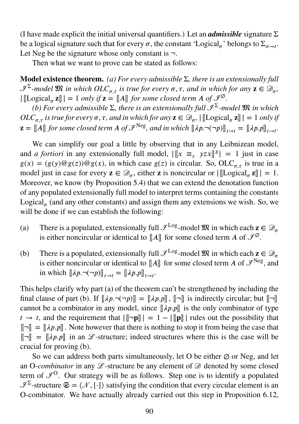(I have made explicit the initial universal quantifiers.) Let an *ad[missible](#page-88-0)* signature Σ be a logical signature su[ch that for every](#page-83-0)  $\sigma$ , the constant 'Logical<sub> $\sigma$ </sub>' belongs to  $\Sigma_{\sigma \to t}$ . Let Neg be the signature whose only constant is  $\neg$ .

Then what we want to prove can be stated as follows:

**Model existence theorem.** *(a) For every admissible* Σ*, there is an extensionally full*  $\mathscr{F}^{\Sigma}$ -model  $\mathfrak{M}$  in which  $OLC_{\sigma,\tau}$  is true for every  $\sigma,\tau$ , and in which for any  $\mathbf{z}\in\mathscr{D}_{\sigma}$ ,  $\left| \left[ \text{Logical}_{\sigma} z \right] \right| = 1$  *only if*  $z = \left[ \left[ A \right] \right]$  *for some closed term A of*  $\mathcal{I}^{\emptyset}$ .

*(b) For every admissible* Σ*, there is an extensionally full* ℐ Σ *-model in which*  $OLC_{\sigma,\tau}$  *is true for every*  $\sigma,\tau$ *, and in which for any*  $\mathbf{z} \in \mathcal{D}_{\sigma}$ ,  $|\llbracket \text{Logical}_{\sigma} \mathbf{z} \rrbracket | = 1$  *only if*  $\mathbf{z} = [\![A]\!]$  for some closed term  $A$  of  $\mathcal{F}^{\text{Neg}}$ , and in which  $[\![\lambda p. \neg(\neg p)]\!]_{t \to t} = [\![\lambda p. p]\!]_{t \to t}$ .

We can simplify our goal a little by observing that in any Leibnizean model, and *a fortiori* in any extensionally full model,  $\left| \begin{bmatrix} x \end{bmatrix} = 1 \right|$  just in case  $g(x) = (g(y) \mathcal{Q}g(z)) \mathcal{Q}g(x)$ , in which case  $g(z)$  is circular. So, OLC<sub> $\sigma$ , a</del> is true in a</sub> model just in case for every  $z \in \mathcal{D}_{\sigma}$ , either z is noncircular or  $|\[\text{Logical}_{\sigma} z]\| = 1$ . Moreover, we know (by Proposition 5.4) that we can extend the denotation function of any populated extensionally full model to interpret terms containing the constants Logical<sub> $\sigma$ </sub> (and any other constants) and assign them any extensions we wish. So, we will be done if we can establish the following:

- (a) There is a populated, extensionally full  $\mathcal{I}^{\text{Log}}$ -model  $\mathfrak{M}$  in which each  $\mathbf{z} \in \mathcal{D}_{\sigma}$ is either noncircular or identical to  $[[A]]$  for some closed term A of  $\mathcal{I}^{\emptyset}$ .
- (b) There is a populated, extensionally full  $\mathcal{I}^{\text{Log}}$ -model  $\mathfrak{M}$  in w[hich each](#page-87-1)  $\mathbf{z} \in \mathcal{D}_{\sigma}$ is either noncircular or identical to  $[[A]]$  for some closed term A of  $\mathcal{I}^{Neg}$ , and in which  $\llbracket \lambda p. \neg(\neg p) \rrbracket_{t \to t} = \llbracket \lambda p. p \rrbracket_{t \to t}$ .

This helps clarify why part (a) of the theorem can't be strengthened by including the final clause of part (b). If  $\llbracket \lambda p. \neg(\neg p) \rrbracket = \llbracket \lambda p. p \rrbracket$ ,  $\llbracket \neg \rrbracket$  is indirectly circular; but  $\llbracket \neg \rrbracket$ cannot be a combinator in any model, since  $\llbracket \lambda p.p \rrbracket$  is the only combinator of type  $t \rightarrow t$ , and the requirement that  $|\n\lbrack \neg p \rbrack| = 1 - |\n\lbrack p \rbrack|$  rules out the possibility that  $\|\neg\| = [\lambda p.p]$ . Note however that there is nothing to stop it from being the case that  $\llbracket \neg \rrbracket = \llbracket \lambda p.p \rrbracket$  in an *L*-structure; indeed structures where this is the case will be crucial for proving (b).

So we can address both parts simultaneously, let O be either  $Ø$  or Neg, and let an O-*combinator* in any  $\mathscr L$ -structure be any element of  $\mathscr D$  denoted by some closed term of  $\mathcal{I}^O$ . Our strategy will be as follows. Step one is to identify a populated  $\mathcal{I}^{\Sigma}$ -structure  $\mathfrak{S} = \langle \mathcal{N}, [\cdot] \rangle$  satisfying the condition that every circular element is an O-combinator. We have actually already carried out this step in Proposition 6.12,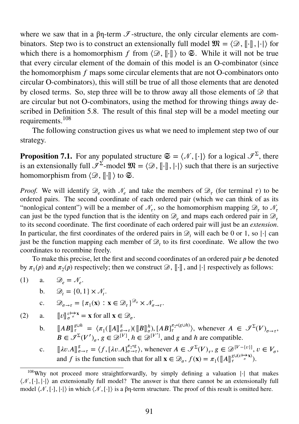<span id="page-90-0"></span>where we saw that in a  $\beta$ η-term  $\mathcal{I}$ -structure, the only circular elements are combinators. Step two is to construct an extensionally full model  $\mathfrak{M} = \langle \mathcal{D}, [[\cdot], [\cdot] \rangle$  for which there is a homomorphism f from  $\langle \mathcal{D}, \Vert \cdot \Vert \rangle$  to  $\mathfrak{S}$ . While it will not be true that every circular element of the domain of this model is an O-combinator (since the homomorphism  $f$  maps some circular elements that are not O-combinators onto circular O-combinators), this will still be true of all those elements that are denoted by closed terms. So, step three will be to throw away all those elements of  $\mathscr{D}$  that are circular but not O-combinators, using the method for throwing things away described in Definition 5.8. The result of this final step will be a model meeting our requirements.<sup>108</sup>

The following construction gives us what we need to implement step two of our strategy.

**Proposition 7.1.** For any populated structure  $\mathfrak{S} = \langle \mathcal{N}, [\cdot] \rangle$  for a logical  $\mathcal{I}^{\Sigma}$ , there is an extensionally full  $\mathcal{I}^{\Sigma}$ -model  $\mathfrak{M} = \langle \mathcal{D}, [|\cdot|] \rangle$  such that there is an surjective homomorphism from  $\langle \mathcal{D}, \lbrack \cdot \rbrack \rbrack$  to  $\mathfrak{S}.$ 

*Proof.* We will identify  $\mathcal{D}_e$  with  $\mathcal{N}_e$  and take the members of  $\mathcal{D}_\tau$  (for terminal  $\tau$ ) to be ordered pairs. The second coordinate of each ordered pair (which we can think of as its "nonlogical content") will be a member of  $\mathcal{N}_{\tau}$ , so the homomorphism mapping  $\mathcal{D}_{\tau}$  to  $\mathcal{N}_{\tau}$ can just be the typed function that is the identity on  $\mathcal{D}_e$  and maps each ordered pair in  $\mathcal{D}_\tau$ to its second coordinate. The first coordinate of each ordered pair will just be an *extension*. In particular, the first coordinates of the ordered pairs in  $\mathcal{D}$ , will each be 0 or 1, so  $|\cdot|$  can just be the function mapping each member of  $\mathcal{D}_t$  to its first coordinate. We allow the two coordinates to recombine freely.

To make this precise, let the first and second coordinates of an ordered pair  $p$  be denoted by  $\pi_1(p)$  and  $\pi_2(p)$  respectively; then we construct  $\mathcal{D}$ ,  $\lbrack\lbrack \cdot \rbrack$ , and  $\lbrack \cdot \rbrack$  respectively as follows:

$$
(1) \quad \text{a.} \quad \mathcal{D}_e = \mathcal{N}_e.
$$

$$
\mathbf{b.} \qquad \mathcal{D}_t = \{0, 1\} \times \mathcal{N}_t.
$$

c. 
$$
\mathcal{D}_{\sigma \to \tau} = {\pi_1(\mathbf{x}) : \mathbf{x} \in \mathcal{D}_{\tau}}^{\mathcal{D}_{\sigma}} \times \mathcal{N}_{\sigma \to \tau}.
$$

(2) a.  $[ [v]]_{\sigma}^{\nu \mapsto x} = \mathbf{x} \text{ for all } \mathbf{x} \in \mathcal{D}_{\sigma}.$ 

- b.  $\left[\!\left[AB\right]\!\right]_{{\tau}}^{{\sigma}} = {\langle \pi_1(\left[\!\left[A\right]\!\right]_{{\sigma} \to {\tau}}^{{\sigma}})} (\left[\!\left[B\right]\!\right]_{{\sigma}}^{{h}}), \left[AB\right]_{{\tau}}^{{\tau_2}\circ({\sigma}\cup{h})}$ , whenever  $A \in {\mathcal F}^{\Sigma}(V)_{\sigma \to {\tau}}$ ,  $B \in \mathcal{F}^{\Sigma}(V')_{\sigma}, g \in \mathcal{D}^{[V]}, h \in \mathcal{D}^{[V']}$ , and g and h are compatible.
- c.  $[\![\lambda v. A]\!]_{\sigma \to \tau}^g = \langle f, [\lambda v. A]\!]_{\sigma \to \tau}^{r_2 \circ g}$ , whenever  $A \in \mathcal{F}^{\Sigma}(V)_\tau, g \in \mathcal{D}^{[V \{v\}]}$ ,  $v \in V_\sigma$ , and f is the function such that for all  $\mathbf{x} \in \mathcal{D}_{\sigma}$ ,  $f(\mathbf{x}) = \pi_1([\![A]\!]_r^{g\cup (v \mapsto \mathbf{x})})$ .

<sup>108</sup>Why not proceed more straightforwardly, by simply defining a valuation |⋅| that makes ⟨ , [⋅], |⋅|⟩ an extensionally full model? The answer is that there cannot be an extensionally full model  $\langle N, [\cdot], [\cdot] \rangle$  in which  $\langle N, [\cdot] \rangle$  is a  $\beta \eta$ -term structure. The proof of this result is omitted here.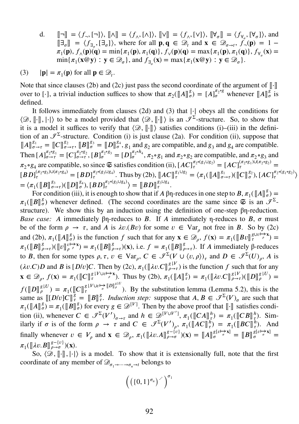- d.  $[\![\neg]\!] = \langle f_\neg, [\neg] \rangle, [\![\wedge]\!] = \langle f_\wedge, [\wedge] \rangle, [\![\vee]\!] = \langle f_\wedge, [\vee] \rangle, [\![\forall_\sigma]\!] = \langle f_{\forall_\sigma}, [\forall_\sigma] \rangle,$  and  $[\exists_{\sigma}$   $] = \langle f_{\exists_{\sigma}}, [\exists_{\sigma}] \rangle$ , where for all  $\mathbf{p}, \mathbf{q} \in \mathcal{D}_{t}$  and  $\mathbf{x} \in \mathcal{D}_{\sigma \to t}$ ,  $f_{\neg}(\mathbf{p}) = 1 \pi_1(\mathbf{p}), f_{\wedge}(\mathbf{p})(\mathbf{q}) = \min{\pi_1(\mathbf{p}), \pi_1(\mathbf{q})}, f_{\vee}(\mathbf{p})(\mathbf{q}) = \max{\pi_1(\mathbf{p}), \pi_1(\mathbf{q})}, f_{\forall_g}(\mathbf{x}) =$  $\min{\pi_1(\mathbf{x} \mathcal{Q}\mathbf{y}) : \mathbf{y} \in \mathcal{D}_{\sigma}}$ , and  $f_{\exists_{\sigma}}(\mathbf{x}) = \max{\pi_1(\mathbf{x} \mathcal{Q}\mathbf{y}) : \mathbf{y} \in \mathcal{D}_{\sigma}}$ .
- (3)  $|\mathbf{p}| = \pi_1(\mathbf{p})$  for all  $\mathbf{p} \in \mathcal{D}_t$ .

Note that since clauses (2b) and (2c) just pass the second coordinate of the argument of  $\lVert \cdot \rVert$ over to [⋅], a trivial induction suffices to show that  $\pi_2([\![A]\!]_{\sigma}^g) = [A]_{\sigma}^{\pi_2 \circ g}$  whenever  $[\![A]\!]_{\sigma}^g$  is defined.

It follows immediately from clauses (2d) and (3) that |⋅| obeys all the conditions for  $\langle \mathcal{D}, [[\cdot], [\cdot] \rangle$  to be a model provided that  $\langle \mathcal{D}, [[\cdot]] \rangle$  is an  $\mathcal{F}^{\Sigma}$ -structure. So, to show that it is a model it suffices to verify that  $\langle \mathcal{D}, \Vert \cdot \Vert$  satisfies conditions (i)–(iii) in the definition of an  $\mathcal{F}^{\Sigma}$ -structure. Condition (i) is just clause (2a). For condition (ii), suppose that  $\llbracket A \rrbracket_{\sigma \to \tau}^{g_1} = \llbracket C \rrbracket_{\sigma \to \tau}^{g_2}, \llbracket B \rrbracket_{\sigma}^{g_3} = \llbracket D \rrbracket_{\sigma}^{g_4}, g_1 \text{ and } g_2 \text{ are compatible, and } g_3 \text{ and } g_4 \text{ are compatible.}$ Then  $[A]_{\sigma \to \tau}^{\pi_2 \cdot g_1} = [C]_{\sigma \to \tau}^{\pi_2 \cdot g_2}$ ,  $[B]_{\sigma}^{\pi_2 \cdot g_3} = [D]_{\sigma}^{\pi_2 \cdot h_4}$ ,  $\pi_2 \cdot g_1$  and  $\pi_2 \cdot g_2$  are c[ompatible, an](#page-82-1)d  $\pi_2 \cdot g_3$  and  $\pi_2 \circ g_4$  are compatible, so since  $\mathfrak{S}$  satisfies condition (ii),  $[AC]_{\tau}^{\pi_2 \circ (g_1 \cup g_2)} = [AC]_{\tau}^{(\pi_2 \circ g_1) \cup (\pi_2 \circ g_2)} =$  $[BD]_{\tau}^{(\pi_2 \circ g_3) \cup (\pi_2 \circ g_4)} = [BD]_{\tau}^{\pi_2 \circ (g_3 \cup g_4)}$  $[BD]_{\tau}^{(\pi_2 \circ g_3) \cup (\pi_2 \circ g_4)} = [BD]_{\tau}^{\pi_2 \circ (g_3 \cup g_4)}$  $[BD]_{\tau}^{(\pi_2 \circ g_3) \cup (\pi_2 \circ g_4)} = [BD]_{\tau}^{\pi_2 \circ (g_3 \cup g_4)}$ . Thus by (2b),  $[AC]_{\tau}^{g_1 \cup g_2} = \langle \pi_1([A]]_{\sigma \to \tau}^{g_1} ) ([C]]_{\sigma}^{g_2}$ ,  $[AC]_{\tau}^{\pi_2 \circ (g_1 \circ g_2)}$  $=\langle \pi_1(\llbracket B \rrbracket_{\sigma \to \tau}^{g_3} )(\llbracket D \rrbracket_{\sigma}^{g_4}), \llbracket BD \rrbracket_{\tau}^{\pi_2 \circ (g_3 \cup g_4)} \rangle = \llbracket BD \rrbracket_{\tau}^{g_3 \cup g_4}.$ 

For condition (iii), it is enough to show that if  $A \beta \eta$ -reduces in one step to  $B$ ,  $\pi_1([\![A]\!]_{{\sigma}}^{\beta}) =$  $\pi_1(\llbracket B \rrbracket_{\sigma}^g)$  whenever defined. (The second coordinates are the same since  $\mathfrak{S}$  is an  $\mathcal{F}^{\Sigma}$ structure). We show this by an induction using the definition of one-step  $\beta$ η-reduction. *Base case:* A immediately  $\beta$ η-reduces to B. If A immediately η-reduces to B,  $\sigma$  must be of the form  $\rho \to \tau$ , and A is  $\lambda v.(Bv)$  for some  $v \in \text{Var}_{\rho}$  not free in B. So by (2c) and (2b),  $\pi_1([\![A]\!]_{{\sigma}}^{{\mathcal{S}}})$  is the function f such that for any  $\mathbf{x} \in \mathcal{D}_{\rho}$ ,  $f(\mathbf{x}) = \pi_1([\![Bv]\!]_{{\tau}}^{{\mathcal{S}} \cup {\nu} \mapsto {\mathbf{x}}}) =$  $\pi_1(\llbracket B \rrbracket_{\rho \to \tau}^g)(\llbracket v \rrbracket_{\rho \to \rho}^{\nu \to x}) = \pi_1(\llbracket B \rrbracket_{\rho \to \tau}^g)(x)$ , i.e.  $f = \pi_1(\llbracket B \rrbracket_{\rho \to \tau}^g)$ . If A immediately  $\beta$ -reduces to B, then for some types  $\rho, \tau, v \in \text{Var}_{\rho}, C \in \mathcal{F}^{\Sigma}(V \cup \langle v, \rho \rangle)_{\tau}$  and  $D \in \mathcal{F}^{\Sigma}(U)_{\rho}, A$  is  $(\lambda v.C)D$  and B is  $[D/v]C$ . Then by (2c),  $\pi_1([\lambda v.C]]_{\rho \to \tau}^{g\downarrow V}$  is the function f such that for any  $\mathbf{x} \in \mathcal{D}_{\rho}, f(\mathbf{x}) = \pi_1([\![C]\!]_t^{\mathcal{S}^{\{V\}\cup v\mapsto\mathbf{x}}}).$  Thus by (2b),  $\pi_1([\![A]\!]_t^{\mathcal{S}}) = \pi_1([\![\lambda v.C]\!]_t^{\mathcal{S}^{\{V\}}})([\![D]\!]_t^{\mathcal{S}^{\{V\}}}) =$  $f(\llbracket D \rrbracket_{\rho}^{g|U}) = \pi_1(\llbracket C \rrbracket_{\sigma}^{g|V \cup \rho} \rightarrow \llbracket D \rrbracket_{\rho}^{g|U}).$  By the substitution lemma (Lemma 5.2), this is the same as  $[[D/v]C]]_{\tau}^{\bar{g}} = [[B]]_{\tau}^{\bar{g}}$ . *Induction step:* suppose that  $A, B \in \mathcal{F}^{\Sigma}(V)_{\sigma}$  are such that  $\pi_1([\![A]\!]_{{\sigma}}^{{\mathcal{S}}} = \pi_1([\![B]\!]_{{\sigma}}^{{\mathcal{S}}} )$  for every  ${\mathcal{S}} \in {\mathcal{D}}^{[V]}$ . Then by the above proof that  $[\![\cdot]\!]$  satisfies condition (ii), whenever  $C \in \mathcal{F}^{\Sigma}(V')_{\sigma \to \tau}$  and  $h \in \mathcal{D}^{[V \cup V']}$ ,  $\pi_1([\llbracket CA \rrbracket_{\tau}^h) = \pi_1([\llbracket CB \rrbracket_{\tau}^h)$ . Similarly if  $\sigma$  is of the form  $\rho \to \tau$  and  $C \in \mathcal{F}^{\Sigma}(V')_{\rho}, \pi_1([\![AC]\!]_{\tau}^h) = \pi_1([\![BC]\!]_{\tau}^h)$ . And finally whenever  $v \in V_\rho$  and  $\mathbf{x} \in \mathcal{D}_\rho$ ,  $\pi_1([\lambda v.A]]_{\rho \to \sigma}^{g^{-1}(v)}(\mathbf{x}) = [[A]]_{\sigma}^{g^{\lfloor v \mapsto \mathbf{x} \rfloor}} = [[B]]_{\sigma}^{g^{\lfloor v \mapsto \mathbf{x} \rfloor}} =$  $\pi_1([\![\lambda v.\mathbf{B}]\!]_{\rho\rightarrow\sigma}^{g-\{v\}})(\mathbf{x}).$ 

So,  $\langle \mathcal{D}, [\cdot], [\cdot] \rangle$  is a model. To show that it is extensionally full, note that the first coordinate of any member of  $\mathcal{D}_{\sigma_1 \to \cdots \to \sigma_n \to t}$  belongs to

$$
\left(\left(\{0,1\}^{\sigma_n}\right)^{r^*}\right)^{\sigma_1}
$$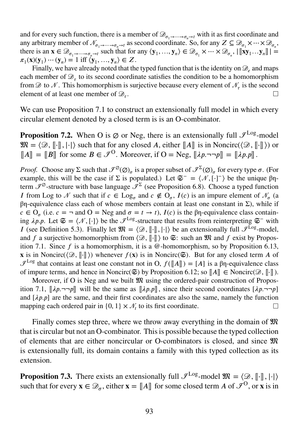and for every such function, there is a member of  $\mathscr{D}_{\sigma_1 \to \cdots \to \sigma_n \to t}$  with it as first coordinate and any arbitrary member of  $\mathcal{N}_{\sigma_1 \to \dots \to \sigma_n \to t}$  as second [coordinate. So, f](#page-86-0)or any  $Z \subseteq \mathcal{D}_{\sigma_1} \times \dots \times \mathcal{D}_{\sigma_n}$ , there is an  $\mathbf{x} \in \mathcal{D}_{\sigma_1 \to \dots \to \sigma_n \to t}$  such that for any  $\langle \mathbf{y}_1, ..., \mathbf{y}_n \rangle \in \mathcal{D}_{\sigma_1} \times \dots \times \mathcal{D}_{\sigma_n}$ ,  $\left[ [\mathbf{x} \mathbf{y}_1 ... \mathbf{y}_n] \right] \right] =$  $\pi_1(\mathbf{x})(\mathbf{y}_1)\cdots(\mathbf{y}_n)=1$  iff  $\langle \mathbf{y}_1,...,\mathbf{y}_n\rangle \in Z$ .

Finally, we have already noted that the typed function that is the identity on  $\mathscr{D}_e$  and maps each member of  $\mathcal{D}_{\tau}$  to its second coordinate satisfies the condition to be a homomorphism from  $\mathscr D$  to  $\mathscr N$ . This homomorphism is surjective because every element of  $\mathscr N_\tau$  is the second eleme[nt of at least on](#page-82-0)e member of  $\mathcal{D}_{\tau}$ . П

[We can](#page-90-0) use Proposition 7.1 to construct an extensionally full mode[l in which every](#page-88-1) circular element denoted by a closed term is is an O-combinator.

**Proposition7.2.** When O is  $\emptyset$  or Neg, t[here is an exten](#page-87-1)sionally full  $\mathcal{I}^{\text{Log}}$ [-model](#page-90-0)  $\mathfrak{M} = \langle \mathcal{D}, \llbracket \cdot \rrbracket, |\cdot| \rangle$  such that for any closed A, either  $\llbracket A \rrbracket$  is in Noncirc( $\langle \mathcal{D}, \llbracket \cdot \rrbracket \rangle$ ) or  $\llbracket A \rrbracket = \llbracket B \rrbracket$  for some  $B \in \mathcal{I}^{\text{O}}$ . Moreover, if  $\text{O} = \text{Neg}, \llbracket \lambda p, \neg \neg p \rrbracket = \llbracket \lambda p, p \rrbracket$ .

*Proof.* Choose any  $\Sigma$  such that  $\mathcal{I}^{\emptyset}(\emptyset)_{\sigma}$  is a proper subset of  $\mathcal{I}^{\Sigma}(\emptyset)_{\sigma}$  for every type  $\sigma$ . (For example, this will be the case if  $\Sigma$  is populated.) Let  $\mathfrak{S}^- = \langle \mathcal{N}, [\cdot]^- \rangle$  be the unique βηterm  $\mathcal{I}^{\emptyset}$ -structure with base language  $\mathcal{I}^{\Sigma}$  (see Proposition 6.8). Choose a typed function *I* from Log to N such that if  $c \in \text{Log}_{\sigma}$  and  $c \notin O_{\sigma}$ ,  $I(c)$  is an impure element of  $\mathcal{N}_{\sigma}$  (a βη-equivalence class each of whose members contain at least one constant in Σ), while if  $c \in O_{\sigma}$  (i.e.  $c = \neg$  and  $O = \text{Neg}$  and  $\sigma = t \rightarrow t$ ),  $I(c)$  is the  $\beta \eta$ -equivalence class containing  $\lambda p.p.$  Let  $\mathfrak{S} = \langle \mathcal{N}, [\cdot] \rangle$  be the  $\mathcal{I}^{\text{Log}}$ -structure that results from reinterpreting  $\mathfrak{S}^-$  with *I* (see Definition 5.3). Finally let  $\mathfrak{M} = \langle \mathcal{D}, [\cdot] \rangle$ ,  $|\cdot|$  be an extensionally full  $\mathcal{I}^{\text{Log}}$ -model, and f a surjective homomorphism from  $\langle \mathcal{D}, \Vert \cdot \Vert \rangle$  to  $\mathfrak{S}$ : such an  $\mathfrak{M}$  and f exist by Proposition 7.1. Since  $f$  is a homomorphism, it is a  $\omega$ -homomorphism, so by Proposition 6.13, **x** is in Noncirc( $\langle \mathcal{D}, [\cdot] \rangle$ ) whenever  $f(\mathbf{x})$  is in Noncirc( $\mathcal{C}$ ). But for any closed term A of  $\mathcal{I}^{\text{Log}}$  that contains at least one constant not in O,  $f([A]) = [A]$  is a βη-equivalence class of impure terms, and hence in Noncirc( $\mathfrak{S}$ ) by Proposition 6.12; so  $\mathfrak{A} \in \text{Noncirc}(\mathfrak{D}, \lbrack \cdot \rbrack)$ .

Moreover, if O is Neg and we built  $\mathfrak{M}$  using the ordered-pair construction of Proposition 7.1,  $\llbracket \lambda p, -\neg p \rrbracket$  will be the same as  $\llbracket \lambda p, p \rrbracket$ , since their second coordinates  $\llbracket \lambda p, -\neg p \rrbracket$ and  $[\lambda p, p]$  are the same, and their first coordinates are also the same, namely the function  $\Box$ mapping each ordered pair in  $\{0, 1\} \times \mathcal{N}_t$  to its first coordinate.

Finally comes step three, where we throw away everything in the domain of  $\mathfrak{M}$ that is circular but not an O-combinator. This is possible because the typed collection of elements that are either noncircular or O-combinators is closed, and since  $\mathfrak{M}$ is extensionally full, its domain contains a family with this typed collection as its extension.

**Proposition 7.3.** There exists an extensionally full  $\mathcal{I}^{\text{Log}}$ -model  $\mathfrak{M} = \langle \mathcal{D}, [\![\cdot]\!], \cdot | \cdot \rangle$ such that for every  $\mathbf{x} \in \mathcal{D}_{\sigma}$ , either  $\mathbf{x} = [[A]]$  for some closed term A of  $\mathcal{F}^O$ , or **x** is in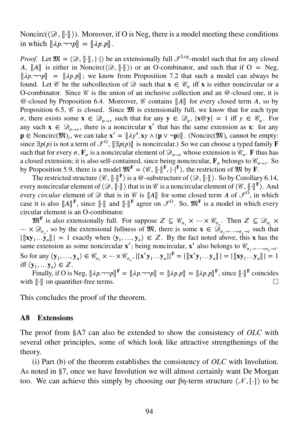Noncirc( $\langle \mathcal{D}, \lVert \cdot \rVert$ ). Moreover, if O is Neg, there is a model meeting th[ese conditions](#page-88-2) in which  $\llbracket \lambda p \cdot \neg \neg p \rrbracket = \llbracket \lambda p \cdot p \rrbracket$ .

*Proof.* Let  $\mathfrak{M} = \langle \mathcal{D}, [\![\cdot]\!]$ ,  $|\cdot|\rangle$  be an extensionally full  $\mathcal{I}^{\text{Log}}$ -model such that for any closed A,  $\llbracket A \rrbracket$  is either in Noncirc( $\langle \mathcal{D}, \llbracket \cdot \rrbracket \rangle$ ) or an O-combinator, and such that if O = Neg,  $\|\lambda p.\neg\neg p\| = \|\lambda p.p\|$ ; we know from Proposition 7.2 that such a model can always be found. Let  $\mathscr{C}$  be the subcollection of  $\mathscr{D}$  such that  $\mathbf{x} \in \mathscr{C}_{\sigma}$  iff **x** is either noncircular or a O-combinator. Since  $\mathscr C$  is the union of an inclusive collection and an  $\mathscr Q$ -closed one, it is @-closed by Proposition 6.4. Moreover,  $\mathscr C$  contains  $\llbracket A \rrbracket$  for every closed term A, so by Proposition 6.5,  $\mathcal C$  is closed. Since  $\mathfrak M$  is extensionally full, we know that for each type  $\sigma$ , there exists some  $\mathbf{x} \in \mathcal{D}_{\sigma \to \tau}$  such that for any  $\mathbf{y} \in \mathcal{D}_{\sigma}$ ,  $|\mathbf{x} \circ \mathbf{y}| = 1$  iff  $y \in \mathcal{C}_{\sigma}$ . For any such  $\mathbf{x} \in \mathcal{D}_{\sigma \to \tau}$ , there is a noncircular  $\mathbf{x}'$  that has the same extension as **x**: for any **p** ∈ Noncirc( $\mathfrak{M}_t$ ), we can take  $\mathbf{x}' = [\![\lambda y^\sigma \cdot \mathbf{x} y \wedge (\mathbf{p} \vee \neg \mathbf{p})]\!]$ . (Noncirc( $\mathfrak{M}_t$ ) cannot be empty: since  $\exists p(p)$  is not a term of  $\mathcal{F}^O$ ,  $[\exists p(p)]$  is noncircular.) So we can choose a typed family **F** such that for every  $\sigma$ ,  $\mathbf{F}_{\sigma}$  is a noncircular element of  $\mathcal{D}_{\sigma\to t}$  whose extension is  $\mathcal{C}_{\sigma}$ . **F** thus has a closed extension; it is also self-contained, since being noncircular,  $\mathbf{F}_{\sigma}$  belongs to  $\mathcal{C}_{\sigma \to t}$ . So by Proposition 5.9, there is a model  $\mathfrak{M}^{\mathbf{F}} = \langle \mathcal{C}, \lbrack \cdot \rbrack^{\mathbf{F}}, \lbrack \cdot \rbrack^{\mathbf{F}} \rangle$ , the restriction of  $\mathfrak{M}$  by **F**.

The restricted structure  $\langle \mathcal{C}, [[-]^{\mathbf{F}} \rangle$  is a @-substructure of  $\langle \mathcal{D}, [[-]] \rangle$ . So by Corollary 6.14, every noncircular element of  $\langle \mathcal{D}, [|\cdot|] \rangle$  that is in  $\mathcal C$  is a noncircular element of  $\langle \mathcal C, [\![\cdot]\!]^F \rangle$ . And every *circular* ele[ment](#page-88-3) of  $\mathscr{D}$  that is in  $\mathscr{C}$  is  $[[A]]$  for some closed term A of  $\mathscr{I}^O$ [, in w](#page-47-0)hich case it is also  $[[A]]^F$ , since  $[[\cdot]]$  and  $[[\cdot]]^F$  agree on  $\mathcal{I}^O$ . So,  $\mathfrak{M}^F$  is a model in which every circular element is an O-combinator.

 $\mathfrak{M}^{\mathbf{F}}$  is also extensionally full[.](#page-47-0) For suppose  $Z \subseteq \mathscr{C}_{\sigma_1} \times \cdots \times \mathscr{C}_{\sigma_n}$ . Then  $Z \subseteq \mathscr{D}_{\sigma_1} \times$  $\cdots \times \mathcal{D}_{\sigma_n}$ , so [by](#page-36-0) the extensional fullness of  $\mathfrak{M}$ , there is some  $\mathbf{x} \in \mathcal{D}_{\sigma_1 \to \cdots \to \sigma_n \to t}$  such that  $\left[\left[\mathbf{x}\mathbf{y}_1 \dots \mathbf{y}_n\right]\right] = 1$  exactly when  $\langle \mathbf{y}_1, \dots, \mathbf{y}_n \rangle \in Z$ . By the fact noted above, this **x** has the same extension as some noncircular **x**'; being noncircular, **x**' also belongs to  $\mathscr{C}_{\sigma_1 \to \cdots \to \sigma_n \to t}$ . So for any  $\langle \mathbf{y}_1, ..., \mathbf{y}_n \rangle \in \mathcal{C}_{\sigma_1} \times \cdots \times \mathcal{C}_{\sigma_n}$ ,  $\left[ [\mathbf{x}' \mathbf{y}_1 ... \mathbf{y}_n] \right] \cdots \mathbf{y}_n \right] \cdots \cdots \mathbf{y}_n \cdots \mathbf{y}_n \cdots \mathbf{y}_n \cdots \mathbf{y}_n \cdots \mathbf{y}_n \cdots \mathbf{y}_n \cdots \mathbf{y}_n \cdots \mathbf{y}_n \cdots \mathbf{y}_n \cdots \mathbf{y}_n \cdots \mathbf{y}_n \cd$ iff  $\langle y_1, ..., y_n \rangle \in Z$ .

 $\text{Finally, if O is Neg, } [\![\lambda p, \neg \neg p]\!]^{\text{F}} = [\![\lambda p, \neg p]\!] = [\![\lambda p, p]\!] = [\![\lambda p, p]\!]^{\text{F}}, \text{ since } [\![\cdot]\!]^{\text{F}} \text{ coincides}$ with [|⋅] on quantifier-free terms.

This concludes the proof of the theorem.

#### **A8 Extensions**

The proof from §A7 can also be extended to show the consistency of *OLC* with several other principles, some of which look like attractive strengthenings of the theory.

(i) Part (b) of the theorem establishes the consistency of *OLC* with Involution. As noted in §7, once we have Involution we will almost certainly want De Morgan too. We can achieve this simply by choosing our βη-term structure  $\langle \mathcal{N}, [\cdot] \rangle$  to be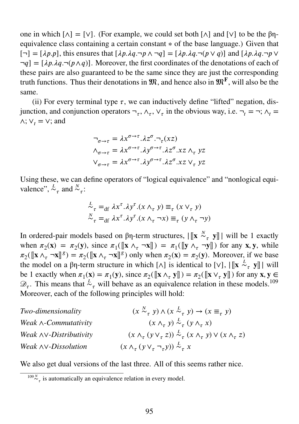one in which  $[\wedge] = [\vee]$ . (For example, we could set both  $[\wedge]$  and  $[\vee]$  to be the  $\beta$ ηequivalence class containing a certain constant ∗ of the base language.) Given that  $[\neg] = [\lambda p. p]$ , this ensures that  $[\lambda p. \lambda q. \neg p \wedge \neg q] = [\lambda p. \lambda q. \neg (p \vee q)]$  and  $[\lambda p. \lambda q. \neg p \vee \neg q]$  $\neg q$ ] = [ $\lambda p.\lambda q.\neg (p \wedge q)$ ]. Moreover, the first coordinates of the denotations of each of these pairs are also guaranteed to be the same since they are just the corresponding truth functions. Thus their denotations in  $\mathfrak{M},$  and hence also in  $\mathfrak{M}^{\text{F}}$  , will also be the same.

(ii) For every terminal type  $\tau$ , we can inductively define "lifted" negation, disjunction, and conjunction operators  $\neg_\tau$ ,  $\wedge_\tau$ ,  $\vee_\tau$  in the obvious way, i.e.  $\neg_t = \neg$ ;  $\wedge_t =$  $\wedge$ ;  $\vee$ <sub>t</sub> =  $\vee$ ; and

$$
\begin{aligned}\n\Box_{\sigma \to \tau} &= \lambda x^{\sigma \to \tau} . \lambda z^{\sigma} . \neg_{\tau} (xz) \\
\Lambda_{\sigma \to \tau} &= \lambda x^{\sigma \to \tau} . \lambda y^{\sigma \to \tau} . \lambda z^{\sigma} . xz \Lambda_{\tau} yz \\
\forall_{\sigma \to \tau} &= \lambda x^{\sigma \to \tau} . \lambda y^{\sigma \to \tau} . \lambda z^{\sigma} . xz \vee_{\tau} yz\n\end{aligned}
$$

<span id="page-94-0"></span>Using these, we can define operators of "logical equivalence" and "nonlogical equivalence",  $\overset{L}{\sim}_{\tau}$  and  $\overset{N}{\sim}_{\tau}$ :

$$
\stackrel{L}{\sim}_{\tau} =_{\text{df}} \lambda x^{\tau}.\lambda y^{\tau}.(x \wedge_{\tau} y) \equiv_{\tau} (x \vee_{\tau} y)
$$

$$
\stackrel{N}{\sim}_{\tau} =_{\text{df}} \lambda x^{\tau}.\lambda y^{\tau}.(x \wedge_{\tau} \neg x) \equiv_{\tau} (y \wedge_{\tau} \neg y)
$$

In ordered-pair models based on βη-term structures,  $\left[\mathbf{x} \times_{\tau} \mathbf{y}\right]$  | will be 1 exactly when  $\pi_2(\mathbf{x}) = \pi_2(\mathbf{y})$ , since  $\pi_1([\mathbf{x} \wedge_{\tau} \neg \mathbf{x}]) = \pi_1([\mathbf{y} \wedge_{\tau} \neg \mathbf{y}])$  for any **x**, **y**, while  $\pi_2([\mathbf{x} \wedge_\tau \neg \mathbf{x}]]^g) = \pi_2([\mathbf{x} \wedge_\tau \neg \mathbf{x}]]^g)$  only when  $\pi_2(\mathbf{x}) = \pi_2(\mathbf{y})$ . Moreover, if we base the model on a  $\beta\eta$ -term structure in which [ $\wedge$ ] is identical to [ $\vee$ ],  $\left| \begin{bmatrix} \mathbf{x} & \mathbf{x} \\ \mathbf{y} & \mathbf{y} \end{bmatrix} \right|$  will be 1 exactly when  $\pi_1(\mathbf{x}) = \pi_1(\mathbf{y})$ , since  $\pi_2([\mathbf{x} \wedge_\tau \mathbf{y}]) = \pi_2([\mathbf{x} \vee_\tau \mathbf{y}])$  for any  $\mathbf{x}, \mathbf{y} \in \mathbb{R}$  $\mathcal{D}_{\tau}$ . This means that  $\frac{L}{\gamma}$  will behave as an equivalence relation in these models.<sup>109</sup> Moreover, each of the following principles will hold:

| Two-dimensionality              | $(x \stackrel{N}{\sim}_r y) \wedge (x \stackrel{L}{\sim}_r y) \rightarrow (x \equiv_r y)$                    |
|---------------------------------|--------------------------------------------------------------------------------------------------------------|
| Weak A-Commutativity            | $(x \wedge_{\tau} y) \stackrel{L}{\sim}_{\tau} (y \wedge_{\tau} x)$                                          |
| Weak AV-Distributivity          | $(x \wedge_{\tau} (y \vee_{\tau} z)) \stackrel{L}{\sim}_{\tau} (x \wedge_{\tau} y) \vee (x \wedge_{\tau} z)$ |
| Weak $\wedge \vee$ -Dissolution | $(x \wedge_{\tau} (y \vee_{\tau} \neg_{\tau} y)) \stackrel{L}{\sim}_{\tau} x$                                |

We also get dual versions of the last three. All of this seems rather nice.

 $^{109\frac{N}{\sim}}$  is automatically an equivalence relation in every model.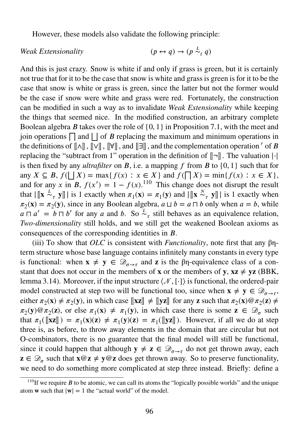However, these models also validate the following principle:

*Weak Extensionality*  $(p \leftrightarrow q) \rightarrow (p \stackrel{L}{\sim}_t q)$ 

And this is just crazy. Snow is white if and only if grass is green, but it is certainly [not true that for it to](#page-94-0) be the case that snow is white and grass is green is for it to be the case that snow is white or grass is green, since the latter but not the former would be the case if snow [were w](#page-47-0)hite and grass we[re red. Fortun](#page-78-1)ately, the construction can be modified in such a way as to invalidate *Weak Extensionality* while keeping the things that seemed nice. In the modified construction, an arbitrary complete Boolean algebra  $B$  takes over the role of  $\{0, 1\}$  in Proposition 7.1, with the me[et and](#page-98-0) join operations  $\Box$  and  $\Box$  of B replacing the maximum and minimum operations in the definitions of  $\llbracket \wedge \rrbracket$ ,  $\llbracket \vee \rrbracket$ ,  $\llbracket \vee \rrbracket$ , and  $\llbracket \exists \rrbracket$ , and the complementation operation  $'$  of  $B$ replacing the "subtract from 1" operation in the definition of  $\llbracket \neg \rrbracket$ . The valuation  $\lvert \cdot \rvert$ is then fixed by any *ultrafilter* on  $B$ , i.e. a mapping  $f$  from  $B$  to  $\{0, 1\}$  such that for any  $X \subseteq B$ ,  $f(\lfloor X \rfloor) = \max\{f(x) : x \in X\}$  and  $f(\lceil X \rceil) = \min\{f(x) : x \in X\}$ , and for any x in B,  $f(x') = 1 - f(x)$ .<sup>110</sup> This change does not disrupt the result that  $\left|\left[\mathbf{x} \stackrel{L}{\sim}_{\tau} \mathbf{y}\right]\right|$  is 1 exactly when  $\pi_1(\mathbf{x}) = \pi_1(\mathbf{y})$  and  $\left|\left[\mathbf{x} \stackrel{N}{\sim}_{\tau} \mathbf{y}\right]\right|$  is 1 exactly when  $\pi_2(\mathbf{x}) = \pi_2(\mathbf{y})$ , since in any Boolean algebra,  $a \sqcup b = a \sqcap b$  only when  $a = b$ , while  $a \sqcap a' = b \sqcap b'$  for any a and b. So  $\sim_{\tau}$  still behaves as an equivalence relation, *Two-dimensionality* still holds, and we still get the weakened Boolean axioms as consequences of the corresponding identities in  $B$ .

(iii) To show that *OLC* is consistent with *Functionality*, note first that any βηterm structure whose base language contains infinitely many constants in every type is functional: when  $\mathbf{x} \neq \mathbf{y} \in \mathcal{D}_{\sigma \to \tau}$  and **z** is the  $\beta \eta$ -equivalence class of a constant that does not occur in the members of **x** or the members of **y**,  $xz \neq yz$  (BBK, lemma 3.14). Moreover, if the input structure  $\langle \mathcal{N}, [\cdot] \rangle$  is functional, the ordered-pair model constructed at step two will be functional too, since when  $\mathbf{x} \neq \mathbf{y} \in \mathcal{D}_{\sigma \to \tau}$ , either  $\pi_2(\mathbf{x}) \neq \pi_2(\mathbf{y})$ , in which case  $[\![\mathbf{x}\mathbf{z}]\!] \neq [\![\mathbf{y}\mathbf{z}]\!]$  for any **z** such that  $\pi_2(\mathbf{x}) \otimes \pi_2(\mathbf{z}) \neq \pi_2(\mathbf{x})$  $\pi_2(y) \omega \pi_2(z)$ , or else  $\pi_1(x) \neq \pi_1(y)$ , in which case there is some  $z \in \mathcal{D}_{\sigma}$  such that  $\pi_1([\mathbf{x}\mathbf{z}]) = \pi_1(\mathbf{x})(\mathbf{z}) \neq \pi_1(\mathbf{y})(\mathbf{z}) = \pi_1([\mathbf{y}\mathbf{z}])$ . However, if all we do at step three is, as before, to throw away elements in the domain that are circular but not O-combinators, there is no guarantee that the final model will still be functional, since it could happen that although  $y \neq z \in \mathcal{D}_{\sigma \to \tau}$  do not get thrown away, each **z** ∈  $\mathcal{D}_{\sigma}$  such that **x***@***z** ≠ **y***@***z** does get thrown away. So to preserve functionality, we need to do something more complicated at step three instead. Briefly: define a

<sup>&</sup>lt;sup>110</sup>If we require *B* to be atomic, we can call its atoms the "logically possible worlds" and the unique atom **w** such that  $|\mathbf{w}| = 1$  the "actual world" of the model.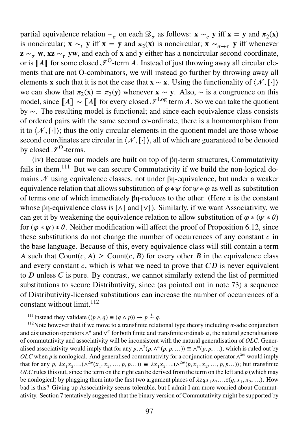partial equiv[alen](#page-96-0)ce relation  $\sim_{\sigma}$  on each  $\mathcal{D}_{\sigma}$  as follows: **x**  $\sim_{e}$  **y** iff **x** = **y** and  $\pi_2(\mathbf{x})$ is noncircular; **x**  $\sim_t$  **y** iff **x** = **y** and  $\pi_2(\mathbf{x})$  is noncircular; **x**  $\sim_{\sigma \to \tau}$  **y** iff whenever **z** ∼<sub>*o*</sub> **w**, **xz** ∼<sub>*i*</sub> **yw**, and each of **x** and **y** either has a noncircular second coordinate, or is  $[[A]]$  for some closed  $\mathcal{I}^O$ -term A. Instead of just throwing away all circular elements that are not O-combinators, we will instead go further by throwing away all elements **x** such that it is not the case that **x** ∼ **x**. Using the functionality of  $\langle N, [\cdot] \rangle$ we can show that  $\pi_2(\mathbf{x}) = \pi_2(\mathbf{y})$  whenever  $\mathbf{x} \sim \mathbf{y}$ . Also, ~ [is a congruence o](#page-87-1)n this model, since  $[[A]] \sim [[A]]$  for every closed  $\mathcal{I}^{\text{Log}}$  term A. So we can take the quotient by ∼. The resulting model is functional; and since each equivalence class consists of ordered pairs with the same second co-ordinate, there is a homomorphism from it to  $\langle \mathcal{N}, [\cdot] \rangle$ ; thus the only circular elements in the quotient model are those whose second coordinates are circular in  $\langle \mathcal{N}, [\cdot] \rangle$ , all of which are guarante[ed t](#page-51-0)o be denoted by closed  $\mathcal{I}^{\text{O}}$ -terms.

<span id="page-96-1"></span><span id="page-96-0"></span>(iv) Because our [mod](#page-96-1)els are built on top of βη-term structures, Commutativity fails in them.<sup>111</sup> But we can secure Commutativity if we build the non-logical domains  $\mathcal N$  using equivalence classes, not under  $\beta$ η-equivalence, but under a weaker equivalence relation that allows substitution of  $\varphi * \psi$  for  $\psi * \varphi$  as well as substitution of terms one of which immediately  $\beta$ η-reduces to the other. (Here  $*$  is t[he co](#page-47-0)nstant whose  $\beta$ η-equivalence class is [ $\land$ ] and [ $\lor$ ]). Similarly, if we want Associativity, we [can](#page-47-0) get it by weakening the equivalence relation to allow substitution of  $\varphi * (\psi * \theta)$ for  $(\varphi * \psi) * \theta$ . Neither modification will affect the proof of Proposition 6.12, since [thes](#page-47-0)e substitutions do not change the number of occurrences of any constant  $c$  in the base language. Because of this, every equivalence class will still contain a term A suc[h that C](#page-36-0)ount(c, A)  $\geq$  Count(c, B) for every other B in the equivalence class and every constant  $c$ , which is what we need to prove that  $CD$  is never equivalent to  $D$  unless  $C$  is pure. By contrast, we cannot similarly extend the list of permitted substitutions to secure Distributivity, since (as pointed out in note 73) a sequence of Distributivity-licensed substitutions can increase the number of occurrences of a constant without  $limit.<sup>112</sup>$ 

<sup>&</sup>lt;sup>111</sup>Instead they validate  $((p \wedge q) \equiv (q \wedge p)) \rightarrow p \stackrel{L}{\sim} q$ .

<sup>&</sup>lt;sup>112</sup>Note however that if we move to a transfinite relational type theory including  $\alpha$ -adic conjunction and disjunction operators  $\wedge^{\alpha}$  and  $\vee^{\alpha}$  for both finite and transfinite ordinals  $\alpha$ , the natural generalisations of commutativity and associativity will be inconsistent with the natural generalisation of *OLC*. Generalised associativity would imply that for any  $p, \wedge^2(p, \wedge^{\omega}(p, p, ...)) \equiv \wedge^{\omega}(p, p, ...),$  which is ruled out by *OLC* when p is nonlogical. And generalised commutativity for a conjunction operator  $\wedge^{2\omega}$  would imply that for any p,  $\lambda x_1 x_2 ... (\wedge^{2\omega} (x_1, x_2, ..., p, p...) \equiv \lambda x_1 x_2 ... (\wedge^{2\omega} (p, x_1, x_2, ..., p, p...));$  but transfinite *OLC* rules this out, since the term on the right can be derived from the term on the left and  $p$  (which may be nonlogical) by plugging them into the first two argument places of  $\lambda zqx_1x_2....z(q, x_1, x_2,...)$ . How bad is this? Giving up Associativity seems tolerable, but I admit I am more worried about Commutativity. Section 7 tentatively suggested that the binary version of Commutativity might be supported by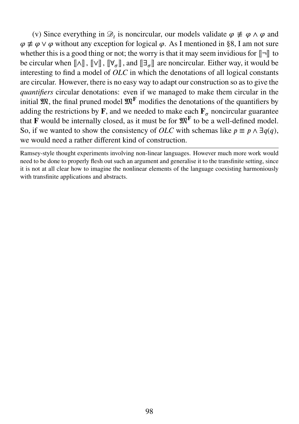(v) Since everything in  $\mathcal{D}_t$  is noncircular, our models validate  $\varphi \neq \varphi \wedge \varphi$  and  $\varphi \not\equiv \varphi \vee \varphi$  without any exception for logical  $\varphi$ . As I mentioned in §8, I am not sure whether this is a good thing or not; the worry is that it may seem invidious for  $\llbracket \neg \rrbracket$  to be circular when  $\llbracket \wedge \rrbracket$ ,  $\llbracket \vee \rrbracket$ ,  $\llbracket \forall_{\sigma} \rrbracket$ , and  $\llbracket \exists_{\sigma} \rrbracket$  are noncircular. Either way, it would be interesting to find a model of *OLC* in which the denotations of all logical constants are circular. However, there is no easy way to adapt our construction so as to give the *quantifiers* circular denotations: even if we managed to make them circular in the initial  $\mathfrak{M}$ , the final pruned model  $\mathfrak{M}^{\mathrm{F}}$  modifies the denotations of the quantifiers by adding the restrictions by **F**, and we needed to make each  $\mathbf{F}_{\sigma}$  noncircular guarantee that **F** would be internally closed, as it must be for  $\mathfrak{M}^{\mathbf{F}}$  to be a well-defined model. So, if we wanted to show the consistency of *OLC* with schemas like  $p \equiv p \land \exists q(q)$ , we would need a rather different kind of construction.

Ramsey-style thought experiments involving non-linear languages. However much more work would need to be done to properly flesh out such an argument and generalise it to the transfinite setting, since it is not at all clear how to imagine the nonlinear elements of the language coexisting harmoniously with transfinite applications and abstracts.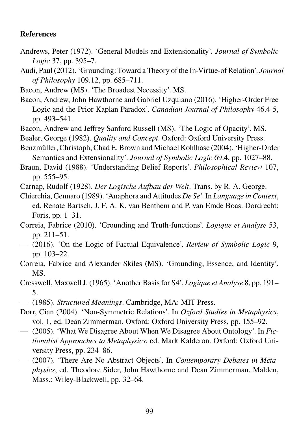# **References**

- <span id="page-98-2"></span>Andrews, Peter (1972). 'General Models and Extensionality'. *Journal of Symbolic Logic* 37, pp. 395–7.
- Audi, Paul (2012). 'Grounding: Toward a Theory of the In-Virtue-of Relation'. *Journal of Philosophy* 109.12, pp. 685–711.
- Bacon, Andrew (MS). 'The Broadest Necessity'. MS.
- Bacon, Andrew, John Hawthorne and Gabriel Uzquiano (2016). 'Higher-Order Free Logic and the Prior-Kaplan Paradox'. *Canadian Journal of Philosophy* 46.4-5, pp. 493–541.
- <span id="page-98-1"></span>Bacon, Andrew and Jeffrey Sanford Russell (MS). 'The Logic of Opacity'. MS.
- Bealer, George (1982). *Quality and Concept*. Oxford: Oxford University Press.
- <span id="page-98-0"></span>Benzmüller, Christoph, Chad E. Brown and Michael Kohlhase (2004). 'Higher-Order Semantics and Extensionality'. *Journal of Symbolic Logic* 69.4, pp. 1027–88.
- Braun, David (1988). 'Understanding Belief Reports'. *Philosophical Review* 107, pp. 555–95.
- Carnap, Rudolf (1928). *Der Logische Aufbau der Welt*. Trans. by R. A. George.
- Chierchia, Gennaro (1989). 'Anaphora and Attitudes *De Se*'. In *Language in Context*, ed. Renate Bartsch, J. F. A. K. van Benthem and P. van Emde Boas. Dordrecht: Foris, pp. 1–31.
- Correia, Fabrice (2010). 'Grounding and Truth-functions'. *Logique et Analyse* 53, pp. 211–51.
- (2016). 'On the Logic of Factual Equivalence'. *Review of Symbolic Logic* 9, pp. 103–22.
- Correia, Fabrice and Alexander Skiles (MS). 'Grounding, Essence, and Identity'. MS.
- Cresswell, Maxwell J. (1965). 'Another Basis for S4'. *Logique et Analyse* 8, pp. 191– 5.
- (1985). *Structured Meanings*. Cambridge, MA: MIT Press.
- Dorr, Cian (2004). 'Non-Symmetric Relations'. In *Oxford Studies in Metaphysics*, vol. 1, ed. Dean Zimmerman. Oxford: Oxford University Press, pp. 155–92.
- (2005). 'What We Disagree About When We Disagree About Ontology'. In *Fictionalist Approaches to Metaphysics*, ed. Mark Kalderon. Oxford: Oxford University Press, pp. 234–86.
- (2007). 'There Are No Abstract Objects'. In *Contemporary Debates in Metaphysics*, ed. Theodore Sider, John Hawthorne and Dean Zimmerman. Malden, Mass.: Wiley-Blackwell, pp. 32–64.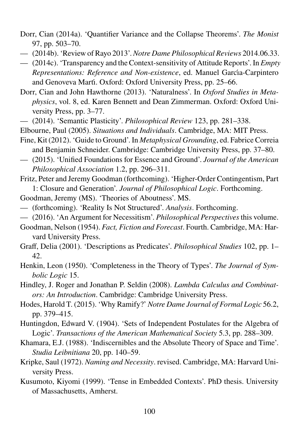- Dorr, Cian (2014a). 'Quantifier Variance and the Collapse Theorems'. *The Monist* 97, pp. 503–70.
- (2014b). 'Review of Rayo 2013'.*Notre Dame Philosophical Reviews* 2014.06.33.
- (2014c). 'Transparency and the Context-sensitivity of Attitude Reports'. In *Empty Representations: Reference and Non-existence*, ed. Manuel García-Carpintero and Genoveva Martı́. Oxford: Oxford University Press, pp. 25–66.
- Dorr, Cian and John Hawthorne (2013). 'Naturalness'. In *Oxford Studies in Metaphysics*, vol. 8, ed. Karen Bennett and Dean Zimmerman. Oxford: Oxford University Press, pp. 3–77.
- <span id="page-99-0"></span>— (2014). 'Semantic Plasticity'. *Philosophical Review* 123, pp. 281–338.
- Elbourne, Paul (2005). *Situations and Individuals*. Cambridge, MA: MIT Press.
- Fine, Kit (2012). 'Guide to Ground'. In *Metaphysical Grounding*, ed. Fabrice Correia and Benjamin Schneider. Cambridge: Cambridge University Press, pp. 37–80.
- (2015). 'Unified Foundations for Essence and Ground'. *Journal of the American Philosophical Association* 1.2, pp. 296–311.
- Fritz, Peter and Jeremy Goodman (forthcoming). 'Higher-Order Contingentism, Part 1: Closure and Generation'. *Journal of Philosophical Logic*. Forthcoming.
- Goodman, Jeremy (MS). 'Theories of Aboutness'. MS.
- (forthcoming). 'Reality Is Not Structured'. *Analysis*. Forthcoming.
- (2016). 'An Argument for Necessitism'. *Philosophical Perspectives*this volume.
- Goodman, Nelson (1954). *Fact, Fiction and Forecast*. Fourth. Cambridge, MA: Harvard University Press.
- Graff, Delia (2001). 'Descriptions as Predicates'. *Philosophical Studies* 102, pp. 1– 42.
- Henkin, Leon (1950). 'Completeness in the Theory of Types'. *The Journal of Symbolic Logic* 15.
- Hindley, J. Roger and Jonathan P. Seldin (2008). *Lambda Calculus and Combinators: An Introduction*. Cambridge: Cambridge University Press.
- Hodes, Harold T. (2015). 'Why Ramify?' *Notre Dame Journal of Formal Logic* 56.2, pp. 379–415.
- Huntingdon, Edward V. (1904). 'Sets of Independent Postulates for the Algebra of Logic'. *Transactions of the American Mathematical Society* 5.3, pp. 288–309.
- Khamara, E.J. (1988). 'Indiscernibles and the Absolute Theory of Space and Time'. *Studia Leibnitiana* 20, pp. 140–59.
- Kripke, Saul (1972). *Naming and Necessity*. revised. Cambridge, MA: Harvard University Press.
- Kusumoto, Kiyomi (1999). 'Tense in Embedded Contexts'. PhD thesis. University of Massachusetts, Amherst.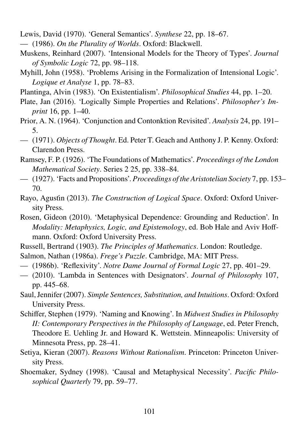- Lewis, David (1970). 'General Semantics'. *Synthese* 22, pp. 18–67.
- (1986). *On the Plurality of Worlds*. Oxford: Blackwell.
- <span id="page-100-0"></span>Muskens, Reinhard (2007). 'Intensional Models for the Theory of Types'. *Journal of Symbolic Logic* 72, pp. 98–118.
- Myhill, John (1958). 'Problems Arising in the Formalization of Intensional Logic'. *Logique et Analyse* 1, pp. 78–83.
- Plantinga, Alvin (1983). 'On Existentialism'. *Philosophical Studies* 44, pp. 1–20.
- Plate, Jan (2016). 'Logically Simple Properties and Relations'. *Philosopher's Imprint* 16, pp. 1–40.
- Prior, A. N. (1964). 'Conjunction and Contonktion Revisited'. *Analysis* 24, pp. 191– 5.
- (1971). *Objects of Thought*. Ed. Peter T. Geach and Anthony J. P. Kenny. Oxford: Clarendon Press.
- Ramsey, F. P. (1926). 'The Foundations of Mathematics'. *Proceedings of the London Mathematical Society*. Series 2 25, pp. 338–84.
- (1927). 'Facts and Propositions'. *Proceedings of the Aristotelian Society* 7, pp. 153– 70.
- Rayo, Agustı́n (2013). *The Construction of Logical Space*. Oxford: Oxford University Press.
- Rosen, Gideon (2010). 'Metaphysical Dependence: Grounding and Reduction'. In *Modality: Metaphysics, Logic, and Epistemology*, ed. Bob Hale and Aviv Hoffmann. Oxford: Oxford University Press.
- Russell, Bertrand (1903). *The Principles of Mathematics*. London: Routledge.
- Salmon, Nathan (1986a). *Frege's Puzzle*. Cambridge, MA: MIT Press.
- (1986b). 'Reflexivity'. *Notre Dame Journal of Formal Logic* 27, pp. 401–29.
- (2010). 'Lambda in Sentences with Designators'. *Journal of Philosophy* 107, pp. 445–68.
- Saul, Jennifer (2007). *Simple Sentences, Substitution, and Intuitions*. Oxford: Oxford University Press.
- Schiffer, Stephen (1979). 'Naming and Knowing'. In *Midwest Studies in Philosophy II: Contemporary Perspectives in the Philosophy of Language*, ed. Peter French, Theodore E. Uehling Jr. and Howard K. Wettstein. Minneapolis: University of Minnesota Press, pp. 28–41.
- Setiya, Kieran (2007). *Reasons Without Rationalism*. Princeton: Princeton University Press.
- Shoemaker, Sydney (1998). 'Causal and Metaphysical Necessity'. *Pacific Philosophical Quarterly* 79, pp. 59–77.